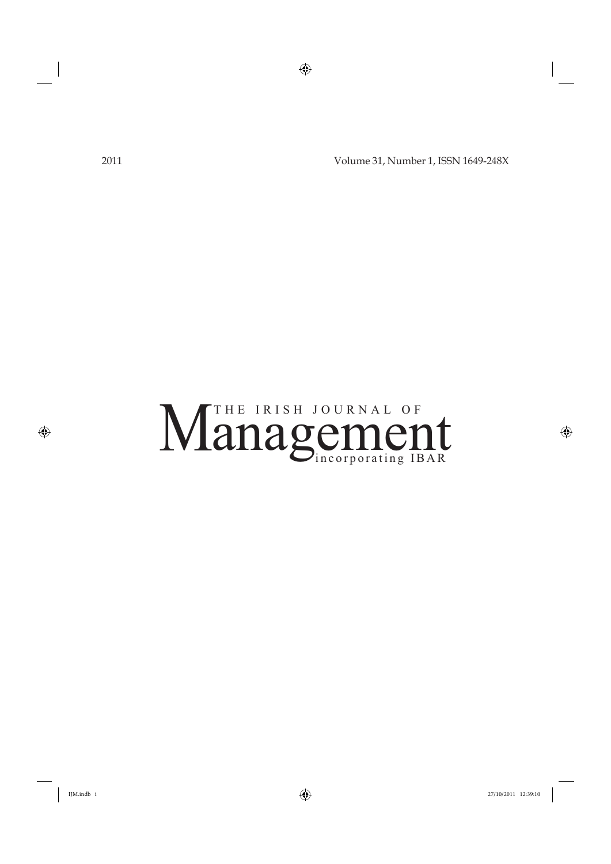2011 Volume 31, Number 1, ISSN 1649-248X

# The Charles Cincorporating IBAR  $\cdots$ THE IRISH JOURNAL OF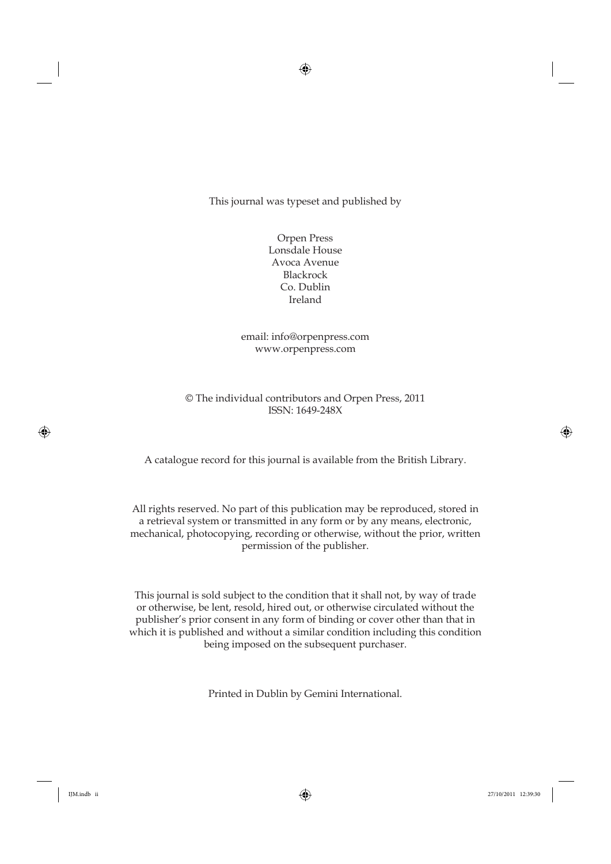This journal was typeset and published by

Orpen Press Lonsdale House Avoca Avenue Blackrock Co. Dublin Ireland

email: info@orpenpress.com www.orpenpress.com

© The individual contributors and Orpen Press, 2011 ISSN: 1649-248X

A catalogue record for this journal is available from the British Library.

All rights reserved. No part of this publication may be reproduced, stored in a retrieval system or transmitted in any form or by any means, electronic, mechanical, photocopying, recording or otherwise, without the prior, written permission of the publisher.

This journal is sold subject to the condition that it shall not, by way of trade or otherwise, be lent, resold, hired out, or otherwise circulated without the publisher's prior consent in any form of binding or cover other than that in which it is published and without a similar condition including this condition being imposed on the subsequent purchaser.

Printed in Dublin by Gemini International.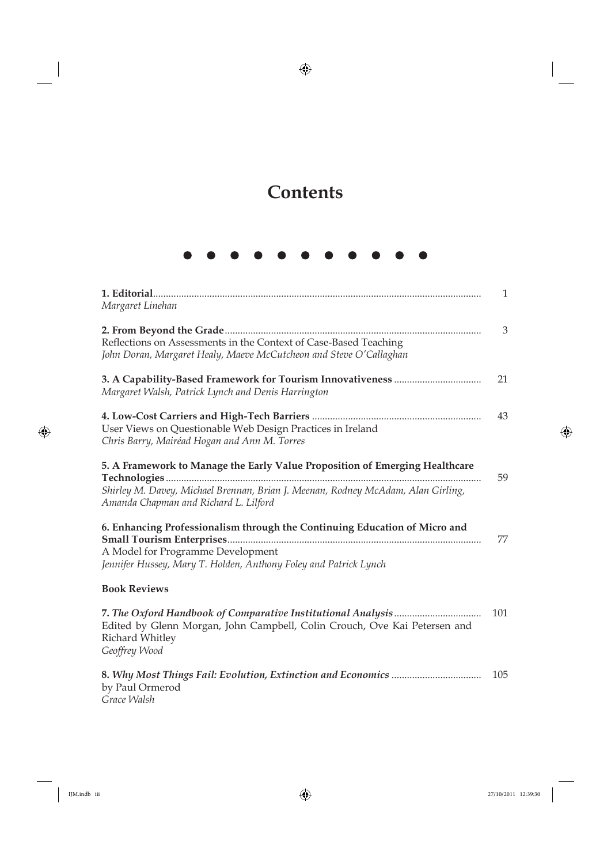## **Contents**

N

Ń

Ŋ

| Margaret Linehan                                                                                                                       | $\mathbf{1}$ |
|----------------------------------------------------------------------------------------------------------------------------------------|--------------|
| Reflections on Assessments in the Context of Case-Based Teaching<br>John Doran, Margaret Healy, Maeve McCutcheon and Steve O'Callaghan | 3            |
| Margaret Walsh, Patrick Lynch and Denis Harrington                                                                                     | 21           |
| User Views on Questionable Web Design Practices in Ireland<br>Chris Barry, Mairéad Hogan and Ann M. Torres                             | 43           |
| 5. A Framework to Manage the Early Value Proposition of Emerging Healthcare                                                            | 59           |
| Shirley M. Davey, Michael Brennan, Brian J. Meenan, Rodney McAdam, Alan Girling,<br>Amanda Chapman and Richard L. Lilford              |              |
| 6. Enhancing Professionalism through the Continuing Education of Micro and<br>A Model for Programme Development                        | 77           |
| Jennifer Hussey, Mary T. Holden, Anthony Foley and Patrick Lynch                                                                       |              |
| <b>Book Reviews</b>                                                                                                                    |              |
| Edited by Glenn Morgan, John Campbell, Colin Crouch, Ove Kai Petersen and<br>Richard Whitley<br>Geoffrey Wood                          | 101          |
| by Paul Ormerod                                                                                                                        | 105          |

*Grace Walsh*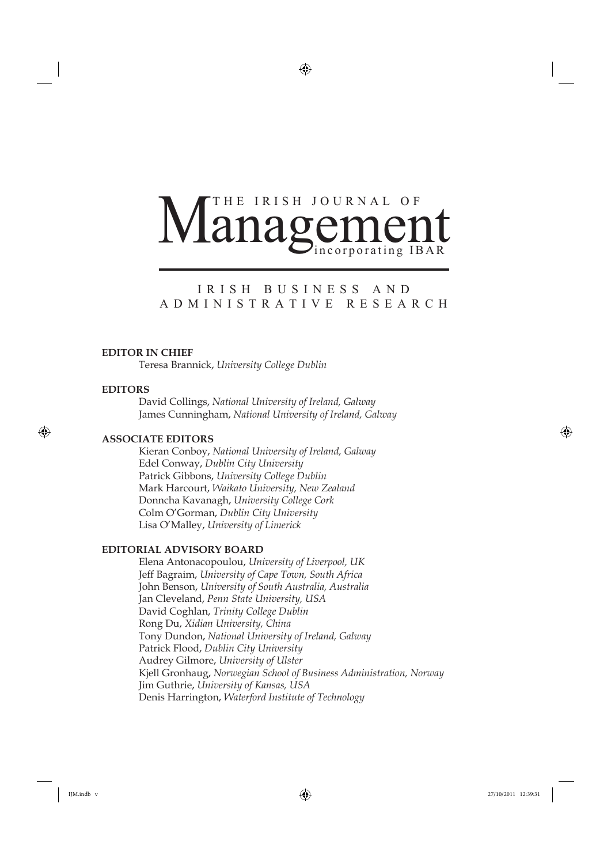# Vincorporating IBAR<br>IRISH BUSINESS AND Managemen

# T ADMINISTRATIVE RESEARCH ADMINISTRATIVE RESEARCH

#### **EDITOR IN CHIEF**

Teresa Brannick, *University College Dublin*

#### **EDITORS**

David Collings, *National University of Ireland, Galway* James Cunningham, *National University of Ireland, Galway*

#### **ASSOCIATE EDITORS**

Kieran Conboy, *National University of Ireland, Galway* Edel Conway, *Dublin City University* Patrick Gibbons, *University College Dublin* Mark Harcourt, *Waikato University, New Zealand* Donncha Kavanagh, *University College Cork* Colm O'Gorman, *Dublin City University* Lisa O'Malley, *University of Limerick*

### **EDITORIAL ADVISORY BOARD**

Elena Antonacopoulou, *University of Liverpool, UK* Jeff Bagraim, *University of Cape Town, South Africa* John Benson, *University of South Australia, Australia* Jan Cleveland, *Penn State University, USA* David Coghlan, *Trinity College Dublin* Rong Du, *Xidian University, China* Tony Dundon, *National University of Ireland, Galway* Patrick Flood, *Dublin City University* Audrey Gilmore, *University of Ulster* Kjell Gronhaug, *Norwegian School of Business Administration, Norway* Jim Guthrie, *University of Kansas, USA* Denis Harrington, *Waterford Institute of Technology*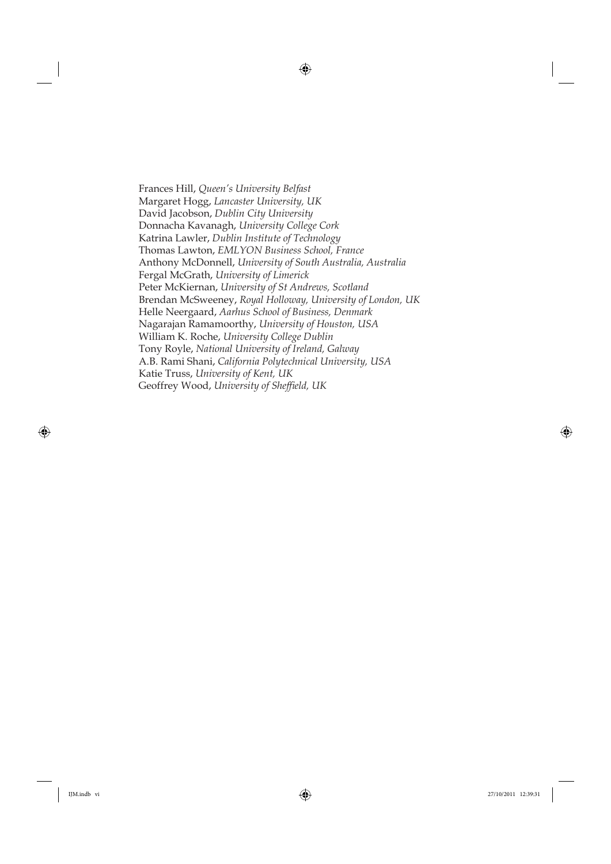Frances Hill, *Queen's University Belfast* Margaret Hogg, *Lancaster University, UK* David Jacobson, *Dublin City University* Donnacha Kavanagh, *University College Cork* Katrina Lawler, *Dublin Institute of Technology* Thomas Lawton, *EMLYON Business School, France* Anthony McDonnell, *University of South Australia, Australia* Fergal McGrath, *University of Limerick* Peter McKiernan, *University of St Andrews, Scotland* Brendan McSweeney, *Royal Holloway, University of London, UK* Helle Neergaard, *Aarhus School of Business, Denmark* Nagarajan Ramamoorthy, *University of Houston, USA* William K. Roche, *University College Dublin* Tony Royle, *National University of Ireland, Galway* A.B. Rami Shani, *California Polytechnical University, USA* Katie Truss, *University of Kent, UK* Geoffrey Wood, *University of Sheffield*, UK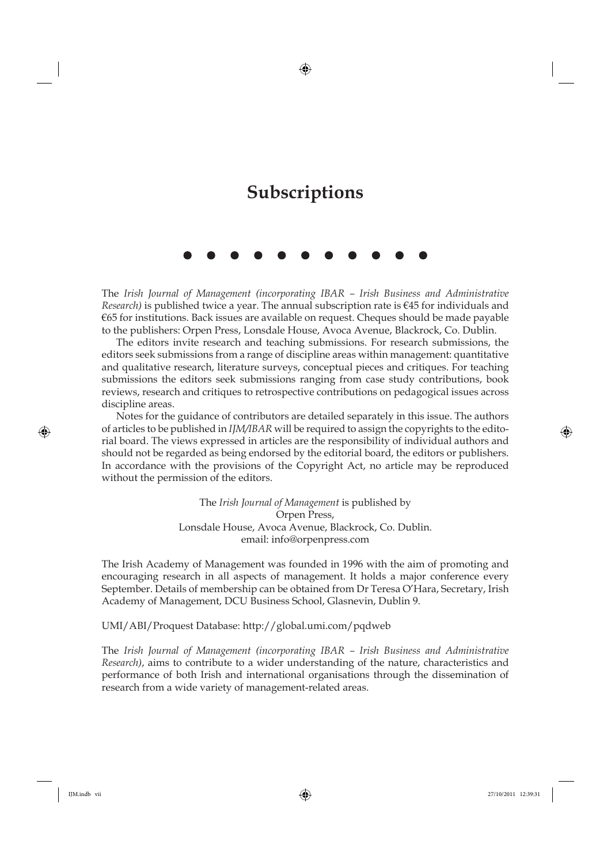## **Subscriptions**

The *Irish Journal of Management (incorporating IBAR – Irish Business and Administrative Research)* is published twice a year. The annual subscription rate is €45 for individuals and €65 for institutions. Back issues are available on request. Cheques should be made payable to the publishers: Orpen Press, Lonsdale House, Avoca Avenue, Blackrock, Co. Dublin.

The editors invite research and teaching submissions. For research submissions, the editors seek submissions from a range of discipline areas within management: quantitative and qualitative research, literature surveys, conceptual pieces and critiques. For teaching submissions the editors seek submissions ranging from case study contributions, book reviews, research and critiques to retrospective contributions on pedagogical issues across discipline areas.

Notes for the guidance of contributors are detailed separately in this issue. The authors of articles to be published in *IJM/IBAR* will be required to assign the copyrights to the editorial board. The views expressed in articles are the responsibility of individual authors and should not be regarded as being endorsed by the editorial board, the editors or publishers. In accordance with the provisions of the Copyright Act, no article may be reproduced without the permission of the editors.

> The *Irish Journal of Management* is published by Orpen Press, Lonsdale House, Avoca Avenue, Blackrock, Co. Dublin. email: info@orpenpress.com

The Irish Academy of Management was founded in 1996 with the aim of promoting and encouraging research in all aspects of management. It holds a major conference every September. Details of membership can be obtained from Dr Teresa O'Hara, Secretary, Irish Academy of Management, DCU Business School, Glasnevin, Dublin 9.

UMI/ABI/Proquest Database: http://global.umi.com/pqdweb

The *Irish Journal of Management (incorporating IBAR – Irish Business and Administrative Research)*, aims to contribute to a wider understanding of the nature, characteristics and performance of both Irish and international organisations through the dissemination of research from a wide variety of management-related areas.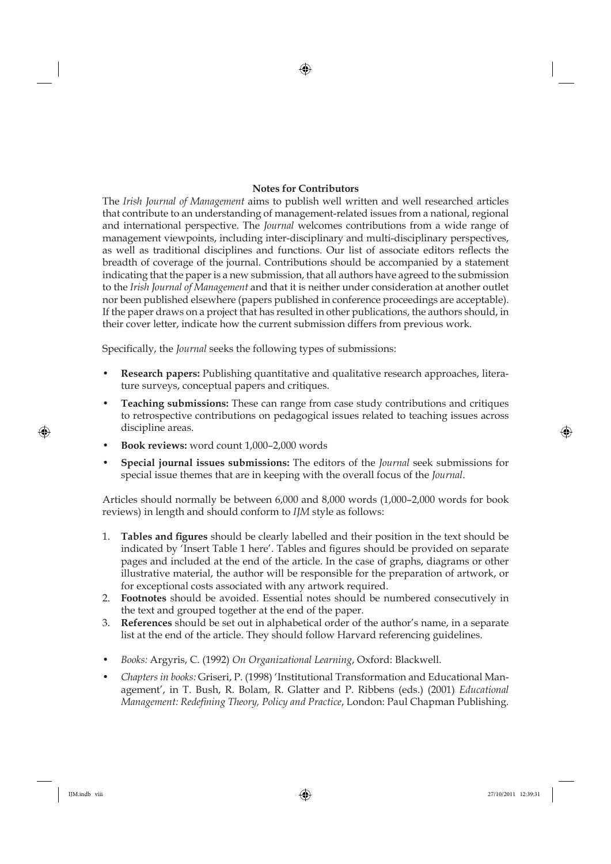### **Notes for Contributors**

The *Irish Journal of Management* aims to publish well written and well researched articles that contribute to an understanding of management-related issues from a national, regional and international perspective. The *Journal* welcomes contributions from a wide range of management viewpoints, including inter-disciplinary and multi-disciplinary perspectives, as well as traditional disciplines and functions. Our list of associate editors reflects the breadth of coverage of the journal. Contributions should be accompanied by a statement indicating that the paper is a new submission, that all authors have agreed to the submission to the *Irish Journal of Management* and that it is neither under consideration at another outlet nor been published elsewhere (papers published in conference proceedings are acceptable). If the paper draws on a project that has resulted in other publications, the authors should, in their cover letter, indicate how the current submission differs from previous work.

Specifically, the *Journal* seeks the following types of submissions:

- **Research papers:** Publishing quantitative and qualitative research approaches, literature surveys, conceptual papers and critiques.
- **Teaching submissions:** These can range from case study contributions and critiques to retrospective contributions on pedagogical issues related to teaching issues across discipline areas.
- **Book reviews:** word count 1,000–2,000 words
- **Special journal issues submissions:** The editors of the *Journal* seek submissions for special issue themes that are in keeping with the overall focus of the *Journal*.

Articles should normally be between 6,000 and 8,000 words (1,000–2,000 words for book reviews) in length and should conform to *IJM* style as follows:

- 1. **Tables and figures** should be clearly labelled and their position in the text should be indicated by 'Insert Table 1 here'. Tables and figures should be provided on separate pages and included at the end of the article. In the case of graphs, diagrams or other illustrative material, the author will be responsible for the preparation of artwork, or for exceptional costs associated with any artwork required.
- 2. **Footnotes** should be avoided. Essential notes should be numbered consecutively in the text and grouped together at the end of the paper.
- 3. **References** should be set out in alphabetical order of the author's name, in a separate list at the end of the article. They should follow Harvard referencing guidelines.
- *Books:* Argyris, C. (1992) *On Organizational Learning*, Oxford: Blackwell.
- *Chapters in books:* Griseri, P. (1998) 'Institutional Transformation and Educational Management', in T. Bush, R. Bolam, R. Glatter and P. Ribbens (eds.) (2001) *Educational Management: Redefining Theory, Policy and Practice, London: Paul Chapman Publishing.*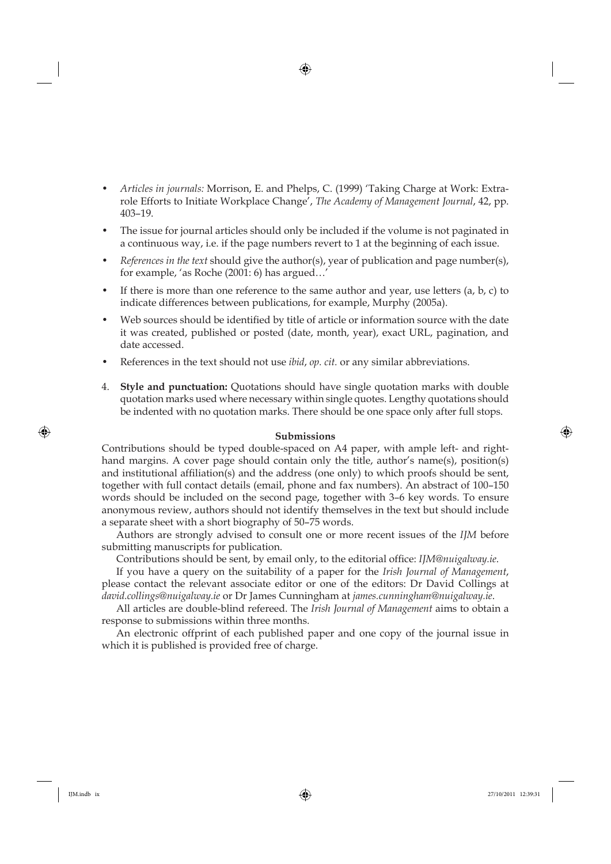- *Articles in journals:* Morrison, E. and Phelps, C. (1999) 'Taking Charge at Work: Extrarole Efforts to Initiate Workplace Change', *The Academy of Management Journal*, 42, pp. 403–19.
- The issue for journal articles should only be included if the volume is not paginated in a continuous way, i.e. if the page numbers revert to 1 at the beginning of each issue.
- *References in the text* should give the author(s), year of publication and page number(s), for example, 'as Roche (2001: 6) has argued…'
- If there is more than one reference to the same author and year, use letters  $(a, b, c)$  to indicate differences between publications, for example, Murphy (2005a).
- Web sources should be identified by title of article or information source with the date it was created, published or posted (date, month, year), exact URL, pagination, and date accessed.
- References in the text should not use *ibid*, *op. cit.* or any similar abbreviations.
- 4. **Style and punctuation:** Quotations should have single quotation marks with double quotation marks used where necessary within single quotes. Lengthy quotations should be indented with no quotation marks. There should be one space only after full stops.

#### **Submissions**

Contributions should be typed double-spaced on A4 paper, with ample left- and righthand margins. A cover page should contain only the title, author's name(s), position(s) and institutional affiliation(s) and the address (one only) to which proofs should be sent, together with full contact details (email, phone and fax numbers). An abstract of 100–150 words should be included on the second page, together with 3–6 key words. To ensure anonymous review, authors should not identify themselves in the text but should include a separate sheet with a short biography of 50–75 words.

Authors are strongly advised to consult one or more recent issues of the *IJM* before submitting manuscripts for publication.

Contributions should be sent, by email only, to the editorial office: *IJM@nuigalway.ie*.

If you have a query on the suitability of a paper for the *Irish Journal of Management*, please contact the relevant associate editor or one of the editors: Dr David Collings at *david.collings@nuigalway.ie* or Dr James Cunningham at *james.cunningham@nuigalway.ie*.

All articles are double-blind refereed. The *Irish Journal of Management* aims to obtain a response to submissions within three months.

An electronic offprint of each published paper and one copy of the journal issue in which it is published is provided free of charge.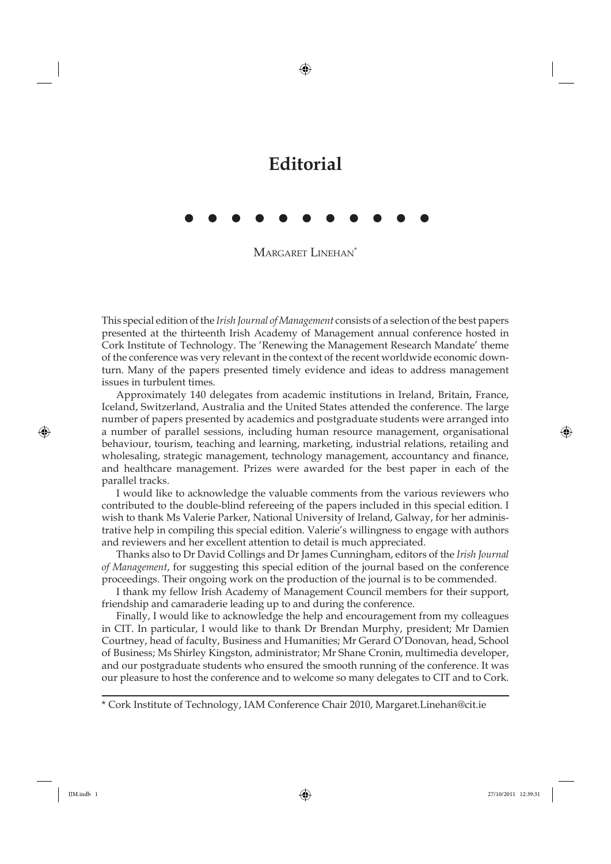## **Editorial**

MARGARET LINEHAN\*

This special edition of the *Irish Journal of Management* consists of a selection of the best papers presented at the thirteenth Irish Academy of Management annual conference hosted in Cork Institute of Technology. The 'Renewing the Management Research Mandate' theme of the conference was very relevant in the context of the recent worldwide economic downturn. Many of the papers presented timely evidence and ideas to address management issues in turbulent times.

Approximately 140 delegates from academic institutions in Ireland, Britain, France, Iceland, Switzerland, Australia and the United States attended the conference. The large number of papers presented by academics and postgraduate students were arranged into a number of parallel sessions, including human resource management, organisational behaviour, tourism, teaching and learning, marketing, industrial relations, retailing and wholesaling, strategic management, technology management, accountancy and finance, and healthcare management. Prizes were awarded for the best paper in each of the parallel tracks.

I would like to acknowledge the valuable comments from the various reviewers who contributed to the double-blind refereeing of the papers included in this special edition. I wish to thank Ms Valerie Parker, National University of Ireland, Galway, for her administrative help in compiling this special edition. Valerie's willingness to engage with authors and reviewers and her excellent attention to detail is much appreciated.

Thanks also to Dr David Collings and Dr James Cunningham, editors of the *Irish Journal of Management*, for suggesting this special edition of the journal based on the conference proceedings. Their ongoing work on the production of the journal is to be commended.

I thank my fellow Irish Academy of Management Council members for their support, friendship and camaraderie leading up to and during the conference.

Finally, I would like to acknowledge the help and encouragement from my colleagues in CIT. In particular, I would like to thank Dr Brendan Murphy, president; Mr Damien Courtney, head of faculty, Business and Humanities; Mr Gerard O'Donovan, head, School of Business; Ms Shirley Kingston, administrator; Mr Shane Cronin, multimedia developer, and our postgraduate students who ensured the smooth running of the conference. It was our pleasure to host the conference and to welcome so many delegates to CIT and to Cork.

\* Cork Institute of Technology, IAM Conference Chair 2010, Margaret.Linehan@cit.ie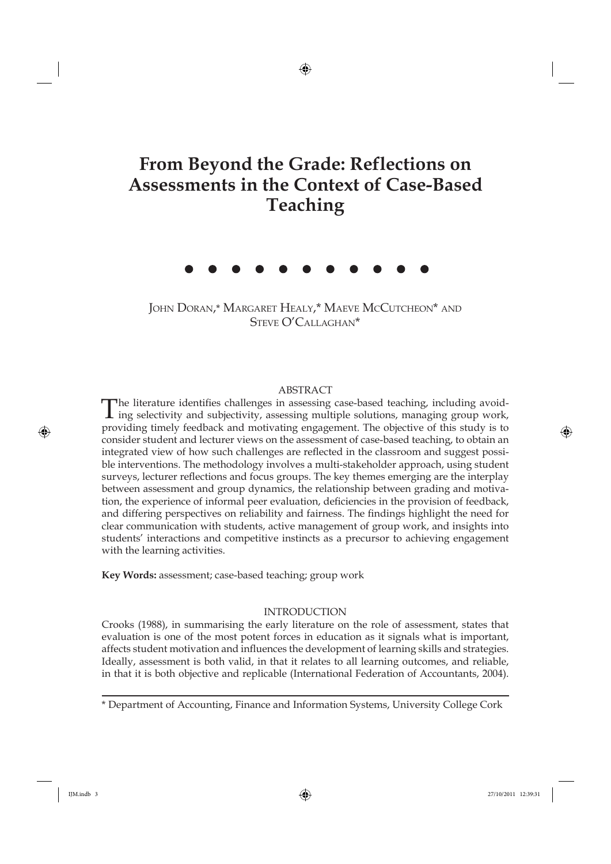## **From Beyond the Grade: Reflections on Assessments in the Context of Case-Based Teaching**

JOHN DORAN,\* MARGARET HEALY,\* MAEVE MCCUTCHEON\* AND STEVE O'CALLAGHAN\*

#### ABSTRACT

The literature identifies challenges in assessing case-based teaching, including avoiding selectivity and subjectivity, assessing multiple solutions, managing group work, providing timely feedback and motivating engagement. The objective of this study is to consider student and lecturer views on the assessment of case-based teaching, to obtain an integrated view of how such challenges are reflected in the classroom and suggest possible interventions. The methodology involves a multi-stakeholder approach, using student surveys, lecturer reflections and focus groups. The key themes emerging are the interplay between assessment and group dynamics, the relationship between grading and motivation, the experience of informal peer evaluation, deficiencies in the provision of feedback, and differing perspectives on reliability and fairness. The findings highlight the need for clear communication with students, active management of group work, and insights into students' interactions and competitive instincts as a precursor to achieving engagement with the learning activities.

**Key Words:** assessment; case-based teaching; group work

#### INTRODUCTION

Crooks (1988), in summarising the early literature on the role of assessment, states that evaluation is one of the most potent forces in education as it signals what is important, affects student motivation and influences the development of learning skills and strategies. Ideally, assessment is both valid, in that it relates to all learning outcomes, and reliable, in that it is both objective and replicable (International Federation of Accountants, 2004).

<sup>\*</sup> Department of Accounting, Finance and Information Systems, University College Cork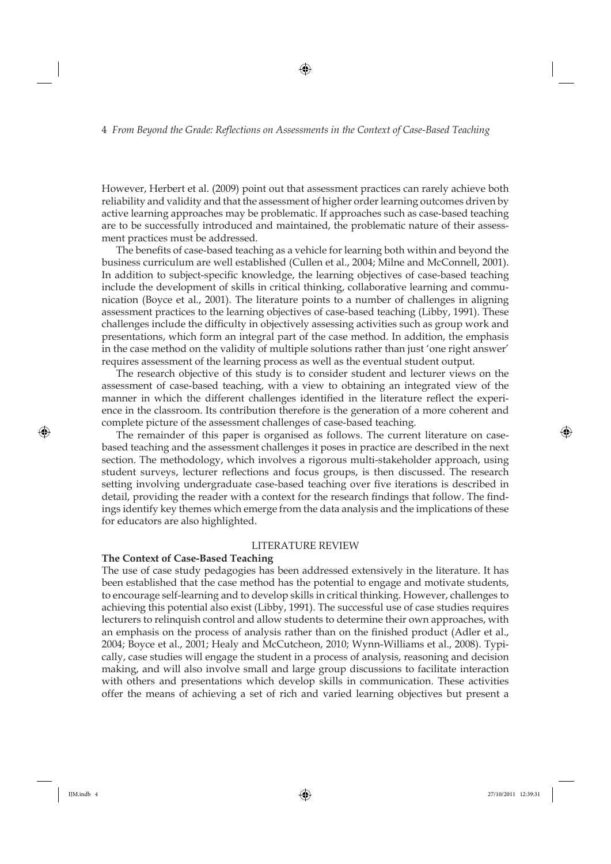However, Herbert et al. (2009) point out that assessment practices can rarely achieve both reliability and validity and that the assessment of higher order learning outcomes driven by active learning approaches may be problematic. If approaches such as case-based teaching are to be successfully introduced and maintained, the problematic nature of their assessment practices must be addressed.

The benefits of case-based teaching as a vehicle for learning both within and beyond the business curriculum are well established (Cullen et al., 2004; Milne and McConnell, 2001). In addition to subject-specific knowledge, the learning objectives of case-based teaching include the development of skills in critical thinking, collaborative learning and communication (Boyce et al., 2001). The literature points to a number of challenges in aligning assessment practices to the learning objectives of case-based teaching (Libby, 1991). These challenges include the difficulty in objectively assessing activities such as group work and presentations, which form an integral part of the case method. In addition, the emphasis in the case method on the validity of multiple solutions rather than just 'one right answer' requires assessment of the learning process as well as the eventual student output.

The research objective of this study is to consider student and lecturer views on the assessment of case-based teaching, with a view to obtaining an integrated view of the manner in which the different challenges identified in the literature reflect the experience in the classroom. Its contribution therefore is the generation of a more coherent and complete picture of the assessment challenges of case-based teaching.

The remainder of this paper is organised as follows. The current literature on casebased teaching and the assessment challenges it poses in practice are described in the next section. The methodology, which involves a rigorous multi-stakeholder approach, using student surveys, lecturer reflections and focus groups, is then discussed. The research setting involving undergraduate case-based teaching over five iterations is described in detail, providing the reader with a context for the research findings that follow. The findings identify key themes which emerge from the data analysis and the implications of these for educators are also highlighted.

#### LITERATURE REVIEW

#### **The Context of Case-Based Teaching**

The use of case study pedagogies has been addressed extensively in the literature. It has been established that the case method has the potential to engage and motivate students, to encourage self-learning and to develop skills in critical thinking. However, challenges to achieving this potential also exist (Libby, 1991). The successful use of case studies requires lecturers to relinquish control and allow students to determine their own approaches, with an emphasis on the process of analysis rather than on the finished product (Adler et al., 2004; Boyce et al., 2001; Healy and McCutcheon, 2010; Wynn-Williams et al., 2008). Typically, case studies will engage the student in a process of analysis, reasoning and decision making, and will also involve small and large group discussions to facilitate interaction with others and presentations which develop skills in communication. These activities offer the means of achieving a set of rich and varied learning objectives but present a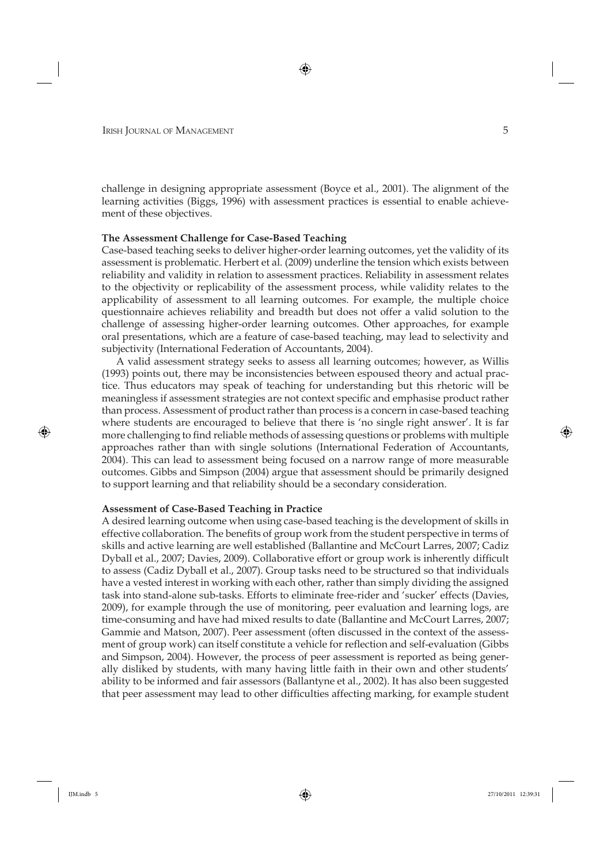challenge in designing appropriate assessment (Boyce et al., 2001). The alignment of the learning activities (Biggs, 1996) with assessment practices is essential to enable achievement of these objectives.

#### **The Assessment Challenge for Case-Based Teaching**

Case-based teaching seeks to deliver higher-order learning outcomes, yet the validity of its assessment is problematic. Herbert et al. (2009) underline the tension which exists between reliability and validity in relation to assessment practices. Reliability in assessment relates to the objectivity or replicability of the assessment process, while validity relates to the applicability of assessment to all learning outcomes. For example, the multiple choice questionnaire achieves reliability and breadth but does not offer a valid solution to the challenge of assessing higher-order learning outcomes. Other approaches, for example oral presentations, which are a feature of case-based teaching, may lead to selectivity and subjectivity (International Federation of Accountants, 2004).

A valid assessment strategy seeks to assess all learning outcomes; however, as Willis (1993) points out, there may be inconsistencies between espoused theory and actual practice. Thus educators may speak of teaching for understanding but this rhetoric will be meaningless if assessment strategies are not context specific and emphasise product rather than process. Assessment of product rather than process is a concern in case-based teaching where students are encouraged to believe that there is 'no single right answer'. It is far more challenging to find reliable methods of assessing questions or problems with multiple approaches rather than with single solutions (International Federation of Accountants, 2004). This can lead to assessment being focused on a narrow range of more measurable outcomes. Gibbs and Simpson (2004) argue that assessment should be primarily designed to support learning and that reliability should be a secondary consideration.

#### **Assessment of Case-Based Teaching in Practice**

A desired learning outcome when using case-based teaching is the development of skills in effective collaboration. The benefits of group work from the student perspective in terms of skills and active learning are well established (Ballantine and McCourt Larres, 2007; Cadiz Dyball et al., 2007; Davies, 2009). Collaborative effort or group work is inherently difficult to assess (Cadiz Dyball et al., 2007). Group tasks need to be structured so that individuals have a vested interest in working with each other, rather than simply dividing the assigned task into stand-alone sub-tasks. Efforts to eliminate free-rider and 'sucker' effects (Davies, 2009), for example through the use of monitoring, peer evaluation and learning logs, are time-consuming and have had mixed results to date (Ballantine and McCourt Larres, 2007; Gammie and Matson, 2007). Peer assessment (often discussed in the context of the assessment of group work) can itself constitute a vehicle for reflection and self-evaluation (Gibbs and Simpson, 2004). However, the process of peer assessment is reported as being generally disliked by students, with many having little faith in their own and other students' ability to be informed and fair assessors (Ballantyne et al., 2002). It has also been suggested that peer assessment may lead to other difficulties affecting marking, for example student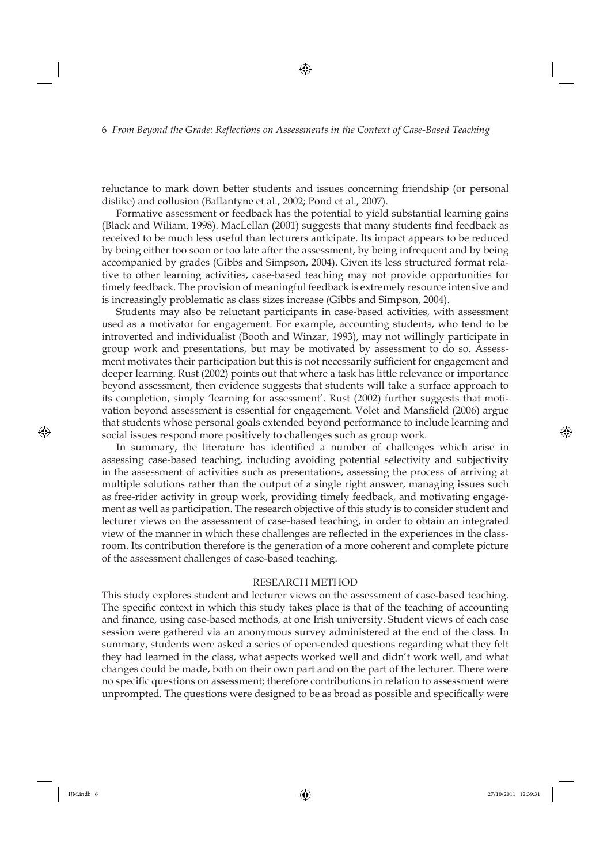reluctance to mark down better students and issues concerning friendship (or personal dislike) and collusion (Ballantyne et al., 2002; Pond et al., 2007).

Formative assessment or feedback has the potential to yield substantial learning gains (Black and Wiliam, 1998). MacLellan (2001) suggests that many students find feedback as received to be much less useful than lecturers anticipate. Its impact appears to be reduced by being either too soon or too late after the assessment, by being infrequent and by being accompanied by grades (Gibbs and Simpson, 2004). Given its less structured format relative to other learning activities, case-based teaching may not provide opportunities for timely feedback. The provision of meaningful feedback is extremely resource intensive and is increasingly problematic as class sizes increase (Gibbs and Simpson, 2004).

Students may also be reluctant participants in case-based activities, with assessment used as a motivator for engagement. For example, accounting students, who tend to be introverted and individualist (Booth and Winzar, 1993), may not willingly participate in group work and presentations, but may be motivated by assessment to do so. Assessment motivates their participation but this is not necessarily sufficient for engagement and deeper learning. Rust (2002) points out that where a task has little relevance or importance beyond assessment, then evidence suggests that students will take a surface approach to its completion, simply 'learning for assessment'. Rust (2002) further suggests that motivation beyond assessment is essential for engagement. Volet and Mansfield (2006) argue that students whose personal goals extended beyond performance to include learning and social issues respond more positively to challenges such as group work.

In summary, the literature has identified a number of challenges which arise in assessing case-based teaching, including avoiding potential selectivity and subjectivity in the assessment of activities such as presentations, assessing the process of arriving at multiple solutions rather than the output of a single right answer, managing issues such as free-rider activity in group work, providing timely feedback, and motivating engagement as well as participation. The research objective of this study is to consider student and lecturer views on the assessment of case-based teaching, in order to obtain an integrated view of the manner in which these challenges are reflected in the experiences in the classroom. Its contribution therefore is the generation of a more coherent and complete picture of the assessment challenges of case-based teaching.

#### RESEARCH METHOD

This study explores student and lecturer views on the assessment of case-based teaching. The specific context in which this study takes place is that of the teaching of accounting and finance, using case-based methods, at one Irish university. Student views of each case session were gathered via an anonymous survey administered at the end of the class. In summary, students were asked a series of open-ended questions regarding what they felt they had learned in the class, what aspects worked well and didn't work well, and what changes could be made, both on their own part and on the part of the lecturer. There were no specific questions on assessment; therefore contributions in relation to assessment were unprompted. The questions were designed to be as broad as possible and specifically were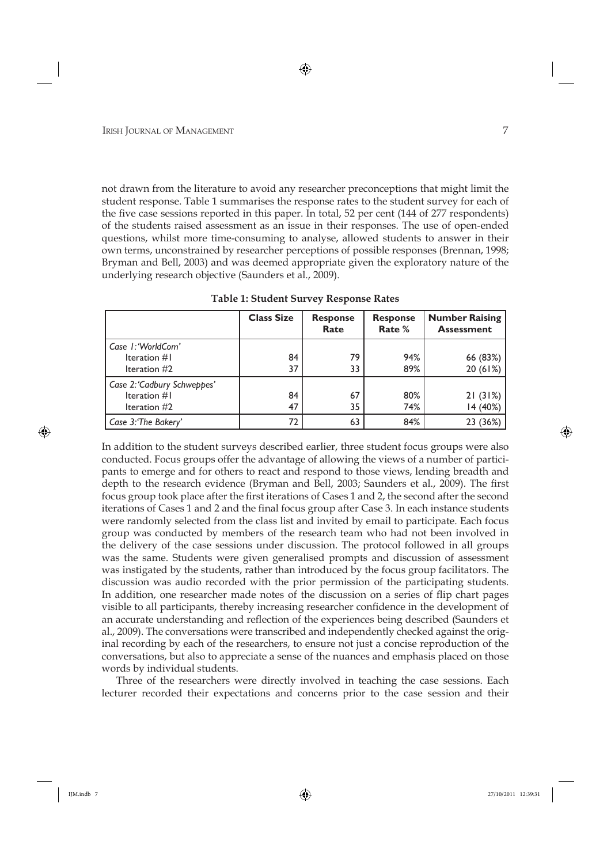not drawn from the literature to avoid any researcher preconceptions that might limit the student response. Table 1 summarises the response rates to the student survey for each of the five case sessions reported in this paper. In total, 52 per cent (144 of 277 respondents) of the students raised assessment as an issue in their responses. The use of open-ended questions, whilst more time-consuming to analyse, allowed students to answer in their own terms, unconstrained by researcher perceptions of possible responses (Brennan, 1998; Bryman and Bell, 2003) and was deemed appropriate given the exploratory nature of the underlying research objective (Saunders et al., 2009).

|                                                                 | <b>Class Size</b> | <b>Response</b><br>Rate | <b>Response</b><br>Rate % | <b>Number Raising</b><br><b>Assessment</b> |
|-----------------------------------------------------------------|-------------------|-------------------------|---------------------------|--------------------------------------------|
| Case I: 'WorldCom'<br>Iteration $#I$                            | 84                | 79                      | 94%                       | 66 $(83%)$                                 |
| Iteration $#2$                                                  | 37                | 33                      | 89%                       | 20(61%)                                    |
| Case 2: 'Cadbury Schweppes'<br>Iteration $#I$<br>Iteration $#2$ | 84<br>47          | 67<br>35                | 80%<br>74%                | 21(31%)<br>14(40%)                         |
| Case 3: The Bakery'                                             |                   | 63                      | 84%                       | 23 (36%)                                   |

**Table 1: Student Survey Response Rates**

In addition to the student surveys described earlier, three student focus groups were also conducted. Focus groups offer the advantage of allowing the views of a number of participants to emerge and for others to react and respond to those views, lending breadth and depth to the research evidence (Bryman and Bell, 2003; Saunders et al., 2009). The first focus group took place after the first iterations of Cases 1 and 2, the second after the second iterations of Cases 1 and 2 and the final focus group after Case 3. In each instance students were randomly selected from the class list and invited by email to participate. Each focus group was conducted by members of the research team who had not been involved in the delivery of the case sessions under discussion. The protocol followed in all groups was the same. Students were given generalised prompts and discussion of assessment was instigated by the students, rather than introduced by the focus group facilitators. The discussion was audio recorded with the prior permission of the participating students. In addition, one researcher made notes of the discussion on a series of flip chart pages visible to all participants, thereby increasing researcher confidence in the development of an accurate understanding and reflection of the experiences being described (Saunders et al., 2009). The conversations were transcribed and independently checked against the original recording by each of the researchers, to ensure not just a concise reproduction of the conversations, but also to appreciate a sense of the nuances and emphasis placed on those words by individual students.

Three of the researchers were directly involved in teaching the case sessions. Each lecturer recorded their expectations and concerns prior to the case session and their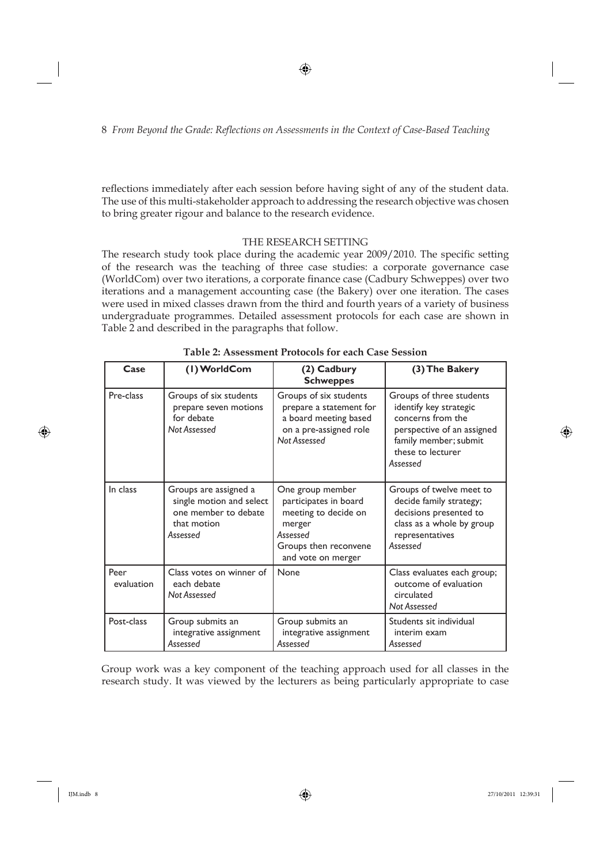reflections immediately after each session before having sight of any of the student data. The use of this multi-stakeholder approach to addressing the research objective was chosen to bring greater rigour and balance to the research evidence.

### THE RESEARCH SETTING

The research study took place during the academic year 2009/2010. The specific setting of the research was the teaching of three case studies: a corporate governance case (WorldCom) over two iterations, a corporate finance case (Cadbury Schweppes) over two iterations and a management accounting case (the Bakery) over one iteration. The cases were used in mixed classes drawn from the third and fourth years of a variety of business undergraduate programmes. Detailed assessment protocols for each case are shown in Table 2 and described in the paragraphs that follow.

| Case               | (1) WorldCom                                                                                         | (2) Cadbury<br><b>Schweppes</b>                                                                                                        | (3) The Bakery                                                                                                                                                  |
|--------------------|------------------------------------------------------------------------------------------------------|----------------------------------------------------------------------------------------------------------------------------------------|-----------------------------------------------------------------------------------------------------------------------------------------------------------------|
| Pre-class          | Groups of six students<br>prepare seven motions<br>for debate<br>Not Assessed                        | Groups of six students<br>prepare a statement for<br>a board meeting based<br>on a pre-assigned role<br>Not Assessed                   | Groups of three students<br>identify key strategic<br>concerns from the<br>perspective of an assigned<br>family member; submit<br>these to lecturer<br>Assessed |
| In class           | Groups are assigned a<br>single motion and select<br>one member to debate<br>that motion<br>Assessed | One group member<br>participates in board<br>meeting to decide on<br>merger<br>Assessed<br>Groups then reconvene<br>and vote on merger | Groups of twelve meet to<br>decide family strategy;<br>decisions presented to<br>class as a whole by group<br>representatives<br>Assessed                       |
| Peer<br>evaluation | Class votes on winner of<br>each debate<br>Not Assessed                                              | None                                                                                                                                   | Class evaluates each group;<br>outcome of evaluation<br>circulated<br>Not Assessed                                                                              |
| Post-class         | Group submits an<br>integrative assignment<br>Assessed                                               | Group submits an<br>integrative assignment<br>Assessed                                                                                 | Students sit individual<br>interim exam<br>Assessed                                                                                                             |

**Table 2: Assessment Protocols for each Case Session**

Group work was a key component of the teaching approach used for all classes in the research study. It was viewed by the lecturers as being particularly appropriate to case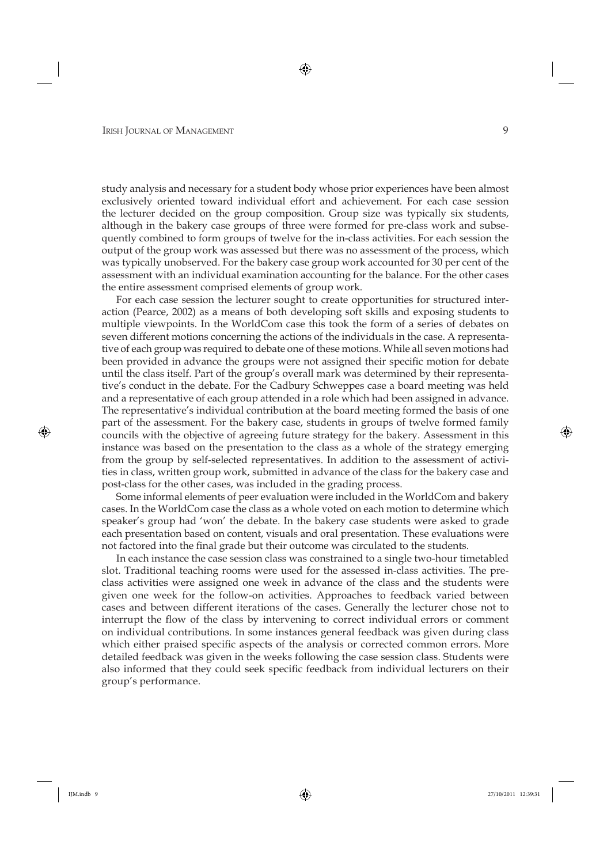study analysis and necessary for a student body whose prior experiences have been almost exclusively oriented toward individual effort and achievement. For each case session the lecturer decided on the group composition. Group size was typically six students, although in the bakery case groups of three were formed for pre-class work and subsequently combined to form groups of twelve for the in-class activities. For each session the output of the group work was assessed but there was no assessment of the process, which was typically unobserved. For the bakery case group work accounted for 30 per cent of the assessment with an individual examination accounting for the balance. For the other cases the entire assessment comprised elements of group work.

For each case session the lecturer sought to create opportunities for structured interaction (Pearce, 2002) as a means of both developing soft skills and exposing students to multiple viewpoints. In the WorldCom case this took the form of a series of debates on seven different motions concerning the actions of the individuals in the case. A representative of each group was required to debate one of these motions. While all seven motions had been provided in advance the groups were not assigned their specific motion for debate until the class itself. Part of the group's overall mark was determined by their representative's conduct in the debate. For the Cadbury Schweppes case a board meeting was held and a representative of each group attended in a role which had been assigned in advance. The representative's individual contribution at the board meeting formed the basis of one part of the assessment. For the bakery case, students in groups of twelve formed family councils with the objective of agreeing future strategy for the bakery. Assessment in this instance was based on the presentation to the class as a whole of the strategy emerging from the group by self-selected representatives. In addition to the assessment of activities in class, written group work, submitted in advance of the class for the bakery case and post-class for the other cases, was included in the grading process.

Some informal elements of peer evaluation were included in the WorldCom and bakery cases. In the WorldCom case the class as a whole voted on each motion to determine which speaker's group had 'won' the debate. In the bakery case students were asked to grade each presentation based on content, visuals and oral presentation. These evaluations were not factored into the final grade but their outcome was circulated to the students.

In each instance the case session class was constrained to a single two-hour timetabled slot. Traditional teaching rooms were used for the assessed in-class activities. The preclass activities were assigned one week in advance of the class and the students were given one week for the follow-on activities. Approaches to feedback varied between cases and between different iterations of the cases. Generally the lecturer chose not to interrupt the flow of the class by intervening to correct individual errors or comment on individual contributions. In some instances general feedback was given during class which either praised specific aspects of the analysis or corrected common errors. More detailed feedback was given in the weeks following the case session class. Students were also informed that they could seek specific feedback from individual lecturers on their group's performance.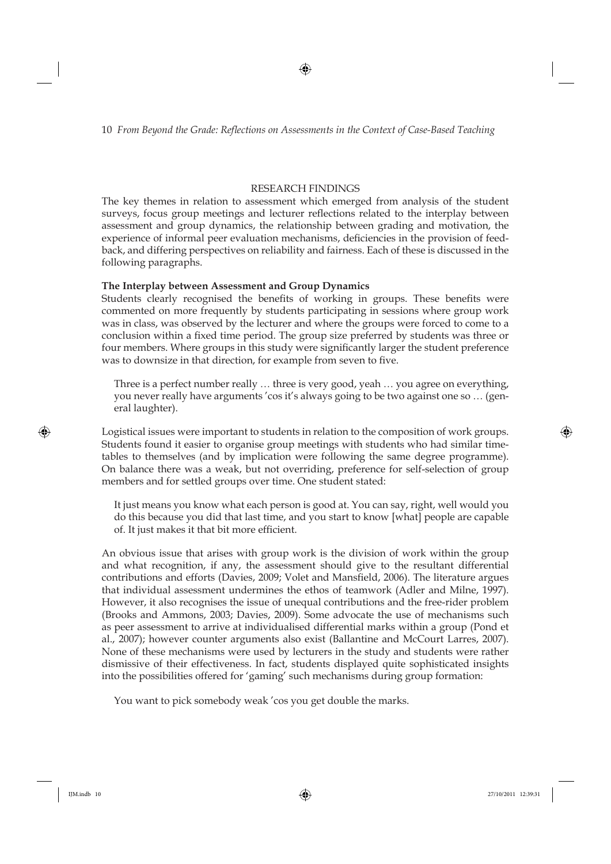### RESEARCH FINDINGS

The key themes in relation to assessment which emerged from analysis of the student surveys, focus group meetings and lecturer reflections related to the interplay between assessment and group dynamics, the relationship between grading and motivation, the experience of informal peer evaluation mechanisms, deficiencies in the provision of feedback, and differing perspectives on reliability and fairness. Each of these is discussed in the following paragraphs.

## **The Interplay between Assessment and Group Dynamics**

Students clearly recognised the benefits of working in groups. These benefits were commented on more frequently by students participating in sessions where group work was in class, was observed by the lecturer and where the groups were forced to come to a conclusion within a fixed time period. The group size preferred by students was three or four members. Where groups in this study were significantly larger the student preference was to downsize in that direction, for example from seven to five.

Three is a perfect number really … three is very good, yeah … you agree on everything, you never really have arguments 'cos it's always going to be two against one so … (general laughter).

Logistical issues were important to students in relation to the composition of work groups. Students found it easier to organise group meetings with students who had similar timetables to themselves (and by implication were following the same degree programme). On balance there was a weak, but not overriding, preference for self-selection of group members and for settled groups over time. One student stated:

It just means you know what each person is good at. You can say, right, well would you do this because you did that last time, and you start to know [what] people are capable of. It just makes it that bit more efficient.

An obvious issue that arises with group work is the division of work within the group and what recognition, if any, the assessment should give to the resultant differential contributions and efforts (Davies, 2009; Volet and Mansfield, 2006). The literature argues that individual assessment undermines the ethos of teamwork (Adler and Milne, 1997). However, it also recognises the issue of unequal contributions and the free-rider problem (Brooks and Ammons, 2003; Davies, 2009). Some advocate the use of mechanisms such as peer assessment to arrive at individualised differential marks within a group (Pond et al., 2007); however counter arguments also exist (Ballantine and McCourt Larres, 2007). None of these mechanisms were used by lecturers in the study and students were rather dismissive of their effectiveness. In fact, students displayed quite sophisticated insights into the possibilities offered for 'gaming' such mechanisms during group formation:

You want to pick somebody weak 'cos you get double the marks.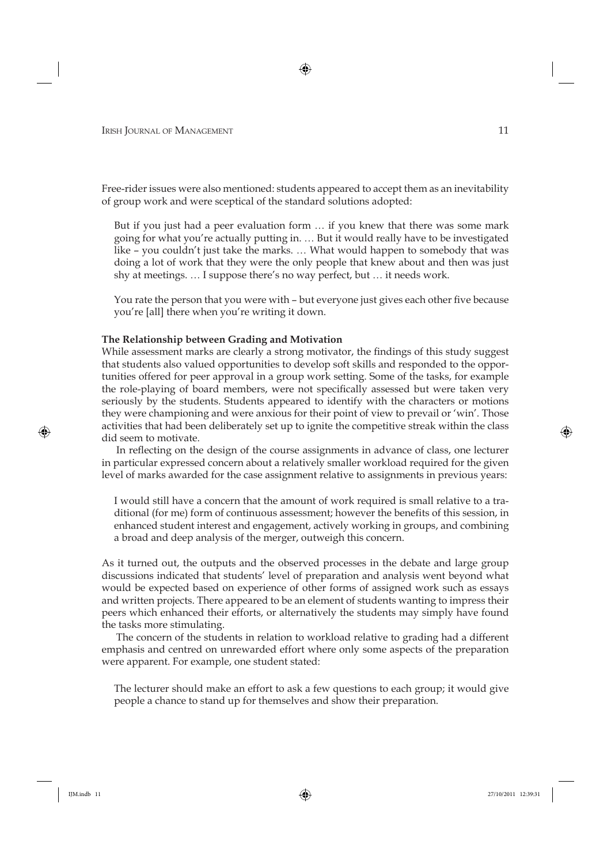Free-rider issues were also mentioned: students appeared to accept them as an inevitability of group work and were sceptical of the standard solutions adopted:

But if you just had a peer evaluation form … if you knew that there was some mark going for what you're actually putting in. … But it would really have to be investigated like – you couldn't just take the marks. … What would happen to somebody that was doing a lot of work that they were the only people that knew about and then was just shy at meetings. … I suppose there's no way perfect, but … it needs work.

You rate the person that you were with – but everyone just gives each other five because you're [all] there when you're writing it down.

#### **The Relationship between Grading and Motivation**

While assessment marks are clearly a strong motivator, the findings of this study suggest that students also valued opportunities to develop soft skills and responded to the opportunities offered for peer approval in a group work setting. Some of the tasks, for example the role-playing of board members, were not specifically assessed but were taken very seriously by the students. Students appeared to identify with the characters or motions they were championing and were anxious for their point of view to prevail or 'win'. Those activities that had been deliberately set up to ignite the competitive streak within the class did seem to motivate.

In reflecting on the design of the course assignments in advance of class, one lecturer in particular expressed concern about a relatively smaller workload required for the given level of marks awarded for the case assignment relative to assignments in previous years:

I would still have a concern that the amount of work required is small relative to a traditional (for me) form of continuous assessment; however the benefits of this session, in enhanced student interest and engagement, actively working in groups, and combining a broad and deep analysis of the merger, outweigh this concern.

As it turned out, the outputs and the observed processes in the debate and large group discussions indicated that students' level of preparation and analysis went beyond what would be expected based on experience of other forms of assigned work such as essays and written projects. There appeared to be an element of students wanting to impress their peers which enhanced their efforts, or alternatively the students may simply have found the tasks more stimulating.

The concern of the students in relation to workload relative to grading had a different emphasis and centred on unrewarded effort where only some aspects of the preparation were apparent. For example, one student stated:

The lecturer should make an effort to ask a few questions to each group; it would give people a chance to stand up for themselves and show their preparation.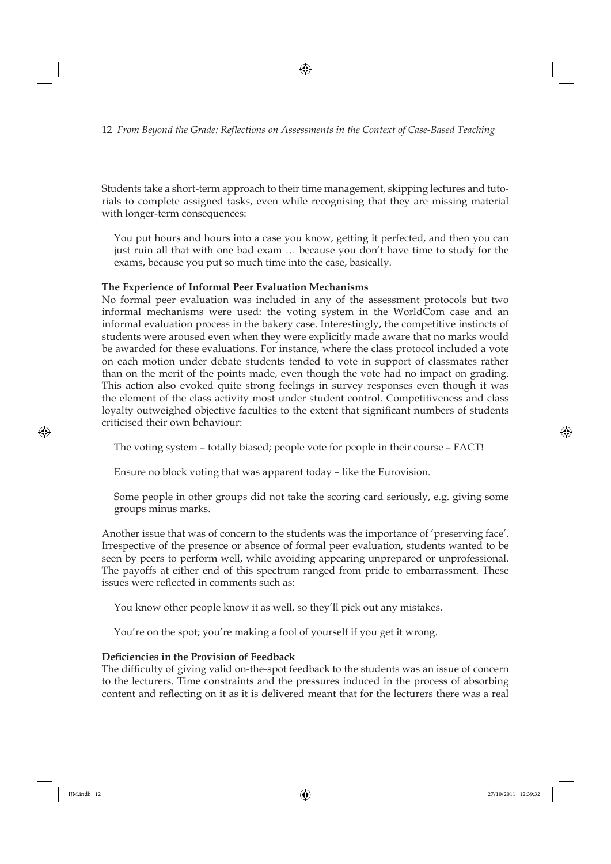Students take a short-term approach to their time management, skipping lectures and tutorials to complete assigned tasks, even while recognising that they are missing material with longer-term consequences:

You put hours and hours into a case you know, getting it perfected, and then you can just ruin all that with one bad exam … because you don't have time to study for the exams, because you put so much time into the case, basically.

### **The Experience of Informal Peer Evaluation Mechanisms**

No formal peer evaluation was included in any of the assessment protocols but two informal mechanisms were used: the voting system in the WorldCom case and an informal evaluation process in the bakery case. Interestingly, the competitive instincts of students were aroused even when they were explicitly made aware that no marks would be awarded for these evaluations. For instance, where the class protocol included a vote on each motion under debate students tended to vote in support of classmates rather than on the merit of the points made, even though the vote had no impact on grading. This action also evoked quite strong feelings in survey responses even though it was the element of the class activity most under student control. Competitiveness and class loyalty outweighed objective faculties to the extent that significant numbers of students criticised their own behaviour:

The voting system – totally biased; people vote for people in their course – FACT!

Ensure no block voting that was apparent today – like the Eurovision.

Some people in other groups did not take the scoring card seriously, e.g. giving some groups minus marks.

Another issue that was of concern to the students was the importance of 'preserving face'. Irrespective of the presence or absence of formal peer evaluation, students wanted to be seen by peers to perform well, while avoiding appearing unprepared or unprofessional. The payoffs at either end of this spectrum ranged from pride to embarrassment. These issues were reflected in comments such as:

You know other people know it as well, so they'll pick out any mistakes.

You're on the spot; you're making a fool of yourself if you get it wrong.

#### Deficiencies in the Provision of Feedback

The difficulty of giving valid on-the-spot feedback to the students was an issue of concern to the lecturers. Time constraints and the pressures induced in the process of absorbing content and reflecting on it as it is delivered meant that for the lecturers there was a real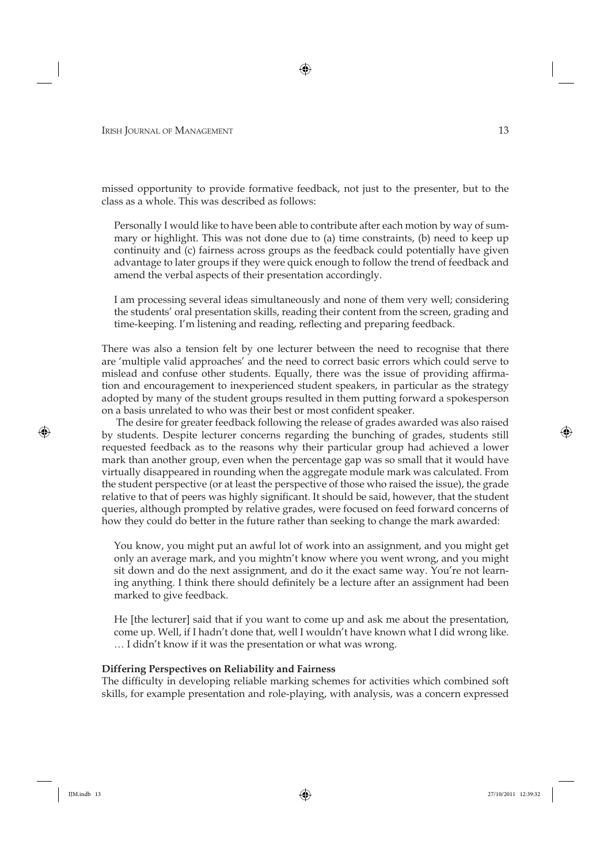missed opportunity to provide formative feedback, not just to the presenter, but to the class as a whole. This was described as follows:

Personally I would like to have been able to contribute after each motion by way of summary or highlight. This was not done due to (a) time constraints, (b) need to keep up continuity and (c) fairness across groups as the feedback could potentially have given advantage to later groups if they were quick enough to follow the trend of feedback and amend the verbal aspects of their presentation accordingly.

I am processing several ideas simultaneously and none of them very well; considering the students' oral presentation skills, reading their content from the screen, grading and time-keeping. I'm listening and reading, reflecting and preparing feedback.

There was also a tension felt by one lecturer between the need to recognise that there are 'multiple valid approaches' and the need to correct basic errors which could serve to mislead and confuse other students. Equally, there was the issue of providing affirmation and encouragement to inexperienced student speakers, in particular as the strategy adopted by many of the student groups resulted in them putting forward a spokesperson on a basis unrelated to who was their best or most confident speaker.

The desire for greater feedback following the release of grades awarded was also raised by students. Despite lecturer concerns regarding the bunching of grades, students still requested feedback as to the reasons why their particular group had achieved a lower mark than another group, even when the percentage gap was so small that it would have virtually disappeared in rounding when the aggregate module mark was calculated. From the student perspective (or at least the perspective of those who raised the issue), the grade relative to that of peers was highly significant. It should be said, however, that the student queries, although prompted by relative grades, were focused on feed forward concerns of how they could do better in the future rather than seeking to change the mark awarded:

You know, you might put an awful lot of work into an assignment, and you might get only an average mark, and you mightn't know where you went wrong, and you might sit down and do the next assignment, and do it the exact same way. You're not learning anything. I think there should definitely be a lecture after an assignment had been marked to give feedback.

He [the lecturer] said that if you want to come up and ask me about the presentation, come up. Well, if I hadn't done that, well I wouldn't have known what I did wrong like. … I didn't know if it was the presentation or what was wrong.

#### **Differing Perspectives on Reliability and Fairness**

The difficulty in developing reliable marking schemes for activities which combined soft skills, for example presentation and role-playing, with analysis, was a concern expressed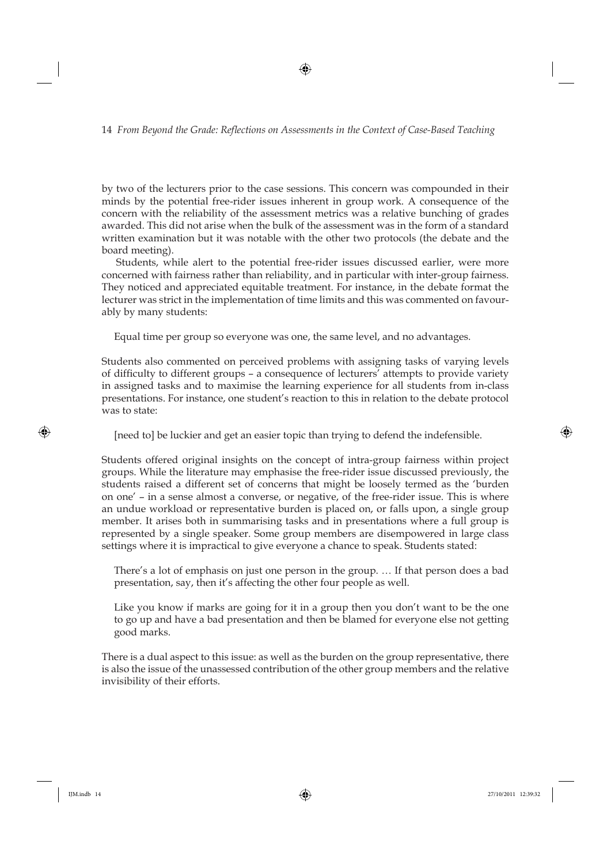by two of the lecturers prior to the case sessions. This concern was compounded in their minds by the potential free-rider issues inherent in group work. A consequence of the concern with the reliability of the assessment metrics was a relative bunching of grades awarded. This did not arise when the bulk of the assessment was in the form of a standard written examination but it was notable with the other two protocols (the debate and the board meeting).

Students, while alert to the potential free-rider issues discussed earlier, were more concerned with fairness rather than reliability, and in particular with inter-group fairness. They noticed and appreciated equitable treatment. For instance, in the debate format the lecturer was strict in the implementation of time limits and this was commented on favourably by many students:

Equal time per group so everyone was one, the same level, and no advantages.

Students also commented on perceived problems with assigning tasks of varying levels of difficulty to different groups - a consequence of lecturers' attempts to provide variety in assigned tasks and to maximise the learning experience for all students from in-class presentations. For instance, one student's reaction to this in relation to the debate protocol was to state:

[need to] be luckier and get an easier topic than trying to defend the indefensible.

Students offered original insights on the concept of intra-group fairness within project groups. While the literature may emphasise the free-rider issue discussed previously, the students raised a different set of concerns that might be loosely termed as the 'burden on one' – in a sense almost a converse, or negative, of the free-rider issue. This is where an undue workload or representative burden is placed on, or falls upon, a single group member. It arises both in summarising tasks and in presentations where a full group is represented by a single speaker. Some group members are disempowered in large class settings where it is impractical to give everyone a chance to speak. Students stated:

There's a lot of emphasis on just one person in the group. … If that person does a bad presentation, say, then it's affecting the other four people as well.

Like you know if marks are going for it in a group then you don't want to be the one to go up and have a bad presentation and then be blamed for everyone else not getting good marks.

There is a dual aspect to this issue: as well as the burden on the group representative, there is also the issue of the unassessed contribution of the other group members and the relative invisibility of their efforts.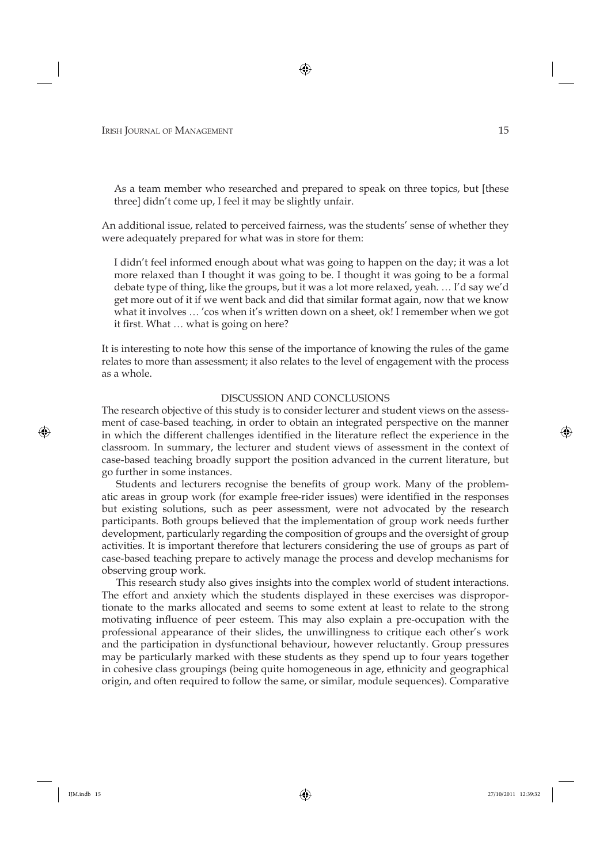As a team member who researched and prepared to speak on three topics, but [these three] didn't come up, I feel it may be slightly unfair.

An additional issue, related to perceived fairness, was the students' sense of whether they were adequately prepared for what was in store for them:

I didn't feel informed enough about what was going to happen on the day; it was a lot more relaxed than I thought it was going to be. I thought it was going to be a formal debate type of thing, like the groups, but it was a lot more relaxed, yeah. … I'd say we'd get more out of it if we went back and did that similar format again, now that we know what it involves … 'cos when it's written down on a sheet, ok! I remember when we got it first. What ... what is going on here?

It is interesting to note how this sense of the importance of knowing the rules of the game relates to more than assessment; it also relates to the level of engagement with the process as a whole.

#### DISCUSSION AND CONCLUSIONS

The research objective of this study is to consider lecturer and student views on the assessment of case-based teaching, in order to obtain an integrated perspective on the manner in which the different challenges identified in the literature reflect the experience in the classroom. In summary, the lecturer and student views of assessment in the context of case-based teaching broadly support the position advanced in the current literature, but go further in some instances.

Students and lecturers recognise the benefits of group work. Many of the problematic areas in group work (for example free-rider issues) were identified in the responses but existing solutions, such as peer assessment, were not advocated by the research participants. Both groups believed that the implementation of group work needs further development, particularly regarding the composition of groups and the oversight of group activities. It is important therefore that lecturers considering the use of groups as part of case-based teaching prepare to actively manage the process and develop mechanisms for observing group work.

This research study also gives insights into the complex world of student interactions. The effort and anxiety which the students displayed in these exercises was disproportionate to the marks allocated and seems to some extent at least to relate to the strong motivating influence of peer esteem. This may also explain a pre-occupation with the professional appearance of their slides, the unwillingness to critique each other's work and the participation in dysfunctional behaviour, however reluctantly. Group pressures may be particularly marked with these students as they spend up to four years together in cohesive class groupings (being quite homogeneous in age, ethnicity and geographical origin, and often required to follow the same, or similar, module sequences). Comparative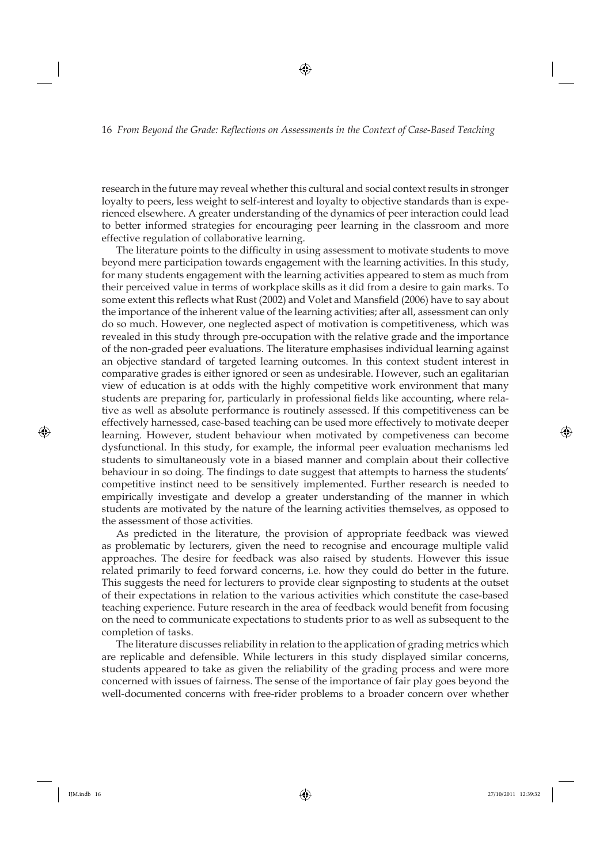research in the future may reveal whether this cultural and social context results in stronger loyalty to peers, less weight to self-interest and loyalty to objective standards than is experienced elsewhere. A greater understanding of the dynamics of peer interaction could lead to better informed strategies for encouraging peer learning in the classroom and more effective regulation of collaborative learning.

The literature points to the difficulty in using assessment to motivate students to move beyond mere participation towards engagement with the learning activities. In this study, for many students engagement with the learning activities appeared to stem as much from their perceived value in terms of workplace skills as it did from a desire to gain marks. To some extent this reflects what Rust (2002) and Volet and Mansfield (2006) have to say about the importance of the inherent value of the learning activities; after all, assessment can only do so much. However, one neglected aspect of motivation is competitiveness, which was revealed in this study through pre-occupation with the relative grade and the importance of the non-graded peer evaluations. The literature emphasises individual learning against an objective standard of targeted learning outcomes. In this context student interest in comparative grades is either ignored or seen as undesirable. However, such an egalitarian view of education is at odds with the highly competitive work environment that many students are preparing for, particularly in professional fields like accounting, where relative as well as absolute performance is routinely assessed. If this competitiveness can be effectively harnessed, case-based teaching can be used more effectively to motivate deeper learning. However, student behaviour when motivated by competiveness can become dysfunctional. In this study, for example, the informal peer evaluation mechanisms led students to simultaneously vote in a biased manner and complain about their collective behaviour in so doing. The findings to date suggest that attempts to harness the students' competitive instinct need to be sensitively implemented. Further research is needed to empirically investigate and develop a greater understanding of the manner in which students are motivated by the nature of the learning activities themselves, as opposed to the assessment of those activities.

As predicted in the literature, the provision of appropriate feedback was viewed as problematic by lecturers, given the need to recognise and encourage multiple valid approaches. The desire for feedback was also raised by students. However this issue related primarily to feed forward concerns, i.e. how they could do better in the future. This suggests the need for lecturers to provide clear signposting to students at the outset of their expectations in relation to the various activities which constitute the case-based teaching experience. Future research in the area of feedback would benefit from focusing on the need to communicate expectations to students prior to as well as subsequent to the completion of tasks.

The literature discusses reliability in relation to the application of grading metrics which are replicable and defensible. While lecturers in this study displayed similar concerns, students appeared to take as given the reliability of the grading process and were more concerned with issues of fairness. The sense of the importance of fair play goes beyond the well-documented concerns with free-rider problems to a broader concern over whether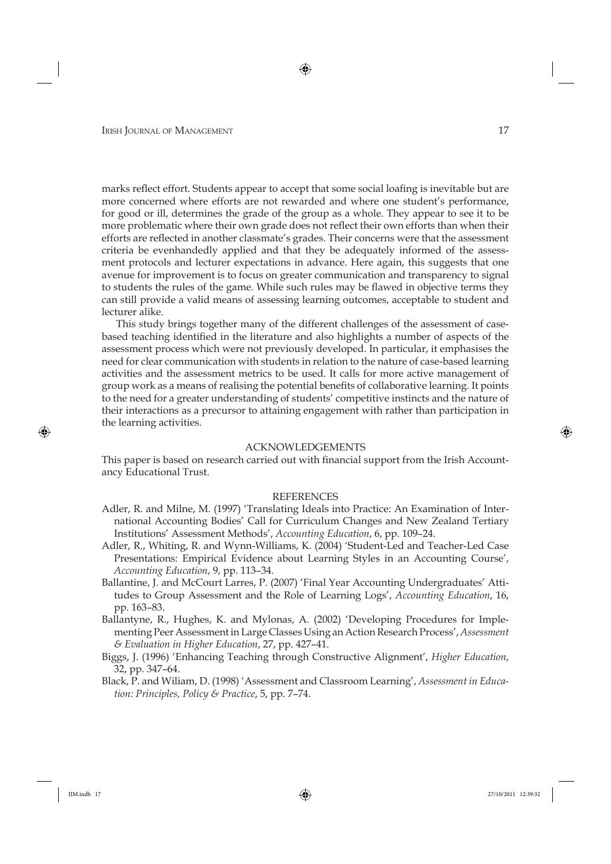marks reflect effort. Students appear to accept that some social loafing is inevitable but are more concerned where efforts are not rewarded and where one student's performance, for good or ill, determines the grade of the group as a whole. They appear to see it to be more problematic where their own grade does not reflect their own efforts than when their efforts are reflected in another classmate's grades. Their concerns were that the assessment criteria be evenhandedly applied and that they be adequately informed of the assessment protocols and lecturer expectations in advance. Here again, this suggests that one avenue for improvement is to focus on greater communication and transparency to signal to students the rules of the game. While such rules may be flawed in objective terms they can still provide a valid means of assessing learning outcomes, acceptable to student and lecturer alike.

This study brings together many of the different challenges of the assessment of casebased teaching identified in the literature and also highlights a number of aspects of the assessment process which were not previously developed. In particular, it emphasises the need for clear communication with students in relation to the nature of case-based learning activities and the assessment metrics to be used. It calls for more active management of group work as a means of realising the potential benefits of collaborative learning. It points to the need for a greater understanding of students' competitive instincts and the nature of their interactions as a precursor to attaining engagement with rather than participation in the learning activities.

#### ACKNOWLEDGEMENTS

This paper is based on research carried out with financial support from the Irish Accountancy Educational Trust.

#### REFERENCES

- Adler, R. and Milne, M. (1997) 'Translating Ideals into Practice: An Examination of International Accounting Bodies' Call for Curriculum Changes and New Zealand Tertiary Institutions' Assessment Methods', *Accounting Education*, 6, pp. 109–24.
- Adler, R., Whiting, R. and Wynn-Williams, K. (2004) 'Student-Led and Teacher-Led Case Presentations: Empirical Evidence about Learning Styles in an Accounting Course', *Accounting Education*, 9, pp. 113–34.
- Ballantine, J. and McCourt Larres, P. (2007) 'Final Year Accounting Undergraduates' Attitudes to Group Assessment and the Role of Learning Logs', *Accounting Education*, 16, pp. 163–83.
- Ballantyne, R., Hughes, K. and Mylonas, A. (2002) 'Developing Procedures for Implementing Peer Assessment in Large Classes Using an Action Research Process', *Assessment & Evaluation in Higher Education*, 27, pp. 427–41.
- Biggs, J. (1996) 'Enhancing Teaching through Constructive Alignment', *Higher Education*, 32, pp. 347–64.
- Black, P. and Wiliam, D. (1998) 'Assessment and Classroom Learning', *Assessment in Education: Principles, Policy & Practice*, 5, pp. 7–74.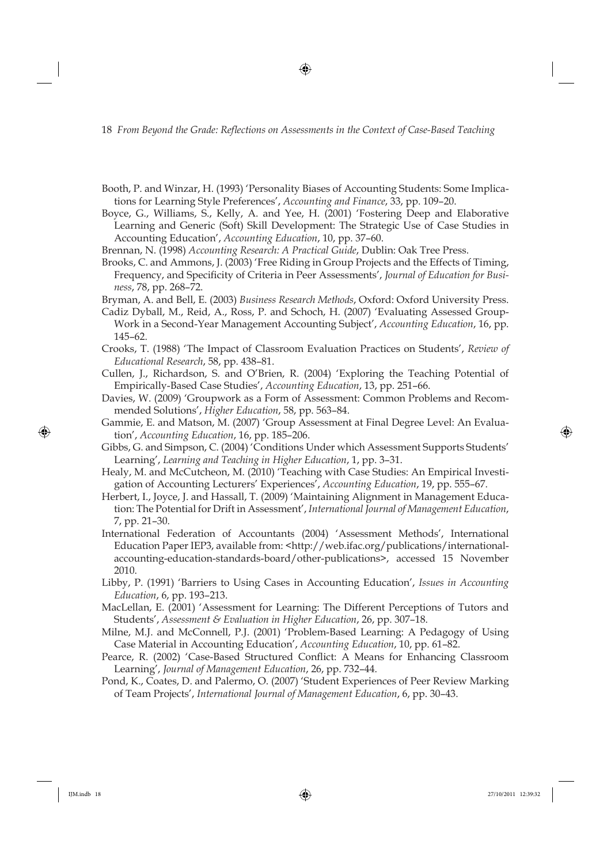- Booth, P. and Winzar, H. (1993) 'Personality Biases of Accounting Students: Some Implications for Learning Style Preferences', *Accounting and Finance*, 33, pp. 109–20.
- Boyce, G., Williams, S., Kelly, A. and Yee, H. (2001) 'Fostering Deep and Elaborative Learning and Generic (Soft) Skill Development: The Strategic Use of Case Studies in Accounting Education', *Accounting Education*, 10, pp. 37–60.
- Brennan, N. (1998) *Accounting Research: A Practical Guide*, Dublin: Oak Tree Press.
- Brooks, C. and Ammons, J. (2003) 'Free Riding in Group Projects and the Effects of Timing, Frequency, and Specificity of Criteria in Peer Assessments', Journal of Education for Busi*ness*, 78, pp. 268–72.
- Bryman, A. and Bell, E. (2003) *Business Research Methods*, Oxford: Oxford University Press.
- Cadiz Dyball, M., Reid, A., Ross, P. and Schoch, H. (2007) 'Evaluating Assessed Group-Work in a Second-Year Management Accounting Subject', *Accounting Education*, 16, pp. 145–62.
- Crooks, T. (1988) 'The Impact of Classroom Evaluation Practices on Students', *Review of Educational Research*, 58, pp. 438–81.
- Cullen, J., Richardson, S. and O'Brien, R. (2004) 'Exploring the Teaching Potential of Empirically-Based Case Studies', *Accounting Education*, 13, pp. 251–66.
- Davies, W. (2009) 'Groupwork as a Form of Assessment: Common Problems and Recommended Solutions', *Higher Education*, 58, pp. 563–84.
- Gammie, E. and Matson, M. (2007) 'Group Assessment at Final Degree Level: An Evaluation', *Accounting Education*, 16, pp. 185–206.
- Gibbs, G. and Simpson, C. (2004) 'Conditions Under which Assessment Supports Students' Learning', *Learning and Teaching in Higher Education*, 1, pp. 3–31.
- Healy, M. and McCutcheon, M. (2010) 'Teaching with Case Studies: An Empirical Investigation of Accounting Lecturers' Experiences', *Accounting Education*, 19, pp. 555–67.
- Herbert, I., Joyce, J. and Hassall, T. (2009) 'Maintaining Alignment in Management Education: The Potential for Drift in Assessment', *International Journal of Management Education*, 7, pp. 21–30.
- International Federation of Accountants (2004) 'Assessment Methods', International Education Paper IEP3, available from: <http://web.ifac.org/publications/internationalaccounting-education-standards-board/other-publications>, accessed 15 November 2010.
- Libby, P. (1991) 'Barriers to Using Cases in Accounting Education', *Issues in Accounting Education*, 6, pp. 193–213.
- MacLellan, E. (2001) 'Assessment for Learning: The Different Perceptions of Tutors and Students', *Assessment & Evaluation in Higher Education*, 26, pp. 307–18.
- Milne, M.J. and McConnell, P.J. (2001) 'Problem-Based Learning: A Pedagogy of Using Case Material in Accounting Education', *Accounting Education*, 10, pp. 61–82.
- Pearce, R. (2002) 'Case-Based Structured Conflict: A Means for Enhancing Classroom Learning', *Journal of Management Education*, 26, pp. 732–44.
- Pond, K., Coates, D. and Palermo, O. (2007) 'Student Experiences of Peer Review Marking of Team Projects', *International Journal of Management Education*, 6, pp. 30–43.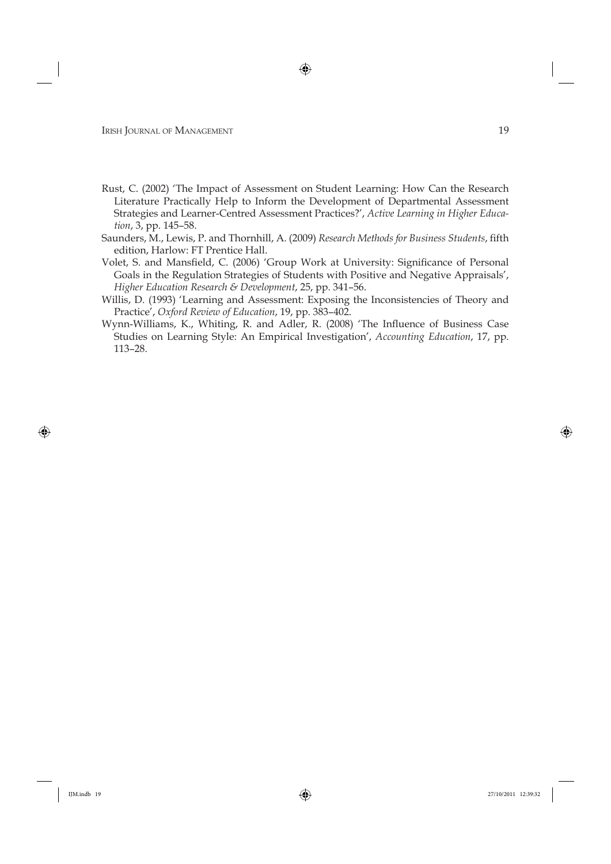- Rust, C. (2002) 'The Impact of Assessment on Student Learning: How Can the Research Literature Practically Help to Inform the Development of Departmental Assessment Strategies and Learner-Centred Assessment Practices?', *Active Learning in Higher Education*, 3, pp. 145–58.
- Saunders, M., Lewis, P. and Thornhill, A. (2009) *Research Methods for Business Students*, fifth edition, Harlow: FT Prentice Hall.
- Volet, S. and Mansfield, C. (2006) 'Group Work at University: Significance of Personal Goals in the Regulation Strategies of Students with Positive and Negative Appraisals', *Higher Education Research & Development*, 25, pp. 341–56.
- Willis, D. (1993) 'Learning and Assessment: Exposing the Inconsistencies of Theory and Practice', *Oxford Review of Education*, 19, pp. 383–402.
- Wynn-Williams, K., Whiting, R. and Adler, R. (2008) 'The Influence of Business Case Studies on Learning Style: An Empirical Investigation', *Accounting Education*, 17, pp. 113–28.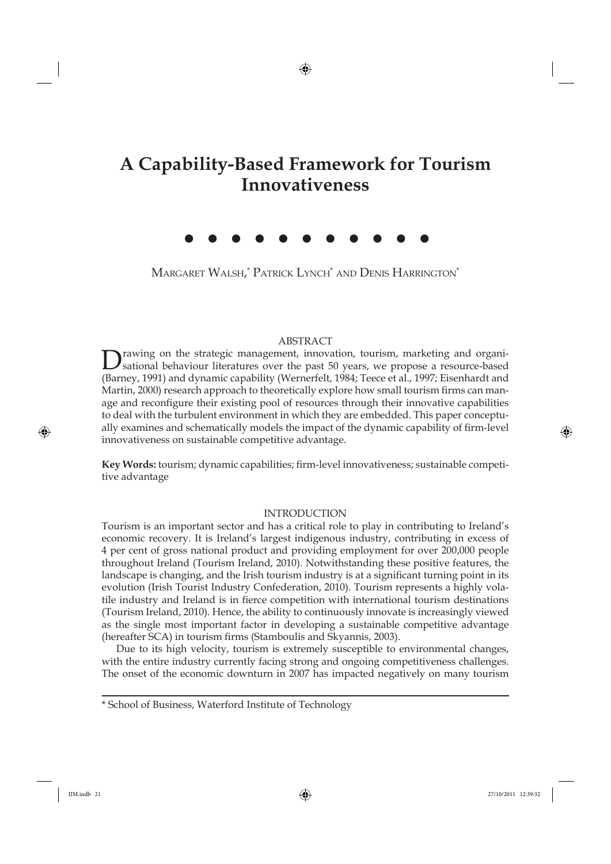## **A Capability-Based Framework for Tourism Innovativeness**

Margaret Walsh,\* Patrick Lynch\* and Denis Harrington\*

#### ABSTRACT

Drawing on the strategic management, innovation, tourism, marketing and organi-<br>sational behaviour literatures over the past 50 years, we propose a resource-based (Barney, 1991) and dynamic capability (Wernerfelt, 1984; Teece et al., 1997; Eisenhardt and Martin, 2000) research approach to theoretically explore how small tourism firms can manage and reconfigure their existing pool of resources through their innovative capabilities to deal with the turbulent environment in which they are embedded. This paper conceptually examines and schematically models the impact of the dynamic capability of firm-level innovativeness on sustainable competitive advantage.

Key Words: tourism; dynamic capabilities; firm-level innovativeness; sustainable competitive advantage

#### INTRODUCTION

Tourism is an important sector and has a critical role to play in contributing to Ireland's economic recovery. It is Ireland's largest indigenous industry, contributing in excess of 4 per cent of gross national product and providing employment for over 200,000 people throughout Ireland (Tourism Ireland, 2010). Notwithstanding these positive features, the landscape is changing, and the Irish tourism industry is at a significant turning point in its evolution (Irish Tourist Industry Confederation, 2010). Tourism represents a highly volatile industry and Ireland is in fierce competition with international tourism destinations (Tourism Ireland, 2010). Hence, the ability to continuously innovate is increasingly viewed as the single most important factor in developing a sustainable competitive advantage (hereafter SCA) in tourism firms (Stamboulis and Skyannis, 2003).

Due to its high velocity, tourism is extremely susceptible to environmental changes, with the entire industry currently facing strong and ongoing competitiveness challenges. The onset of the economic downturn in 2007 has impacted negatively on many tourism

\* School of Business, Waterford Institute of Technology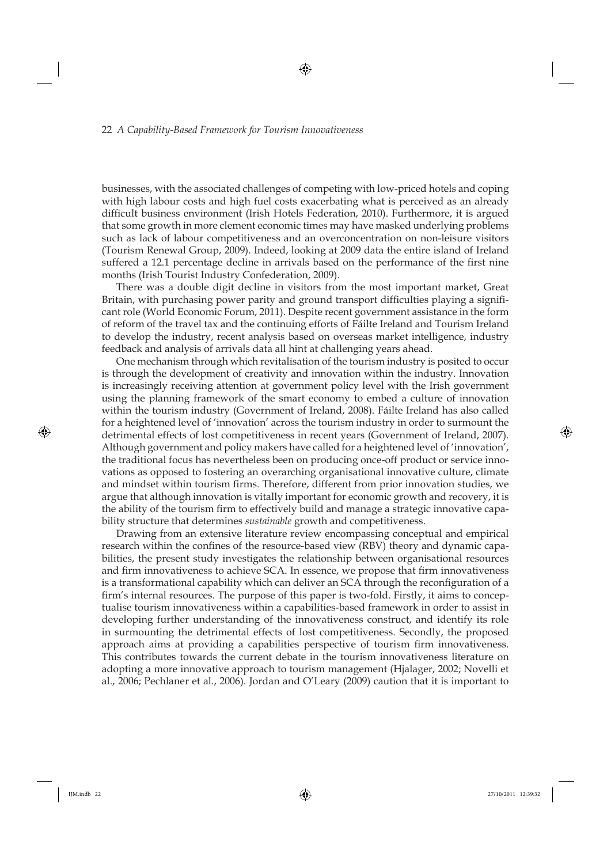businesses, with the associated challenges of competing with low-priced hotels and coping with high labour costs and high fuel costs exacerbating what is perceived as an already difficult business environment (Irish Hotels Federation, 2010). Furthermore, it is argued that some growth in more clement economic times may have masked underlying problems such as lack of labour competitiveness and an overconcentration on non-leisure visitors (Tourism Renewal Group, 2009). Indeed, looking at 2009 data the entire island of Ireland suffered a 12.1 percentage decline in arrivals based on the performance of the first nine months (Irish Tourist Industry Confederation, 2009).

There was a double digit decline in visitors from the most important market, Great Britain, with purchasing power parity and ground transport difficulties playing a significant role (World Economic Forum, 2011). Despite recent government assistance in the form of reform of the travel tax and the continuing efforts of Fáilte Ireland and Tourism Ireland to develop the industry, recent analysis based on overseas market intelligence, industry feedback and analysis of arrivals data all hint at challenging years ahead.

One mechanism through which revitalisation of the tourism industry is posited to occur is through the development of creativity and innovation within the industry. Innovation is increasingly receiving attention at government policy level with the Irish government using the planning framework of the smart economy to embed a culture of innovation within the tourism industry (Government of Ireland, 2008). Fáilte Ireland has also called for a heightened level of 'innovation' across the tourism industry in order to surmount the detrimental effects of lost competitiveness in recent years (Government of Ireland, 2007). Although government and policy makers have called for a heightened level of 'innovation', the traditional focus has nevertheless been on producing once-off product or service innovations as opposed to fostering an overarching organisational innovative culture, climate and mindset within tourism firms. Therefore, different from prior innovation studies, we argue that although innovation is vitally important for economic growth and recovery, it is the ability of the tourism firm to effectively build and manage a strategic innovative capability structure that determines *sustainable* growth and competitiveness.

Drawing from an extensive literature review encompassing conceptual and empirical research within the confines of the resource-based view (RBV) theory and dynamic capabilities, the present study investigates the relationship between organisational resources and firm innovativeness to achieve SCA. In essence, we propose that firm innovativeness is a transformational capability which can deliver an SCA through the reconfiguration of a firm's internal resources. The purpose of this paper is two-fold. Firstly, it aims to conceptualise tourism innovativeness within a capabilities-based framework in order to assist in developing further understanding of the innovativeness construct, and identify its role in surmounting the detrimental effects of lost competitiveness. Secondly, the proposed approach aims at providing a capabilities perspective of tourism firm innovativeness. This contributes towards the current debate in the tourism innovativeness literature on adopting a more innovative approach to tourism management (Hjalager, 2002; Novelli et al., 2006; Pechlaner et al., 2006). Jordan and O'Leary (2009) caution that it is important to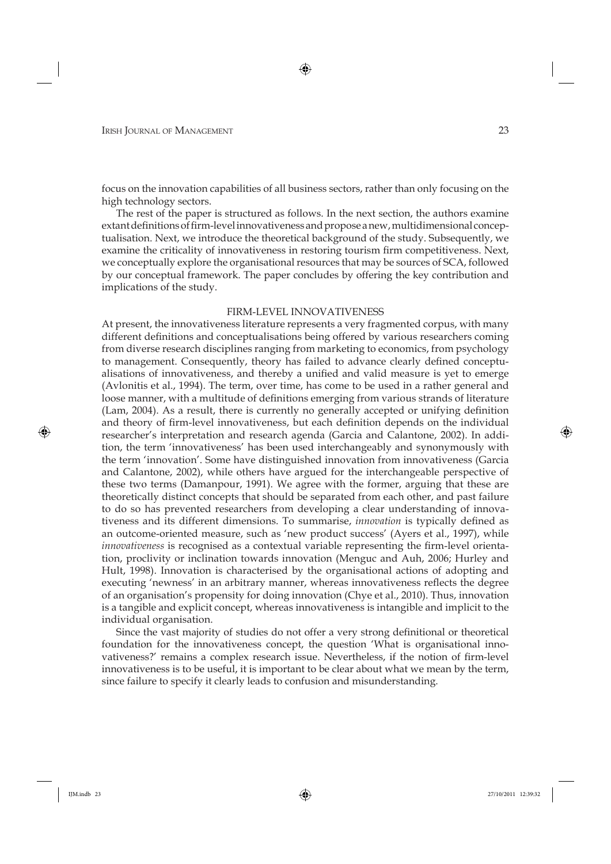focus on the innovation capabilities of all business sectors, rather than only focusing on the high technology sectors.

The rest of the paper is structured as follows. In the next section, the authors examine extant definitions of firm-level innovativeness and propose a new, multidimensional conceptualisation. Next, we introduce the theoretical background of the study. Subsequently, we examine the criticality of innovativeness in restoring tourism firm competitiveness. Next, we conceptually explore the organisational resources that may be sources of SCA, followed by our conceptual framework. The paper concludes by offering the key contribution and implications of the study.

#### FIRM-LEVEL INNOVATIVENESS

At present, the innovativeness literature represents a very fragmented corpus, with many different definitions and conceptualisations being offered by various researchers coming from diverse research disciplines ranging from marketing to economics, from psychology to management. Consequently, theory has failed to advance clearly defined conceptualisations of innovativeness, and thereby a unified and valid measure is yet to emerge (Avlonitis et al., 1994). The term, over time, has come to be used in a rather general and loose manner, with a multitude of definitions emerging from various strands of literature (Lam, 2004). As a result, there is currently no generally accepted or unifying definition and theory of firm-level innovativeness, but each definition depends on the individual researcher's interpretation and research agenda (Garcia and Calantone, 2002). In addition, the term 'innovativeness' has been used interchangeably and synonymously with the term 'innovation'. Some have distinguished innovation from innovativeness (Garcia and Calantone, 2002), while others have argued for the interchangeable perspective of these two terms (Damanpour, 1991). We agree with the former, arguing that these are theoretically distinct concepts that should be separated from each other, and past failure to do so has prevented researchers from developing a clear understanding of innovativeness and its different dimensions. To summarise, *innovation* is typically defined as an outcome-oriented measure, such as 'new product success' (Ayers et al., 1997), while *innovativeness* is recognised as a contextual variable representing the firm-level orientation, proclivity or inclination towards innovation (Menguc and Auh, 2006; Hurley and Hult, 1998). Innovation is characterised by the organisational actions of adopting and executing 'newness' in an arbitrary manner, whereas innovativeness reflects the degree of an organisation's propensity for doing innovation (Chye et al., 2010). Thus, innovation is a tangible and explicit concept, whereas innovativeness is intangible and implicit to the individual organisation.

Since the vast majority of studies do not offer a very strong definitional or theoretical foundation for the innovativeness concept, the question 'What is organisational innovativeness?' remains a complex research issue. Nevertheless, if the notion of firm-level innovativeness is to be useful, it is important to be clear about what we mean by the term, since failure to specify it clearly leads to confusion and misunderstanding.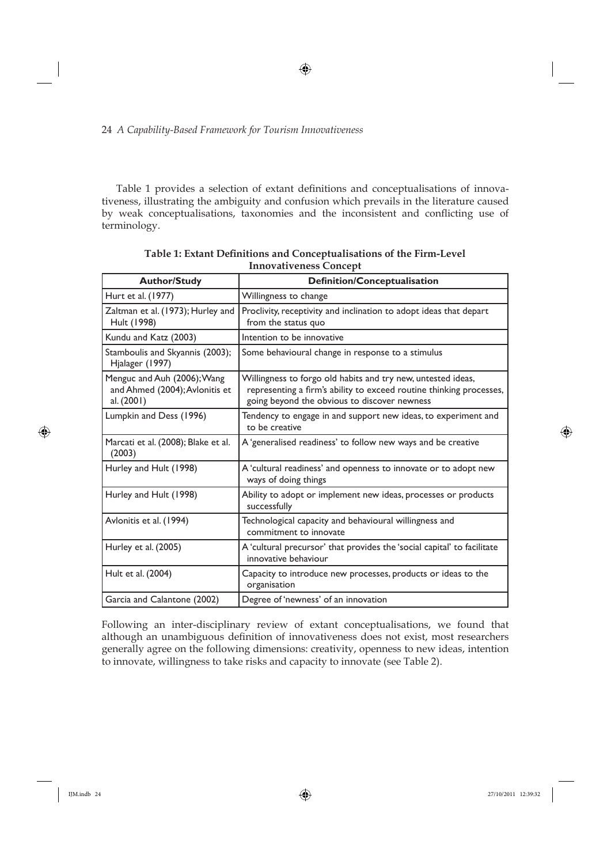Table 1 provides a selection of extant definitions and conceptualisations of innovativeness, illustrating the ambiguity and confusion which prevails in the literature caused by weak conceptualisations, taxonomies and the inconsistent and conflicting use of terminology.

| <b>Author/Study</b>                                                         | <b>Definition/Conceptualisation</b>                                                                                                                                                 |
|-----------------------------------------------------------------------------|-------------------------------------------------------------------------------------------------------------------------------------------------------------------------------------|
| Hurt et al. (1977)                                                          | Willingness to change                                                                                                                                                               |
| Zaltman et al. (1973); Hurley and<br>Hult (1998)                            | Proclivity, receptivity and inclination to adopt ideas that depart<br>from the status quo                                                                                           |
| Kundu and Katz (2003)                                                       | Intention to be innovative                                                                                                                                                          |
| Stamboulis and Skyannis (2003);<br>Hjalager (1997)                          | Some behavioural change in response to a stimulus                                                                                                                                   |
| Menguc and Auh (2006); Wang<br>and Ahmed (2004); Avlonitis et<br>al. (2001) | Willingness to forgo old habits and try new, untested ideas,<br>representing a firm's ability to exceed routine thinking processes,<br>going beyond the obvious to discover newness |
| Lumpkin and Dess (1996)                                                     | Tendency to engage in and support new ideas, to experiment and<br>to be creative                                                                                                    |
| Marcati et al. (2008); Blake et al.<br>(2003)                               | A 'generalised readiness' to follow new ways and be creative                                                                                                                        |
| Hurley and Hult (1998)                                                      | A 'cultural readiness' and openness to innovate or to adopt new<br>ways of doing things                                                                                             |
| Hurley and Hult (1998)                                                      | Ability to adopt or implement new ideas, processes or products<br>successfully                                                                                                      |
| Avlonitis et al. (1994)                                                     | Technological capacity and behavioural willingness and<br>commitment to innovate                                                                                                    |
| Hurley et al. (2005)                                                        | A 'cultural precursor' that provides the 'social capital' to facilitate<br>innovative behaviour                                                                                     |
| Hult et al. (2004)                                                          | Capacity to introduce new processes, products or ideas to the<br>organisation                                                                                                       |
| Garcia and Calantone (2002)                                                 | Degree of 'newness' of an innovation                                                                                                                                                |

Table 1: Extant Definitions and Conceptualisations of the Firm-Level **Innovativeness Concept**

Following an inter-disciplinary review of extant conceptualisations, we found that although an unambiguous definition of innovativeness does not exist, most researchers generally agree on the following dimensions: creativity, openness to new ideas, intention to innovate, willingness to take risks and capacity to innovate (see Table 2).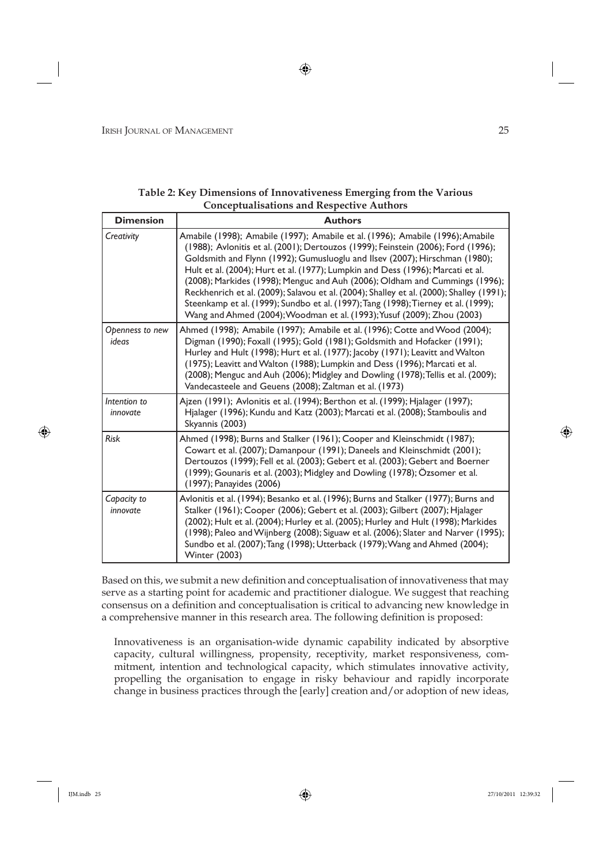| <b>Dimension</b>         | <b>Authors</b>                                                                                                                                                                                                                                                                                                                                                                                                                                                                                                                                                                                                                                                                    |
|--------------------------|-----------------------------------------------------------------------------------------------------------------------------------------------------------------------------------------------------------------------------------------------------------------------------------------------------------------------------------------------------------------------------------------------------------------------------------------------------------------------------------------------------------------------------------------------------------------------------------------------------------------------------------------------------------------------------------|
| Creativity               | Amabile (1998); Amabile (1997); Amabile et al. (1996); Amabile (1996); Amabile<br>(1988); Avlonitis et al. (2001); Dertouzos (1999); Feinstein (2006); Ford (1996);<br>Goldsmith and Flynn (1992); Gumusluoglu and Ilsev (2007); Hirschman (1980);<br>Hult et al. (2004); Hurt et al. (1977); Lumpkin and Dess (1996); Marcati et al.<br>(2008); Markides (1998); Menguc and Auh (2006); Oldham and Cummings (1996);<br>Reckhenrich et al. (2009); Salavou et al. (2004); Shalley et al. (2000); Shalley (1991);<br>Steenkamp et al. (1999); Sundbo et al. (1997); Tang (1998); Tierney et al. (1999);<br>Wang and Ahmed (2004); Woodman et al. (1993); Yusuf (2009); Zhou (2003) |
| Openness to new<br>ideas | Ahmed (1998); Amabile (1997); Amabile et al. (1996); Cotte and Wood (2004);<br>Digman (1990); Foxall (1995); Gold (1981); Goldsmith and Hofacker (1991);<br>Hurley and Hult (1998); Hurt et al. (1977); Jacoby (1971); Leavitt and Walton<br>(1975); Leavitt and Walton (1988); Lumpkin and Dess (1996); Marcati et al.<br>(2008); Menguc and Auh (2006); Midgley and Dowling (1978); Tellis et al. (2009);<br>Vandecasteele and Geuens (2008); Zaltman et al. (1973)                                                                                                                                                                                                             |
| Intention to<br>innovate | Ajzen (1991); Avlonitis et al. (1994); Berthon et al. (1999); Hjalager (1997);<br>Hjalager (1996); Kundu and Katz (2003); Marcati et al. (2008); Stamboulis and<br>Skyannis (2003)                                                                                                                                                                                                                                                                                                                                                                                                                                                                                                |
| Risk                     | Ahmed (1998); Burns and Stalker (1961); Cooper and Kleinschmidt (1987);<br>Cowart et al. (2007); Damanpour (1991); Daneels and Kleinschmidt (2001);<br>Dertouzos (1999); Fell et al. (2003); Gebert et al. (2003); Gebert and Boerner<br>(1999); Gounaris et al. (2003); Midgley and Dowling (1978); Özsomer et al.<br>(1997); Panayides (2006)                                                                                                                                                                                                                                                                                                                                   |
| Capacity to<br>innovate  | Avlonitis et al. (1994); Besanko et al. (1996); Burns and Stalker (1977); Burns and<br>Stalker (1961); Cooper (2006); Gebert et al. (2003); Gilbert (2007); Hjalager<br>(2002); Hult et al. (2004); Hurley et al. (2005); Hurley and Hult (1998); Markides<br>(1998); Paleo and Wijnberg (2008); Siguaw et al. (2006); Slater and Narver (1995);<br>Sundbo et al. (2007); Tang (1998); Utterback (1979); Wang and Ahmed (2004);<br><b>Winter (2003)</b>                                                                                                                                                                                                                           |

**Table 2: Key Dimensions of Innovativeness Emerging from the Various Conceptualisations and Respective Authors**

Based on this, we submit a new definition and conceptualisation of innovativeness that may serve as a starting point for academic and practitioner dialogue. We suggest that reaching consensus on a definition and conceptualisation is critical to advancing new knowledge in a comprehensive manner in this research area. The following definition is proposed:

Innovativeness is an organisation-wide dynamic capability indicated by absorptive capacity, cultural willingness, propensity, receptivity, market responsiveness, commitment, intention and technological capacity, which stimulates innovative activity, propelling the organisation to engage in risky behaviour and rapidly incorporate change in business practices through the [early] creation and/or adoption of new ideas,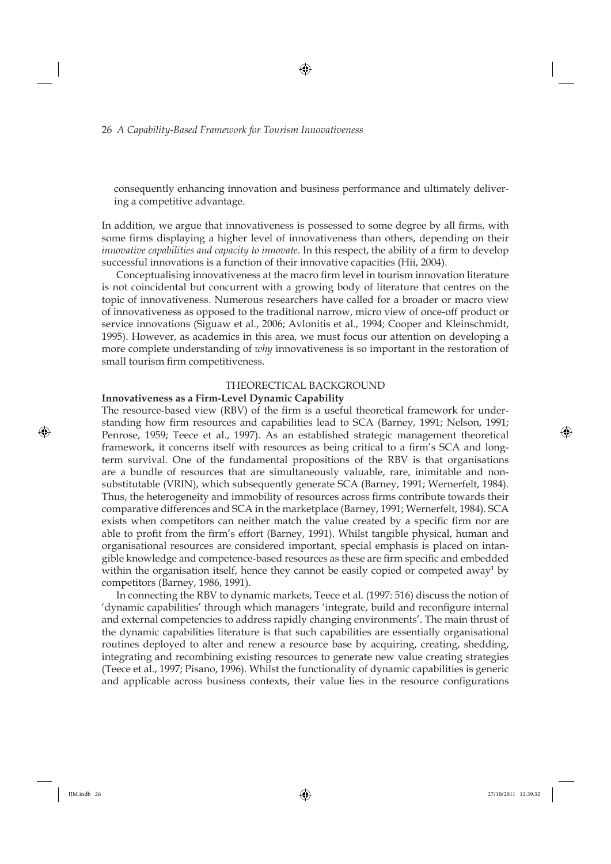consequently enhancing innovation and business performance and ultimately delivering a competitive advantage.

In addition, we argue that innovativeness is possessed to some degree by all firms, with some firms displaying a higher level of innovativeness than others, depending on their *innovative capabilities and capacity to innovate*. In this respect, the ability of a firm to develop successful innovations is a function of their innovative capacities (Hii, 2004).

Conceptualising innovativeness at the macro firm level in tourism innovation literature is not coincidental but concurrent with a growing body of literature that centres on the topic of innovativeness. Numerous researchers have called for a broader or macro view of innovativeness as opposed to the traditional narrow, micro view of once-off product or service innovations (Siguaw et al., 2006; Avlonitis et al., 1994; Cooper and Kleinschmidt, 1995). However, as academics in this area, we must focus our attention on developing a more complete understanding of *why* innovativeness is so important in the restoration of small tourism firm competitiveness.

#### THEORECTICAL BACKGROUND

#### **Innovativeness as a Firm-Level Dynamic Capability**

The resource-based view (RBV) of the firm is a useful theoretical framework for understanding how firm resources and capabilities lead to SCA (Barney, 1991; Nelson, 1991; Penrose, 1959; Teece et al., 1997). As an established strategic management theoretical framework, it concerns itself with resources as being critical to a firm's SCA and longterm survival. One of the fundamental propositions of the RBV is that organisations are a bundle of resources that are simultaneously valuable, rare, inimitable and nonsubstitutable (VRIN), which subsequently generate SCA (Barney, 1991; Wernerfelt, 1984). Thus, the heterogeneity and immobility of resources across firms contribute towards their comparative differences and SCA in the marketplace (Barney, 1991; Wernerfelt, 1984). SCA exists when competitors can neither match the value created by a specific firm nor are able to profit from the firm's effort (Barney, 1991). Whilst tangible physical, human and organisational resources are considered important, special emphasis is placed on intangible knowledge and competence-based resources as these are firm specific and embedded within the organisation itself, hence they cannot be easily copied or competed away<sup>1</sup> by competitors (Barney, 1986, 1991).

In connecting the RBV to dynamic markets, Teece et al. (1997: 516) discuss the notion of 'dynamic capabilities' through which managers 'integrate, build and reconfigure internal and external competencies to address rapidly changing environments'. The main thrust of the dynamic capabilities literature is that such capabilities are essentially organisational routines deployed to alter and renew a resource base by acquiring, creating, shedding, integrating and recombining existing resources to generate new value creating strategies (Teece et al., 1997; Pisano, 1996). Whilst the functionality of dynamic capabilities is generic and applicable across business contexts, their value lies in the resource configurations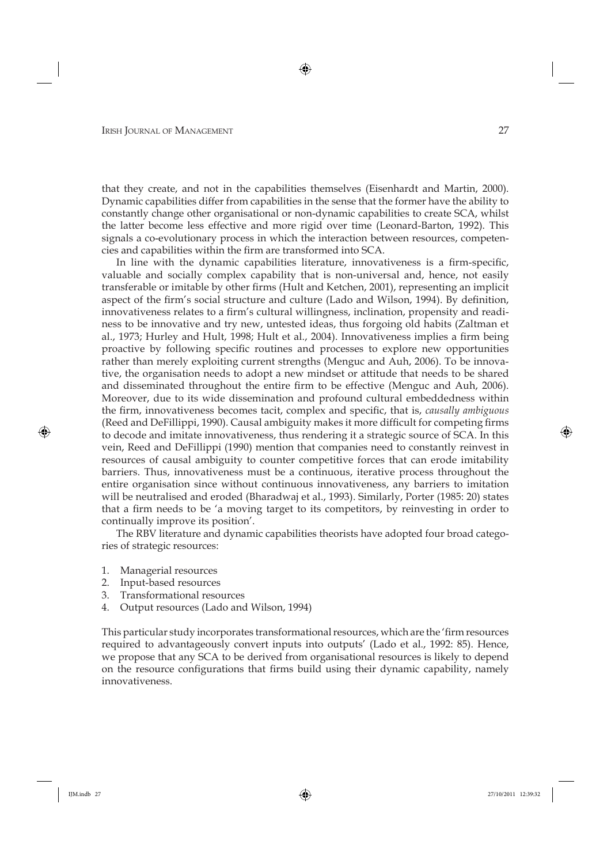that they create, and not in the capabilities themselves (Eisenhardt and Martin, 2000). Dynamic capabilities differ from capabilities in the sense that the former have the ability to constantly change other organisational or non-dynamic capabilities to create SCA, whilst the latter become less effective and more rigid over time (Leonard-Barton, 1992). This signals a co-evolutionary process in which the interaction between resources, competencies and capabilities within the firm are transformed into SCA.

In line with the dynamic capabilities literature, innovativeness is a firm-specific, valuable and socially complex capability that is non-universal and, hence, not easily transferable or imitable by other firms (Hult and Ketchen, 2001), representing an implicit aspect of the firm's social structure and culture (Lado and Wilson, 1994). By definition, innovativeness relates to a firm's cultural willingness, inclination, propensity and readiness to be innovative and try new, untested ideas, thus forgoing old habits (Zaltman et al., 1973; Hurley and Hult, 1998; Hult et al., 2004). Innovativeness implies a firm being proactive by following specific routines and processes to explore new opportunities rather than merely exploiting current strengths (Menguc and Auh, 2006). To be innovative, the organisation needs to adopt a new mindset or attitude that needs to be shared and disseminated throughout the entire firm to be effective (Menguc and Auh, 2006). Moreover, due to its wide dissemination and profound cultural embeddedness within the firm, innovativeness becomes tacit, complex and specific, that is, *causally ambiguous* (Reed and DeFillippi, 1990). Causal ambiguity makes it more difficult for competing firms to decode and imitate innovativeness, thus rendering it a strategic source of SCA. In this vein, Reed and DeFillippi (1990) mention that companies need to constantly reinvest in resources of causal ambiguity to counter competitive forces that can erode imitability barriers. Thus, innovativeness must be a continuous, iterative process throughout the entire organisation since without continuous innovativeness, any barriers to imitation will be neutralised and eroded (Bharadwaj et al., 1993). Similarly, Porter (1985: 20) states that a firm needs to be 'a moving target to its competitors, by reinvesting in order to continually improve its position'.

The RBV literature and dynamic capabilities theorists have adopted four broad categories of strategic resources:

- 1. Managerial resources
- 2. Input-based resources
- 3. Transformational resources
- 4. Output resources (Lado and Wilson, 1994)

This particular study incorporates transformational resources, which are the 'firm resources required to advantageously convert inputs into outputs' (Lado et al., 1992: 85). Hence, we propose that any SCA to be derived from organisational resources is likely to depend on the resource configurations that firms build using their dynamic capability, namely innovativeness.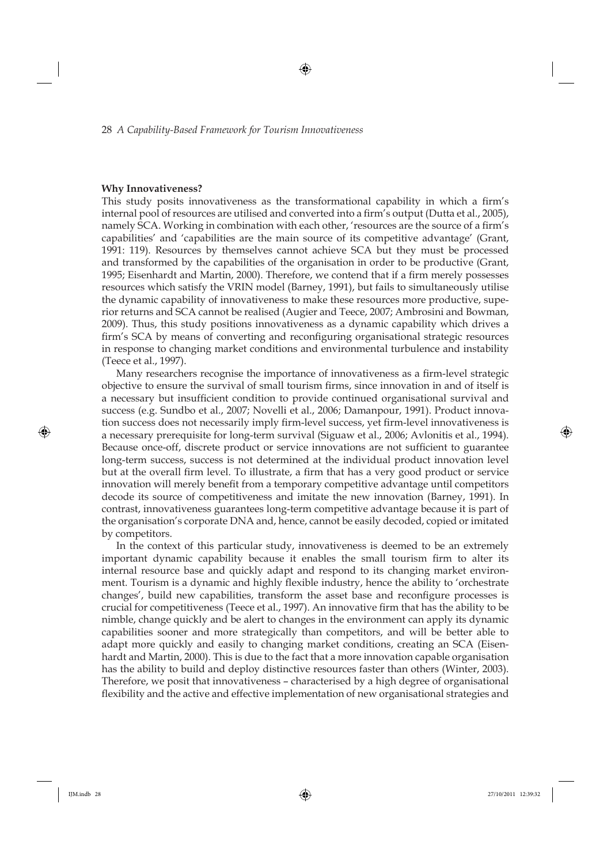#### **Why Innovativeness?**

This study posits innovativeness as the transformational capability in which a firm's internal pool of resources are utilised and converted into a firm's output (Dutta et al., 2005), namely SCA. Working in combination with each other, 'resources are the source of a firm's capabilities' and 'capabilities are the main source of its competitive advantage' (Grant, 1991: 119). Resources by themselves cannot achieve SCA but they must be processed and transformed by the capabilities of the organisation in order to be productive (Grant, 1995; Eisenhardt and Martin, 2000). Therefore, we contend that if a firm merely possesses resources which satisfy the VRIN model (Barney, 1991), but fails to simultaneously utilise the dynamic capability of innovativeness to make these resources more productive, superior returns and SCA cannot be realised (Augier and Teece, 2007; Ambrosini and Bowman, 2009). Thus, this study positions innovativeness as a dynamic capability which drives a firm's SCA by means of converting and reconfiguring organisational strategic resources in response to changing market conditions and environmental turbulence and instability (Teece et al., 1997).

Many researchers recognise the importance of innovativeness as a firm-level strategic objective to ensure the survival of small tourism firms, since innovation in and of itself is a necessary but insufficient condition to provide continued organisational survival and success (e.g. Sundbo et al., 2007; Novelli et al., 2006; Damanpour, 1991). Product innovation success does not necessarily imply firm-level success, yet firm-level innovativeness is a necessary prerequisite for long-term survival (Siguaw et al., 2006; Avlonitis et al., 1994). Because once-off, discrete product or service innovations are not sufficient to guarantee long-term success, success is not determined at the individual product innovation level but at the overall firm level. To illustrate, a firm that has a very good product or service innovation will merely benefit from a temporary competitive advantage until competitors decode its source of competitiveness and imitate the new innovation (Barney, 1991). In contrast, innovativeness guarantees long-term competitive advantage because it is part of the organisation's corporate DNA and, hence, cannot be easily decoded, copied or imitated by competitors.

In the context of this particular study, innovativeness is deemed to be an extremely important dynamic capability because it enables the small tourism firm to alter its internal resource base and quickly adapt and respond to its changing market environment. Tourism is a dynamic and highly flexible industry, hence the ability to 'orchestrate changes', build new capabilities, transform the asset base and reconfigure processes is crucial for competitiveness (Teece et al., 1997). An innovative firm that has the ability to be nimble, change quickly and be alert to changes in the environment can apply its dynamic capabilities sooner and more strategically than competitors, and will be better able to adapt more quickly and easily to changing market conditions, creating an SCA (Eisenhardt and Martin, 2000). This is due to the fact that a more innovation capable organisation has the ability to build and deploy distinctive resources faster than others (Winter, 2003). Therefore, we posit that innovativeness – characterised by a high degree of organisational flexibility and the active and effective implementation of new organisational strategies and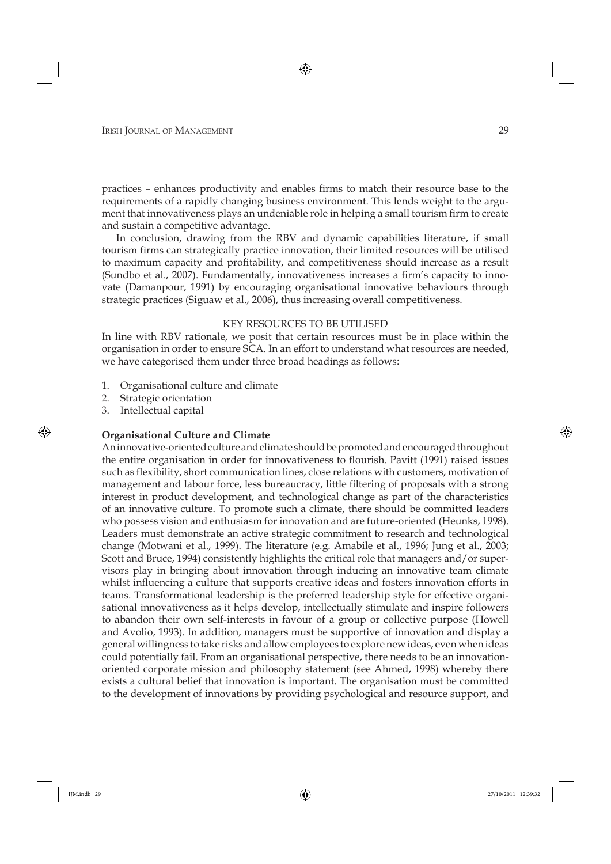practices – enhances productivity and enables firms to match their resource base to the requirements of a rapidly changing business environment. This lends weight to the argument that innovativeness plays an undeniable role in helping a small tourism firm to create and sustain a competitive advantage.

In conclusion, drawing from the RBV and dynamic capabilities literature, if small tourism firms can strategically practice innovation, their limited resources will be utilised to maximum capacity and profitability, and competitiveness should increase as a result (Sundbo et al., 2007). Fundamentally, innovativeness increases a firm's capacity to innovate (Damanpour, 1991) by encouraging organisational innovative behaviours through strategic practices (Siguaw et al., 2006), thus increasing overall competitiveness.

#### KEY RESOURCES TO BE UTILISED

In line with RBV rationale, we posit that certain resources must be in place within the organisation in order to ensure SCA. In an effort to understand what resources are needed, we have categorised them under three broad headings as follows:

- 1. Organisational culture and climate
- 2. Strategic orientation
- 3. Intellectual capital

#### **Organisational Culture and Climate**

An innovative-oriented culture and climate should be promoted and encouraged throughout the entire organisation in order for innovativeness to flourish. Pavitt (1991) raised issues such as flexibility, short communication lines, close relations with customers, motivation of management and labour force, less bureaucracy, little filtering of proposals with a strong interest in product development, and technological change as part of the characteristics of an innovative culture. To promote such a climate, there should be committed leaders who possess vision and enthusiasm for innovation and are future-oriented (Heunks, 1998). Leaders must demonstrate an active strategic commitment to research and technological change (Motwani et al., 1999). The literature (e.g. Amabile et al., 1996; Jung et al., 2003; Scott and Bruce, 1994) consistently highlights the critical role that managers and/or supervisors play in bringing about innovation through inducing an innovative team climate whilst influencing a culture that supports creative ideas and fosters innovation efforts in teams. Transformational leadership is the preferred leadership style for effective organisational innovativeness as it helps develop, intellectually stimulate and inspire followers to abandon their own self-interests in favour of a group or collective purpose (Howell and Avolio, 1993). In addition, managers must be supportive of innovation and display a general willingness to take risks and allow employees to explore new ideas, even when ideas could potentially fail. From an organisational perspective, there needs to be an innovationoriented corporate mission and philosophy statement (see Ahmed, 1998) whereby there exists a cultural belief that innovation is important. The organisation must be committed to the development of innovations by providing psychological and resource support, and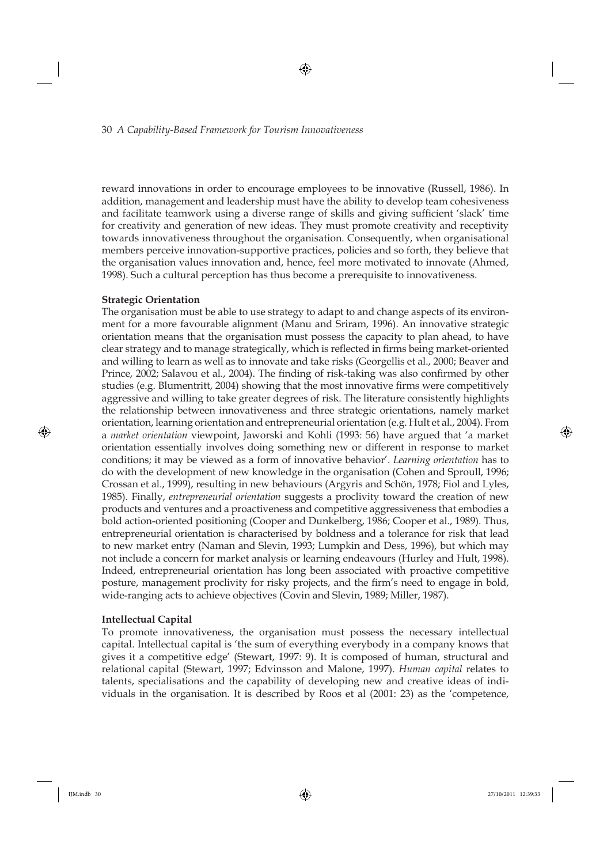reward innovations in order to encourage employees to be innovative (Russell, 1986). In addition, management and leadership must have the ability to develop team cohesiveness and facilitate teamwork using a diverse range of skills and giving sufficient 'slack' time for creativity and generation of new ideas. They must promote creativity and receptivity towards innovativeness throughout the organisation. Consequently, when organisational members perceive innovation-supportive practices, policies and so forth, they believe that the organisation values innovation and, hence, feel more motivated to innovate (Ahmed, 1998). Such a cultural perception has thus become a prerequisite to innovativeness.

# **Strategic Orientation**

The organisation must be able to use strategy to adapt to and change aspects of its environment for a more favourable alignment (Manu and Sriram, 1996). An innovative strategic orientation means that the organisation must possess the capacity to plan ahead, to have clear strategy and to manage strategically, which is reflected in firms being market-oriented and willing to learn as well as to innovate and take risks (Georgellis et al., 2000; Beaver and Prince, 2002; Salavou et al., 2004). The finding of risk-taking was also confirmed by other studies (e.g. Blumentritt, 2004) showing that the most innovative firms were competitively aggressive and willing to take greater degrees of risk. The literature consistently highlights the relationship between innovativeness and three strategic orientations, namely market orientation, learning orientation and entrepreneurial orientation (e.g. Hult et al., 2004). From a *market orientation* viewpoint, Jaworski and Kohli (1993: 56) have argued that 'a market orientation essentially involves doing something new or different in response to market conditions; it may be viewed as a form of innovative behavior'. *Learning orientation* has to do with the development of new knowledge in the organisation (Cohen and Sproull, 1996; Crossan et al., 1999), resulting in new behaviours (Argyris and Schön, 1978; Fiol and Lyles, 1985). Finally, *entrepreneurial orientation* suggests a proclivity toward the creation of new products and ventures and a proactiveness and competitive aggressiveness that embodies a bold action-oriented positioning (Cooper and Dunkelberg, 1986; Cooper et al., 1989). Thus, entrepreneurial orientation is characterised by boldness and a tolerance for risk that lead to new market entry (Naman and Slevin, 1993; Lumpkin and Dess, 1996), but which may not include a concern for market analysis or learning endeavours (Hurley and Hult, 1998). Indeed, entrepreneurial orientation has long been associated with proactive competitive posture, management proclivity for risky projects, and the firm's need to engage in bold, wide-ranging acts to achieve objectives (Covin and Slevin, 1989; Miller, 1987).

### **Intellectual Capital**

To promote innovativeness, the organisation must possess the necessary intellectual capital. Intellectual capital is 'the sum of everything everybody in a company knows that gives it a competitive edge' (Stewart, 1997: 9). It is composed of human, structural and relational capital (Stewart, 1997; Edvinsson and Malone, 1997). *Human capital* relates to talents, specialisations and the capability of developing new and creative ideas of individuals in the organisation. It is described by Roos et al (2001: 23) as the 'competence,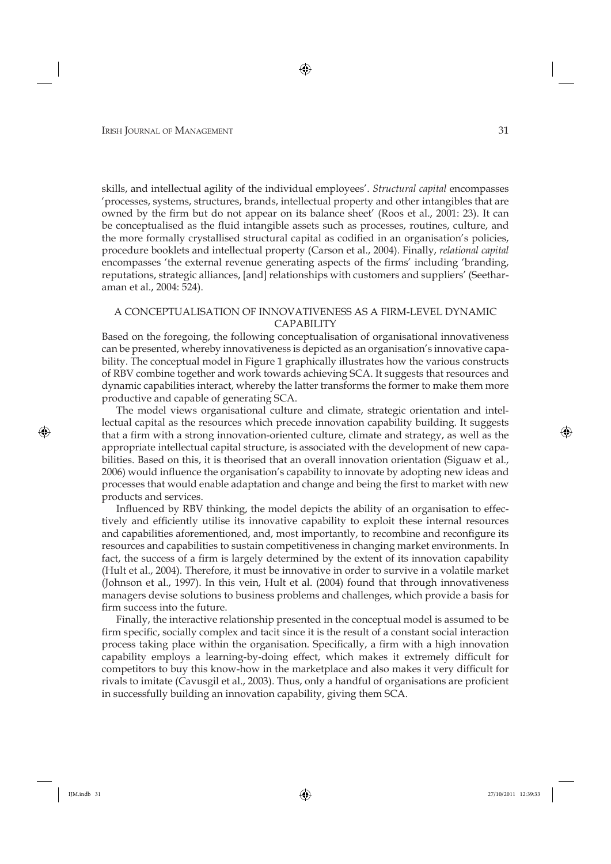skills, and intellectual agility of the individual employees'. *Structural capital* encompasses 'processes, systems, structures, brands, intellectual property and other intangibles that are owned by the firm but do not appear on its balance sheet' (Roos et al., 2001: 23). It can be conceptualised as the fluid intangible assets such as processes, routines, culture, and the more formally crystallised structural capital as codified in an organisation's policies, procedure booklets and intellectual property (Carson et al., 2004). Finally, *relational capital* encompasses 'the external revenue generating aspects of the firms' including 'branding, reputations, strategic alliances, [and] relationships with customers and suppliers' (Seetharaman et al., 2004: 524).

### A CONCEPTUALISATION OF INNOVATIVENESS AS A FIRM-LEVEL DYNAMIC CAPABILITY

Based on the foregoing, the following conceptualisation of organisational innovativeness can be presented, whereby innovativeness is depicted as an organisation's innovative capability. The conceptual model in Figure 1 graphically illustrates how the various constructs of RBV combine together and work towards achieving SCA. It suggests that resources and dynamic capabilities interact, whereby the latter transforms the former to make them more productive and capable of generating SCA.

The model views organisational culture and climate, strategic orientation and intellectual capital as the resources which precede innovation capability building. It suggests that a firm with a strong innovation-oriented culture, climate and strategy, as well as the appropriate intellectual capital structure, is associated with the development of new capabilities. Based on this, it is theorised that an overall innovation orientation (Siguaw et al., 2006) would influence the organisation's capability to innovate by adopting new ideas and processes that would enable adaptation and change and being the first to market with new products and services.

Influenced by RBV thinking, the model depicts the ability of an organisation to effectively and efficiently utilise its innovative capability to exploit these internal resources and capabilities aforementioned, and, most importantly, to recombine and reconfigure its resources and capabilities to sustain competitiveness in changing market environments. In fact, the success of a firm is largely determined by the extent of its innovation capability (Hult et al., 2004). Therefore, it must be innovative in order to survive in a volatile market (Johnson et al., 1997). In this vein, Hult et al. (2004) found that through innovativeness managers devise solutions to business problems and challenges, which provide a basis for firm success into the future.

Finally, the interactive relationship presented in the conceptual model is assumed to be firm specific, socially complex and tacit since it is the result of a constant social interaction process taking place within the organisation. Specifically, a firm with a high innovation capability employs a learning-by-doing effect, which makes it extremely difficult for competitors to buy this know-how in the marketplace and also makes it very difficult for rivals to imitate (Cavusgil et al., 2003). Thus, only a handful of organisations are proficient in successfully building an innovation capability, giving them SCA.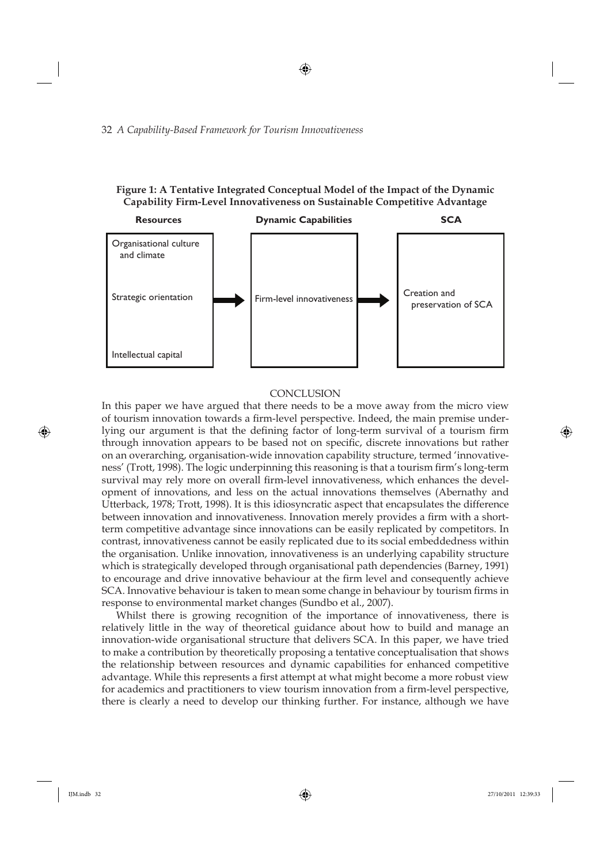# **Figure 1: A Tentative Integrated Conceptual Model of the Impact of the Dynamic Capability Firm-Level Innovativeness on Sustainable Competitive Advantage**



#### **CONCLUSION**

In this paper we have argued that there needs to be a move away from the micro view of tourism innovation towards a firm-level perspective. Indeed, the main premise underlying our argument is that the defining factor of long-term survival of a tourism firm through innovation appears to be based not on specific, discrete innovations but rather on an overarching, organisation-wide innovation capability structure, termed 'innovativeness' (Trott, 1998). The logic underpinning this reasoning is that a tourism firm's long-term survival may rely more on overall firm-level innovativeness, which enhances the development of innovations, and less on the actual innovations themselves (Abernathy and Utterback, 1978; Trott, 1998). It is this idiosyncratic aspect that encapsulates the difference between innovation and innovativeness. Innovation merely provides a firm with a shortterm competitive advantage since innovations can be easily replicated by competitors. In contrast, innovativeness cannot be easily replicated due to its social embeddedness within the organisation. Unlike innovation, innovativeness is an underlying capability structure which is strategically developed through organisational path dependencies (Barney, 1991) to encourage and drive innovative behaviour at the firm level and consequently achieve SCA. Innovative behaviour is taken to mean some change in behaviour by tourism firms in response to environmental market changes (Sundbo et al., 2007).

Whilst there is growing recognition of the importance of innovativeness, there is relatively little in the way of theoretical guidance about how to build and manage an innovation-wide organisational structure that delivers SCA. In this paper, we have tried to make a contribution by theoretically proposing a tentative conceptualisation that shows the relationship between resources and dynamic capabilities for enhanced competitive advantage. While this represents a first attempt at what might become a more robust view for academics and practitioners to view tourism innovation from a firm-level perspective, there is clearly a need to develop our thinking further. For instance, although we have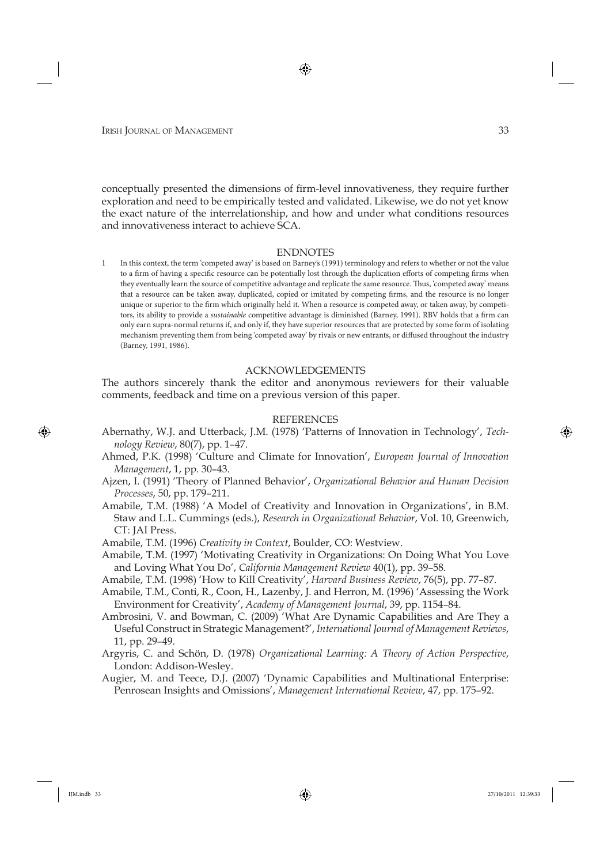conceptually presented the dimensions of firm-level innovativeness, they require further exploration and need to be empirically tested and validated. Likewise, we do not yet know the exact nature of the interrelationship, and how and under what conditions resources and innovativeness interact to achieve SCA.

#### ENDNOTES

1 In this context, the term 'competed away' is based on Barney's (1991) terminology and refers to whether or not the value to a firm of having a specific resource can be potentially lost through the duplication efforts of competing firms when they eventually learn the source of competitive advantage and replicate the same resource. Thus, 'competed away' means that a resource can be taken away, duplicated, copied or imitated by competing firms, and the resource is no longer unique or superior to the firm which originally held it. When a resource is competed away, or taken away, by competitors, its ability to provide a *sustainable* competitive advantage is diminished (Barney, 1991). RBV holds that a firm can only earn supra-normal returns if, and only if, they have superior resources that are protected by some form of isolating mechanism preventing them from being 'competed away' by rivals or new entrants, or diffused throughout the industry (Barney, 1991, 1986).

### ACKNOWLEDGEMENTS

The authors sincerely thank the editor and anonymous reviewers for their valuable comments, feedback and time on a previous version of this paper.

#### REFERENCES

- Abernathy, W.J. and Utterback, J.M. (1978) 'Patterns of Innovation in Technology', *Technology Review*, 80(7), pp. 1–47.
- Ahmed, P.K. (1998) 'Culture and Climate for Innovation', *European Journal of Innovation Management*, 1, pp. 30–43.
- Ajzen, I. (1991) 'Theory of Planned Behavior', *Organizational Behavior and Human Decision Processes*, 50, pp. 179–211.
- Amabile, T.M. (1988) 'A Model of Creativity and Innovation in Organizations', in B.M. Staw and L.L. Cummings (eds.), *Research in Organizational Behavior*, Vol. 10, Greenwich, CT: JAI Press.
- Amabile, T.M. (1996) *Creativity in Context*, Boulder, CO: Westview.
- Amabile, T.M. (1997) 'Motivating Creativity in Organizations: On Doing What You Love and Loving What You Do', *California Management Review* 40(1), pp. 39–58.
- Amabile, T.M. (1998) 'How to Kill Creativity', *Harvard Business Review*, 76(5), pp. 77–87.
- Amabile, T.M., Conti, R., Coon, H., Lazenby, J. and Herron, M. (1996) 'Assessing the Work Environment for Creativity', *Academy of Management Journal*, 39, pp. 1154–84.
- Ambrosini, V. and Bowman, C. (2009) 'What Are Dynamic Capabilities and Are They a Useful Construct in Strategic Management?', *International Journal of Management Reviews*, 11, pp. 29–49.
- Argyris, C. and Schön, D. (1978) *Organizational Learning: A Theory of Action Perspective*, London: Addison-Wesley.
- Augier, M. and Teece, D.J. (2007) 'Dynamic Capabilities and Multinational Enterprise: Penrosean Insights and Omissions', *Management International Review*, 47, pp. 175–92.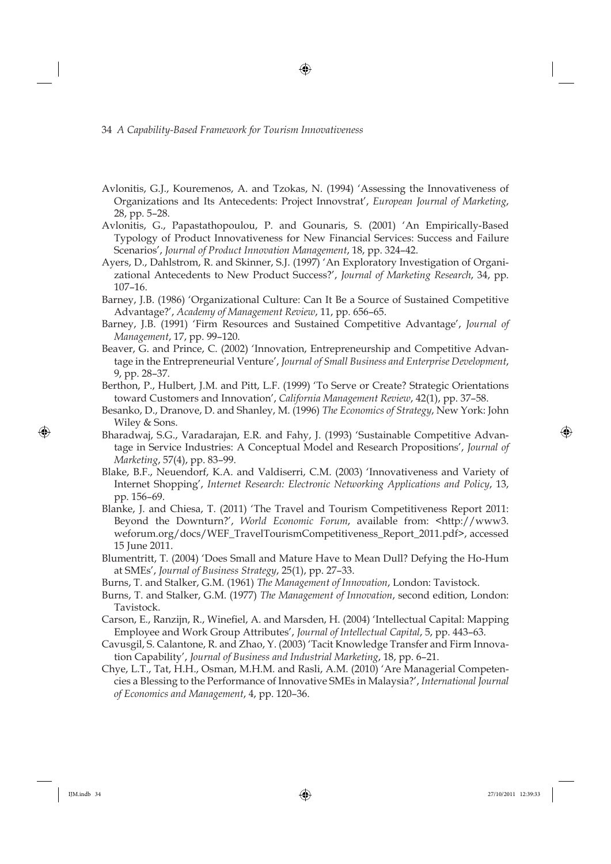- Avlonitis, G.J., Kouremenos, A. and Tzokas, N. (1994) 'Assessing the Innovativeness of Organizations and Its Antecedents: Project Innovstrat', *European Journal of Marketing*, 28, pp. 5–28.
- Avlonitis, G., Papastathopoulou, P. and Gounaris, S. (2001) 'An Empirically-Based Typology of Product Innovativeness for New Financial Services: Success and Failure Scenarios', *Journal of Product Innovation Management*, 18, pp. 324–42.
- Ayers, D., Dahlstrom, R. and Skinner, S.J. (1997) 'An Exploratory Investigation of Organizational Antecedents to New Product Success?', *Journal of Marketing Research*, 34, pp. 107–16.
- Barney, J.B. (1986) 'Organizational Culture: Can It Be a Source of Sustained Competitive Advantage?', *Academy of Management Review*, 11, pp. 656–65.
- Barney, J.B. (1991) 'Firm Resources and Sustained Competitive Advantage', *Journal of Management*, 17, pp. 99–120.
- Beaver, G. and Prince, C. (2002) 'Innovation, Entrepreneurship and Competitive Advantage in the Entrepreneurial Venture', *Journal of Small Business and Enterprise Development*, 9, pp. 28–37.
- Berthon, P., Hulbert, J.M. and Pitt, L.F. (1999) 'To Serve or Create? Strategic Orientations toward Customers and Innovation', *California Management Review*, 42(1), pp. 37–58.
- Besanko, D., Dranove, D. and Shanley, M. (1996) *The Economics of Strategy*, New York: John Wiley & Sons.
- Bharadwaj, S.G., Varadarajan, E.R. and Fahy, J. (1993) 'Sustainable Competitive Advantage in Service Industries: A Conceptual Model and Research Propositions', *Journal of Marketing*, 57(4), pp. 83–99.
- Blake, B.F., Neuendorf, K.A. and Valdiserri, C.M. (2003) 'Innovativeness and Variety of Internet Shopping', *Internet Research: Electronic Networking Applications and Policy*, 13, pp. 156–69.
- Blanke, J. and Chiesa, T. (2011) 'The Travel and Tourism Competitiveness Report 2011: Beyond the Downturn?', *World Economic Forum*, available from: <http://www3. weforum.org/docs/WEF\_TravelTourismCompetitiveness\_Report\_2011.pdf>, accessed 15 June 2011.
- Blumentritt, T. (2004) 'Does Small and Mature Have to Mean Dull? Defying the Ho-Hum at SMEs', *Journal of Business Strategy*, 25(1), pp. 27–33.
- Burns, T. and Stalker, G.M. (1961) *The Management of Innovation*, London: Tavistock.
- Burns, T. and Stalker, G.M. (1977) *The Management of Innovation*, second edition, London: Tavistock.
- Carson, E., Ranzijn, R., Winefiel, A. and Marsden, H. (2004) 'Intellectual Capital: Mapping Employee and Work Group Attributes', *Journal of Intellectual Capital*, 5, pp. 443–63.
- Cavusgil, S. Calantone, R. and Zhao, Y. (2003) 'Tacit Knowledge Transfer and Firm Innovation Capability', *Journal of Business and Industrial Marketing*, 18, pp. 6–21.
- Chye, L.T., Tat, H.H., Osman, M.H.M. and Rasli, A.M. (2010) 'Are Managerial Competencies a Blessing to the Performance of Innovative SMEs in Malaysia?', *International Journal of Economics and Management*, 4, pp. 120–36.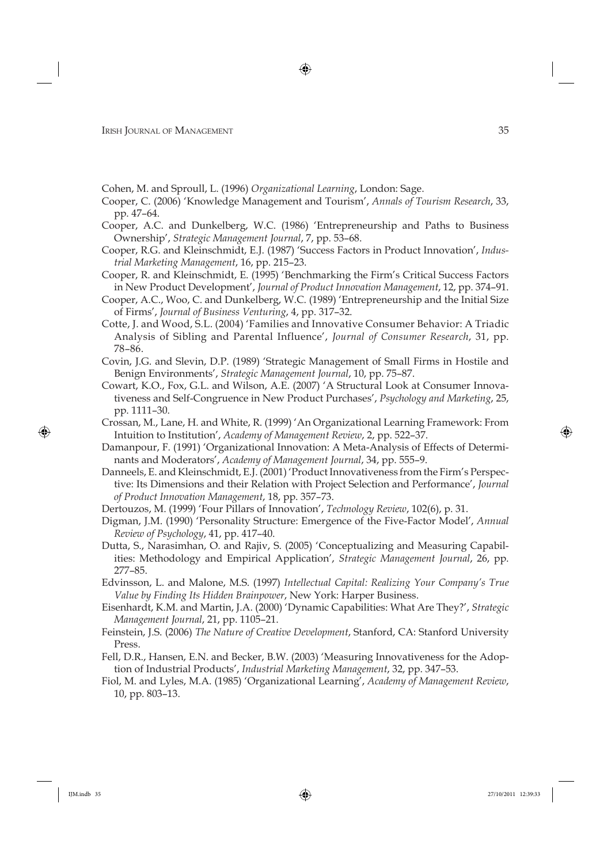- Cohen, M. and Sproull, L. (1996) *Organizational Learning*, London: Sage.
- Cooper, C. (2006) 'Knowledge Management and Tourism', *Annals of Tourism Research*, 33, pp. 47–64.
- Cooper, A.C. and Dunkelberg, W.C. (1986) 'Entrepreneurship and Paths to Business Ownership', *Strategic Management Journal*, 7, pp. 53–68.
- Cooper, R.G. and Kleinschmidt, E.J. (1987) 'Success Factors in Product Innovation', *Industrial Marketing Management*, 16, pp. 215–23.
- Cooper, R. and Kleinschmidt, E. (1995) 'Benchmarking the Firm's Critical Success Factors in New Product Development', *Journal of Product Innovation Management*, 12, pp. 374–91.
- Cooper, A.C., Woo, C. and Dunkelberg, W.C. (1989) 'Entrepreneurship and the Initial Size of Firms', *Journal of Business Venturing*, 4, pp. 317–32.
- Cotte, J. and Wood, S.L. (2004) 'Families and Innovative Consumer Behavior: A Triadic Analysis of Sibling and Parental Influence', *Journal of Consumer Research*, 31, pp. 78–86.
- Covin, J.G. and Slevin, D.P. (1989) 'Strategic Management of Small Firms in Hostile and Benign Environments', *Strategic Management Journal*, 10, pp. 75–87.
- Cowart, K.O., Fox, G.L. and Wilson, A.E. (2007) 'A Structural Look at Consumer Innovativeness and Self-Congruence in New Product Purchases', *Psychology and Marketing*, 25, pp. 1111–30.
- Crossan, M., Lane, H. and White, R. (1999) 'An Organizational Learning Framework: From Intuition to Institution', *Academy of Management Review*, 2, pp. 522–37.
- Damanpour, F. (1991) 'Organizational Innovation: A Meta-Analysis of Effects of Determinants and Moderators', *Academy of Management Journal*, 34, pp. 555–9.
- Danneels, E. and Kleinschmidt, E.J. (2001) 'Product Innovativeness from the Firm's Perspective: Its Dimensions and their Relation with Project Selection and Performance', *Journal of Product Innovation Management*, 18, pp. 357–73.
- Dertouzos, M. (1999) 'Four Pillars of Innovation', *Technology Review*, 102(6), p. 31.
- Digman, J.M. (1990) 'Personality Structure: Emergence of the Five-Factor Model', *Annual Review of Psychology*, 41, pp. 417–40.
- Dutta, S., Narasimhan, O. and Rajiv, S. (2005) 'Conceptualizing and Measuring Capabilities: Methodology and Empirical Application', *Strategic Management Journal*, 26, pp. 277–85.
- Edvinsson, L. and Malone, M.S. (1997) *Intellectual Capital: Realizing Your Company's True Value by Finding Its Hidden Brainpower*, New York: Harper Business.
- Eisenhardt, K.M. and Martin, J.A. (2000) 'Dynamic Capabilities: What Are They?', *Strategic Management Journal*, 21, pp. 1105–21.
- Feinstein, J.S. (2006) *The Nature of Creative Development*, Stanford, CA: Stanford University Press.
- Fell, D.R., Hansen, E.N. and Becker, B.W. (2003) 'Measuring Innovativeness for the Adoption of Industrial Products', *Industrial Marketing Management*, 32, pp. 347–53.
- Fiol, M. and Lyles, M.A. (1985) 'Organizational Learning', *Academy of Management Review*, 10, pp. 803–13.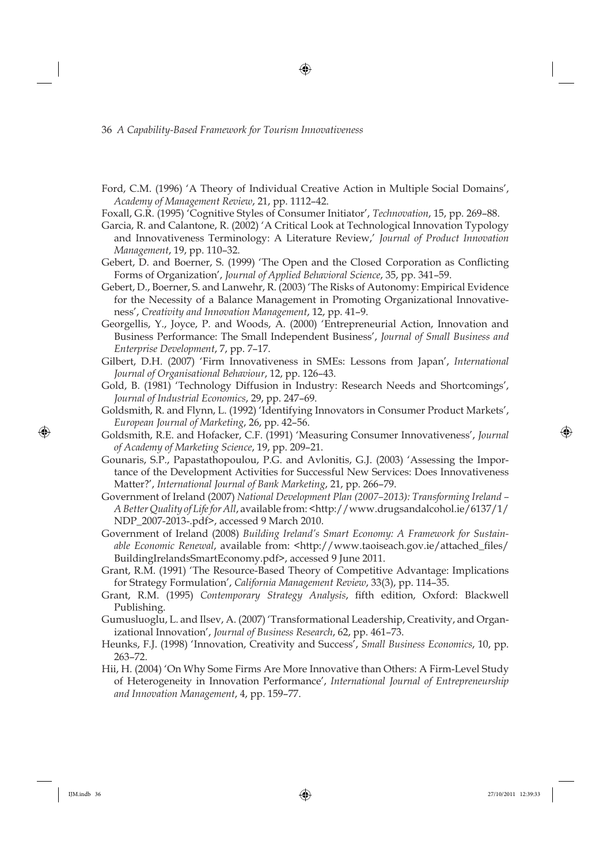- Ford, C.M. (1996) 'A Theory of Individual Creative Action in Multiple Social Domains', *Academy of Management Review*, 21, pp. 1112–42.
- Foxall, G.R. (1995) 'Cognitive Styles of Consumer Initiator', *Technovation*, 15, pp. 269–88.
- Garcia, R. and Calantone, R. (2002) 'A Critical Look at Technological Innovation Typology and Innovativeness Terminology: A Literature Review,' *Journal of Product Innovation Management*, 19, pp. 110–32.
- Gebert, D. and Boerner, S. (1999) 'The Open and the Closed Corporation as Conflicting Forms of Organization', *Journal of Applied Behavioral Science*, 35, pp. 341–59.
- Gebert, D., Boerner, S. and Lanwehr, R. (2003) 'The Risks of Autonomy: Empirical Evidence for the Necessity of a Balance Management in Promoting Organizational Innovativeness', *Creativity and Innovation Management*, 12, pp. 41–9.
- Georgellis, Y., Joyce, P. and Woods, A. (2000) 'Entrepreneurial Action, Innovation and Business Performance: The Small Independent Business', *Journal of Small Business and Enterprise Development*, 7, pp. 7–17.
- Gilbert, D.H. (2007) 'Firm Innovativeness in SMEs: Lessons from Japan', *International Journal of Organisational Behaviour*, 12, pp. 126–43.
- Gold, B. (1981) 'Technology Diffusion in Industry: Research Needs and Shortcomings', *Journal of Industrial Economics*, 29, pp. 247–69.
- Goldsmith, R. and Flynn, L. (1992) 'Identifying Innovators in Consumer Product Markets', *European Journal of Marketing*, 26, pp. 42–56.
- Goldsmith, R.E. and Hofacker, C.F. (1991) 'Measuring Consumer Innovativeness', *Journal of Academy of Marketing Science*, 19, pp. 209–21.
- Gounaris, S.P., Papastathopoulou, P.G. and Avlonitis, G.J. (2003) 'Assessing the Importance of the Development Activities for Successful New Services: Does Innovativeness Matter?', *International Journal of Bank Marketing*, 21, pp. 266–79.
- Government of Ireland (2007) *National Development Plan (2007–2013): Transforming Ireland A Better Quality of Life for All*, available from: <http://www.drugsandalcohol.ie/6137/1/ NDP\_2007-2013-.pdf>, accessed 9 March 2010.
- Government of Ireland (2008) *Building Ireland's Smart Economy: A Framework for Sustainable Economic Renewal, available from:* <http://www.taoiseach.gov.ie/attached\_files/ BuildingIrelandsSmartEconomy.pdf>, accessed 9 June 2011.
- Grant, R.M. (1991) 'The Resource-Based Theory of Competitive Advantage: Implications for Strategy Formulation', *California Management Review*, 33(3), pp. 114–35.
- Grant, R.M. (1995) *Contemporary Strategy Analysis*, fifth edition, Oxford: Blackwell Publishing.
- Gumusluoglu, L. and Ilsev, A. (2007) 'Transformational Leadership, Creativity, and Organizational Innovation', *Journal of Business Research*, 62, pp. 461–73.
- Heunks, F.J. (1998) 'Innovation, Creativity and Success', *Small Business Economics*, 10, pp. 263–72.
- Hii, H. (2004) 'On Why Some Firms Are More Innovative than Others: A Firm-Level Study of Heterogeneity in Innovation Performance', *International Journal of Entrepreneurship and Innovation Management*, 4, pp. 159–77.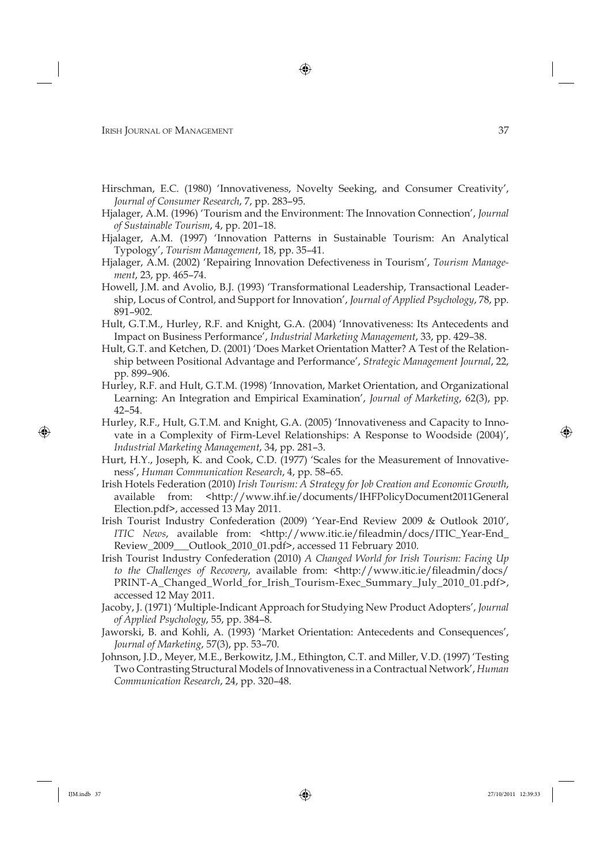- Hirschman, E.C. (1980) 'Innovativeness, Novelty Seeking, and Consumer Creativity', *Journal of Consumer Research*, 7, pp. 283–95.
- Hjalager, A.M. (1996) 'Tourism and the Environment: The Innovation Connection', *Journal of Sustainable Tourism*, 4, pp. 201–18.
- Hjalager, A.M. (1997) 'Innovation Patterns in Sustainable Tourism: An Analytical Typology', *Tourism Management*, 18, pp. 35–41.
- Hjalager, A.M. (2002) 'Repairing Innovation Defectiveness in Tourism', *Tourism Management*, 23, pp. 465–74.
- Howell, J.M. and Avolio, B.J. (1993) 'Transformational Leadership, Transactional Leadership, Locus of Control, and Support for Innovation', *Journal of Applied Psychology*, 78, pp. 891–902.
- Hult, G.T.M., Hurley, R.F. and Knight, G.A. (2004) 'Innovativeness: Its Antecedents and Impact on Business Performance', *Industrial Marketing Management*, 33, pp. 429–38.
- Hult, G.T. and Ketchen, D. (2001) 'Does Market Orientation Matter? A Test of the Relationship between Positional Advantage and Performance', *Strategic Management Journal*, 22, pp. 899–906.
- Hurley, R.F. and Hult, G.T.M. (1998) 'Innovation, Market Orientation, and Organizational Learning: An Integration and Empirical Examination', *Journal of Marketing*, 62(3), pp. 42–54.
- Hurley, R.F., Hult, G.T.M. and Knight, G.A. (2005) 'Innovativeness and Capacity to Innovate in a Complexity of Firm-Level Relationships: A Response to Woodside (2004)', *Industrial Marketing Management*, 34, pp. 281–3.
- Hurt, H.Y., Joseph, K. and Cook, C.D. (1977) 'Scales for the Measurement of Innovativeness', *Human Communication Research*, 4, pp. 58–65.
- Irish Hotels Federation (2010) *Irish Tourism: A Strategy for Job Creation and Economic Growth*, available from: <http://www.ihf.ie/documents/IHFPolicyDocument2011General Election.pdf>, accessed 13 May 2011.
- Irish Tourist Industry Confederation (2009) 'Year-End Review 2009 & Outlook 2010', *ITIC News*, available from: <http://www.itic.ie/fileadmin/docs/ITIC\_Year-End\_ Review\_2009\_\_\_Outlook\_2010\_01.pdf>, accessed 11 February 2010.
- Irish Tourist Industry Confederation (2010) *A Changed World for Irish Tourism: Facing Up to the Challenges of Recovery, available from: <http://www.itic.ie/fileadmin/docs/* PRINT-A\_Changed\_World\_for\_Irish\_Tourism-Exec\_Summary\_July\_2010\_01.pdf>, accessed 12 May 2011.
- Jacoby, J. (1971) 'Multiple-Indicant Approach for Studying New Product Adopters', *Journal of Applied Psychology*, 55, pp. 384–8.
- Jaworski, B. and Kohli, A. (1993) 'Market Orientation: Antecedents and Consequences', *Journal of Marketing*, 57(3), pp. 53–70.
- Johnson, J.D., Meyer, M.E., Berkowitz, J.M., Ethington, C.T. and Miller, V.D. (1997) 'Testing Two Contrasting Structural Models of Innovativeness in a Contractual Network', *Human Communication Research*, 24, pp. 320–48.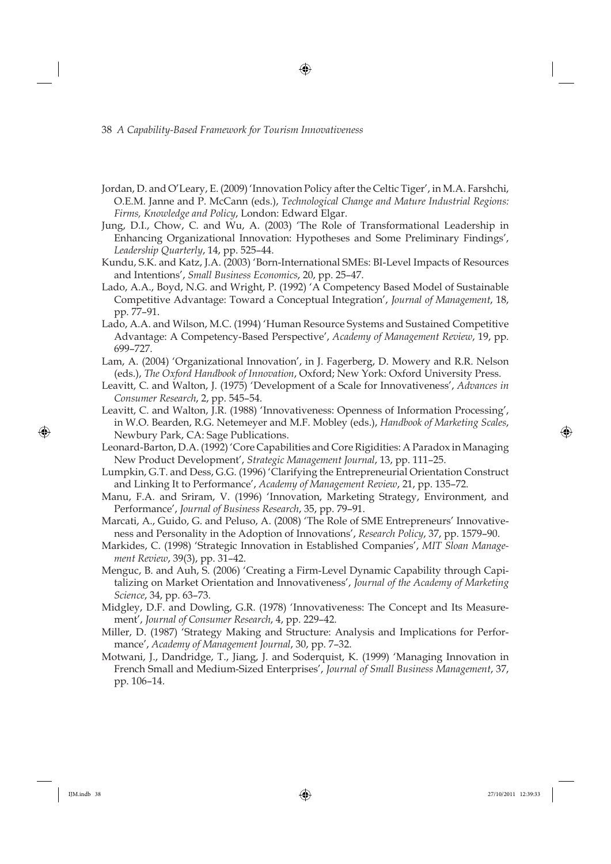- Jordan, D. and O'Leary, E. (2009) 'Innovation Policy after the Celtic Tiger', in M.A. Farshchi, O.E.M. Janne and P. McCann (eds.), *Technological Change and Mature Industrial Regions: Firms, Knowledge and Policy*, London: Edward Elgar.
- Jung, D.I., Chow, C. and Wu, A. (2003) 'The Role of Transformational Leadership in Enhancing Organizational Innovation: Hypotheses and Some Preliminary Findings', *Leadership Quarterly*, 14, pp. 525–44.
- Kundu, S.K. and Katz, J.A. (2003) 'Born-International SMEs: BI-Level Impacts of Resources and Intentions', *Small Business Economics*, 20, pp. 25–47.
- Lado, A.A., Boyd, N.G. and Wright, P. (1992) 'A Competency Based Model of Sustainable Competitive Advantage: Toward a Conceptual Integration', *Journal of Management*, 18, pp. 77–91.
- Lado, A.A. and Wilson, M.C. (1994) 'Human Resource Systems and Sustained Competitive Advantage: A Competency-Based Perspective', *Academy of Management Review*, 19, pp. 699–727.
- Lam, A. (2004) 'Organizational Innovation', in J. Fagerberg, D. Mowery and R.R. Nelson (eds.), *The Oxford Handbook of Innovation*, Oxford; New York: Oxford University Press.
- Leavitt, C. and Walton, J. (1975) 'Development of a Scale for Innovativeness', *Advances in Consumer Research*, 2, pp. 545–54.
- Leavitt, C. and Walton, J.R. (1988) 'Innovativeness: Openness of Information Processing', in W.O. Bearden, R.G. Netemeyer and M.F. Mobley (eds.), *Handbook of Marketing Scales*, Newbury Park, CA: Sage Publications.
- Leonard-Barton, D.A. (1992) 'Core Capabilities and Core Rigidities: A Paradox in Managing New Product Development', *Strategic Management Journal*, 13, pp. 111–25.
- Lumpkin, G.T. and Dess, G.G. (1996) 'Clarifying the Entrepreneurial Orientation Construct and Linking It to Performance', *Academy of Management Review*, 21, pp. 135–72.
- Manu, F.A. and Sriram, V. (1996) 'Innovation, Marketing Strategy, Environment, and Performance', *Journal of Business Research*, 35, pp. 79–91.
- Marcati, A., Guido, G. and Peluso, A. (2008) 'The Role of SME Entrepreneurs' Innovativeness and Personality in the Adoption of Innovations', *Research Policy*, 37, pp. 1579–90.
- Markides, C. (1998) 'Strategic Innovation in Established Companies', *MIT Sloan Management Review*, 39(3), pp. 31–42.
- Menguc, B. and Auh, S. (2006) 'Creating a Firm-Level Dynamic Capability through Capitalizing on Market Orientation and Innovativeness', *Journal of the Academy of Marketing Science*, 34, pp. 63–73.
- Midgley, D.F. and Dowling, G.R. (1978) 'Innovativeness: The Concept and Its Measurement', *Journal of Consumer Research*, 4, pp. 229–42.
- Miller, D. (1987) 'Strategy Making and Structure: Analysis and Implications for Performance', *Academy of Management Journal*, 30, pp. 7–32.
- Motwani, J., Dandridge, T., Jiang, J. and Soderquist, K. (1999) 'Managing Innovation in French Small and Medium-Sized Enterprises', *Journal of Small Business Management*, 37, pp. 106–14.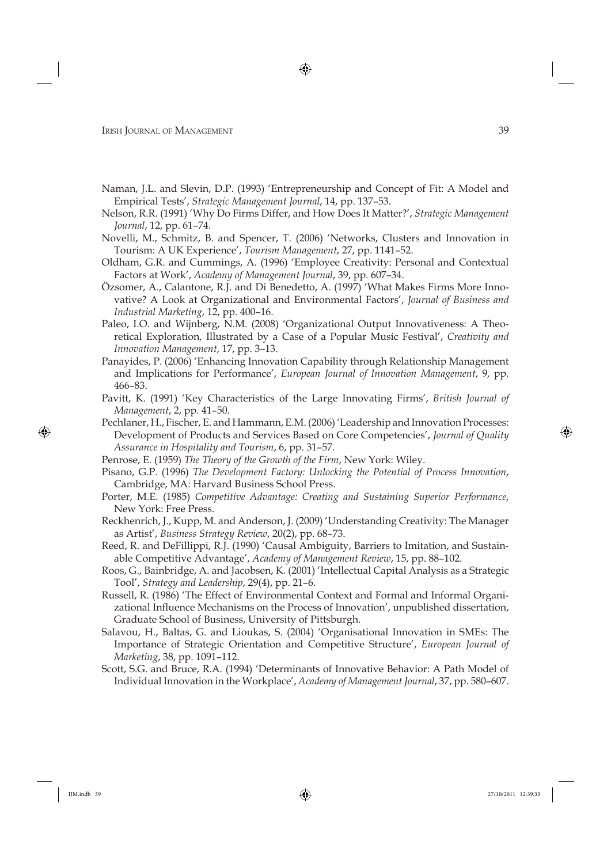- Naman, J.L. and Slevin, D.P. (1993) 'Entrepreneurship and Concept of Fit: A Model and Empirical Tests', *Strategic Management Journal*, 14, pp. 137–53.
- Nelson, R.R. (1991) 'Why Do Firms Differ, and How Does It Matter?', *Strategic Management Journal*, 12, pp. 61–74.
- Novelli, M., Schmitz, B. and Spencer, T. (2006) 'Networks, Clusters and Innovation in Tourism: A UK Experience', *Tourism Management*, 27, pp. 1141–52.
- Oldham, G.R. and Cummings, A. (1996) 'Employee Creativity: Personal and Contextual Factors at Work', *Academy of Management Journal*, 39, pp. 607–34.
- Özsomer, A., Calantone, R.J. and Di Benedetto, A. (1997) 'What Makes Firms More Innovative? A Look at Organizational and Environmental Factors', *Journal of Business and Industrial Marketing*, 12, pp. 400–16.
- Paleo, I.O. and Wijnberg, N.M. (2008) 'Organizational Output Innovativeness: A Theoretical Exploration, Illustrated by a Case of a Popular Music Festival', *Creativity and Innovation Management*, 17, pp. 3–13.
- Panayides, P. (2006) 'Enhancing Innovation Capability through Relationship Management and Implications for Performance', *European Journal of Innovation Management*, 9, pp. 466–83.
- Pavitt, K. (1991) 'Key Characteristics of the Large Innovating Firms', *British Journal of Management*, 2, pp. 41–50.
- Pechlaner, H., Fischer, E. and Hammann, E.M. (2006) 'Leadership and Innovation Processes: Development of Products and Services Based on Core Competencies', *Journal of Quality Assurance in Hospitality and Tourism*, 6, pp. 31–57.
- Penrose, E. (1959) *The Theory of the Growth of the Firm*, New York: Wiley.
- Pisano, G.P. (1996) *The Development Factory: Unlocking the Potential of Process Innovation*, Cambridge, MA: Harvard Business School Press.
- Porter, M.E. (1985) *Competitive Advantage: Creating and Sustaining Superior Performance*, New York: Free Press.
- Reckhenrich, J., Kupp, M. and Anderson, J. (2009) 'Understanding Creativity: The Manager as Artist', *Business Strategy Review*, 20(2), pp. 68–73.
- Reed, R. and DeFillippi, R.J. (1990) 'Causal Ambiguity, Barriers to Imitation, and Sustainable Competitive Advantage', *Academy of Management Review*, 15, pp. 88–102.
- Roos, G., Bainbridge, A. and Jacobsen, K. (2001) 'Intellectual Capital Analysis as a Strategic Tool', *Strategy and Leadership*, 29(4), pp. 21–6.
- Russell, R. (1986) 'The Effect of Environmental Context and Formal and Informal Organizational Influence Mechanisms on the Process of Innovation', unpublished dissertation, Graduate School of Business, University of Pittsburgh.
- Salavou, H., Baltas, G. and Lioukas, S. (2004) 'Organisational Innovation in SMEs: The Importance of Strategic Orientation and Competitive Structure', *European Journal of Marketing*, 38, pp. 1091–112.
- Scott, S.G. and Bruce, R.A. (1994) 'Determinants of Innovative Behavior: A Path Model of Individual Innovation in the Workplace', *Academy of Management Journal*, 37, pp. 580–607.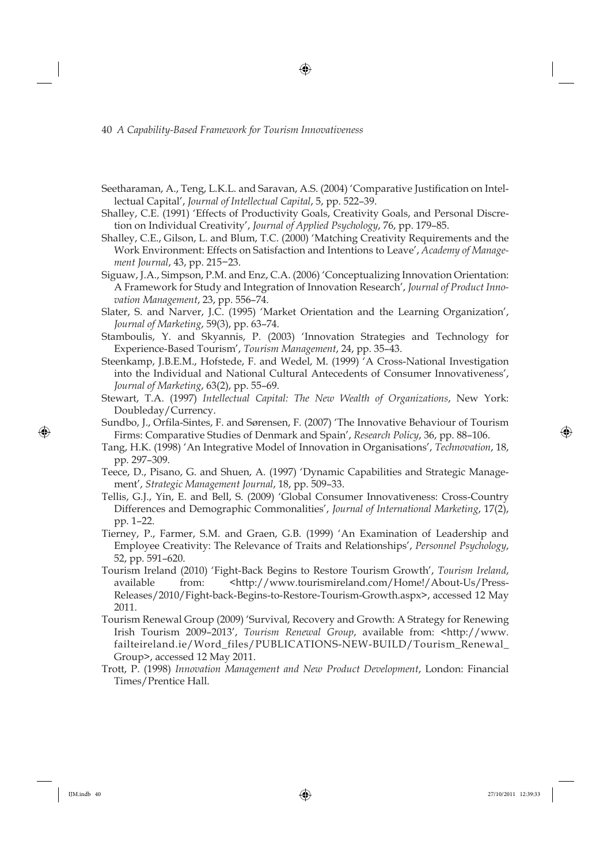- Seetharaman, A., Teng, L.K.L. and Saravan, A.S. (2004) 'Comparative Justification on Intellectual Capital', *Journal of Intellectual Capital*, 5, pp. 522–39.
- Shalley, C.E. (1991) 'Effects of Productivity Goals, Creativity Goals, and Personal Discretion on Individual Creativity', *Journal of Applied Psychology*, 76, pp. 179–85.
- Shalley, C.E., Gilson, L. and Blum, T.C. (2000) 'Matching Creativity Requirements and the Work Environment: Effects on Satisfaction and Intentions to Leave', *Academy of Management Journal*, 43, pp. 215−23.
- Siguaw, J.A., Simpson, P.M. and Enz, C.A. (2006) 'Conceptualizing Innovation Orientation: A Framework for Study and Integration of Innovation Research', *Journal of Product Innovation Management*, 23, pp. 556–74.
- Slater, S. and Narver, J.C. (1995) 'Market Orientation and the Learning Organization', *Journal of Marketing*, 59(3), pp. 63–74.
- Stamboulis, Y. and Skyannis, P. (2003) 'Innovation Strategies and Technology for Experience-Based Tourism', *Tourism Management*, 24, pp. 35–43.
- Steenkamp, J.B.E.M., Hofstede, F. and Wedel, M. (1999) 'A Cross-National Investigation into the Individual and National Cultural Antecedents of Consumer Innovativeness', *Journal of Marketing*, 63(2), pp. 55–69.
- Stewart, T.A. (1997) *Intellectual Capital: The New Wealth of Organizations*, New York: Doubleday/Currency.
- Sundbo, J., Orfila-Sintes, F. and Sørensen, F. (2007) 'The Innovative Behaviour of Tourism Firms: Comparative Studies of Denmark and Spain', *Research Policy*, 36, pp. 88–106.
- Tang, H.K. (1998) 'An Integrative Model of Innovation in Organisations', *Technovation*, 18, pp. 297–309.
- Teece, D., Pisano, G. and Shuen, A. (1997) 'Dynamic Capabilities and Strategic Management', *Strategic Management Journal*, 18, pp. 509–33.
- Tellis, G.J., Yin, E. and Bell, S. (2009) 'Global Consumer Innovativeness: Cross-Country Differences and Demographic Commonalities', *Journal of International Marketing*, 17(2), pp. 1–22.
- Tierney, P., Farmer, S.M. and Graen, G.B. (1999) 'An Examination of Leadership and Employee Creativity: The Relevance of Traits and Relationships', *Personnel Psychology*, 52, pp. 591–620.
- Tourism Ireland (2010) 'Fight-Back Begins to Restore Tourism Growth', *Tourism Ireland*, available from: <http://www.tourismireland.com/Home!/About-Us/Press-Releases/2010/Fight-back-Begins-to-Restore-Tourism-Growth.aspx>, accessed 12 May 2011.
- Tourism Renewal Group (2009) 'Survival, Recovery and Growth: A Strategy for Renewing Irish Tourism 2009–2013', *Tourism Renewal Group*, available from: <http://www. failteireland.ie/Word\_files/PUBLICATIONS-NEW-BUILD/Tourism\_Renewal\_ Group>, accessed 12 May 2011.
- Trott, P. (1998) *Innovation Management and New Product Development*, London: Financial Times/Prentice Hall.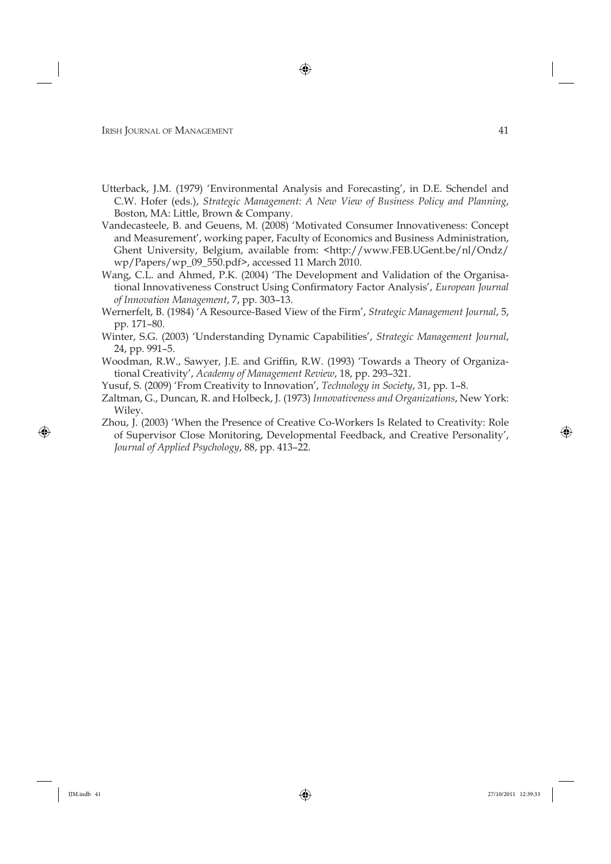- Utterback, J.M. (1979) 'Environmental Analysis and Forecasting', in D.E. Schendel and C.W. Hofer (eds.), *Strategic Management: A New View of Business Policy and Planning*, Boston, MA: Little, Brown & Company.
- Vandecasteele, B. and Geuens, M. (2008) 'Motivated Consumer Innovativeness: Concept and Measurement', working paper, Faculty of Economics and Business Administration, Ghent University, Belgium, available from: <http://www.FEB.UGent.be/nl/Ondz/ wp/Papers/wp\_09\_550.pdf>, accessed 11 March 2010.
- Wang, C.L. and Ahmed, P.K. (2004) 'The Development and Validation of the Organisational Innovativeness Construct Using Confirmatory Factor Analysis', *European Journal of Innovation Management*, 7, pp. 303–13.
- Wernerfelt, B. (1984) 'A Resource-Based View of the Firm', *Strategic Management Journal*, 5, pp. 171–80.
- Winter, S.G. (2003) 'Understanding Dynamic Capabilities', *Strategic Management Journal*, 24, pp. 991–5.
- Woodman, R.W., Sawyer, J.E. and Griffin, R.W. (1993) 'Towards a Theory of Organizational Creativity', *Academy of Management Review*, 18, pp. 293–321.
- Yusuf, S. (2009) 'From Creativity to Innovation', *Technology in Society*, 31, pp. 1–8.
- Zaltman, G., Duncan, R. and Holbeck, J. (1973) *Innovativeness and Organizations*, New York: Wiley.
- Zhou, J. (2003) 'When the Presence of Creative Co-Workers Is Related to Creativity: Role of Supervisor Close Monitoring, Developmental Feedback, and Creative Personality', *Journal of Applied Psychology*, 88, pp. 413–22.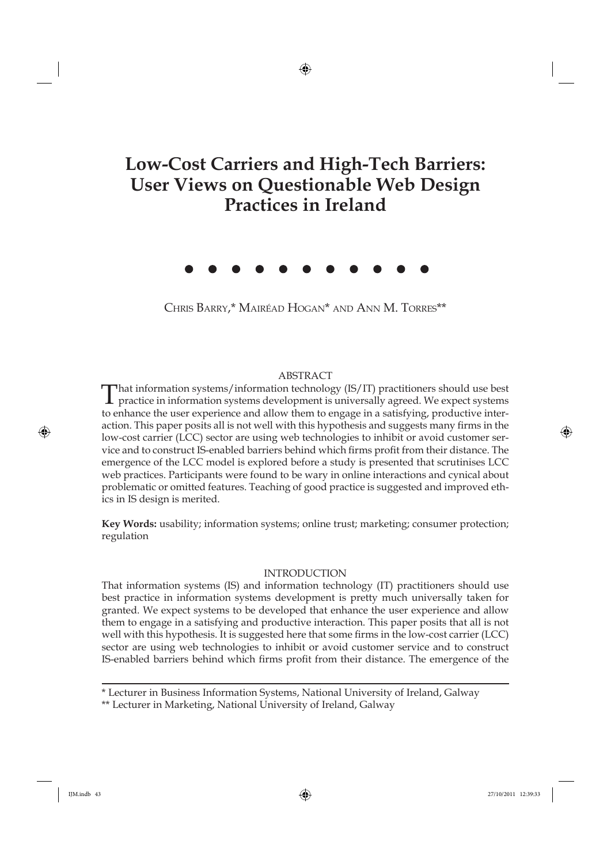# **Low-Cost Carriers and High-Tech Barriers: User Views on Questionable Web Design Practices in Ireland**

CHRIS BARRY,\* MAIRÉAD HOGAN\* AND ANN M. TORRES\*\*

### ABSTRACT

That information systems/information technology (IS/IT) practitioners should use best practice in information systems development is universally agreed. We expect systems to enhance the user experience and allow them to engage in a satisfying, productive interaction. This paper posits all is not well with this hypothesis and suggests many firms in the low-cost carrier (LCC) sector are using web technologies to inhibit or avoid customer service and to construct IS-enabled barriers behind which firms profit from their distance. The emergence of the LCC model is explored before a study is presented that scrutinises LCC web practices. Participants were found to be wary in online interactions and cynical about problematic or omitted features. Teaching of good practice is suggested and improved ethics in IS design is merited.

**Key Words:** usability; information systems; online trust; marketing; consumer protection; regulation

#### INTRODUCTION

That information systems (IS) and information technology (IT) practitioners should use best practice in information systems development is pretty much universally taken for granted. We expect systems to be developed that enhance the user experience and allow them to engage in a satisfying and productive interaction. This paper posits that all is not well with this hypothesis. It is suggested here that some firms in the low-cost carrier (LCC) sector are using web technologies to inhibit or avoid customer service and to construct IS-enabled barriers behind which firms profit from their distance. The emergence of the

\* Lecturer in Business Information Systems, National University of Ireland, Galway

\*\* Lecturer in Marketing, National University of Ireland, Galway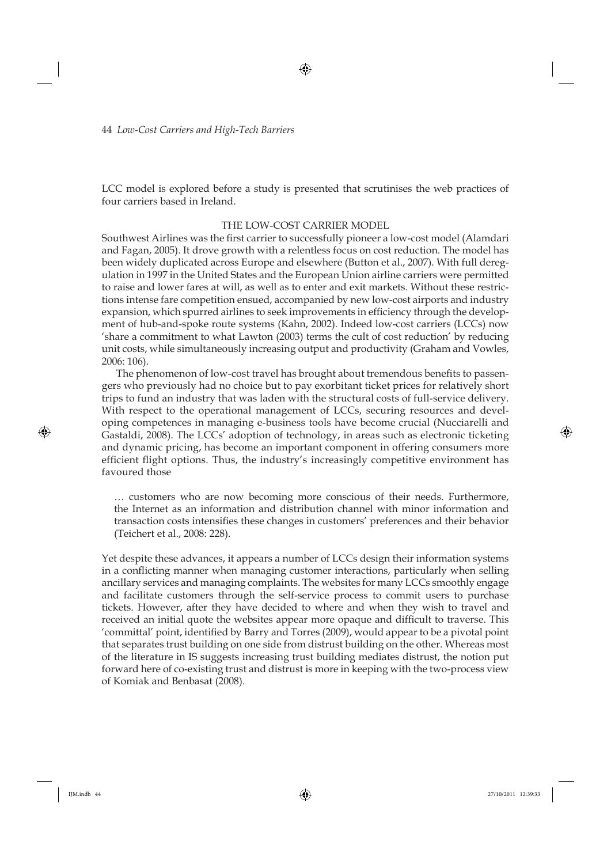LCC model is explored before a study is presented that scrutinises the web practices of four carriers based in Ireland.

### THE LOW-COST CARRIER MODEL

Southwest Airlines was the first carrier to successfully pioneer a low-cost model (Alamdari and Fagan, 2005). It drove growth with a relentless focus on cost reduction. The model has been widely duplicated across Europe and elsewhere (Button et al., 2007). With full deregulation in 1997 in the United States and the European Union airline carriers were permitted to raise and lower fares at will, as well as to enter and exit markets. Without these restrictions intense fare competition ensued, accompanied by new low-cost airports and industry expansion, which spurred airlines to seek improvements in efficiency through the development of hub-and-spoke route systems (Kahn, 2002). Indeed low-cost carriers (LCCs) now 'share a commitment to what Lawton (2003) terms the cult of cost reduction' by reducing unit costs, while simultaneously increasing output and productivity (Graham and Vowles, 2006: 106).

The phenomenon of low-cost travel has brought about tremendous benefits to passengers who previously had no choice but to pay exorbitant ticket prices for relatively short trips to fund an industry that was laden with the structural costs of full-service delivery. With respect to the operational management of LCCs, securing resources and developing competences in managing e-business tools have become crucial (Nucciarelli and Gastaldi, 2008). The LCCs' adoption of technology, in areas such as electronic ticketing and dynamic pricing, has become an important component in offering consumers more efficient flight options. Thus, the industry's increasingly competitive environment has favoured those

… customers who are now becoming more conscious of their needs. Furthermore, the Internet as an information and distribution channel with minor information and transaction costs intensifies these changes in customers' preferences and their behavior (Teichert et al., 2008: 228).

Yet despite these advances, it appears a number of LCCs design their information systems in a conflicting manner when managing customer interactions, particularly when selling ancillary services and managing complaints. The websites for many LCCs smoothly engage and facilitate customers through the self-service process to commit users to purchase tickets. However, after they have decided to where and when they wish to travel and received an initial quote the websites appear more opaque and difficult to traverse. This 'committal' point, identified by Barry and Torres (2009), would appear to be a pivotal point that separates trust building on one side from distrust building on the other. Whereas most of the literature in IS suggests increasing trust building mediates distrust, the notion put forward here of co-existing trust and distrust is more in keeping with the two-process view of Komiak and Benbasat (2008).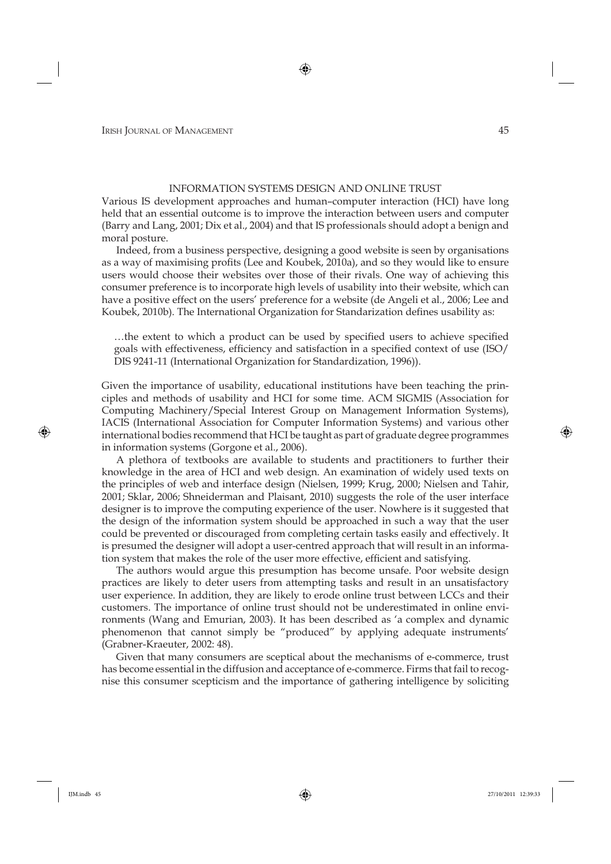#### INFORMATION SYSTEMS DESIGN AND ONLINE TRUST

Various IS development approaches and human–computer interaction (HCI) have long held that an essential outcome is to improve the interaction between users and computer (Barry and Lang, 2001; Dix et al., 2004) and that IS professionals should adopt a benign and moral posture.

Indeed, from a business perspective, designing a good website is seen by organisations as a way of maximising profits (Lee and Koubek, 2010a), and so they would like to ensure users would choose their websites over those of their rivals. One way of achieving this consumer preference is to incorporate high levels of usability into their website, which can have a positive effect on the users' preference for a website (de Angeli et al., 2006; Lee and Koubek, 2010b). The International Organization for Standarization defines usability as:

...the extent to which a product can be used by specified users to achieve specified goals with effectiveness, efficiency and satisfaction in a specified context of use (ISO/ DIS 9241-11 (International Organization for Standardization, 1996)).

Given the importance of usability, educational institutions have been teaching the principles and methods of usability and HCI for some time. ACM SIGMIS (Association for Computing Machinery/Special Interest Group on Management Information Systems), IACIS (International Association for Computer Information Systems) and various other international bodies recommend that HCI be taught as part of graduate degree programmes in information systems (Gorgone et al., 2006).

A plethora of textbooks are available to students and practitioners to further their knowledge in the area of HCI and web design. An examination of widely used texts on the principles of web and interface design (Nielsen, 1999; Krug, 2000; Nielsen and Tahir, 2001; Sklar, 2006; Shneiderman and Plaisant, 2010) suggests the role of the user interface designer is to improve the computing experience of the user. Nowhere is it suggested that the design of the information system should be approached in such a way that the user could be prevented or discouraged from completing certain tasks easily and effectively. It is presumed the designer will adopt a user-centred approach that will result in an information system that makes the role of the user more effective, efficient and satisfying.

The authors would argue this presumption has become unsafe. Poor website design practices are likely to deter users from attempting tasks and result in an unsatisfactory user experience. In addition, they are likely to erode online trust between LCCs and their customers. The importance of online trust should not be underestimated in online environments (Wang and Emurian, 2003). It has been described as 'a complex and dynamic phenomenon that cannot simply be "produced" by applying adequate instruments' (Grabner-Kraeuter, 2002: 48).

Given that many consumers are sceptical about the mechanisms of e-commerce, trust has become essential in the diffusion and acceptance of e-commerce. Firms that fail to recognise this consumer scepticism and the importance of gathering intelligence by soliciting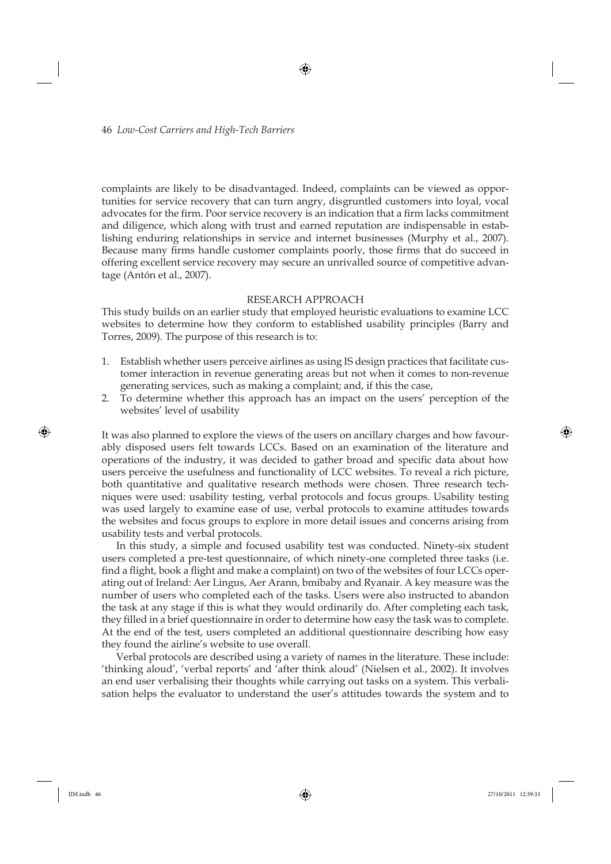complaints are likely to be disadvantaged. Indeed, complaints can be viewed as opportunities for service recovery that can turn angry, disgruntled customers into loyal, vocal advocates for the firm. Poor service recovery is an indication that a firm lacks commitment and diligence, which along with trust and earned reputation are indispensable in establishing enduring relationships in service and internet businesses (Murphy et al., 2007). Because many firms handle customer complaints poorly, those firms that do succeed in offering excellent service recovery may secure an unrivalled source of competitive advantage (Antón et al., 2007).

### RESEARCH APPROACH

This study builds on an earlier study that employed heuristic evaluations to examine LCC websites to determine how they conform to established usability principles (Barry and Torres, 2009). The purpose of this research is to:

- 1. Establish whether users perceive airlines as using IS design practices that facilitate customer interaction in revenue generating areas but not when it comes to non-revenue generating services, such as making a complaint; and, if this the case,
- 2. To determine whether this approach has an impact on the users' perception of the websites' level of usability

It was also planned to explore the views of the users on ancillary charges and how favourably disposed users felt towards LCCs. Based on an examination of the literature and operations of the industry, it was decided to gather broad and specific data about how users perceive the usefulness and functionality of LCC websites. To reveal a rich picture, both quantitative and qualitative research methods were chosen. Three research techniques were used: usability testing, verbal protocols and focus groups. Usability testing was used largely to examine ease of use, verbal protocols to examine attitudes towards the websites and focus groups to explore in more detail issues and concerns arising from usability tests and verbal protocols.

In this study, a simple and focused usability test was conducted. Ninety-six student users completed a pre-test questionnaire, of which ninety-one completed three tasks (i.e. find a flight, book a flight and make a complaint) on two of the websites of four LCCs operating out of Ireland: Aer Lingus, Aer Arann, bmibaby and Ryanair. A key measure was the number of users who completed each of the tasks. Users were also instructed to abandon the task at any stage if this is what they would ordinarily do. After completing each task, they filled in a brief questionnaire in order to determine how easy the task was to complete. At the end of the test, users completed an additional questionnaire describing how easy they found the airline's website to use overall.

Verbal protocols are described using a variety of names in the literature. These include: 'thinking aloud', 'verbal reports' and 'after think aloud' (Nielsen et al., 2002). It involves an end user verbalising their thoughts while carrying out tasks on a system. This verbalisation helps the evaluator to understand the user's attitudes towards the system and to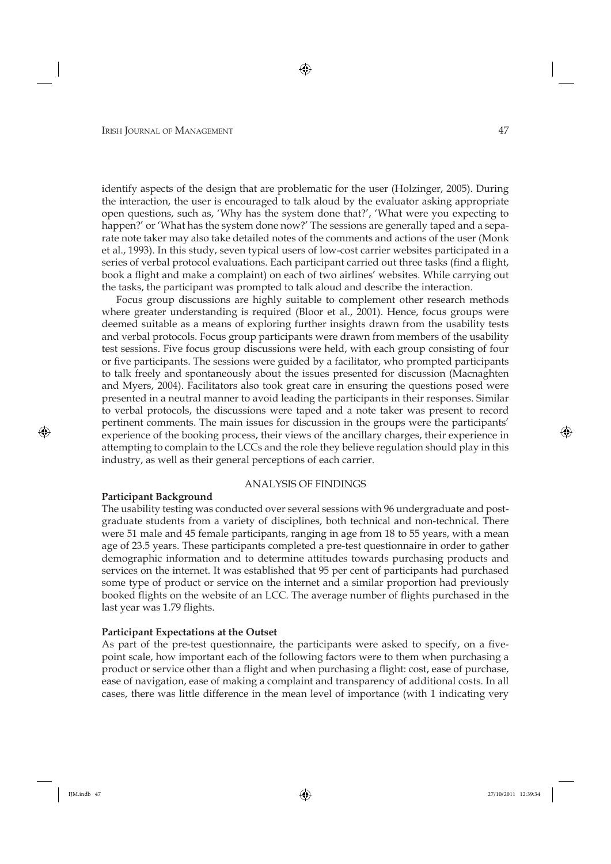identify aspects of the design that are problematic for the user (Holzinger, 2005). During the interaction, the user is encouraged to talk aloud by the evaluator asking appropriate open questions, such as, 'Why has the system done that?', 'What were you expecting to happen?' or 'What has the system done now?' The sessions are generally taped and a separate note taker may also take detailed notes of the comments and actions of the user (Monk et al., 1993). In this study, seven typical users of low-cost carrier websites participated in a series of verbal protocol evaluations. Each participant carried out three tasks (find a flight, book a flight and make a complaint) on each of two airlines' websites. While carrying out the tasks, the participant was prompted to talk aloud and describe the interaction.

Focus group discussions are highly suitable to complement other research methods where greater understanding is required (Bloor et al., 2001). Hence, focus groups were deemed suitable as a means of exploring further insights drawn from the usability tests and verbal protocols. Focus group participants were drawn from members of the usability test sessions. Five focus group discussions were held, with each group consisting of four or five participants. The sessions were guided by a facilitator, who prompted participants to talk freely and spontaneously about the issues presented for discussion (Macnaghten and Myers, 2004). Facilitators also took great care in ensuring the questions posed were presented in a neutral manner to avoid leading the participants in their responses. Similar to verbal protocols, the discussions were taped and a note taker was present to record pertinent comments. The main issues for discussion in the groups were the participants' experience of the booking process, their views of the ancillary charges, their experience in attempting to complain to the LCCs and the role they believe regulation should play in this industry, as well as their general perceptions of each carrier.

#### ANALYSIS OF FINDINGS

#### **Participant Background**

The usability testing was conducted over several sessions with 96 undergraduate and postgraduate students from a variety of disciplines, both technical and non-technical. There were 51 male and 45 female participants, ranging in age from 18 to 55 years, with a mean age of 23.5 years. These participants completed a pre-test questionnaire in order to gather demographic information and to determine attitudes towards purchasing products and services on the internet. It was established that 95 per cent of participants had purchased some type of product or service on the internet and a similar proportion had previously booked flights on the website of an LCC. The average number of flights purchased in the last year was 1.79 flights.

#### **Participant Expectations at the Outset**

As part of the pre-test questionnaire, the participants were asked to specify, on a fivepoint scale, how important each of the following factors were to them when purchasing a product or service other than a flight and when purchasing a flight: cost, ease of purchase, ease of navigation, ease of making a complaint and transparency of additional costs. In all cases, there was little difference in the mean level of importance (with 1 indicating very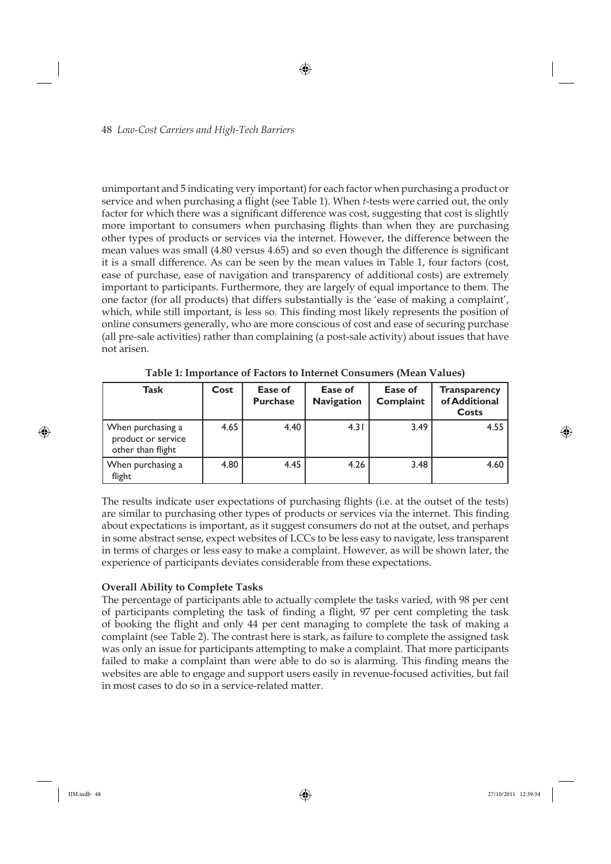unimportant and 5 indicating very important) for each factor when purchasing a product or service and when purchasing a flight (see Table 1). When *t*-tests were carried out, the only factor for which there was a significant difference was cost, suggesting that cost is slightly more important to consumers when purchasing flights than when they are purchasing other types of products or services via the internet. However, the difference between the mean values was small (4.80 versus 4.65) and so even though the difference is significant it is a small difference. As can be seen by the mean values in Table 1, four factors (cost, ease of purchase, ease of navigation and transparency of additional costs) are extremely important to participants. Furthermore, they are largely of equal importance to them. The one factor (for all products) that differs substantially is the 'ease of making a complaint', which, while still important, is less so. This finding most likely represents the position of online consumers generally, who are more conscious of cost and ease of securing purchase (all pre-sale activities) rather than complaining (a post-sale activity) about issues that have not arisen.

| Task                                                         | Cost | Ease of<br><b>Purchase</b> | Ease of<br><b>Navigation</b> | Ease of<br>Complaint | <b>Transparency</b><br>of Additional<br>Costs |
|--------------------------------------------------------------|------|----------------------------|------------------------------|----------------------|-----------------------------------------------|
| When purchasing a<br>product or service<br>other than flight | 4.65 | 4.40                       | 4.31                         | 3.49                 | 4.55                                          |
| When purchasing a<br>flight                                  | 4.80 | 4.45                       | 4.26                         | 3.48                 | 4.60                                          |

**Table 1: Importance of Factors to Internet Consumers (Mean Values)**

The results indicate user expectations of purchasing flights (i.e. at the outset of the tests) are similar to purchasing other types of products or services via the internet. This finding about expectations is important, as it suggest consumers do not at the outset, and perhaps in some abstract sense, expect websites of LCCs to be less easy to navigate, less transparent in terms of charges or less easy to make a complaint. However, as will be shown later, the experience of participants deviates considerable from these expectations.

# **Overall Ability to Complete Tasks**

The percentage of participants able to actually complete the tasks varied, with 98 per cent of participants completing the task of finding a flight, 97 per cent completing the task of booking the flight and only 44 per cent managing to complete the task of making a complaint (see Table 2). The contrast here is stark, as failure to complete the assigned task was only an issue for participants attempting to make a complaint. That more participants failed to make a complaint than were able to do so is alarming. This finding means the websites are able to engage and support users easily in revenue-focused activities, but fail in most cases to do so in a service-related matter.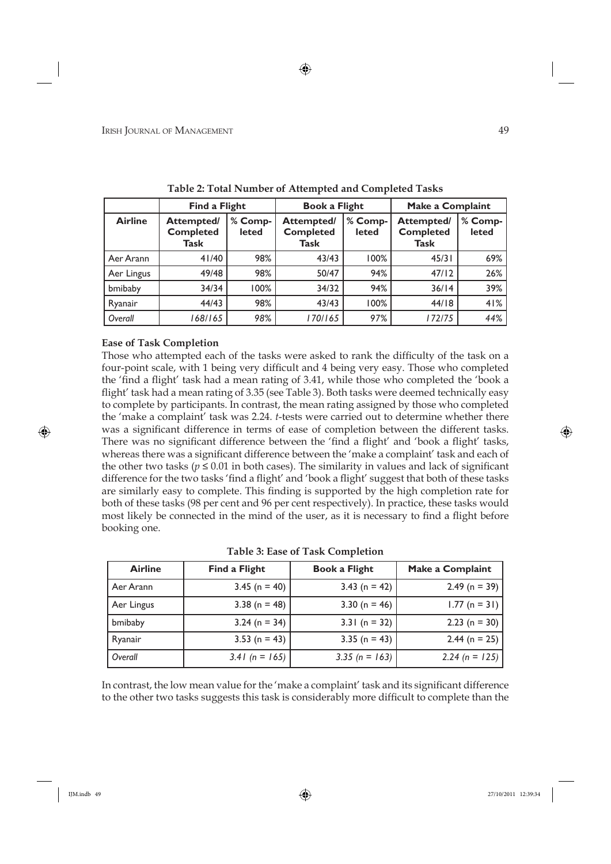|                | <b>Find a Flight</b>                   |                         | <b>Book a Flight</b>                          |                         | Make a Complaint                              |                  |
|----------------|----------------------------------------|-------------------------|-----------------------------------------------|-------------------------|-----------------------------------------------|------------------|
| <b>Airline</b> | Attempted/<br><b>Completed</b><br>Task | % Comp-<br><b>leted</b> | <b>Attempted/</b><br><b>Completed</b><br>Task | % Comp-<br><b>leted</b> | Attempted/<br><b>Completed</b><br><b>Task</b> | % Comp-<br>leted |
| Aer Arann      | 41/40                                  | 98%                     | 43/43                                         | 100%                    | 45/31                                         | 69%              |
| Aer Lingus     | 49/48                                  | 98%                     | 50/47                                         | 94%                     | 47/12                                         | 26%              |
| bmibaby        | 34/34                                  | 100%                    | 34/32                                         | 94%                     | 36/14                                         | 39%              |
| Ryanair        | 44/43                                  | 98%                     | 43/43                                         | 100%                    | 44/18                                         | 41%              |
| Overall        | 168/165                                | 98%                     | 170/165                                       | 97%                     | 172/75                                        | 44%              |

**Table 2: Total Number of Attempted and Completed Tasks**

# **Ease of Task Completion**

Those who attempted each of the tasks were asked to rank the difficulty of the task on a four-point scale, with 1 being very difficult and 4 being very easy. Those who completed the 'find a flight' task had a mean rating of 3.41, while those who completed the 'book a flight' task had a mean rating of 3.35 (see Table 3). Both tasks were deemed technically easy to complete by participants. In contrast, the mean rating assigned by those who completed the 'make a complaint' task was 2.24. *t*-tests were carried out to determine whether there was a significant difference in terms of ease of completion between the different tasks. There was no significant difference between the 'find a flight' and 'book a flight' tasks, whereas there was a significant difference between the 'make a complaint' task and each of the other two tasks ( $p \le 0.01$  in both cases). The similarity in values and lack of significant difference for the two tasks 'find a flight' and 'book a flight' suggest that both of these tasks are similarly easy to complete. This finding is supported by the high completion rate for both of these tasks (98 per cent and 96 per cent respectively). In practice, these tasks would most likely be connected in the mind of the user, as it is necessary to find a flight before booking one.

| Table 3: Ease of Task Completion |  |
|----------------------------------|--|
|----------------------------------|--|

| <b>Airline</b> | <b>Find a Flight</b> | <b>Book a Flight</b> | Make a Complaint |
|----------------|----------------------|----------------------|------------------|
| Aer Arann      | $3.45$ (n = 40)      | $3.43$ (n = 42)      | 2.49 (n = 39)    |
| Aer Lingus     | $3.38$ (n = 48)      | 3.30 ( $n = 46$ )    | $1.77$ (n = 31)  |
| bmibaby        | $3.24$ (n = 34)      | $3.31(n = 32)$       | 2.23 (n = 30)    |
| Ryanair        | 3.53 ( $n = 43$ )    | $3.35 (n = 43)$      | 2.44 (n = 25)    |
| Overall        | 3.41 ( $n = 165$ )   | 3.35 (n = 163)       | 2.24 (n = 125)   |

In contrast, the low mean value for the 'make a complaint' task and its significant difference to the other two tasks suggests this task is considerably more difficult to complete than the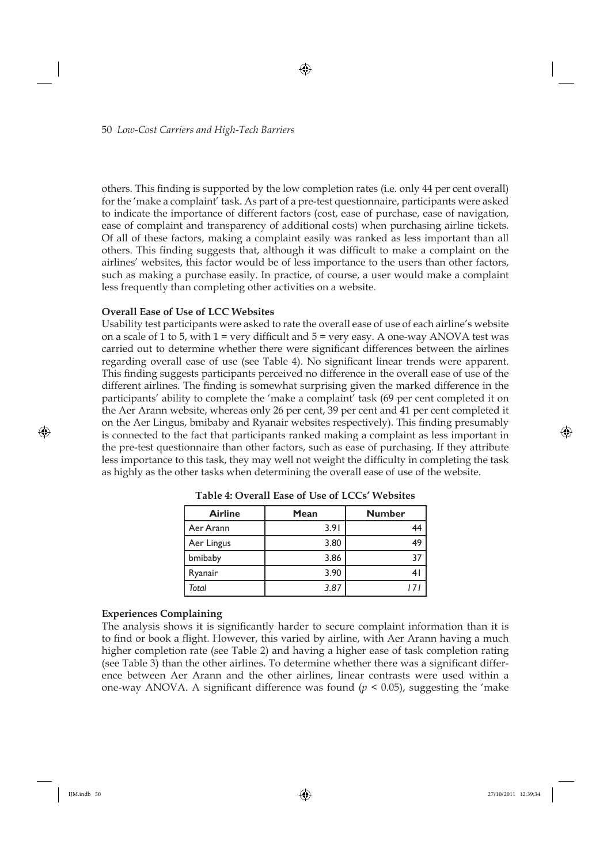others. This finding is supported by the low completion rates (i.e. only 44 per cent overall) for the 'make a complaint' task. As part of a pre-test questionnaire, participants were asked to indicate the importance of different factors (cost, ease of purchase, ease of navigation, ease of complaint and transparency of additional costs) when purchasing airline tickets. Of all of these factors, making a complaint easily was ranked as less important than all others. This finding suggests that, although it was difficult to make a complaint on the airlines' websites, this factor would be of less importance to the users than other factors, such as making a purchase easily. In practice, of course, a user would make a complaint less frequently than completing other activities on a website.

# **Overall Ease of Use of LCC Websites**

Usability test participants were asked to rate the overall ease of use of each airline's website on a scale of 1 to 5, with  $1 = \text{very difficult}$  and  $5 = \text{very easy}$ . A one-way ANOVA test was carried out to determine whether there were significant differences between the airlines regarding overall ease of use (see Table 4). No significant linear trends were apparent. This finding suggests participants perceived no difference in the overall ease of use of the different airlines. The finding is somewhat surprising given the marked difference in the participants' ability to complete the 'make a complaint' task (69 per cent completed it on the Aer Arann website, whereas only 26 per cent, 39 per cent and 41 per cent completed it on the Aer Lingus, bmibaby and Ryanair websites respectively). This finding presumably is connected to the fact that participants ranked making a complaint as less important in the pre-test questionnaire than other factors, such as ease of purchasing. If they attribute less importance to this task, they may well not weight the difficulty in completing the task as highly as the other tasks when determining the overall ease of use of the website.

| <b>Airline</b> | Mean | <b>Number</b> |
|----------------|------|---------------|
| Aer Arann      | 3.91 |               |
| Aer Lingus     | 3.80 | 49            |
| bmibaby        | 3.86 | 37            |
| Ryanair        | 3.90 |               |
| Total          | 3.87 |               |

**Table 4: Overall Ease of Use of LCCs' Websites**

# **Experiences Complaining**

The analysis shows it is significantly harder to secure complaint information than it is to find or book a flight. However, this varied by airline, with Aer Arann having a much higher completion rate (see Table 2) and having a higher ease of task completion rating (see Table 3) than the other airlines. To determine whether there was a significant difference between Aer Arann and the other airlines, linear contrasts were used within a one-way ANOVA. A significant difference was found  $(p < 0.05)$ , suggesting the 'make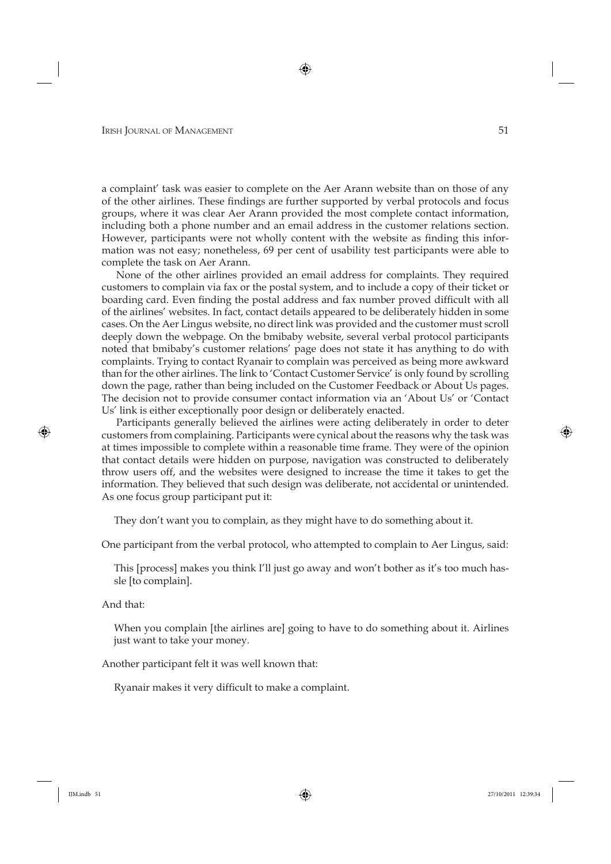a complaint' task was easier to complete on the Aer Arann website than on those of any of the other airlines. These findings are further supported by verbal protocols and focus groups, where it was clear Aer Arann provided the most complete contact information, including both a phone number and an email address in the customer relations section. However, participants were not wholly content with the website as finding this information was not easy; nonetheless, 69 per cent of usability test participants were able to complete the task on Aer Arann.

None of the other airlines provided an email address for complaints. They required customers to complain via fax or the postal system, and to include a copy of their ticket or boarding card. Even finding the postal address and fax number proved difficult with all of the airlines' websites. In fact, contact details appeared to be deliberately hidden in some cases. On the Aer Lingus website, no direct link was provided and the customer must scroll deeply down the webpage. On the bmibaby website, several verbal protocol participants noted that bmibaby's customer relations' page does not state it has anything to do with complaints. Trying to contact Ryanair to complain was perceived as being more awkward than for the other airlines. The link to 'Contact Customer Service' is only found by scrolling down the page, rather than being included on the Customer Feedback or About Us pages. The decision not to provide consumer contact information via an 'About Us' or 'Contact Us' link is either exceptionally poor design or deliberately enacted.

Participants generally believed the airlines were acting deliberately in order to deter customers from complaining. Participants were cynical about the reasons why the task was at times impossible to complete within a reasonable time frame. They were of the opinion that contact details were hidden on purpose, navigation was constructed to deliberately throw users off, and the websites were designed to increase the time it takes to get the information. They believed that such design was deliberate, not accidental or unintended. As one focus group participant put it:

They don't want you to complain, as they might have to do something about it.

One participant from the verbal protocol, who attempted to complain to Aer Lingus, said:

This [process] makes you think I'll just go away and won't bother as it's too much hassle [to complain].

And that:

When you complain [the airlines are] going to have to do something about it. Airlines just want to take your money.

Another participant felt it was well known that:

Ryanair makes it very difficult to make a complaint.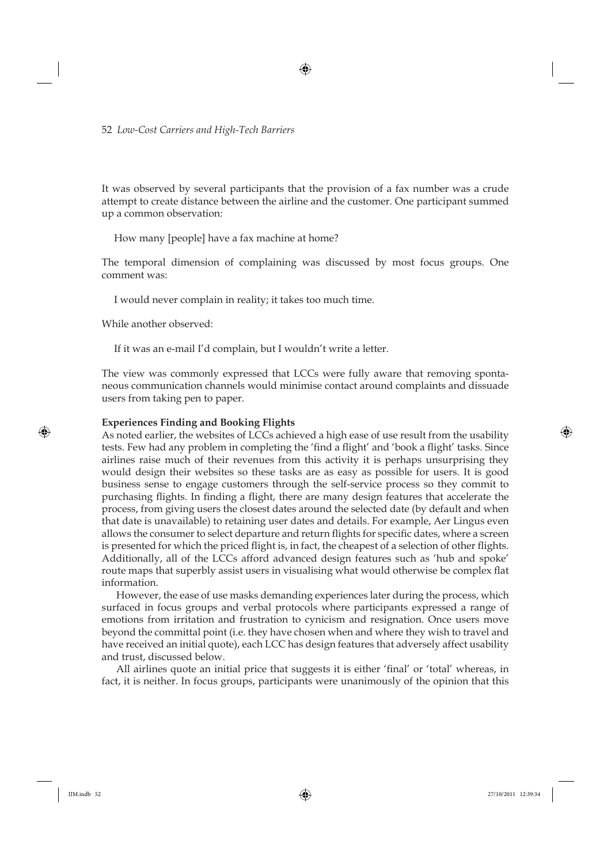It was observed by several participants that the provision of a fax number was a crude attempt to create distance between the airline and the customer. One participant summed up a common observation:

How many [people] have a fax machine at home?

The temporal dimension of complaining was discussed by most focus groups. One comment was:

I would never complain in reality; it takes too much time.

While another observed:

If it was an e-mail I'd complain, but I wouldn't write a letter.

The view was commonly expressed that LCCs were fully aware that removing spontaneous communication channels would minimise contact around complaints and dissuade users from taking pen to paper.

#### **Experiences Finding and Booking Flights**

As noted earlier, the websites of LCCs achieved a high ease of use result from the usability tests. Few had any problem in completing the 'find a flight' and 'book a flight' tasks. Since airlines raise much of their revenues from this activity it is perhaps unsurprising they would design their websites so these tasks are as easy as possible for users. It is good business sense to engage customers through the self-service process so they commit to purchasing flights. In finding a flight, there are many design features that accelerate the process, from giving users the closest dates around the selected date (by default and when that date is unavailable) to retaining user dates and details. For example, Aer Lingus even allows the consumer to select departure and return flights for specific dates, where a screen is presented for which the priced flight is, in fact, the cheapest of a selection of other flights. Additionally, all of the LCCs afford advanced design features such as 'hub and spoke' route maps that superbly assist users in visualising what would otherwise be complex flat information.

However, the ease of use masks demanding experiences later during the process, which surfaced in focus groups and verbal protocols where participants expressed a range of emotions from irritation and frustration to cynicism and resignation. Once users move beyond the committal point (i.e. they have chosen when and where they wish to travel and have received an initial quote), each LCC has design features that adversely affect usability and trust, discussed below.

All airlines quote an initial price that suggests it is either 'final' or 'total' whereas, in fact, it is neither. In focus groups, participants were unanimously of the opinion that this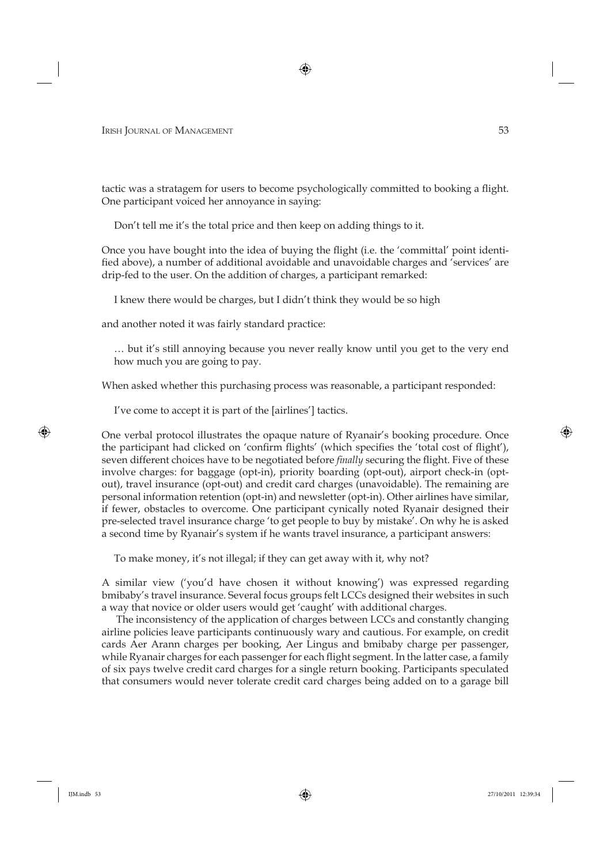tactic was a stratagem for users to become psychologically committed to booking a flight. One participant voiced her annoyance in saying:

Don't tell me it's the total price and then keep on adding things to it.

Once you have bought into the idea of buying the flight (i.e. the 'committal' point identified above), a number of additional avoidable and unavoidable charges and 'services' are drip-fed to the user. On the addition of charges, a participant remarked:

I knew there would be charges, but I didn't think they would be so high

and another noted it was fairly standard practice:

… but it's still annoying because you never really know until you get to the very end how much you are going to pay.

When asked whether this purchasing process was reasonable, a participant responded:

I've come to accept it is part of the [airlines'] tactics.

One verbal protocol illustrates the opaque nature of Ryanair's booking procedure. Once the participant had clicked on 'confirm flights' (which specifies the 'total cost of flight'), seven different choices have to be negotiated before *finally* securing the flight. Five of these involve charges: for baggage (opt-in), priority boarding (opt-out), airport check-in (optout), travel insurance (opt-out) and credit card charges (unavoidable). The remaining are personal information retention (opt-in) and newsletter (opt-in). Other airlines have similar, if fewer, obstacles to overcome. One participant cynically noted Ryanair designed their pre-selected travel insurance charge 'to get people to buy by mistake'. On why he is asked a second time by Ryanair's system if he wants travel insurance, a participant answers:

To make money, it's not illegal; if they can get away with it, why not?

A similar view ('you'd have chosen it without knowing') was expressed regarding bmibaby's travel insurance. Several focus groups felt LCCs designed their websites in such a way that novice or older users would get 'caught' with additional charges.

The inconsistency of the application of charges between LCCs and constantly changing airline policies leave participants continuously wary and cautious. For example, on credit cards Aer Arann charges per booking, Aer Lingus and bmibaby charge per passenger, while Ryanair charges for each passenger for each flight segment. In the latter case, a family of six pays twelve credit card charges for a single return booking. Participants speculated that consumers would never tolerate credit card charges being added on to a garage bill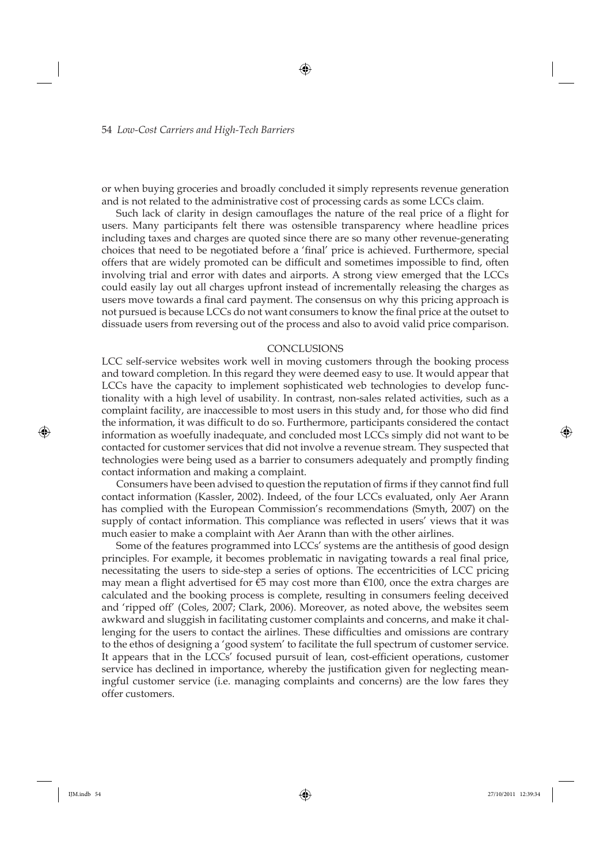or when buying groceries and broadly concluded it simply represents revenue generation and is not related to the administrative cost of processing cards as some LCCs claim.

Such lack of clarity in design camouflages the nature of the real price of a flight for users. Many participants felt there was ostensible transparency where headline prices including taxes and charges are quoted since there are so many other revenue-generating choices that need to be negotiated before a 'final' price is achieved. Furthermore, special offers that are widely promoted can be difficult and sometimes impossible to find, often involving trial and error with dates and airports. A strong view emerged that the LCCs could easily lay out all charges upfront instead of incrementally releasing the charges as users move towards a final card payment. The consensus on why this pricing approach is not pursued is because LCCs do not want consumers to know the final price at the outset to dissuade users from reversing out of the process and also to avoid valid price comparison.

#### **CONCLUSIONS**

LCC self-service websites work well in moving customers through the booking process and toward completion. In this regard they were deemed easy to use. It would appear that LCCs have the capacity to implement sophisticated web technologies to develop functionality with a high level of usability. In contrast, non-sales related activities, such as a complaint facility, are inaccessible to most users in this study and, for those who did find the information, it was difficult to do so. Furthermore, participants considered the contact information as woefully inadequate, and concluded most LCCs simply did not want to be contacted for customer services that did not involve a revenue stream. They suspected that technologies were being used as a barrier to consumers adequately and promptly finding contact information and making a complaint.

Consumers have been advised to question the reputation of firms if they cannot find full contact information (Kassler, 2002). Indeed, of the four LCCs evaluated, only Aer Arann has complied with the European Commission's recommendations (Smyth, 2007) on the supply of contact information. This compliance was reflected in users' views that it was much easier to make a complaint with Aer Arann than with the other airlines.

Some of the features programmed into LCCs' systems are the antithesis of good design principles. For example, it becomes problematic in navigating towards a real final price, necessitating the users to side-step a series of options. The eccentricities of LCC pricing may mean a flight advertised for €5 may cost more than €100, once the extra charges are calculated and the booking process is complete, resulting in consumers feeling deceived and 'ripped off' (Coles, 2007; Clark, 2006). Moreover, as noted above, the websites seem awkward and sluggish in facilitating customer complaints and concerns, and make it challenging for the users to contact the airlines. These difficulties and omissions are contrary to the ethos of designing a 'good system' to facilitate the full spectrum of customer service. It appears that in the LCCs' focused pursuit of lean, cost-efficient operations, customer service has declined in importance, whereby the justification given for neglecting meaningful customer service (i.e. managing complaints and concerns) are the low fares they offer customers.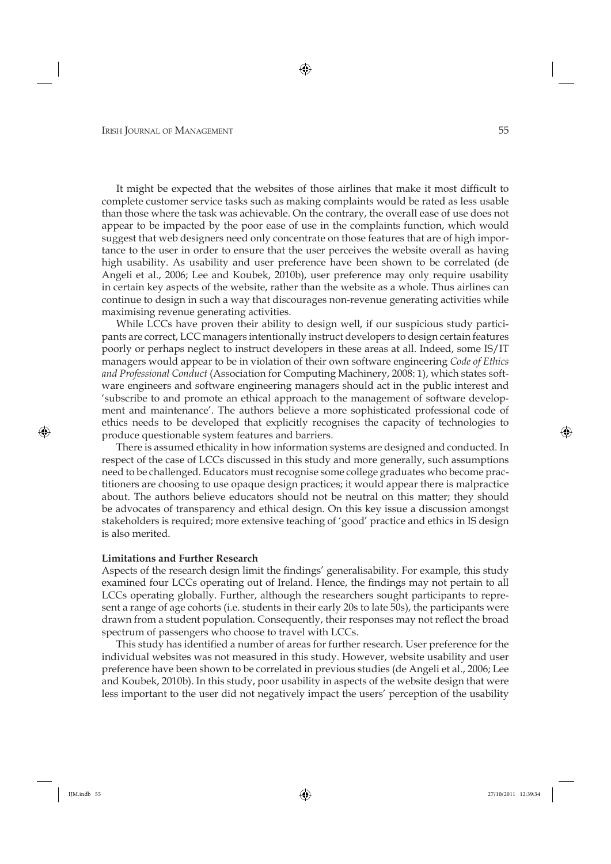It might be expected that the websites of those airlines that make it most difficult to complete customer service tasks such as making complaints would be rated as less usable than those where the task was achievable. On the contrary, the overall ease of use does not appear to be impacted by the poor ease of use in the complaints function, which would suggest that web designers need only concentrate on those features that are of high importance to the user in order to ensure that the user perceives the website overall as having high usability. As usability and user preference have been shown to be correlated (de Angeli et al., 2006; Lee and Koubek, 2010b), user preference may only require usability in certain key aspects of the website, rather than the website as a whole. Thus airlines can continue to design in such a way that discourages non-revenue generating activities while maximising revenue generating activities.

While LCCs have proven their ability to design well, if our suspicious study participants are correct, LCC managers intentionally instruct developers to design certain features poorly or perhaps neglect to instruct developers in these areas at all. Indeed, some IS/IT managers would appear to be in violation of their own software engineering *Code of Ethics and Professional Conduct* (Association for Computing Machinery, 2008: 1), which states software engineers and software engineering managers should act in the public interest and 'subscribe to and promote an ethical approach to the management of software development and maintenance'. The authors believe a more sophisticated professional code of ethics needs to be developed that explicitly recognises the capacity of technologies to produce questionable system features and barriers.

There is assumed ethicality in how information systems are designed and conducted. In respect of the case of LCCs discussed in this study and more generally, such assumptions need to be challenged. Educators must recognise some college graduates who become practitioners are choosing to use opaque design practices; it would appear there is malpractice about. The authors believe educators should not be neutral on this matter; they should be advocates of transparency and ethical design. On this key issue a discussion amongst stakeholders is required; more extensive teaching of 'good' practice and ethics in IS design is also merited.

#### **Limitations and Further Research**

Aspects of the research design limit the findings' generalisability. For example, this study examined four LCCs operating out of Ireland. Hence, the findings may not pertain to all LCCs operating globally. Further, although the researchers sought participants to represent a range of age cohorts (i.e. students in their early 20s to late 50s), the participants were drawn from a student population. Consequently, their responses may not reflect the broad spectrum of passengers who choose to travel with LCCs.

This study has identified a number of areas for further research. User preference for the individual websites was not measured in this study. However, website usability and user preference have been shown to be correlated in previous studies (de Angeli et al., 2006; Lee and Koubek, 2010b). In this study, poor usability in aspects of the website design that were less important to the user did not negatively impact the users' perception of the usability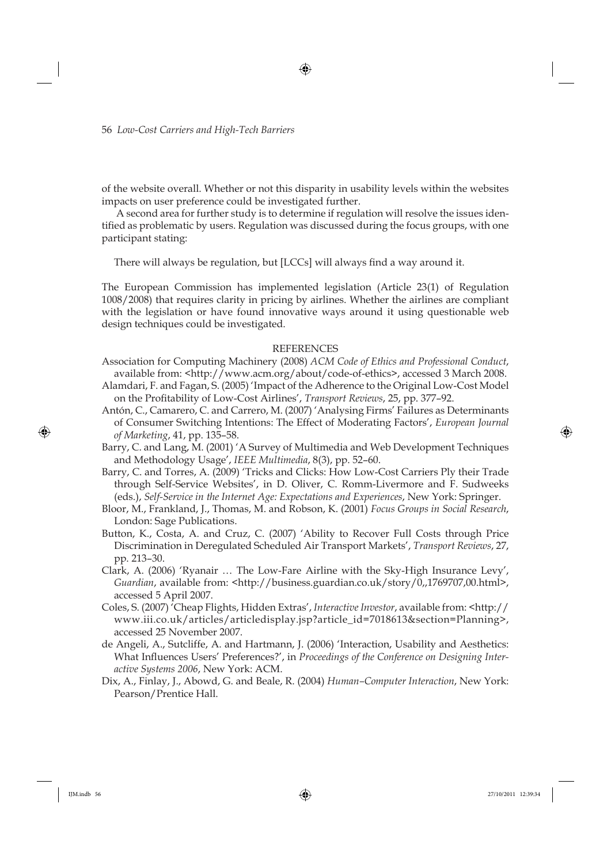of the website overall. Whether or not this disparity in usability levels within the websites impacts on user preference could be investigated further.

A second area for further study is to determine if regulation will resolve the issues identified as problematic by users. Regulation was discussed during the focus groups, with one participant stating:

There will always be regulation, but [LCCs] will always find a way around it.

The European Commission has implemented legislation (Article 23(1) of Regulation 1008/2008) that requires clarity in pricing by airlines. Whether the airlines are compliant with the legislation or have found innovative ways around it using questionable web design techniques could be investigated.

### REFERENCES

- Association for Computing Machinery (2008) *ACM Code of Ethics and Professional Conduct*, available from: <http://www.acm.org/about/code-of-ethics>, accessed 3 March 2008.
- Alamdari, F. and Fagan, S. (2005) 'Impact of the Adherence to the Original Low-Cost Model on the Profi tability of Low-Cost Airlines', *Transport Reviews*, 25, pp. 377–92.
- Antón, C., Camarero, C. and Carrero, M. (2007) 'Analysing Firms' Failures as Determinants of Consumer Switching Intentions: The Effect of Moderating Factors', *European Journal of Marketing*, 41, pp. 135–58.
- Barry, C. and Lang, M. (2001) 'A Survey of Multimedia and Web Development Techniques and Methodology Usage', *IEEE Multimedia*, 8(3), pp. 52–60.
- Barry, C. and Torres, A. (2009) 'Tricks and Clicks: How Low-Cost Carriers Ply their Trade through Self-Service Websites', in D. Oliver, C. Romm-Livermore and F. Sudweeks (eds.), *Self-Service in the Internet Age: Expectations and Experiences*, New York: Springer.
- Bloor, M., Frankland, J., Thomas, M. and Robson, K. (2001) *Focus Groups in Social Research*, London: Sage Publications.
- Button, K., Costa, A. and Cruz, C. (2007) 'Ability to Recover Full Costs through Price Discrimination in Deregulated Scheduled Air Transport Markets', *Transport Reviews*, 27, pp. 213–30.
- Clark, A. (2006) 'Ryanair … The Low-Fare Airline with the Sky-High Insurance Levy', *Guardian*, available from: <http://business.guardian.co.uk/story/0,,1769707,00.html>, accessed 5 April 2007.
- Coles, S. (2007) 'Cheap Flights, Hidden Extras', *Interactive Investor*, available from: <http:// www.iii.co.uk/articles/articledisplay.jsp?article\_id=7018613&section=Planning>, accessed 25 November 2007.
- de Angeli, A., Sutcliffe, A. and Hartmann, J. (2006) 'Interaction, Usability and Aesthetics: What Influences Users' Preferences?', in *Proceedings of the Conference on Designing Interactive Systems 2006*, New York: ACM.
- Dix, A., Finlay, J., Abowd, G. and Beale, R. (2004) *Human–Computer Interaction*, New York: Pearson/Prentice Hall.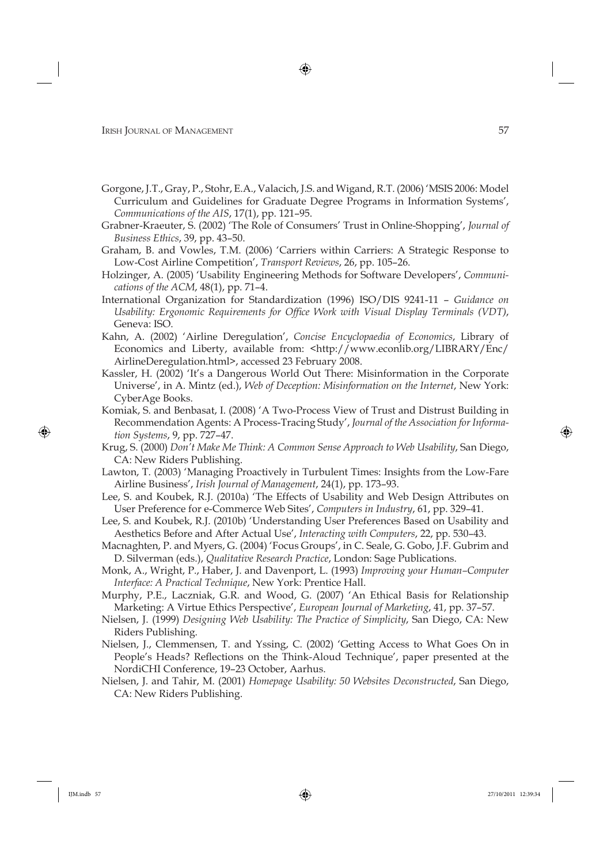- Gorgone, J.T., Gray, P., Stohr, E.A., Valacich, J.S. and Wigand, R.T. (2006) 'MSIS 2006: Model Curriculum and Guidelines for Graduate Degree Programs in Information Systems', *Communications of the AIS*, 17(1), pp. 121–95.
- Grabner-Kraeuter, S. (2002) 'The Role of Consumers' Trust in Online-Shopping', *Journal of Business Ethics*, 39, pp. 43–50.
- Graham, B. and Vowles, T.M. (2006) 'Carriers within Carriers: A Strategic Response to Low-Cost Airline Competition', *Transport Reviews*, 26, pp. 105–26.
- Holzinger, A. (2005) 'Usability Engineering Methods for Software Developers', *Communications of the ACM*, 48(1), pp. 71–4.
- International Organization for Standardization (1996) ISO/DIS 9241-11 *Guidance on Usability: Ergonomic Requirements for Office Work with Visual Display Terminals (VDT)*, Geneva: ISO.
- Kahn, A. (2002) 'Airline Deregulation', *Concise Encyclopaedia of Economics*, Library of Economics and Liberty, available from: <http://www.econlib.org/LIBRARY/Enc/ AirlineDeregulation.html>, accessed 23 February 2008.
- Kassler, H. (2002) 'It's a Dangerous World Out There: Misinformation in the Corporate Universe', in A. Mintz (ed.), *Web of Deception: Misinformation on the Internet*, New York: CyberAge Books.
- Komiak, S. and Benbasat, I. (2008) 'A Two-Process View of Trust and Distrust Building in Recommendation Agents: A Process-Tracing Study', *Journal of the Association for Information Systems*, 9, pp. 727–47.
- Krug, S. (2000) *Don't Make Me Think: A Common Sense Approach to Web Usability*, San Diego, CA: New Riders Publishing.
- Lawton, T. (2003) 'Managing Proactively in Turbulent Times: Insights from the Low-Fare Airline Business', *Irish Journal of Management*, 24(1), pp. 173–93.
- Lee, S. and Koubek, R.J. (2010a) 'The Effects of Usability and Web Design Attributes on User Preference for e-Commerce Web Sites', *Computers in Industry*, 61, pp. 329–41.
- Lee, S. and Koubek, R.J. (2010b) 'Understanding User Preferences Based on Usability and Aesthetics Before and After Actual Use', *Interacting with Computers*, 22, pp. 530–43.
- Macnaghten, P. and Myers, G. (2004) 'Focus Groups', in C. Seale, G. Gobo, J.F. Gubrim and D. Silverman (eds.), *Qualitative Research Practice*, London: Sage Publications.
- Monk, A., Wright, P., Haber, J. and Davenport, L. (1993) *Improving your Human–Computer Interface: A Practical Technique*, New York: Prentice Hall.
- Murphy, P.E., Laczniak, G.R. and Wood, G. (2007) 'An Ethical Basis for Relationship Marketing: A Virtue Ethics Perspective', *European Journal of Marketing*, 41, pp. 37–57.
- Nielsen, J. (1999) *Designing Web Usability: The Practice of Simplicity*, San Diego, CA: New Riders Publishing.
- Nielsen, J., Clemmensen, T. and Yssing, C. (2002) 'Getting Access to What Goes On in People's Heads? Reflections on the Think-Aloud Technique', paper presented at the NordiCHI Conference, 19–23 October, Aarhus.
- Nielsen, J. and Tahir, M. (2001) *Homepage Usability: 50 Websites Deconstructed*, San Diego, CA: New Riders Publishing.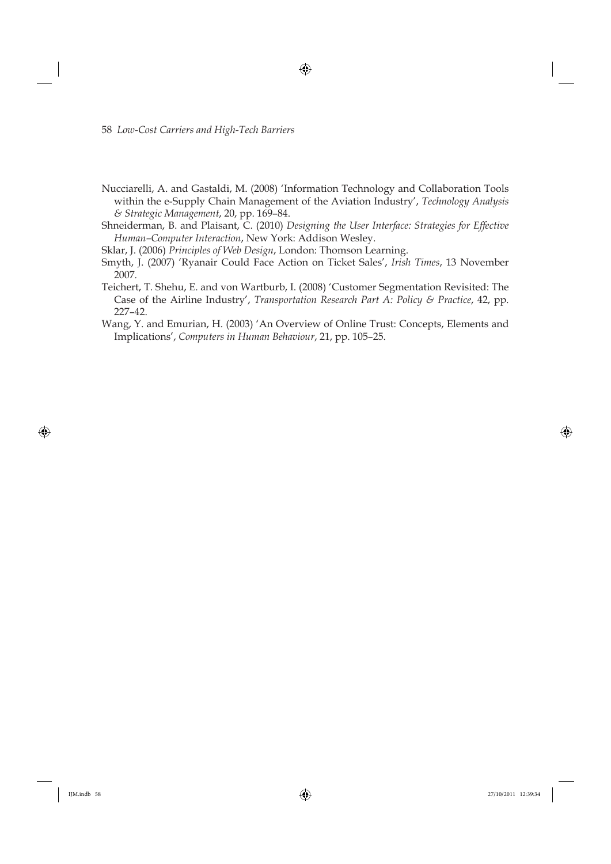- Nucciarelli, A. and Gastaldi, M. (2008) 'Information Technology and Collaboration Tools within the e-Supply Chain Management of the Aviation Industry', *Technology Analysis & Strategic Management*, 20, pp. 169–84.
- Shneiderman, B. and Plaisant, C. (2010) *Designing the User Interface: Strategies for Effective Human–Computer Interaction*, New York: Addison Wesley.
- Sklar, J. (2006) *Principles of Web Design*, London: Thomson Learning.
- Smyth, J. (2007) 'Ryanair Could Face Action on Ticket Sales', *Irish Times*, 13 November 2007.
- Teichert, T. Shehu, E. and von Wartburb, I. (2008) 'Customer Segmentation Revisited: The Case of the Airline Industry', *Transportation Research Part A: Policy & Practice*, 42, pp. 227–42.
- Wang, Y. and Emurian, H. (2003) 'An Overview of Online Trust: Concepts, Elements and Implications', *Computers in Human Behaviour*, 21, pp. 105–25.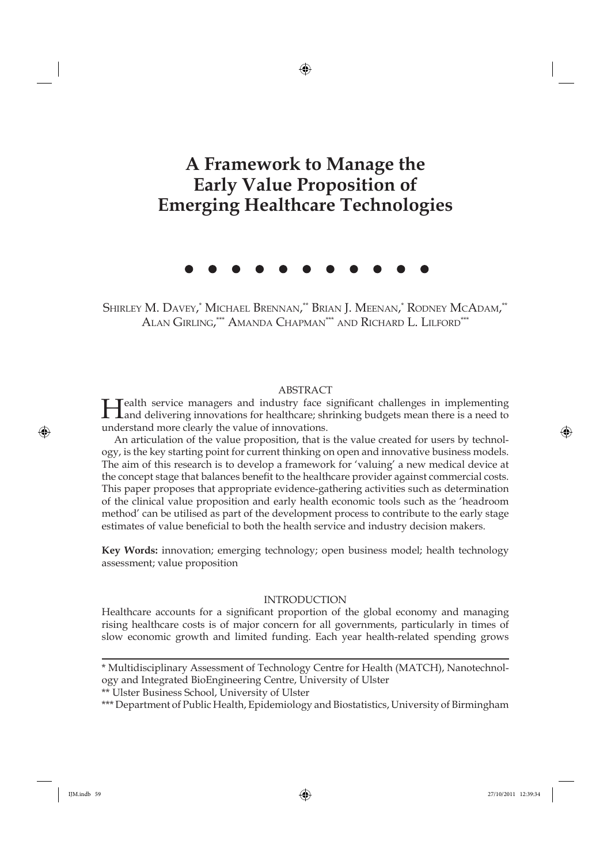# **A Framework to Manage the Early Value Proposition of Emerging Healthcare Technologies**

Shirley M. Davey,\* Michael Brennan,\*\* Brian J. Meenan,\* Rodney McAdam,\*\* Alan Girling,\*\*\* Amanda Chapman\*\*\* and Richard L. Lilford\*\*\*

ABSTRACT<br>I realth service managers and industry face significant challenges in implementing Health service managers and industry face significant challenges in implementing Land delivering innovations for healthcare; shrinking budgets mean there is a need to understand more clearly the value of innovations.

An articulation of the value proposition, that is the value created for users by technology, is the key starting point for current thinking on open and innovative business models. The aim of this research is to develop a framework for 'valuing' a new medical device at the concept stage that balances benefit to the healthcare provider against commercial costs. This paper proposes that appropriate evidence-gathering activities such as determination of the clinical value proposition and early health economic tools such as the 'headroom method' can be utilised as part of the development process to contribute to the early stage estimates of value beneficial to both the health service and industry decision makers.

**Key Words:** innovation; emerging technology; open business model; health technology assessment; value proposition

#### INTRODUCTION

Healthcare accounts for a significant proportion of the global economy and managing rising healthcare costs is of major concern for all governments, particularly in times of slow economic growth and limited funding. Each year health-related spending grows

\*\* Ulster Business School, University of Ulster

<sup>\*</sup> Multidisciplinary Assessment of Technology Centre for Health (MATCH), Nanotechnology and Integrated BioEngineering Centre, University of Ulster

<sup>\*\*\*</sup> Department of Public Health, Epidemiology and Biostatistics, University of Birmingham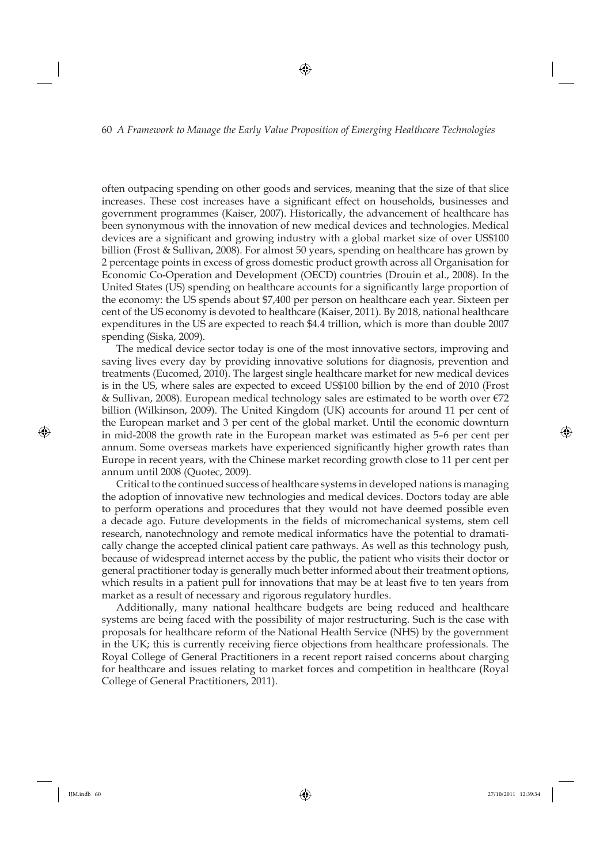often outpacing spending on other goods and services, meaning that the size of that slice increases. These cost increases have a significant effect on households, businesses and government programmes (Kaiser, 2007). Historically, the advancement of healthcare has been synonymous with the innovation of new medical devices and technologies. Medical devices are a significant and growing industry with a global market size of over US\$100 billion (Frost & Sullivan, 2008). For almost 50 years, spending on healthcare has grown by 2 percentage points in excess of gross domestic product growth across all Organisation for Economic Co-Operation and Development (OECD) countries (Drouin et al., 2008). In the United States (US) spending on healthcare accounts for a significantly large proportion of the economy: the US spends about \$7,400 per person on healthcare each year. Sixteen per cent of the US economy is devoted to healthcare (Kaiser, 2011). By 2018, national healthcare expenditures in the US are expected to reach \$4.4 trillion, which is more than double 2007 spending (Siska, 2009).

The medical device sector today is one of the most innovative sectors, improving and saving lives every day by providing innovative solutions for diagnosis, prevention and treatments (Eucomed, 2010). The largest single healthcare market for new medical devices is in the US, where sales are expected to exceed US\$100 billion by the end of 2010 (Frost & Sullivan, 2008). European medical technology sales are estimated to be worth over  $\epsilon$ 72 billion (Wilkinson, 2009). The United Kingdom (UK) accounts for around 11 per cent of the European market and 3 per cent of the global market. Until the economic downturn in mid-2008 the growth rate in the European market was estimated as 5–6 per cent per annum. Some overseas markets have experienced significantly higher growth rates than Europe in recent years, with the Chinese market recording growth close to 11 per cent per annum until 2008 (Quotec, 2009).

Critical to the continued success of healthcare systems in developed nations is managing the adoption of innovative new technologies and medical devices. Doctors today are able to perform operations and procedures that they would not have deemed possible even a decade ago. Future developments in the fields of micromechanical systems, stem cell research, nanotechnology and remote medical informatics have the potential to dramatically change the accepted clinical patient care pathways. As well as this technology push, because of widespread internet access by the public, the patient who visits their doctor or general practitioner today is generally much better informed about their treatment options, which results in a patient pull for innovations that may be at least five to ten years from market as a result of necessary and rigorous regulatory hurdles.

Additionally, many national healthcare budgets are being reduced and healthcare systems are being faced with the possibility of major restructuring. Such is the case with proposals for healthcare reform of the National Health Service (NHS) by the government in the UK; this is currently receiving fierce objections from healthcare professionals. The Royal College of General Practitioners in a recent report raised concerns about charging for healthcare and issues relating to market forces and competition in healthcare (Royal College of General Practitioners, 2011).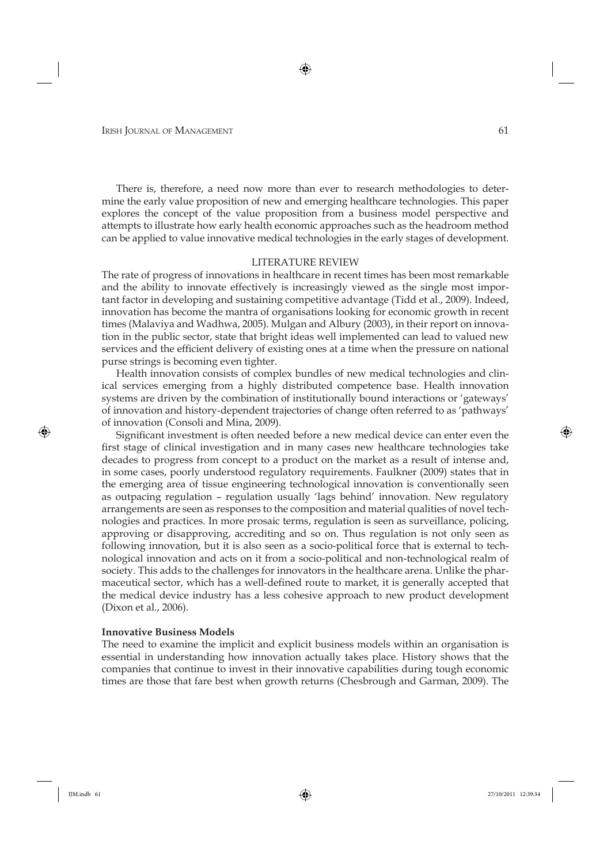There is, therefore, a need now more than ever to research methodologies to determine the early value proposition of new and emerging healthcare technologies. This paper explores the concept of the value proposition from a business model perspective and attempts to illustrate how early health economic approaches such as the headroom method can be applied to value innovative medical technologies in the early stages of development.

#### LITERATURE REVIEW

The rate of progress of innovations in healthcare in recent times has been most remarkable and the ability to innovate effectively is increasingly viewed as the single most important factor in developing and sustaining competitive advantage (Tidd et al., 2009). Indeed, innovation has become the mantra of organisations looking for economic growth in recent times (Malaviya and Wadhwa, 2005). Mulgan and Albury (2003), in their report on innovation in the public sector, state that bright ideas well implemented can lead to valued new services and the efficient delivery of existing ones at a time when the pressure on national purse strings is becoming even tighter.

Health innovation consists of complex bundles of new medical technologies and clinical services emerging from a highly distributed competence base. Health innovation systems are driven by the combination of institutionally bound interactions or 'gateways' of innovation and history-dependent trajectories of change often referred to as 'pathways' of innovation (Consoli and Mina, 2009).

Significant investment is often needed before a new medical device can enter even the first stage of clinical investigation and in many cases new healthcare technologies take decades to progress from concept to a product on the market as a result of intense and, in some cases, poorly understood regulatory requirements. Faulkner (2009) states that in the emerging area of tissue engineering technological innovation is conventionally seen as outpacing regulation – regulation usually 'lags behind' innovation. New regulatory arrangements are seen as responses to the composition and material qualities of novel technologies and practices. In more prosaic terms, regulation is seen as surveillance, policing, approving or disapproving, accrediting and so on. Thus regulation is not only seen as following innovation, but it is also seen as a socio-political force that is external to technological innovation and acts on it from a socio-political and non-technological realm of society. This adds to the challenges for innovators in the healthcare arena. Unlike the pharmaceutical sector, which has a well-defined route to market, it is generally accepted that the medical device industry has a less cohesive approach to new product development (Dixon et al., 2006).

#### **Innovative Business Models**

The need to examine the implicit and explicit business models within an organisation is essential in understanding how innovation actually takes place. History shows that the companies that continue to invest in their innovative capabilities during tough economic times are those that fare best when growth returns (Chesbrough and Garman, 2009). The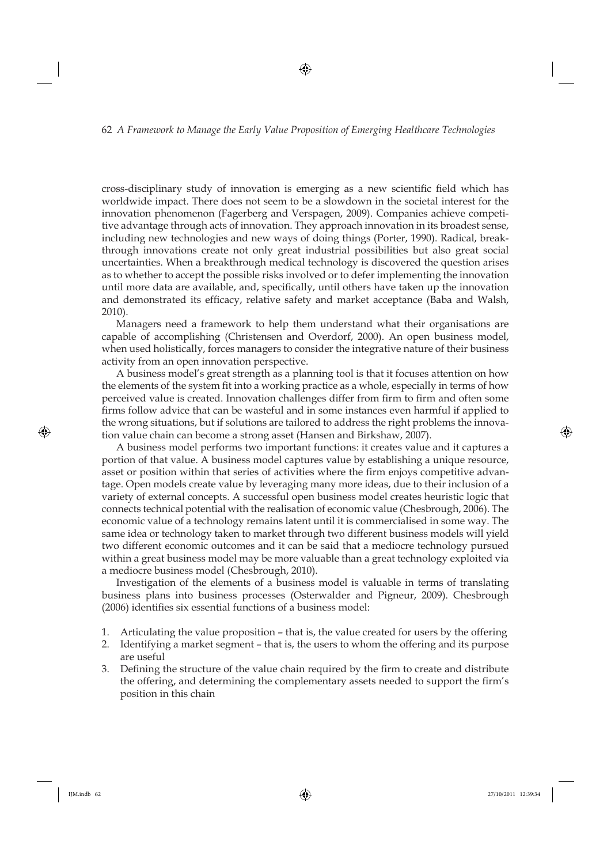cross-disciplinary study of innovation is emerging as a new scientific field which has worldwide impact. There does not seem to be a slowdown in the societal interest for the innovation phenomenon (Fagerberg and Verspagen, 2009). Companies achieve competitive advantage through acts of innovation. They approach innovation in its broadest sense, including new technologies and new ways of doing things (Porter, 1990). Radical, breakthrough innovations create not only great industrial possibilities but also great social uncertainties. When a breakthrough medical technology is discovered the question arises as to whether to accept the possible risks involved or to defer implementing the innovation until more data are available, and, specifically, until others have taken up the innovation and demonstrated its efficacy, relative safety and market acceptance (Baba and Walsh, 2010).

Managers need a framework to help them understand what their organisations are capable of accomplishing (Christensen and Overdorf, 2000). An open business model, when used holistically, forces managers to consider the integrative nature of their business activity from an open innovation perspective.

A business model's great strength as a planning tool is that it focuses attention on how the elements of the system fit into a working practice as a whole, especially in terms of how perceived value is created. Innovation challenges differ from firm to firm and often some firms follow advice that can be wasteful and in some instances even harmful if applied to the wrong situations, but if solutions are tailored to address the right problems the innovation value chain can become a strong asset (Hansen and Birkshaw, 2007).

A business model performs two important functions: it creates value and it captures a portion of that value. A business model captures value by establishing a unique resource, asset or position within that series of activities where the firm enjoys competitive advantage. Open models create value by leveraging many more ideas, due to their inclusion of a variety of external concepts. A successful open business model creates heuristic logic that connects technical potential with the realisation of economic value (Chesbrough, 2006). The economic value of a technology remains latent until it is commercialised in some way. The same idea or technology taken to market through two different business models will yield two different economic outcomes and it can be said that a mediocre technology pursued within a great business model may be more valuable than a great technology exploited via a mediocre business model (Chesbrough, 2010).

Investigation of the elements of a business model is valuable in terms of translating business plans into business processes (Osterwalder and Pigneur, 2009). Chesbrough  $(2006)$  identifies six essential functions of a business model:

- 1. Articulating the value proposition that is, the value created for users by the offering
- 2. Identifying a market segment that is, the users to whom the offering and its purpose are useful
- 3. Defining the structure of the value chain required by the firm to create and distribute the offering, and determining the complementary assets needed to support the firm's position in this chain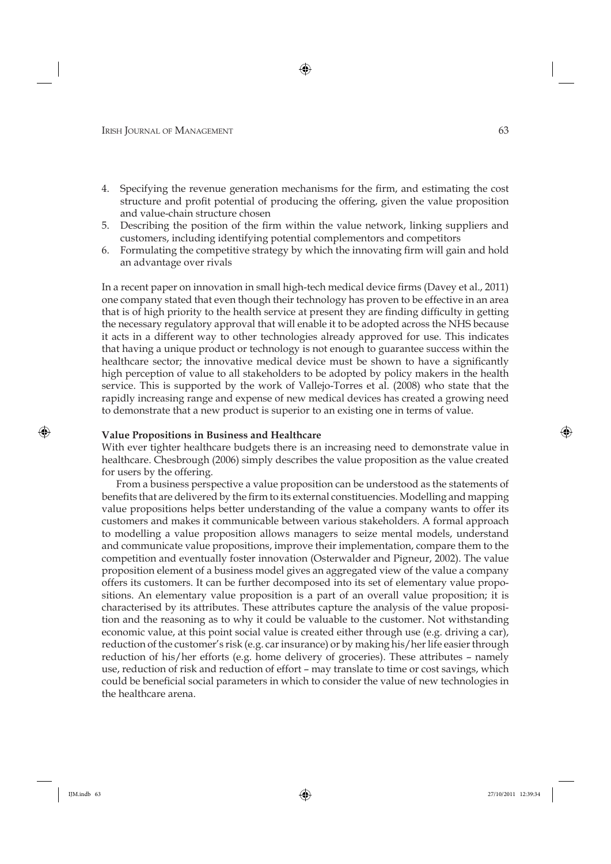- 4. Specifying the revenue generation mechanisms for the firm, and estimating the cost structure and profit potential of producing the offering, given the value proposition and value-chain structure chosen
- 5. Describing the position of the firm within the value network, linking suppliers and customers, including identifying potential complementors and competitors
- 6. Formulating the competitive strategy by which the innovating firm will gain and hold an advantage over rivals

In a recent paper on innovation in small high-tech medical device firms (Davey et al., 2011) one company stated that even though their technology has proven to be effective in an area that is of high priority to the health service at present they are finding difficulty in getting the necessary regulatory approval that will enable it to be adopted across the NHS because it acts in a different way to other technologies already approved for use. This indicates that having a unique product or technology is not enough to guarantee success within the healthcare sector; the innovative medical device must be shown to have a significantly high perception of value to all stakeholders to be adopted by policy makers in the health service. This is supported by the work of Vallejo-Torres et al. (2008) who state that the rapidly increasing range and expense of new medical devices has created a growing need to demonstrate that a new product is superior to an existing one in terms of value.

#### **Value Propositions in Business and Healthcare**

With ever tighter healthcare budgets there is an increasing need to demonstrate value in healthcare. Chesbrough (2006) simply describes the value proposition as the value created for users by the offering.

From a business perspective a value proposition can be understood as the statements of benefits that are delivered by the firm to its external constituencies. Modelling and mapping value propositions helps better understanding of the value a company wants to offer its customers and makes it communicable between various stakeholders. A formal approach to modelling a value proposition allows managers to seize mental models, understand and communicate value propositions, improve their implementation, compare them to the competition and eventually foster innovation (Osterwalder and Pigneur, 2002). The value proposition element of a business model gives an aggregated view of the value a company offers its customers. It can be further decomposed into its set of elementary value propositions. An elementary value proposition is a part of an overall value proposition; it is characterised by its attributes. These attributes capture the analysis of the value proposition and the reasoning as to why it could be valuable to the customer. Not withstanding economic value, at this point social value is created either through use (e.g. driving a car), reduction of the customer's risk (e.g. car insurance) or by making his/her life easier through reduction of his/her efforts (e.g. home delivery of groceries). These attributes – namely use, reduction of risk and reduction of effort – may translate to time or cost savings, which could be beneficial social parameters in which to consider the value of new technologies in the healthcare arena.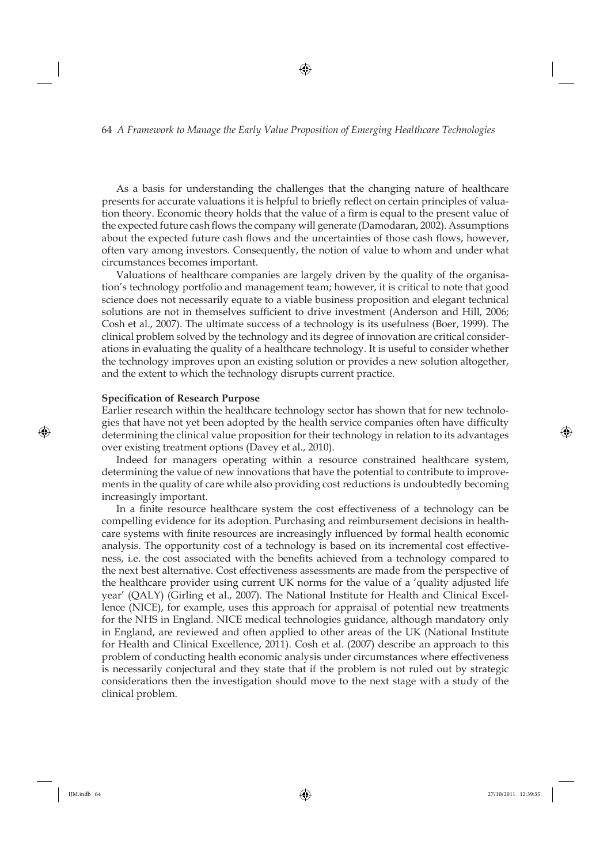As a basis for understanding the challenges that the changing nature of healthcare presents for accurate valuations it is helpful to briefly reflect on certain principles of valuation theory. Economic theory holds that the value of a firm is equal to the present value of the expected future cash flows the company will generate (Damodaran, 2002). Assumptions about the expected future cash flows and the uncertainties of those cash flows, however, often vary among investors. Consequently, the notion of value to whom and under what circumstances becomes important.

Valuations of healthcare companies are largely driven by the quality of the organisation's technology portfolio and management team; however, it is critical to note that good science does not necessarily equate to a viable business proposition and elegant technical solutions are not in themselves sufficient to drive investment (Anderson and Hill, 2006; Cosh et al., 2007). The ultimate success of a technology is its usefulness (Boer, 1999). The clinical problem solved by the technology and its degree of innovation are critical considerations in evaluating the quality of a healthcare technology. It is useful to consider whether the technology improves upon an existing solution or provides a new solution altogether, and the extent to which the technology disrupts current practice.

#### **Specification of Research Purpose**

Earlier research within the healthcare technology sector has shown that for new technologies that have not yet been adopted by the health service companies often have difficulty determining the clinical value proposition for their technology in relation to its advantages over existing treatment options (Davey et al., 2010).

Indeed for managers operating within a resource constrained healthcare system, determining the value of new innovations that have the potential to contribute to improvements in the quality of care while also providing cost reductions is undoubtedly becoming increasingly important.

In a finite resource healthcare system the cost effectiveness of a technology can be compelling evidence for its adoption. Purchasing and reimbursement decisions in healthcare systems with finite resources are increasingly influenced by formal health economic analysis. The opportunity cost of a technology is based on its incremental cost effectiveness, i.e. the cost associated with the benefits achieved from a technology compared to the next best alternative. Cost effectiveness assessments are made from the perspective of the healthcare provider using current UK norms for the value of a 'quality adjusted life year' (QALY) (Girling et al., 2007). The National Institute for Health and Clinical Excellence (NICE), for example, uses this approach for appraisal of potential new treatments for the NHS in England. NICE medical technologies guidance, although mandatory only in England, are reviewed and often applied to other areas of the UK (National Institute for Health and Clinical Excellence, 2011). Cosh et al. (2007) describe an approach to this problem of conducting health economic analysis under circumstances where effectiveness is necessarily conjectural and they state that if the problem is not ruled out by strategic considerations then the investigation should move to the next stage with a study of the clinical problem.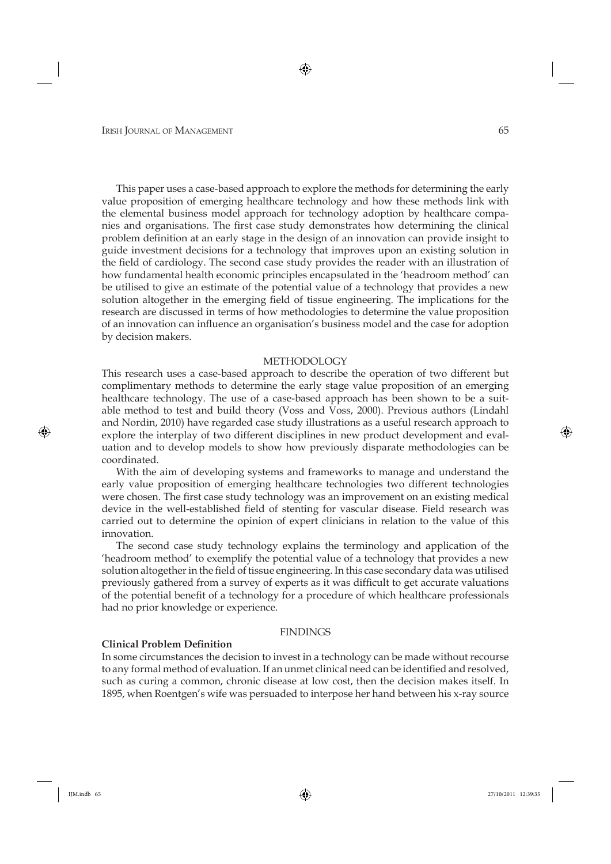This paper uses a case-based approach to explore the methods for determining the early value proposition of emerging healthcare technology and how these methods link with the elemental business model approach for technology adoption by healthcare companies and organisations. The first case study demonstrates how determining the clinical problem definition at an early stage in the design of an innovation can provide insight to guide investment decisions for a technology that improves upon an existing solution in the field of cardiology. The second case study provides the reader with an illustration of how fundamental health economic principles encapsulated in the 'headroom method' can be utilised to give an estimate of the potential value of a technology that provides a new solution altogether in the emerging field of tissue engineering. The implications for the research are discussed in terms of how methodologies to determine the value proposition of an innovation can influence an organisation's business model and the case for adoption by decision makers.

#### METHODOLOGY

This research uses a case-based approach to describe the operation of two different but complimentary methods to determine the early stage value proposition of an emerging healthcare technology. The use of a case-based approach has been shown to be a suitable method to test and build theory (Voss and Voss, 2000). Previous authors (Lindahl and Nordin, 2010) have regarded case study illustrations as a useful research approach to explore the interplay of two different disciplines in new product development and evaluation and to develop models to show how previously disparate methodologies can be coordinated.

With the aim of developing systems and frameworks to manage and understand the early value proposition of emerging healthcare technologies two different technologies were chosen. The first case study technology was an improvement on an existing medical device in the well-established field of stenting for vascular disease. Field research was carried out to determine the opinion of expert clinicians in relation to the value of this innovation.

The second case study technology explains the terminology and application of the 'headroom method' to exemplify the potential value of a technology that provides a new solution altogether in the field of tissue engineering. In this case secondary data was utilised previously gathered from a survey of experts as it was difficult to get accurate valuations of the potential benefit of a technology for a procedure of which healthcare professionals had no prior knowledge or experience.

#### FINDINGS

#### **Clinical Problem Definition**

In some circumstances the decision to invest in a technology can be made without recourse to any formal method of evaluation. If an unmet clinical need can be identified and resolved, such as curing a common, chronic disease at low cost, then the decision makes itself. In 1895, when Roentgen's wife was persuaded to interpose her hand between his x-ray source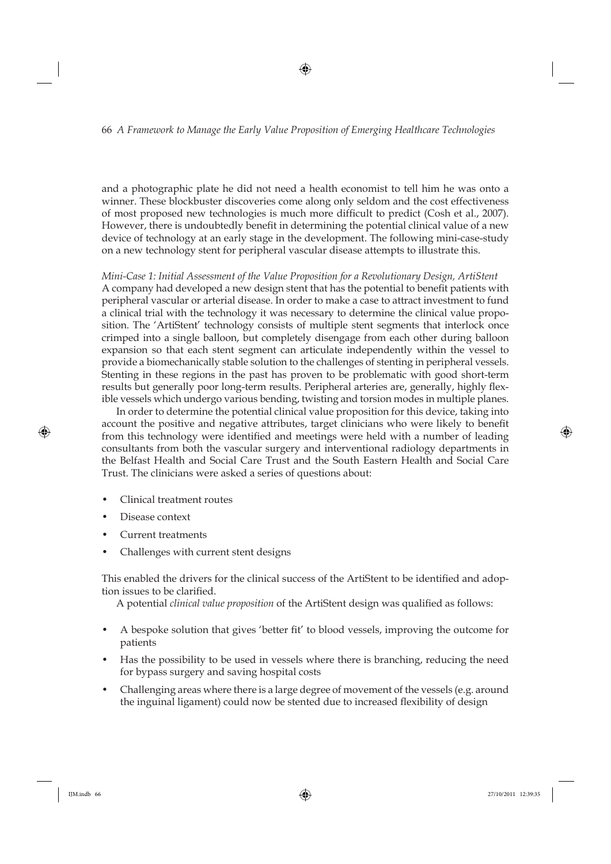and a photographic plate he did not need a health economist to tell him he was onto a winner. These blockbuster discoveries come along only seldom and the cost effectiveness of most proposed new technologies is much more difficult to predict (Cosh et al., 2007). However, there is undoubtedly benefit in determining the potential clinical value of a new device of technology at an early stage in the development. The following mini-case-study on a new technology stent for peripheral vascular disease attempts to illustrate this.

*Mini-Case 1: Initial Assessment of the Value Proposition for a Revolutionary Design, ArtiStent* A company had developed a new design stent that has the potential to benefit patients with peripheral vascular or arterial disease. In order to make a case to attract investment to fund a clinical trial with the technology it was necessary to determine the clinical value proposition. The 'ArtiStent' technology consists of multiple stent segments that interlock once crimped into a single balloon, but completely disengage from each other during balloon expansion so that each stent segment can articulate independently within the vessel to provide a biomechanically stable solution to the challenges of stenting in peripheral vessels. Stenting in these regions in the past has proven to be problematic with good short-term results but generally poor long-term results. Peripheral arteries are, generally, highly flexible vessels which undergo various bending, twisting and torsion modes in multiple planes.

In order to determine the potential clinical value proposition for this device, taking into account the positive and negative attributes, target clinicians who were likely to benefit from this technology were identified and meetings were held with a number of leading consultants from both the vascular surgery and interventional radiology departments in the Belfast Health and Social Care Trust and the South Eastern Health and Social Care Trust. The clinicians were asked a series of questions about:

- Clinical treatment routes
- Disease context
- Current treatments
- Challenges with current stent designs

This enabled the drivers for the clinical success of the ArtiStent to be identified and adoption issues to be clarified.

A potential *clinical value proposition* of the ArtiStent design was qualified as follows:

- A bespoke solution that gives 'better fit' to blood vessels, improving the outcome for patients
- Has the possibility to be used in vessels where there is branching, reducing the need for bypass surgery and saving hospital costs
- Challenging areas where there is a large degree of movement of the vessels (e.g. around the inguinal ligament) could now be stented due to increased flexibility of design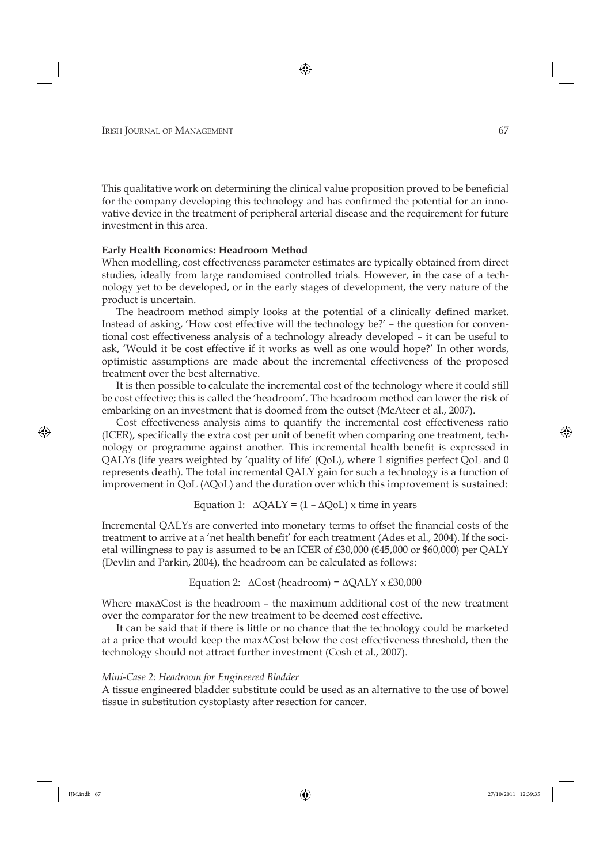This qualitative work on determining the clinical value proposition proved to be beneficial for the company developing this technology and has confirmed the potential for an innovative device in the treatment of peripheral arterial disease and the requirement for future investment in this area.

#### **Early Health Economics: Headroom Method**

When modelling, cost effectiveness parameter estimates are typically obtained from direct studies, ideally from large randomised controlled trials. However, in the case of a technology yet to be developed, or in the early stages of development, the very nature of the product is uncertain.

The headroom method simply looks at the potential of a clinically defined market. Instead of asking, 'How cost effective will the technology be?' – the question for conventional cost effectiveness analysis of a technology already developed – it can be useful to ask, 'Would it be cost effective if it works as well as one would hope?' In other words, optimistic assumptions are made about the incremental effectiveness of the proposed treatment over the best alternative.

It is then possible to calculate the incremental cost of the technology where it could still be cost effective; this is called the 'headroom'. The headroom method can lower the risk of embarking on an investment that is doomed from the outset (McAteer et al., 2007).

Cost effectiveness analysis aims to quantify the incremental cost effectiveness ratio (ICER), specifically the extra cost per unit of benefit when comparing one treatment, technology or programme against another. This incremental health benefit is expressed in QALYs (life years weighted by 'quality of life' (QoL), where  $1$  signifies perfect QoL and  $0$ represents death). The total incremental QALY gain for such a technology is a function of improvement in QoL (ΔQoL) and the duration over which this improvement is sustained:

Equation 1: 
$$
\Delta QALY = (1 - \Delta QoL) x
$$
 time in years

Incremental QALYs are converted into monetary terms to offset the financial costs of the treatment to arrive at a 'net health benefit' for each treatment (Ades et al., 2004). If the societal willingness to pay is assumed to be an ICER of  $£30,000$  ( $€45,000$  or \$60,000) per QALY (Devlin and Parkin, 2004), the headroom can be calculated as follows:

Equation 2: 
$$
\Delta \text{Cost} \text{ (headroom)} = \Delta \text{QALY} \times \text{\pounds}30,000
$$

Where maxΔCost is the headroom – the maximum additional cost of the new treatment over the comparator for the new treatment to be deemed cost effective.

It can be said that if there is little or no chance that the technology could be marketed at a price that would keep the maxΔCost below the cost effectiveness threshold, then the technology should not attract further investment (Cosh et al., 2007).

#### *Mini-Case 2: Headroom for Engineered Bladder*

A tissue engineered bladder substitute could be used as an alternative to the use of bowel tissue in substitution cystoplasty after resection for cancer.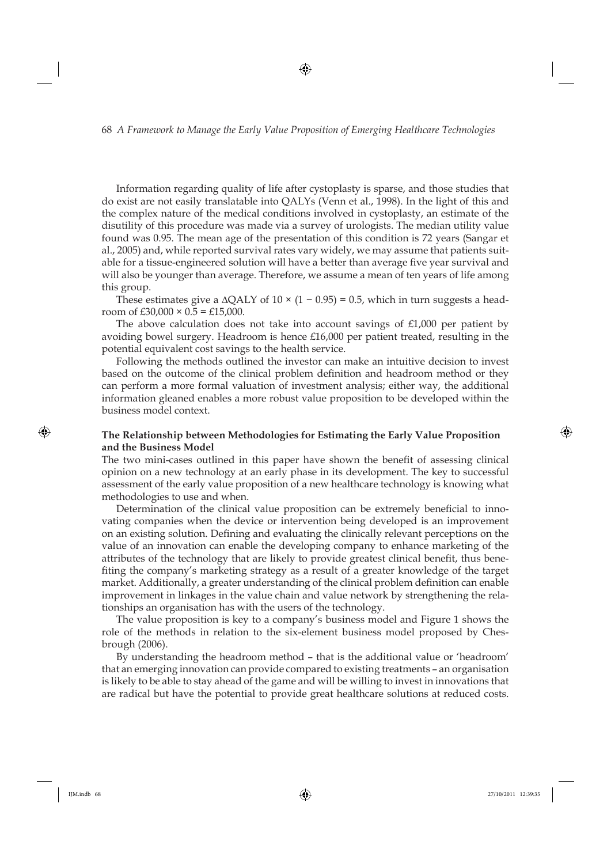Information regarding quality of life after cystoplasty is sparse, and those studies that do exist are not easily translatable into QALYs (Venn et al., 1998). In the light of this and the complex nature of the medical conditions involved in cystoplasty, an estimate of the disutility of this procedure was made via a survey of urologists. The median utility value found was 0.95. The mean age of the presentation of this condition is 72 years (Sangar et al., 2005) and, while reported survival rates vary widely, we may assume that patients suitable for a tissue-engineered solution will have a better than average five year survival and will also be younger than average. Therefore, we assume a mean of ten years of life among this group.

These estimates give a  $\Delta QALY$  of  $10 \times (1 - 0.95) = 0.5$ , which in turn suggests a headroom of £30,000  $\times$  0.5 = £15,000.

The above calculation does not take into account savings of  $£1,000$  per patient by avoiding bowel surgery. Headroom is hence £16,000 per patient treated, resulting in the potential equivalent cost savings to the health service.

Following the methods outlined the investor can make an intuitive decision to invest based on the outcome of the clinical problem definition and headroom method or they can perform a more formal valuation of investment analysis; either way, the additional information gleaned enables a more robust value proposition to be developed within the business model context.

#### **The Relationship between Methodologies for Estimating the Early Value Proposition and the Business Model**

The two mini-cases outlined in this paper have shown the benefit of assessing clinical opinion on a new technology at an early phase in its development. The key to successful assessment of the early value proposition of a new healthcare technology is knowing what methodologies to use and when.

Determination of the clinical value proposition can be extremely beneficial to innovating companies when the device or intervention being developed is an improvement on an existing solution. Defining and evaluating the clinically relevant perceptions on the value of an innovation can enable the developing company to enhance marketing of the attributes of the technology that are likely to provide greatest clinical benefit, thus benefiting the company's marketing strategy as a result of a greater knowledge of the target market. Additionally, a greater understanding of the clinical problem definition can enable improvement in linkages in the value chain and value network by strengthening the relationships an organisation has with the users of the technology.

The value proposition is key to a company's business model and Figure 1 shows the role of the methods in relation to the six-element business model proposed by Chesbrough (2006).

By understanding the headroom method – that is the additional value or 'headroom' that an emerging innovation can provide compared to existing treatments – an organisation is likely to be able to stay ahead of the game and will be willing to invest in innovations that are radical but have the potential to provide great healthcare solutions at reduced costs.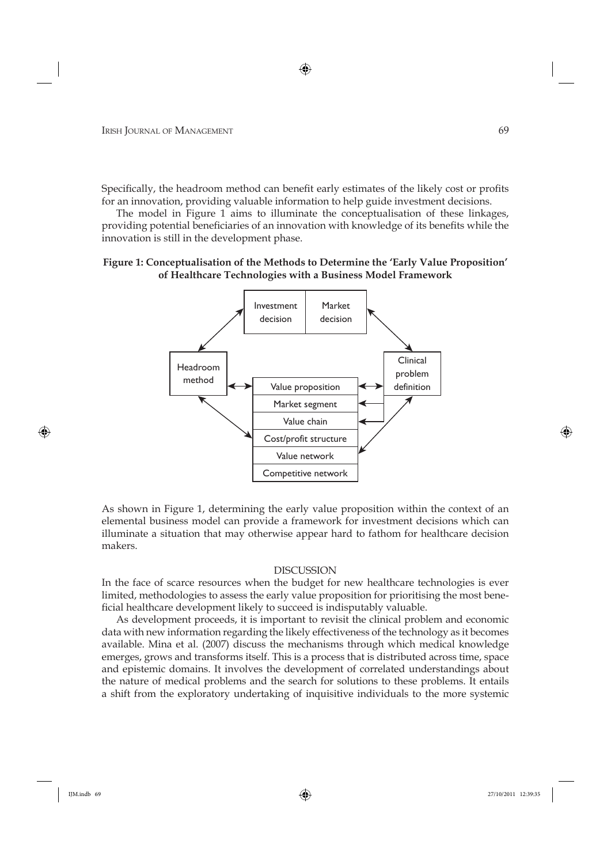Specifically, the headroom method can benefit early estimates of the likely cost or profits for an innovation, providing valuable information to help guide investment decisions.

The model in Figure 1 aims to illuminate the conceptualisation of these linkages, providing potential beneficiaries of an innovation with knowledge of its benefits while the innovation is still in the development phase.

#### **Figure 1: Conceptualisation of the Methods to Determine the 'Early Value Proposition' of Healthcare Technologies with a Business Model Framework**



As shown in Figure 1, determining the early value proposition within the context of an elemental business model can provide a framework for investment decisions which can illuminate a situation that may otherwise appear hard to fathom for healthcare decision makers.

#### DISCUSSION

In the face of scarce resources when the budget for new healthcare technologies is ever limited, methodologies to assess the early value proposition for prioritising the most beneficial healthcare development likely to succeed is indisputably valuable.

As development proceeds, it is important to revisit the clinical problem and economic data with new information regarding the likely effectiveness of the technology as it becomes available. Mina et al. (2007) discuss the mechanisms through which medical knowledge emerges, grows and transforms itself. This is a process that is distributed across time, space and epistemic domains. It involves the development of correlated understandings about the nature of medical problems and the search for solutions to these problems. It entails a shift from the exploratory undertaking of inquisitive individuals to the more systemic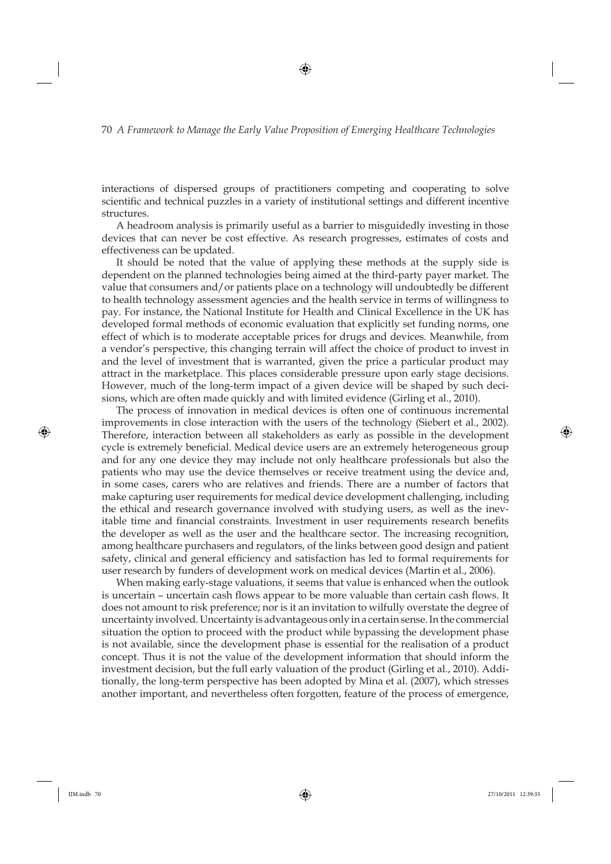interactions of dispersed groups of practitioners competing and cooperating to solve scientific and technical puzzles in a variety of institutional settings and different incentive structures.

A headroom analysis is primarily useful as a barrier to misguidedly investing in those devices that can never be cost effective. As research progresses, estimates of costs and effectiveness can be updated.

It should be noted that the value of applying these methods at the supply side is dependent on the planned technologies being aimed at the third-party payer market. The value that consumers and/or patients place on a technology will undoubtedly be different to health technology assessment agencies and the health service in terms of willingness to pay. For instance, the National Institute for Health and Clinical Excellence in the UK has developed formal methods of economic evaluation that explicitly set funding norms, one effect of which is to moderate acceptable prices for drugs and devices. Meanwhile, from a vendor's perspective, this changing terrain will affect the choice of product to invest in and the level of investment that is warranted, given the price a particular product may attract in the marketplace. This places considerable pressure upon early stage decisions. However, much of the long-term impact of a given device will be shaped by such decisions, which are often made quickly and with limited evidence (Girling et al., 2010).

The process of innovation in medical devices is often one of continuous incremental improvements in close interaction with the users of the technology (Siebert et al., 2002). Therefore, interaction between all stakeholders as early as possible in the development cycle is extremely beneficial. Medical device users are an extremely heterogeneous group and for any one device they may include not only healthcare professionals but also the patients who may use the device themselves or receive treatment using the device and, in some cases, carers who are relatives and friends. There are a number of factors that make capturing user requirements for medical device development challenging, including the ethical and research governance involved with studying users, as well as the inevitable time and financial constraints. Investment in user requirements research benefits the developer as well as the user and the healthcare sector. The increasing recognition, among healthcare purchasers and regulators, of the links between good design and patient safety, clinical and general efficiency and satisfaction has led to formal requirements for user research by funders of development work on medical devices (Martin et al., 2006).

When making early-stage valuations, it seems that value is enhanced when the outlook is uncertain – uncertain cash flows appear to be more valuable than certain cash flows. It does not amount to risk preference; nor is it an invitation to wilfully overstate the degree of uncertainty involved. Uncertainty is advantageous only in a certain sense. In the commercial situation the option to proceed with the product while bypassing the development phase is not available, since the development phase is essential for the realisation of a product concept. Thus it is not the value of the development information that should inform the investment decision, but the full early valuation of the product (Girling et al., 2010). Additionally, the long-term perspective has been adopted by Mina et al. (2007), which stresses another important, and nevertheless often forgotten, feature of the process of emergence,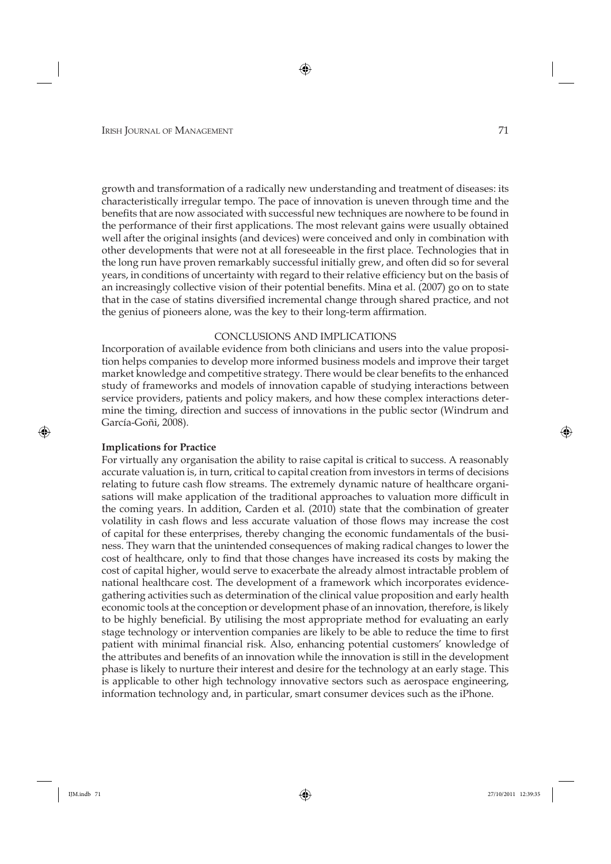growth and transformation of a radically new understanding and treatment of diseases: its characteristically irregular tempo. The pace of innovation is uneven through time and the benefits that are now associated with successful new techniques are nowhere to be found in the performance of their first applications. The most relevant gains were usually obtained well after the original insights (and devices) were conceived and only in combination with other developments that were not at all foreseeable in the first place. Technologies that in the long run have proven remarkably successful initially grew, and often did so for several years, in conditions of uncertainty with regard to their relative efficiency but on the basis of an increasingly collective vision of their potential benefits. Mina et al. (2007) go on to state that in the case of statins diversified incremental change through shared practice, and not the genius of pioneers alone, was the key to their long-term affirmation.

#### CONCLUSIONS AND IMPLICATIONS

Incorporation of available evidence from both clinicians and users into the value proposition helps companies to develop more informed business models and improve their target market knowledge and competitive strategy. There would be clear benefits to the enhanced study of frameworks and models of innovation capable of studying interactions between service providers, patients and policy makers, and how these complex interactions determine the timing, direction and success of innovations in the public sector (Windrum and García-Goñi, 2008).

#### **Implications for Practice**

For virtually any organisation the ability to raise capital is critical to success. A reasonably accurate valuation is, in turn, critical to capital creation from investors in terms of decisions relating to future cash flow streams. The extremely dynamic nature of healthcare organisations will make application of the traditional approaches to valuation more difficult in the coming years. In addition, Carden et al. (2010) state that the combination of greater volatility in cash flows and less accurate valuation of those flows may increase the cost of capital for these enterprises, thereby changing the economic fundamentals of the business. They warn that the unintended consequences of making radical changes to lower the cost of healthcare, only to find that those changes have increased its costs by making the cost of capital higher, would serve to exacerbate the already almost intractable problem of national healthcare cost. The development of a framework which incorporates evidencegathering activities such as determination of the clinical value proposition and early health economic tools at the conception or development phase of an innovation, therefore, is likely to be highly beneficial. By utilising the most appropriate method for evaluating an early stage technology or intervention companies are likely to be able to reduce the time to first patient with minimal financial risk. Also, enhancing potential customers' knowledge of the attributes and benefits of an innovation while the innovation is still in the development phase is likely to nurture their interest and desire for the technology at an early stage. This is applicable to other high technology innovative sectors such as aerospace engineering, information technology and, in particular, smart consumer devices such as the iPhone.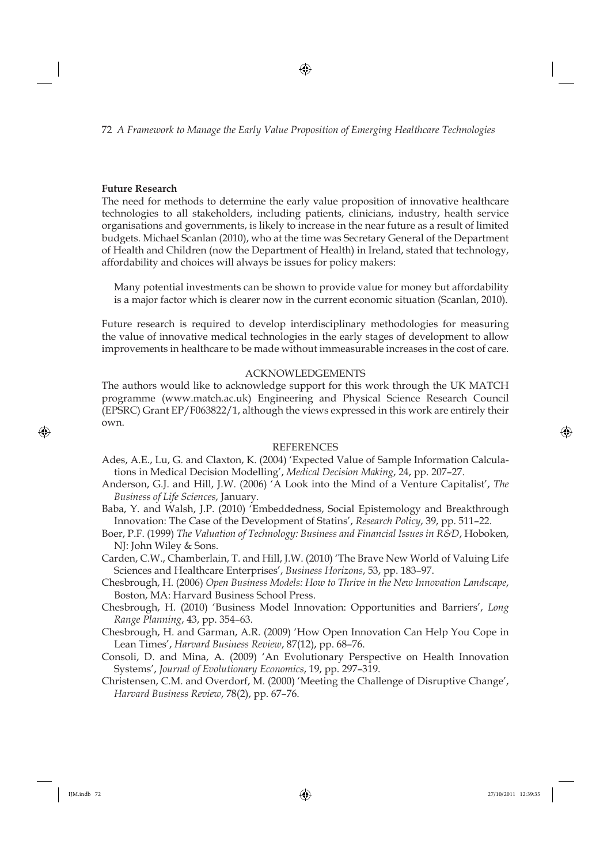#### **Future Research**

The need for methods to determine the early value proposition of innovative healthcare technologies to all stakeholders, including patients, clinicians, industry, health service organisations and governments, is likely to increase in the near future as a result of limited budgets. Michael Scanlan (2010), who at the time was Secretary General of the Department of Health and Children (now the Department of Health) in Ireland, stated that technology, affordability and choices will always be issues for policy makers:

Many potential investments can be shown to provide value for money but affordability is a major factor which is clearer now in the current economic situation (Scanlan, 2010).

Future research is required to develop interdisciplinary methodologies for measuring the value of innovative medical technologies in the early stages of development to allow improvements in healthcare to be made without immeasurable increases in the cost of care.

#### ACKNOWLEDGEMENTS

The authors would like to acknowledge support for this work through the UK MATCH programme (www.match.ac.uk) Engineering and Physical Science Research Council (EPSRC) Grant EP/F063822/1, although the views expressed in this work are entirely their own.

#### REFERENCES

- Ades, A.E., Lu, G. and Claxton, K. (2004) 'Expected Value of Sample Information Calculations in Medical Decision Modelling', *Medical Decision Making*, 24, pp. 207–27.
- Anderson, G.J. and Hill, J.W. (2006) 'A Look into the Mind of a Venture Capitalist', *The Business of Life Sciences*, January.
- Baba, Y. and Walsh, J.P. (2010) 'Embeddedness, Social Epistemology and Breakthrough Innovation: The Case of the Development of Statins', *Research Policy*, 39, pp. 511–22.
- Boer, P.F. (1999) *The Valuation of Technology: Business and Financial Issues in R&D*, Hoboken, NJ: John Wiley & Sons.
- Carden, C.W., Chamberlain, T. and Hill, J.W. (2010) 'The Brave New World of Valuing Life Sciences and Healthcare Enterprises', *Business Horizons*, 53, pp. 183–97.
- Chesbrough, H. (2006) *Open Business Models: How to Thrive in the New Innovation Landscape*, Boston, MA: Harvard Business School Press.
- Chesbrough, H. (2010) 'Business Model Innovation: Opportunities and Barriers', *Long Range Planning*, 43, pp. 354–63.
- Chesbrough, H. and Garman, A.R. (2009) 'How Open Innovation Can Help You Cope in Lean Times', *Harvard Business Review*, 87(12), pp. 68–76.
- Consoli, D. and Mina, A. (2009) 'An Evolutionary Perspective on Health Innovation Systems', *Journal of Evolutionary Economics*, 19, pp. 297–319.
- Christensen, C.M. and Overdorf, M. (2000) 'Meeting the Challenge of Disruptive Change', *Harvard Business Review*, 78(2), pp. 67–76.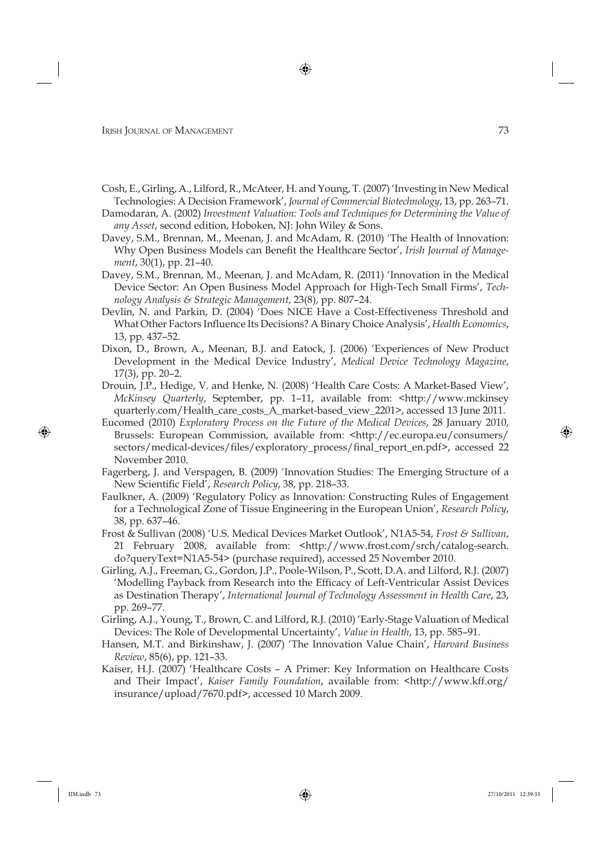- Cosh, E., Girling, A., Lilford, R., McAteer, H. and Young, T. (2007) 'Investing in New Medical Technologies: A Decision Framework', *Journal of Commercial Biotechnology*, 13, pp. 263–71.
- Damodaran, A. (2002) *Investment Valuation: Tools and Techniques for Determining the Value of any Asset*, second edition, Hoboken, NJ: John Wiley & Sons.
- Davey, S.M., Brennan, M., Meenan, J. and McAdam, R. (2010) 'The Health of Innovation: Why Open Business Models can Benefit the Healthcare Sector', *Irish Journal of Management*, 30(1), pp. 21–40.
- Davey, S.M., Brennan, M., Meenan, J. and McAdam, R. (2011) 'Innovation in the Medical Device Sector: An Open Business Model Approach for High-Tech Small Firms', *Technology Analysis & Strategic Management*, 23(8), pp. 807–24.
- Devlin, N. and Parkin, D. (2004) 'Does NICE Have a Cost-Effectiveness Threshold and What Other Factors Influence Its Decisions? A Binary Choice Analysis', *Health Economics*, 13, pp. 437–52.
- Dixon, D., Brown, A., Meenan, B.J. and Eatock, J. (2006) 'Experiences of New Product Development in the Medical Device Industry', *Medical Device Technology Magazine*, 17(3), pp. 20–2.
- Drouin, J.P., Hedige, V. and Henke, N. (2008) 'Health Care Costs: A Market-Based View', *McKinsey Quarterly*, September, pp. 1–11, available from: <http://www. mckinsey quarterly.com/Health\_care\_costs\_A\_market-based\_view\_2201>, accessed 13 June 2011.
- Eucomed (2010) *Exploratory Process on the Future of the Medical Devices*, 28 January 2010, Brussels: European Commission, available from: <http://ec.europa.eu/consumers/ sectors/medical-devices/files/exploratory\_process/final\_report\_en.pdf>, accessed 22 November 2010.
- Fagerberg, J. and Verspagen, B. (2009) 'Innovation Studies: The Emerging Structure of a New Scientific Field', *Research Policy*, 38, pp. 218-33.
- Faulkner, A. (2009) 'Regulatory Policy as Innovation: Constructing Rules of Engagement for a Technological Zone of Tissue Engineering in the European Union', *Research Policy*, 38, pp. 637–46.
- Frost & Sullivan (2008) 'U.S. Medical Devices Market Outlook', N1A5-54, *Frost & Sullivan*, 21 February 2008, available from: <http://www.frost.com/srch/catalog-search. do?queryText=N1A5-54> (purchase required), accessed 25 November 2010.
- Girling, A.J., Freeman, G., Gordon, J.P., Poole-Wilson, P., Scott, D.A. and Lilford, R.J. (2007) 'Modelling Payback from Research into the Efficacy of Left-Ventricular Assist Devices as Destination Therapy', *International Journal of Technology Assessment in Health Care*, 23, pp. 269–77.
- Girling, A.J., Young, T., Brown, C. and Lilford, R.J. (2010) 'Early-Stage Valuation of Medical Devices: The Role of Developmental Uncertainty', *Value in Health*, 13, pp. 585–91.
- Hansen, M.T. and Birkinshaw, J. (2007) 'The Innovation Value Chain', *Harvard Business Review*, 85(6), pp. 121–33.
- Kaiser, H.J. (2007) 'Healthcare Costs A Primer: Key Information on Healthcare Costs and Their Impact', *Kaiser Family Foundation*, available from: <http://www.kff.org/ insurance/upload/7670.pdf>, accessed 10 March 2009.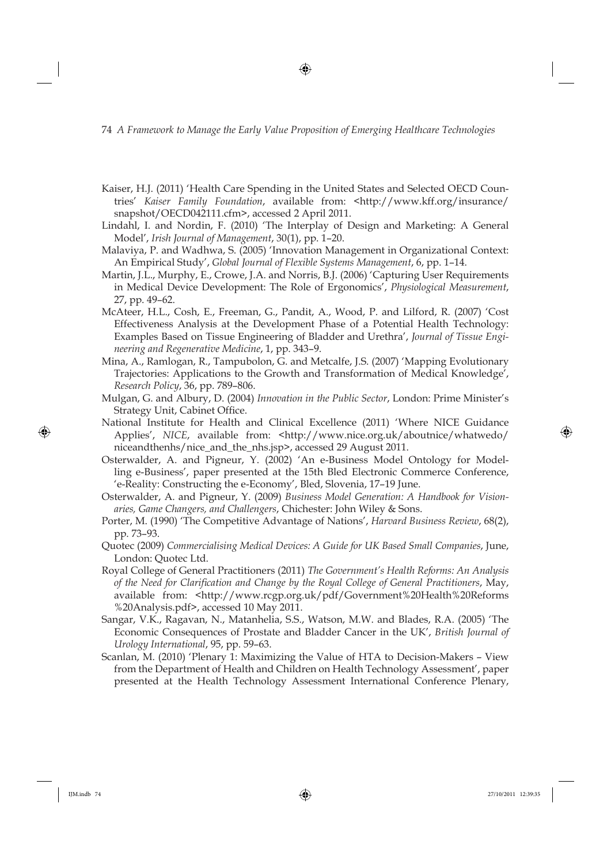- Kaiser, H.J. (2011) 'Health Care Spending in the United States and Selected OECD Countries' Kaiser Family Foundation, available from: <http://www.kff.org/insurance/ snapshot/OECD042111.cfm>, accessed 2 April 2011.
- Lindahl, I. and Nordin, F. (2010) 'The Interplay of Design and Marketing: A General Model', *Irish Journal of Management*, 30(1), pp. 1–20.
- Malaviya, P. and Wadhwa, S. (2005) 'Innovation Management in Organizational Context: An Empirical Study', *Global Journal of Flexible Systems Management*, 6, pp. 1–14.
- Martin, J.L., Murphy, E., Crowe, J.A. and Norris, B.J. (2006) 'Capturing User Requirements in Medical Device Development: The Role of Ergonomics', *Physiological Measurement*, 27, pp. 49–62.
- McAteer, H.L., Cosh, E., Freeman, G., Pandit, A., Wood, P. and Lilford, R. (2007) 'Cost Effectiveness Analysis at the Development Phase of a Potential Health Technology: Examples Based on Tissue Engineering of Bladder and Urethra', *Journal of Tissue Engineering and Regenerative Medicine*, 1, pp. 343–9.
- Mina, A., Ramlogan, R., Tampubolon, G. and Metcalfe, J.S. (2007) 'Mapping Evolutionary Trajectories: Applications to the Growth and Transformation of Medical Knowledge', *Research Policy*, 36, pp. 789–806.
- Mulgan, G. and Albury, D. (2004) *Innovation in the Public Sector*, London: Prime Minister's Strategy Unit, Cabinet Office.
- National Institute for Health and Clinical Excellence (2011) 'Where NICE Guidance Applies', *NICE*, available from: <http://www.nice.org.uk/aboutnice/whatwedo/ niceandthenhs/nice and the nhs.jsp>, accessed 29 August 2011.
- Osterwalder, A. and Pigneur, Y. (2002) 'An e-Business Model Ontology for Modelling e-Business', paper presented at the 15th Bled Electronic Commerce Conference, 'e-Reality: Constructing the e-Economy', Bled, Slovenia, 17–19 June.
- Osterwalder, A. and Pigneur, Y. (2009) *Business Model Generation: A Handbook for Visionaries, Game Changers, and Challengers*, Chichester: John Wiley & Sons.
- Porter, M. (1990) 'The Competitive Advantage of Nations', *Harvard Business Review*, 68(2), pp. 73–93.
- Quotec (2009) *Commercialising Medical Devices: A Guide for UK Based Small Companies*, June, London: Quotec Ltd.
- Royal College of General Practitioners (2011) *The Government's Health Reforms: An Analysis of the Need for Clarifi cation and Change by the Royal College of General Practitioners*, May, available from: <http://www.rcgp.org.uk/pdf/Government%20Health%20Reforms %20Analysis.pdf>, accessed 10 May 2011.
- Sangar, V.K., Ragavan, N., Matanhelia, S.S., Watson, M.W. and Blades, R.A. (2005) 'The Economic Consequences of Prostate and Bladder Cancer in the UK', *British Journal of Urology International*, 95, pp. 59–63.
- Scanlan, M. (2010) 'Plenary 1: Maximizing the Value of HTA to Decision-Makers View from the Department of Health and Children on Health Technology Assessment', paper presented at the Health Technology Assessment International Conference Plenary,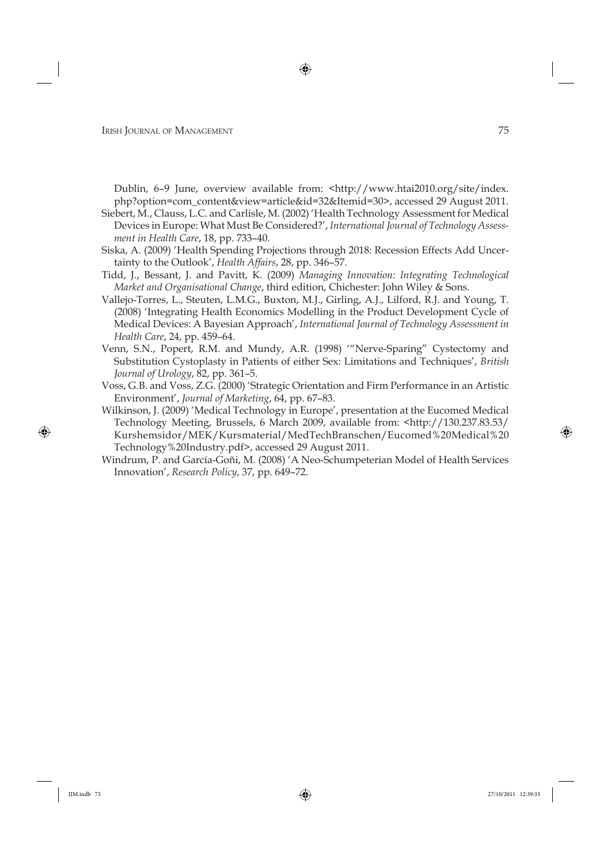Dublin, 6-9 June, overview available from: <http://www.htai2010.org/site/index. php?option=com\_content&view=article&id=32&Itemid=30>, accessed 29 August 2011.

- Siebert, M., Clauss, L.C. and Carlisle, M. (2002) 'Health Technology Assessment for Medical Devices in Europe: What Must Be Considered?', *International Journal of Technology Assessment in Health Care*, 18, pp. 733–40.
- Siska, A. (2009) 'Health Spending Projections through 2018: Recession Effects Add Uncertainty to the Outlook', *Health Affairs*, 28, pp. 346–57.
- Tidd, J., Bessant, J. and Pavitt, K. (2009) *Managing Innovation: Integrating Technological Market and Organisational Change*, third edition, Chichester: John Wiley & Sons.
- Vallejo-Torres, L., Steuten, L.M.G., Buxton, M.J., Girling, A.J., Lilford, R.J. and Young, T. (2008) 'Integrating Health Economics Modelling in the Product Development Cycle of Medical Devices: A Bayesian Approach', *International Journal of Technology Assessment in Health Care*, 24, pp. 459–64.
- Venn, S.N., Popert, R.M. and Mundy, A.R. (1998) '"Nerve-Sparing" Cystectomy and Substitution Cystoplasty in Patients of either Sex: Limitations and Techniques', *British Journal of Urology*, 82, pp. 361–5.
- Voss, G.B. and Voss, Z.G. (2000) 'Strategic Orientation and Firm Performance in an Artistic Environment', *Journal of Marketing*, 64, pp. 67–83.
- Wilkinson, J. (2009) 'Medical Technology in Europe', presentation at the Eucomed Medical Technology Meeting, Brussels, 6 March 2009, available from: <http://130.237.83.53/ Kurshemsidor/MEK/Kursmaterial/MedTechBranschen/Eucomed%20Medical%20 Technology%20Industry.pdf>, accessed 29 August 2011.
- Windrum, P. and García-Goñi, M. (2008) 'A Neo-Schumpeterian Model of Health Services Innovation', *Research Policy*, 37, pp. 649–72.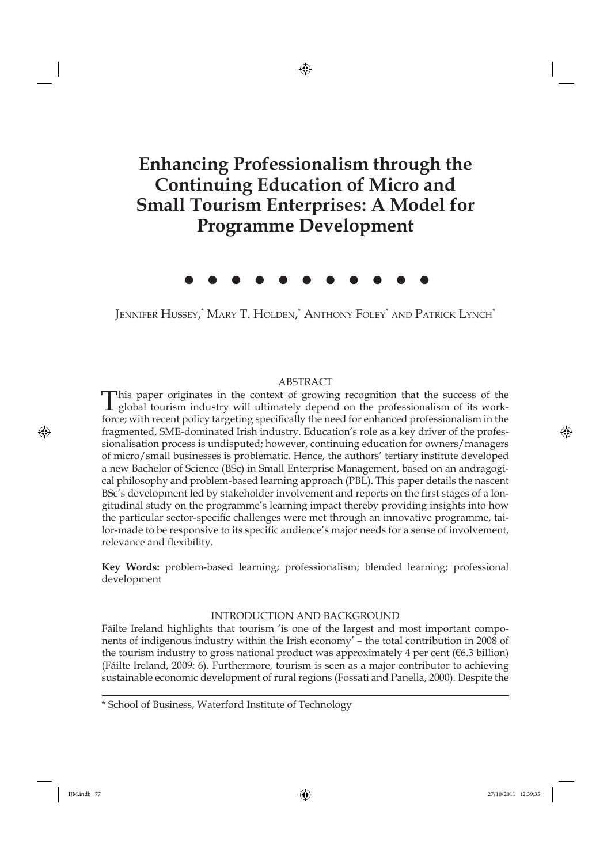# **Enhancing Professionalism through the Continuing Education of Micro and Small Tourism Enterprises: A Model for Programme Development**

Jennifer Hussey,\* Mary T. Holden,\* Anthony Foley\* and Patrick Lynch\*

#### ABSTRACT

This paper originates in the context of growing recognition that the success of the global tourism industry will ultimately depend on the professionalism of its workforce; with recent policy targeting specifically the need for enhanced professionalism in the fragmented, SME-dominated Irish industry. Education's role as a key driver of the professionalisation process is undisputed; however, continuing education for owners/managers of micro/small businesses is problematic. Hence, the authors' tertiary institute developed a new Bachelor of Science (BSc) in Small Enterprise Management, based on an andragogical philosophy and problem-based learning approach (PBL). This paper details the nascent BSc's development led by stakeholder involvement and reports on the first stages of a longitudinal study on the programme's learning impact thereby providing insights into how the particular sector-specific challenges were met through an innovative programme, tailor-made to be responsive to its specific audience's major needs for a sense of involvement, relevance and flexibility.

**Key Words:** problem-based learning; professionalism; blended learning; professional development

# INTRODUCTION AND BACKGROUND

Fáilte Ireland highlights that tourism 'is one of the largest and most important components of indigenous industry within the Irish economy' – the total contribution in 2008 of the tourism industry to gross national product was approximately 4 per cent ( $\epsilon$ 6.3 billion) (Fáilte Ireland, 2009: 6). Furthermore, tourism is seen as a major contributor to achieving sustainable economic development of rural regions (Fossati and Panella, 2000). Despite the

<sup>\*</sup> School of Business, Waterford Institute of Technology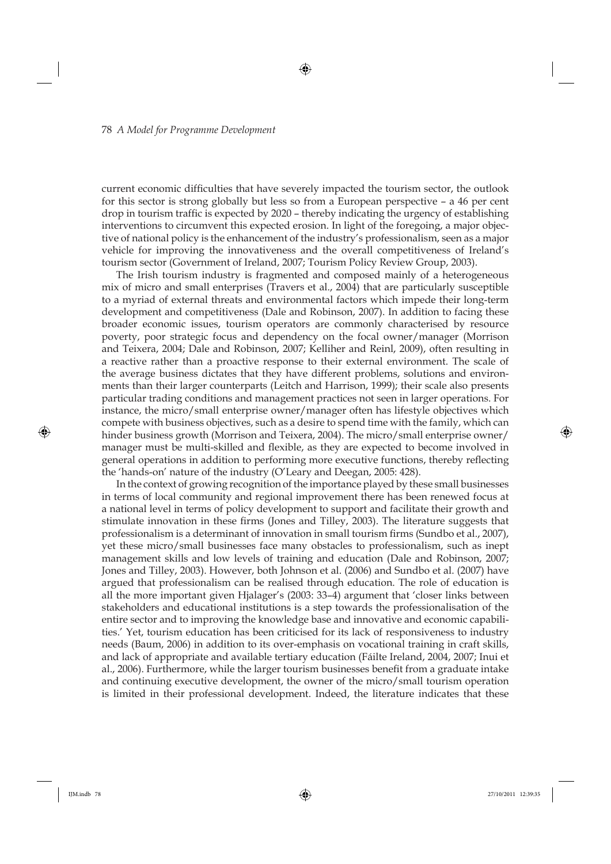current economic difficulties that have severely impacted the tourism sector, the outlook for this sector is strong globally but less so from a European perspective – a 46 per cent drop in tourism traffic is expected by 2020 – thereby indicating the urgency of establishing interventions to circumvent this expected erosion. In light of the foregoing, a major objective of national policy is the enhancement of the industry's professionalism, seen as a major vehicle for improving the innovativeness and the overall competitiveness of Ireland's tourism sector (Government of Ireland, 2007; Tourism Policy Review Group, 2003).

The Irish tourism industry is fragmented and composed mainly of a heterogeneous mix of micro and small enterprises (Travers et al., 2004) that are particularly susceptible to a myriad of external threats and environmental factors which impede their long-term development and competitiveness (Dale and Robinson, 2007). In addition to facing these broader economic issues, tourism operators are commonly characterised by resource poverty, poor strategic focus and dependency on the focal owner/manager (Morrison and Teixera, 2004; Dale and Robinson, 2007; Kelliher and Reinl, 2009), often resulting in a reactive rather than a proactive response to their external environment. The scale of the average business dictates that they have different problems, solutions and environments than their larger counterparts (Leitch and Harrison, 1999); their scale also presents particular trading conditions and management practices not seen in larger operations. For instance, the micro/small enterprise owner/manager often has lifestyle objectives which compete with business objectives, such as a desire to spend time with the family, which can hinder business growth (Morrison and Teixera, 2004). The micro/small enterprise owner/ manager must be multi-skilled and flexible, as they are expected to become involved in general operations in addition to performing more executive functions, thereby reflecting the 'hands-on' nature of the industry (O'Leary and Deegan, 2005: 428).

In the context of growing recognition of the importance played by these small businesses in terms of local community and regional improvement there has been renewed focus at a national level in terms of policy development to support and facilitate their growth and stimulate innovation in these firms (Jones and Tilley, 2003). The literature suggests that professionalism is a determinant of innovation in small tourism firms (Sundbo et al., 2007), yet these micro/small businesses face many obstacles to professionalism, such as inept management skills and low levels of training and education (Dale and Robinson, 2007; Jones and Tilley, 2003). However, both Johnson et al. (2006) and Sundbo et al. (2007) have argued that professionalism can be realised through education. The role of education is all the more important given Hjalager's (2003: 33–4) argument that 'closer links between stakeholders and educational institutions is a step towards the professionalisation of the entire sector and to improving the knowledge base and innovative and economic capabilities.' Yet, tourism education has been criticised for its lack of responsiveness to industry needs (Baum, 2006) in addition to its over-emphasis on vocational training in craft skills, and lack of appropriate and available tertiary education (Fáilte Ireland, 2004, 2007; Inui et al., 2006). Furthermore, while the larger tourism businesses benefit from a graduate intake and continuing executive development, the owner of the micro/small tourism operation is limited in their professional development. Indeed, the literature indicates that these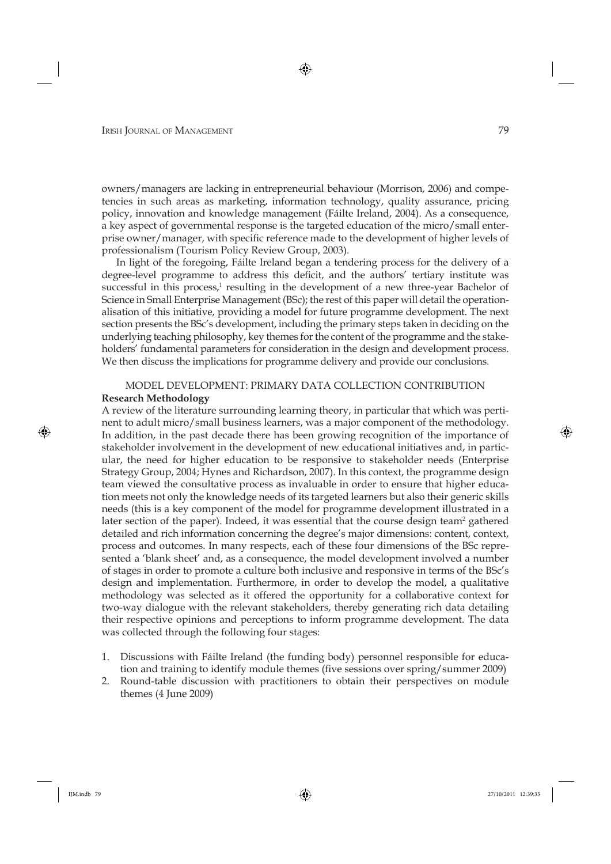owners/managers are lacking in entrepreneurial behaviour (Morrison, 2006) and competencies in such areas as marketing, information technology, quality assurance, pricing policy, innovation and knowledge management (Fáilte Ireland, 2004). As a consequence, a key aspect of governmental response is the targeted education of the micro/small enterprise owner/manager, with specific reference made to the development of higher levels of professionalism (Tourism Policy Review Group, 2003).

In light of the foregoing, Fáilte Ireland began a tendering process for the delivery of a degree-level programme to address this deficit, and the authors' tertiary institute was successful in this process,<sup>1</sup> resulting in the development of a new three-year Bachelor of Science in Small Enterprise Management (BSc); the rest of this paper will detail the operationalisation of this initiative, providing a model for future programme development. The next section presents the BSc's development, including the primary steps taken in deciding on the underlying teaching philosophy, key themes for the content of the programme and the stakeholders' fundamental parameters for consideration in the design and development process. We then discuss the implications for programme delivery and provide our conclusions.

### MODEL DEVELOPMENT: PRIMARY DATA COLLECTION CONTRIBUTION **Research Methodology**

A review of the literature surrounding learning theory, in particular that which was pertinent to adult micro/small business learners, was a major component of the methodology. In addition, in the past decade there has been growing recognition of the importance of stakeholder involvement in the development of new educational initiatives and, in particular, the need for higher education to be responsive to stakeholder needs (Enterprise Strategy Group, 2004; Hynes and Richardson, 2007). In this context, the programme design team viewed the consultative process as invaluable in order to ensure that higher education meets not only the knowledge needs of its targeted learners but also their generic skills needs (this is a key component of the model for programme development illustrated in a later section of the paper). Indeed, it was essential that the course design team<sup>2</sup> gathered detailed and rich information concerning the degree's major dimensions: content, context, process and outcomes. In many respects, each of these four dimensions of the BSc represented a 'blank sheet' and, as a consequence, the model development involved a number of stages in order to promote a culture both inclusive and responsive in terms of the BSc's design and implementation. Furthermore, in order to develop the model, a qualitative methodology was selected as it offered the opportunity for a collaborative context for two-way dialogue with the relevant stakeholders, thereby generating rich data detailing their respective opinions and perceptions to inform programme development. The data was collected through the following four stages:

- 1. Discussions with Fáilte Ireland (the funding body) personnel responsible for education and training to identify module themes (five sessions over spring/summer 2009)
- 2. Round-table discussion with practitioners to obtain their perspectives on module themes (4 June 2009)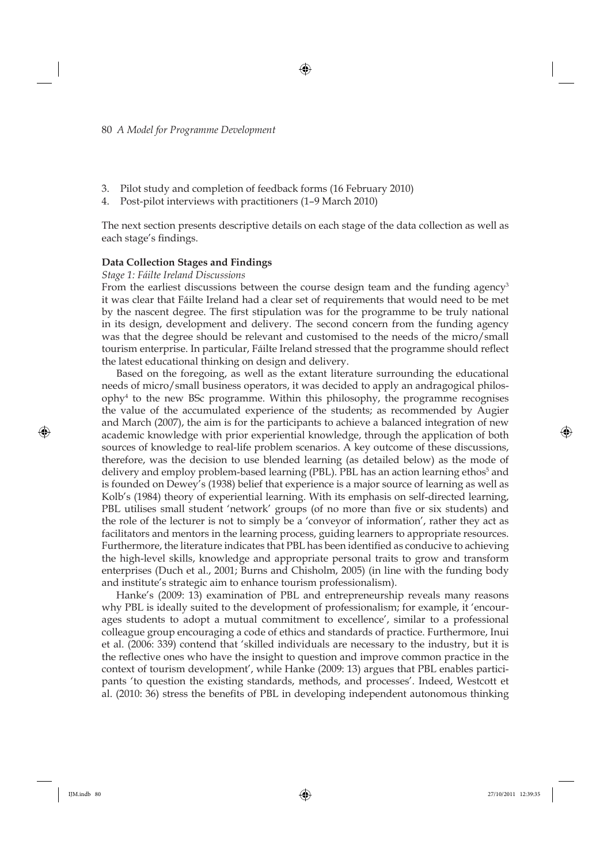- 3. Pilot study and completion of feedback forms (16 February 2010)
- 4. Post-pilot interviews with practitioners (1–9 March 2010)

The next section presents descriptive details on each stage of the data collection as well as each stage's findings.

#### **Data Collection Stages and Findings**

#### *Stage 1: Fáilte Ireland Discussions*

From the earliest discussions between the course design team and the funding agency<sup>3</sup> it was clear that Fáilte Ireland had a clear set of requirements that would need to be met by the nascent degree. The first stipulation was for the programme to be truly national in its design, development and delivery. The second concern from the funding agency was that the degree should be relevant and customised to the needs of the micro/small tourism enterprise. In particular, Fáilte Ireland stressed that the programme should reflect the latest educational thinking on design and delivery.

Based on the foregoing, as well as the extant literature surrounding the educational needs of micro/small business operators, it was decided to apply an andragogical philosophy4 to the new BSc programme. Within this philosophy, the programme recognises the value of the accumulated experience of the students; as recommended by Augier and March (2007), the aim is for the participants to achieve a balanced integration of new academic knowledge with prior experiential knowledge, through the application of both sources of knowledge to real-life problem scenarios. A key outcome of these discussions, therefore, was the decision to use blended learning (as detailed below) as the mode of delivery and employ problem-based learning (PBL). PBL has an action learning ethos<sup>5</sup> and is founded on Dewey's (1938) belief that experience is a major source of learning as well as Kolb's (1984) theory of experiential learning. With its emphasis on self-directed learning, PBL utilises small student 'network' groups (of no more than five or six students) and the role of the lecturer is not to simply be a 'conveyor of information', rather they act as facilitators and mentors in the learning process, guiding learners to appropriate resources. Furthermore, the literature indicates that PBL has been identified as conducive to achieving the high-level skills, knowledge and appropriate personal traits to grow and transform enterprises (Duch et al., 2001; Burns and Chisholm, 2005) (in line with the funding body and institute's strategic aim to enhance tourism professionalism).

Hanke's (2009: 13) examination of PBL and entrepreneurship reveals many reasons why PBL is ideally suited to the development of professionalism; for example, it 'encourages students to adopt a mutual commitment to excellence', similar to a professional colleague group encouraging a code of ethics and standards of practice. Furthermore, Inui et al. (2006: 339) contend that 'skilled individuals are necessary to the industry, but it is the reflective ones who have the insight to question and improve common practice in the context of tourism development', while Hanke (2009: 13) argues that PBL enables participants 'to question the existing standards, methods, and processes'. Indeed, Westcott et al. (2010: 36) stress the benefits of PBL in developing independent autonomous thinking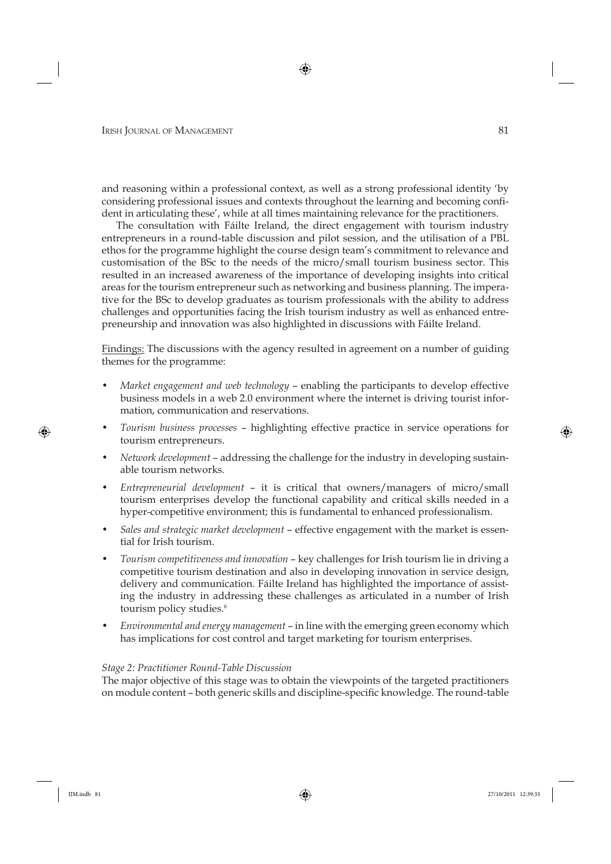and reasoning within a professional context, as well as a strong professional identity 'by considering professional issues and contexts throughout the learning and becoming confident in articulating these', while at all times maintaining relevance for the practitioners.

The consultation with Fáilte Ireland, the direct engagement with tourism industry entrepreneurs in a round-table discussion and pilot session, and the utilisation of a PBL ethos for the programme highlight the course design team's commitment to relevance and customisation of the BSc to the needs of the micro/small tourism business sector. This resulted in an increased awareness of the importance of developing insights into critical areas for the tourism entrepreneur such as networking and business planning. The imperative for the BSc to develop graduates as tourism professionals with the ability to address challenges and opportunities facing the Irish tourism industry as well as enhanced entrepreneurship and innovation was also highlighted in discussions with Fáilte Ireland.

Findings: The discussions with the agency resulted in agreement on a number of guiding themes for the programme:

- *Market engagement and web technology* enabling the participants to develop effective business models in a web 2.0 environment where the internet is driving tourist information, communication and reservations.
- *Tourism business processes* highlighting effective practice in service operations for tourism entrepreneurs.
- *Network development* addressing the challenge for the industry in developing sustainable tourism networks.
- *Entrepreneurial development* it is critical that owners/managers of micro/small tourism enterprises develop the functional capability and critical skills needed in a hyper-competitive environment; this is fundamental to enhanced professionalism.
- *Sales and strategic market development* effective engagement with the market is essential for Irish tourism.
- *Tourism competitiveness and innovation* key challenges for Irish tourism lie in driving a competitive tourism destination and also in developing innovation in service design, delivery and communication. Fáilte Ireland has highlighted the importance of assisting the industry in addressing these challenges as articulated in a number of Irish tourism policy studies.<sup>6</sup>
- *Environmental and energy management* in line with the emerging green economy which has implications for cost control and target marketing for tourism enterprises.

#### *Stage 2: Practitioner Round-Table Discussion*

The major objective of this stage was to obtain the viewpoints of the targeted practitioners on module content - both generic skills and discipline-specific knowledge. The round-table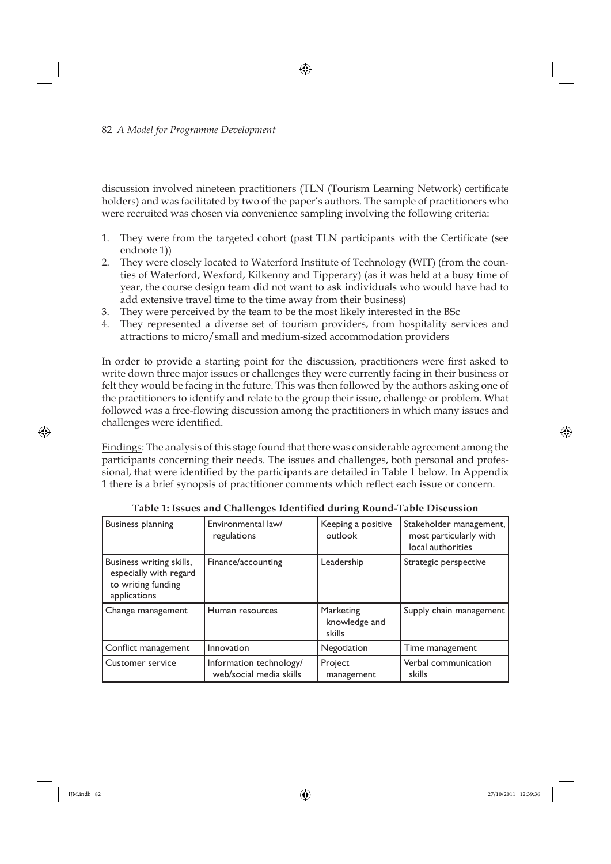discussion involved nineteen practitioners (TLN (Tourism Learning Network) certificate holders) and was facilitated by two of the paper's authors. The sample of practitioners who were recruited was chosen via convenience sampling involving the following criteria:

- 1. They were from the targeted cohort (past TLN participants with the Certificate (see endnote 1))
- 2. They were closely located to Waterford Institute of Technology (WIT) (from the counties of Waterford, Wexford, Kilkenny and Tipperary) (as it was held at a busy time of year, the course design team did not want to ask individuals who would have had to add extensive travel time to the time away from their business)
- 3. They were perceived by the team to be the most likely interested in the BSc
- 4. They represented a diverse set of tourism providers, from hospitality services and attractions to micro/small and medium-sized accommodation providers

In order to provide a starting point for the discussion, practitioners were first asked to write down three major issues or challenges they were currently facing in their business or felt they would be facing in the future. This was then followed by the authors asking one of the practitioners to identify and relate to the group their issue, challenge or problem. What followed was a free-flowing discussion among the practitioners in which many issues and challenges were identified.

Findings: The analysis of this stage found that there was considerable agreement among the participants concerning their needs. The issues and challenges, both personal and professional, that were identified by the participants are detailed in Table 1 below. In Appendix 1 there is a brief synopsis of practitioner comments which reflect each issue or concern.

| <b>Business planning</b>                                                                 | Environmental law/<br>regulations                  | Keeping a positive<br>outlook        | Stakeholder management,<br>most particularly with<br>local authorities |
|------------------------------------------------------------------------------------------|----------------------------------------------------|--------------------------------------|------------------------------------------------------------------------|
| Business writing skills,<br>especially with regard<br>to writing funding<br>applications | Finance/accounting                                 | Leadership                           | Strategic perspective                                                  |
| Change management                                                                        | Human resources                                    | Marketing<br>knowledge and<br>skills | Supply chain management                                                |
| Conflict management                                                                      | Innovation                                         | Negotiation                          | Time management                                                        |
| <b>Customer service</b>                                                                  | Information technology/<br>web/social media skills | Project<br>management                | Verbal communication<br>skills                                         |

**Table 1: Issues and Challenges Identified during Round-Table Discussion**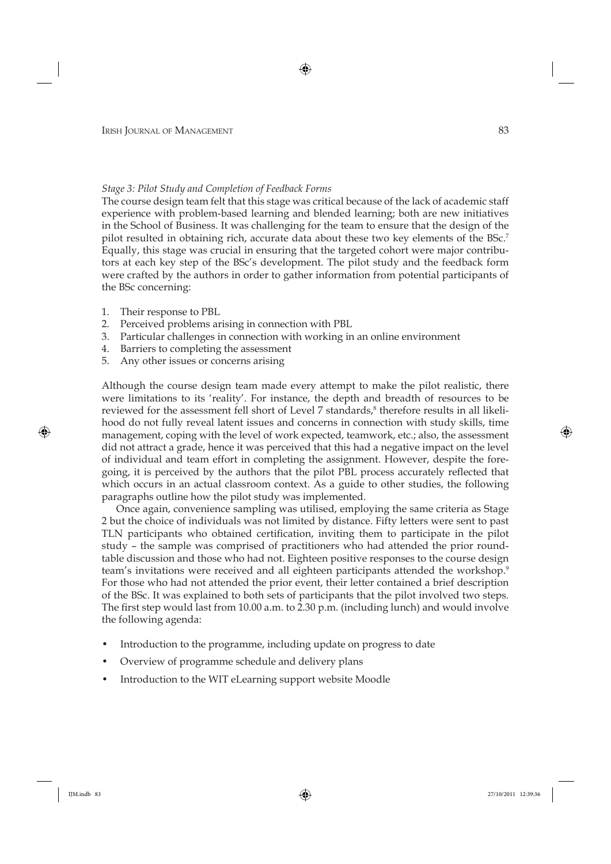## *Stage 3: Pilot Study and Completion of Feedback Forms*

The course design team felt that this stage was critical because of the lack of academic staff experience with problem-based learning and blended learning; both are new initiatives in the School of Business. It was challenging for the team to ensure that the design of the pilot resulted in obtaining rich, accurate data about these two key elements of the BSc.7 Equally, this stage was crucial in ensuring that the targeted cohort were major contributors at each key step of the BSc's development. The pilot study and the feedback form were crafted by the authors in order to gather information from potential participants of the BSc concerning:

- 1. Their response to PBL
- 2. Perceived problems arising in connection with PBL
- 3. Particular challenges in connection with working in an online environment
- 4. Barriers to completing the assessment
- 5. Any other issues or concerns arising

Although the course design team made every attempt to make the pilot realistic, there were limitations to its 'reality'. For instance, the depth and breadth of resources to be reviewed for the assessment fell short of Level  $7$  standards, $8$  therefore results in all likelihood do not fully reveal latent issues and concerns in connection with study skills, time management, coping with the level of work expected, teamwork, etc.; also, the assessment did not attract a grade, hence it was perceived that this had a negative impact on the level of individual and team effort in completing the assignment. However, despite the foregoing, it is perceived by the authors that the pilot PBL process accurately reflected that which occurs in an actual classroom context. As a guide to other studies, the following paragraphs outline how the pilot study was implemented.

Once again, convenience sampling was utilised, employing the same criteria as Stage 2 but the choice of individuals was not limited by distance. Fifty letters were sent to past TLN participants who obtained certification, inviting them to participate in the pilot study – the sample was comprised of practitioners who had attended the prior roundtable discussion and those who had not. Eighteen positive responses to the course design team's invitations were received and all eighteen participants attended the workshop.<sup>9</sup> For those who had not attended the prior event, their letter contained a brief description of the BSc. It was explained to both sets of participants that the pilot involved two steps. The first step would last from  $10.00$  a.m. to  $2.30$  p.m. (including lunch) and would involve the following agenda:

- Introduction to the programme, including update on progress to date
- Overview of programme schedule and delivery plans
- Introduction to the WIT eLearning support website Moodle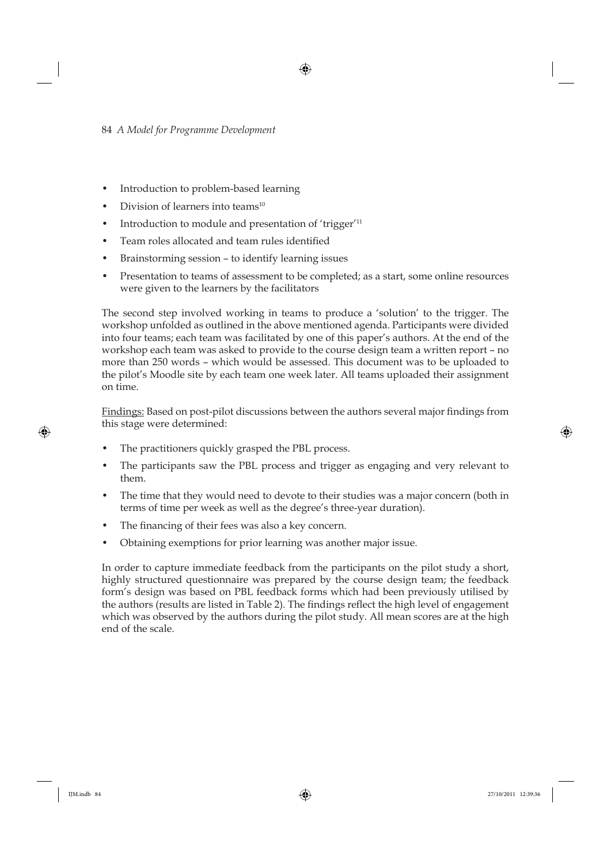- Introduction to problem-based learning
- Division of learners into teams $10$
- Introduction to module and presentation of 'trigger'<sup>11</sup>
- Team roles allocated and team rules identified
- Brainstorming session to identify learning issues
- Presentation to teams of assessment to be completed; as a start, some online resources were given to the learners by the facilitators

The second step involved working in teams to produce a 'solution' to the trigger. The workshop unfolded as outlined in the above mentioned agenda. Participants were divided into four teams; each team was facilitated by one of this paper's authors. At the end of the workshop each team was asked to provide to the course design team a written report – no more than 250 words – which would be assessed. This document was to be uploaded to the pilot's Moodle site by each team one week later. All teams uploaded their assignment on time.

Findings: Based on post-pilot discussions between the authors several major findings from this stage were determined:

- The practitioners quickly grasped the PBL process.
- The participants saw the PBL process and trigger as engaging and very relevant to them.
- The time that they would need to devote to their studies was a major concern (both in terms of time per week as well as the degree's three-year duration).
- The financing of their fees was also a key concern.
- Obtaining exemptions for prior learning was another major issue.

In order to capture immediate feedback from the participants on the pilot study a short, highly structured questionnaire was prepared by the course design team; the feedback form's design was based on PBL feedback forms which had been previously utilised by the authors (results are listed in Table 2). The findings reflect the high level of engagement which was observed by the authors during the pilot study. All mean scores are at the high end of the scale.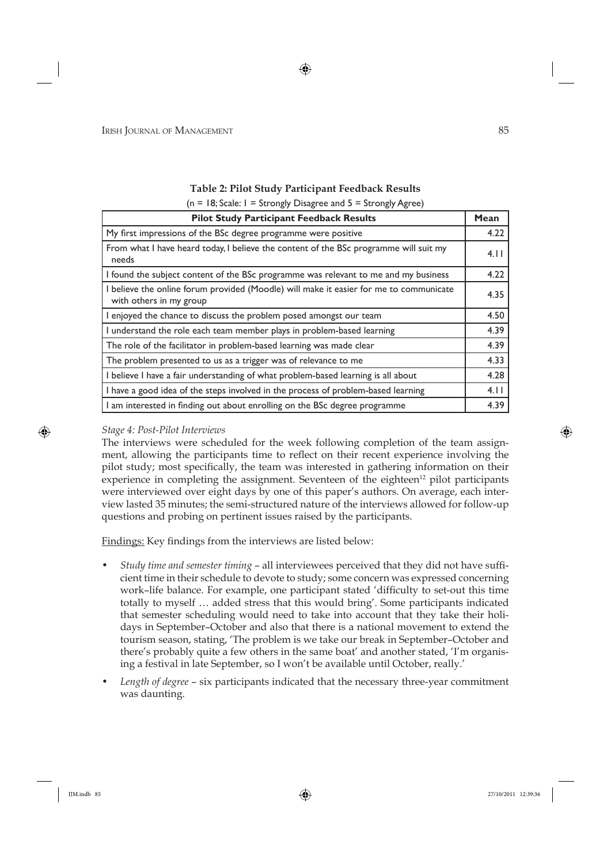# **Table 2: Pilot Study Participant Feedback Results**

 $(n = 18; Scale: 1 = Strongly Disagree and 5 = Strongly Agree)$ 

| <b>Pilot Study Participant Feedback Results</b>                                                                   | Mean |  |
|-------------------------------------------------------------------------------------------------------------------|------|--|
| My first impressions of the BSc degree programme were positive                                                    | 4.22 |  |
| From what I have heard today, I believe the content of the BSc programme will suit my<br>needs                    |      |  |
| I found the subject content of the BSc programme was relevant to me and my business                               | 4.22 |  |
| I believe the online forum provided (Moodle) will make it easier for me to communicate<br>with others in my group | 4.35 |  |
| I enjoyed the chance to discuss the problem posed amongst our team                                                | 4.50 |  |
| I understand the role each team member plays in problem-based learning                                            | 4.39 |  |
| The role of the facilitator in problem-based learning was made clear                                              | 4.39 |  |
| The problem presented to us as a trigger was of relevance to me                                                   | 4.33 |  |
| I believe I have a fair understanding of what problem-based learning is all about                                 | 4.28 |  |
| I have a good idea of the steps involved in the process of problem-based learning                                 |      |  |
| I am interested in finding out about enrolling on the BSc degree programme                                        |      |  |

# *Stage 4: Post-Pilot Interviews*

The interviews were scheduled for the week following completion of the team assignment, allowing the participants time to reflect on their recent experience involving the pilot study; most specifically, the team was interested in gathering information on their experience in completing the assignment. Seventeen of the eighteen<sup>12</sup> pilot participants were interviewed over eight days by one of this paper's authors. On average, each interview lasted 35 minutes; the semi-structured nature of the interviews allowed for follow-up questions and probing on pertinent issues raised by the participants.

<u>Findings:</u> Key findings from the interviews are listed below:

- *Study time and semester timing all interviewees perceived that they did not have suffi*cient time in their schedule to devote to study; some concern was expressed concerning work-life balance. For example, one participant stated 'difficulty to set-out this time totally to myself … added stress that this would bring'. Some participants indicated that semester scheduling would need to take into account that they take their holidays in September–October and also that there is a national movement to extend the tourism season, stating, 'The problem is we take our break in September– October and there's probably quite a few others in the same boat' and another stated, 'I'm organising a festival in late September, so I won't be available until October, really.'
- *Length of degree* six participants indicated that the necessary three-year commitment was daunting.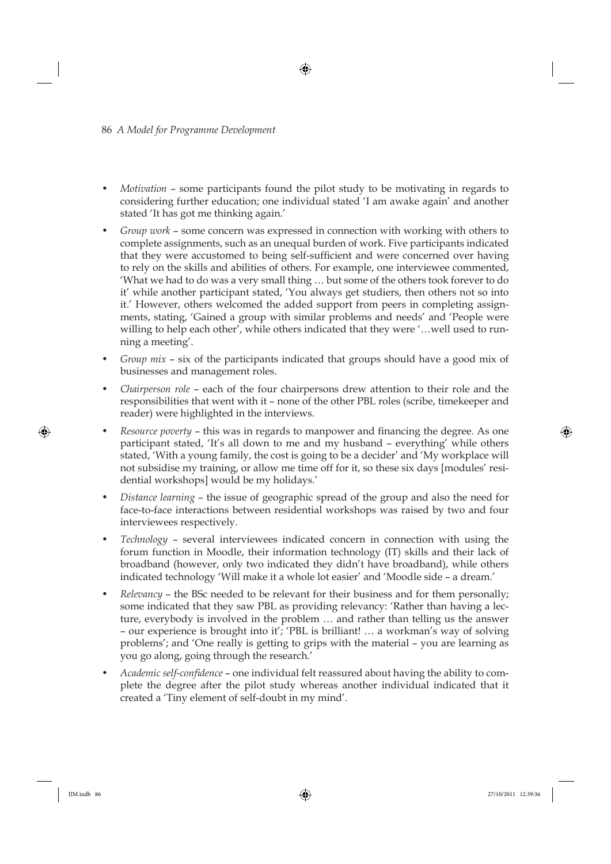- *Motivation* some participants found the pilot study to be motivating in regards to considering further education; one individual stated 'I am awake again' and another stated 'It has got me thinking again.'
- *Group work* some concern was expressed in connection with working with others to complete assignments, such as an unequal burden of work. Five participants indicated that they were accustomed to being self-sufficient and were concerned over having to rely on the skills and abilities of others. For example, one interviewee commented, 'What we had to do was a very small thing … but some of the others took forever to do it' while another participant stated, 'You always get studiers, then others not so into it.' However, others welcomed the added support from peers in completing assignments, stating, 'Gained a group with similar problems and needs' and 'People were willing to help each other', while others indicated that they were '…well used to running a meeting'.
- *Group mix* six of the participants indicated that groups should have a good mix of businesses and management roles.
- *Chairperson role* each of the four chairpersons drew attention to their role and the responsibilities that went with it – none of the other PBL roles (scribe, timekeeper and reader) were highlighted in the interviews.
- *Resource poverty* this was in regards to manpower and financing the degree. As one participant stated, 'It's all down to me and my husband – everything' while others stated, 'With a young family, the cost is going to be a decider' and 'My workplace will not subsidise my training, or allow me time off for it, so these six days [modules' residential workshops] would be my holidays.'
- *Distance learning* the issue of geographic spread of the group and also the need for face-to-face interactions between residential workshops was raised by two and four interviewees respectively.
- *Technology* several interviewees indicated concern in connection with using the forum function in Moodle, their information technology (IT) skills and their lack of broadband (however, only two indicated they didn't have broadband), while others indicated technology 'Will make it a whole lot easier' and 'Moodle side – a dream.'
- *Relevancy* the BSc needed to be relevant for their business and for them personally; some indicated that they saw PBL as providing relevancy: 'Rather than having a lecture, everybody is involved in the problem … and rather than telling us the answer – our experience is brought into it'; 'PBL is brilliant! … a workman's way of solving problems'; and 'One really is getting to grips with the material – you are learning as you go along, going through the research.'
- Academic self-confidence one individual felt reassured about having the ability to complete the degree after the pilot study whereas another individual indicated that it created a 'Tiny element of self-doubt in my mind'.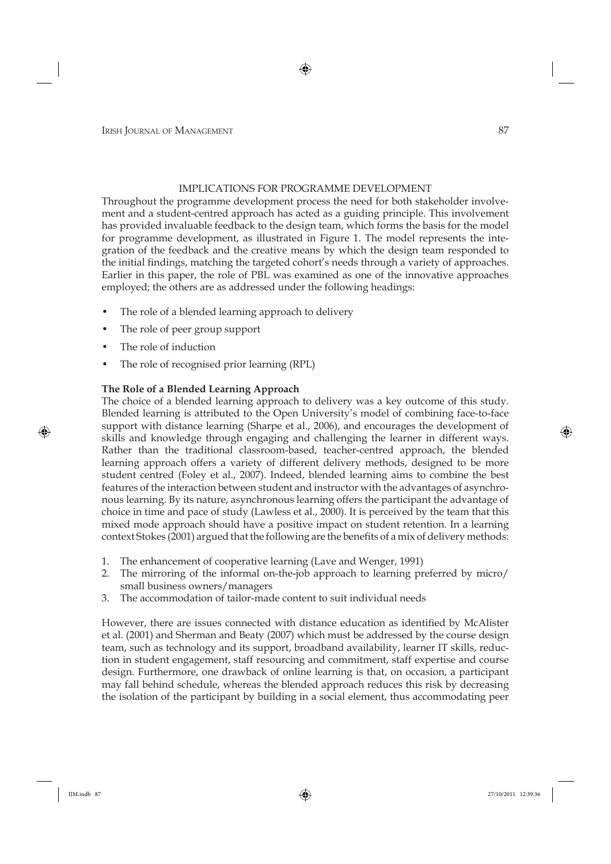# IMPLICATIONS FOR PROGRAMME DEVELOPMENT

Throughout the programme development process the need for both stakeholder involvement and a student-centred approach has acted as a guiding principle. This involvement has provided invaluable feedback to the design team, which forms the basis for the model for programme development, as illustrated in Figure 1. The model represents the integration of the feedback and the creative means by which the design team responded to the initial findings, matching the targeted cohort's needs through a variety of approaches. Earlier in this paper, the role of PBL was examined as one of the innovative approaches employed; the others are as addressed under the following headings:

- The role of a blended learning approach to delivery
- The role of peer group support
- The role of induction
- The role of recognised prior learning (RPL)

# **The Role of a Blended Learning Approach**

The choice of a blended learning approach to delivery was a key outcome of this study. Blended learning is attributed to the Open University's model of combining face-to-face support with distance learning (Sharpe et al., 2006), and encourages the development of skills and knowledge through engaging and challenging the learner in different ways. Rather than the traditional classroom-based, teacher-centred approach, the blended learning approach offers a variety of different delivery methods, designed to be more student centred (Foley et al., 2007). Indeed, blended learning aims to combine the best features of the interaction between student and instructor with the advantages of asynchronous learning. By its nature, asynchronous learning offers the participant the advantage of choice in time and pace of study (Lawless et al., 2000). It is perceived by the team that this mixed mode approach should have a positive impact on student retention. In a learning context Stokes (2001) argued that the following are the benefits of a mix of delivery methods:

- 1. The enhancement of cooperative learning (Lave and Wenger, 1991)
- 2. The mirroring of the informal on-the-job approach to learning preferred by micro/ small business owners/managers
- 3. The accommodation of tailor-made content to suit individual needs

However, there are issues connected with distance education as identified by McAlister et al. (2001) and Sherman and Beaty (2007) which must be addressed by the course design team, such as technology and its support, broadband availability, learner IT skills, reduction in student engagement, staff resourcing and commitment, staff expertise and course design. Furthermore, one drawback of online learning is that, on occasion, a participant may fall behind schedule, whereas the blended approach reduces this risk by decreasing the isolation of the participant by building in a social element, thus accommodating peer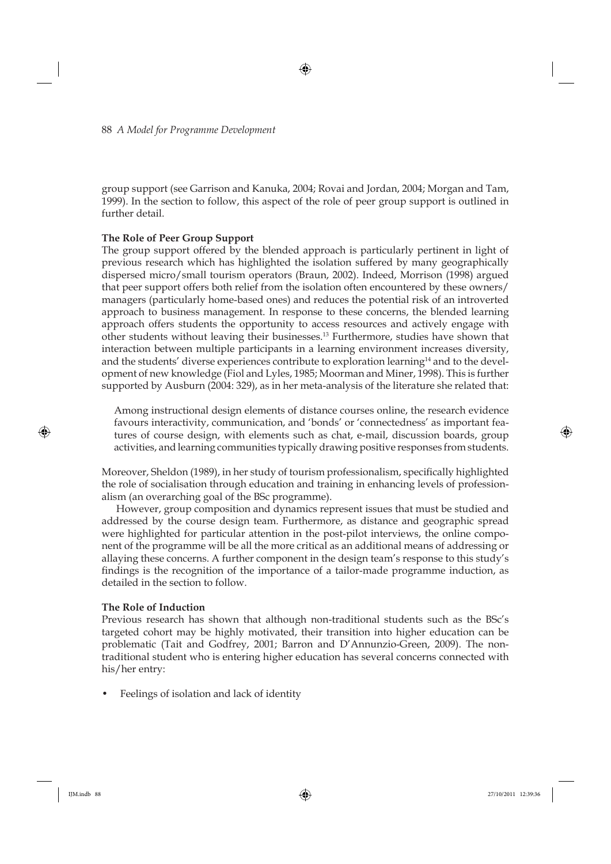group support (see Garrison and Kanuka, 2004; Rovai and Jordan, 2004; Morgan and Tam, 1999). In the section to follow, this aspect of the role of peer group support is outlined in further detail.

# **The Role of Peer Group Support**

The group support offered by the blended approach is particularly pertinent in light of previous research which has highlighted the isolation suffered by many geographically dispersed micro/small tourism operators (Braun, 2002). Indeed, Morrison (1998) argued that peer support offers both relief from the isolation often encountered by these owners/ managers (particularly home-based ones) and reduces the potential risk of an introverted approach to business management. In response to these concerns, the blended learning approach offers students the opportunity to access resources and actively engage with other students without leaving their businesses.13 Furthermore, studies have shown that interaction between multiple participants in a learning environment increases diversity, and the students' diverse experiences contribute to exploration learning<sup>14</sup> and to the development of new knowledge (Fiol and Lyles, 1985; Moorman and Miner, 1998). This is further supported by Ausburn (2004: 329), as in her meta-analysis of the literature she related that:

Among instructional design elements of distance courses online, the research evidence favours interactivity, communication, and 'bonds' or 'connectedness' as important features of course design, with elements such as chat, e-mail, discussion boards, group activities, and learning communities typically drawing positive responses from students.

Moreover, Sheldon (1989), in her study of tourism professionalism, specifically highlighted the role of socialisation through education and training in enhancing levels of professionalism (an overarching goal of the BSc programme).

However, group composition and dynamics represent issues that must be studied and addressed by the course design team. Furthermore, as distance and geographic spread were highlighted for particular attention in the post-pilot interviews, the online component of the programme will be all the more critical as an additional means of addressing or allaying these concerns. A further component in the design team's response to this study's findings is the recognition of the importance of a tailor-made programme induction, as detailed in the section to follow.

# **The Role of Induction**

Previous research has shown that although non-traditional students such as the BSc's targeted cohort may be highly motivated, their transition into higher education can be problematic (Tait and Godfrey, 2001; Barron and D'Annunzio-Green, 2009). The nontraditional student who is entering higher education has several concerns connected with his/her entry:

• Feelings of isolation and lack of identity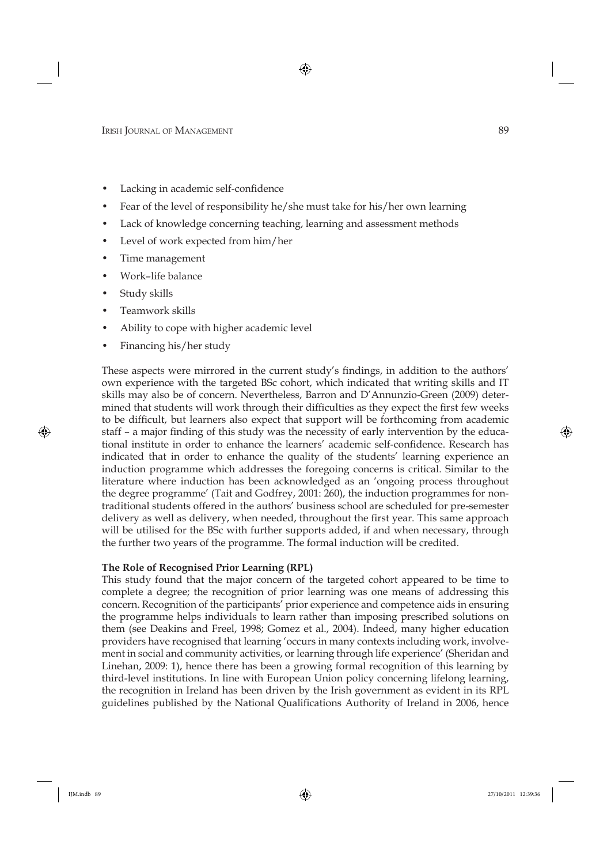- Lacking in academic self-confidence
- Fear of the level of responsibility he/she must take for his/her own learning
- Lack of knowledge concerning teaching, learning and assessment methods
- Level of work expected from him/her
- Time management
- Work–life balance
- Study skills
- Teamwork skills
- Ability to cope with higher academic level
- Financing his/her study

These aspects were mirrored in the current study's findings, in addition to the authors' own experience with the targeted BSc cohort, which indicated that writing skills and IT skills may also be of concern. Nevertheless, Barron and D'Annunzio-Green (2009) determined that students will work through their difficulties as they expect the first few weeks to be difficult, but learners also expect that support will be forthcoming from academic staff – a major finding of this study was the necessity of early intervention by the educational institute in order to enhance the learners' academic self-confidence. Research has indicated that in order to enhance the quality of the students' learning experience an induction programme which addresses the foregoing concerns is critical. Similar to the literature where induction has been acknowledged as an 'ongoing process throughout the degree programme' (Tait and Godfrey, 2001: 260), the induction programmes for nontraditional students offered in the authors' business school are scheduled for pre-semester delivery as well as delivery, when needed, throughout the first year. This same approach will be utilised for the BSc with further supports added, if and when necessary, through the further two years of the programme. The formal induction will be credited.

# **The Role of Recognised Prior Learning (RPL)**

This study found that the major concern of the targeted cohort appeared to be time to complete a degree; the recognition of prior learning was one means of addressing this concern. Recognition of the participants' prior experience and competence aids in ensuring the programme helps individuals to learn rather than imposing prescribed solutions on them (see Deakins and Freel, 1998; Gomez et al., 2004). Indeed, many higher education providers have recognised that learning 'occurs in many contexts including work, involvement in social and community activities, or learning through life experience' (Sheridan and Linehan, 2009: 1), hence there has been a growing formal recognition of this learning by third-level institutions. In line with European Union policy concerning lifelong learning, the recognition in Ireland has been driven by the Irish government as evident in its RPL guidelines published by the National Qualifications Authority of Ireland in 2006, hence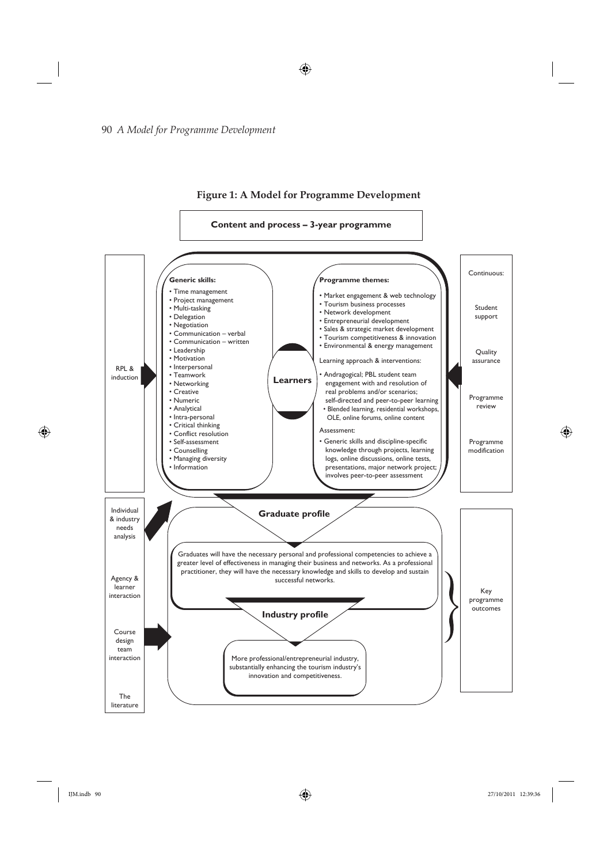

**Figure 1: A Model for Programme Development**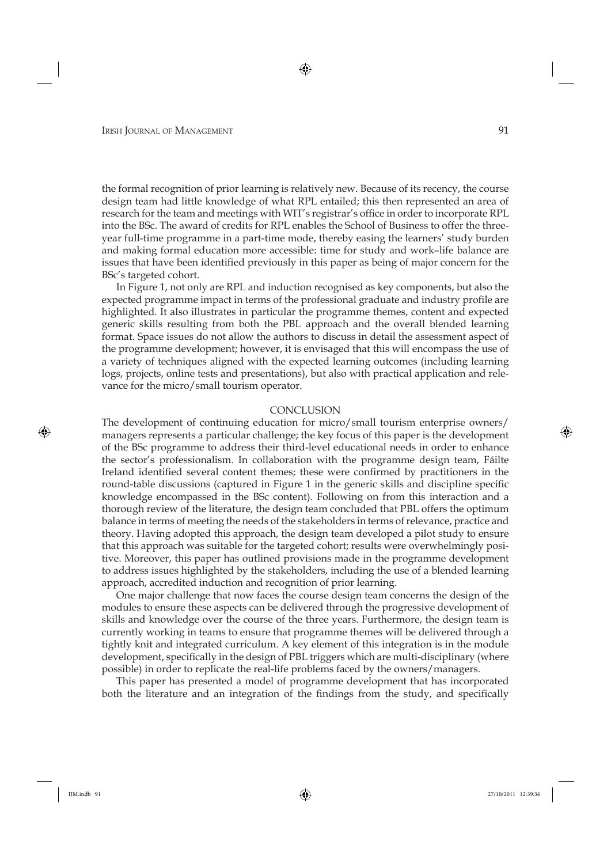the formal recognition of prior learning is relatively new. Because of its recency, the course design team had little knowledge of what RPL entailed; this then represented an area of research for the team and meetings with WIT's registrar's office in order to incorporate RPL into the BSc. The award of credits for RPL enables the School of Business to offer the threeyear full-time programme in a part-time mode, thereby easing the learners' study burden and making formal education more accessible: time for study and work–life balance are issues that have been identified previously in this paper as being of major concern for the BSc's targeted cohort.

In Figure 1, not only are RPL and induction recognised as key components, but also the expected programme impact in terms of the professional graduate and industry profile are highlighted. It also illustrates in particular the programme themes, content and expected generic skills resulting from both the PBL approach and the overall blended learning format. Space issues do not allow the authors to discuss in detail the assessment aspect of the programme development; however, it is envisaged that this will encompass the use of a variety of techniques aligned with the expected learning outcomes (including learning logs, projects, online tests and presentations), but also with practical application and relevance for the micro/small tourism operator.

#### **CONCLUSION**

The development of continuing education for micro/small tourism enterprise owners/ managers represents a particular challenge; the key focus of this paper is the development of the BSc programme to address their third-level educational needs in order to enhance the sector's professionalism. In collaboration with the programme design team, Fáilte Ireland identified several content themes; these were confirmed by practitioners in the round-table discussions (captured in Figure 1 in the generic skills and discipline specific knowledge encompassed in the BSc content). Following on from this interaction and a thorough review of the literature, the design team concluded that PBL offers the optimum balance in terms of meeting the needs of the stakeholders in terms of relevance, practice and theory. Having adopted this approach, the design team developed a pilot study to ensure that this approach was suitable for the targeted cohort; results were overwhelmingly positive. Moreover, this paper has outlined provisions made in the programme development to address issues highlighted by the stakeholders, including the use of a blended learning approach, accredited induction and recognition of prior learning.

One major challenge that now faces the course design team concerns the design of the modules to ensure these aspects can be delivered through the progressive development of skills and knowledge over the course of the three years. Furthermore, the design team is currently working in teams to ensure that programme themes will be delivered through a tightly knit and integrated curriculum. A key element of this integration is in the module development, specifically in the design of PBL triggers which are multi-disciplinary (where possible) in order to replicate the real-life problems faced by the owners/managers.

This paper has presented a model of programme development that has incorporated both the literature and an integration of the findings from the study, and specifically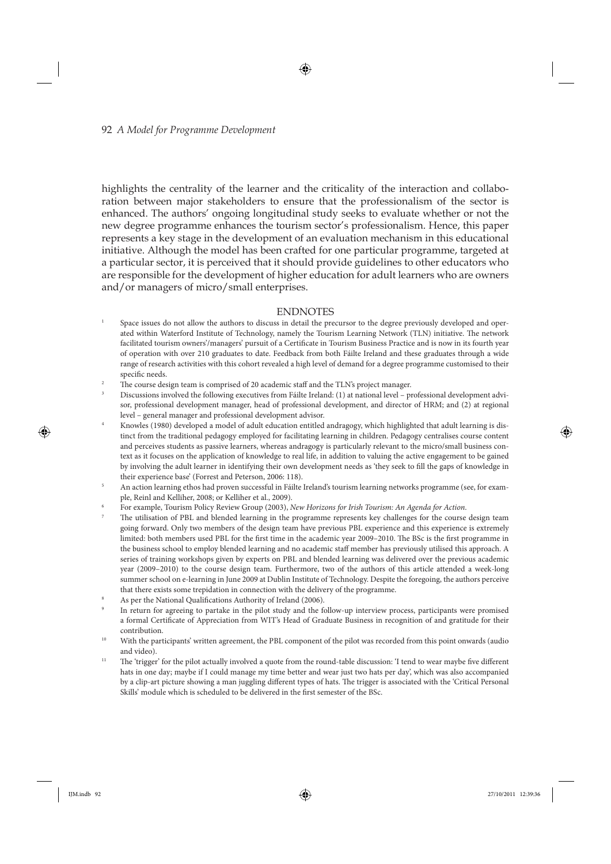#### 92 *A Model for Programme Development*

highlights the centrality of the learner and the criticality of the interaction and collaboration between major stakeholders to ensure that the professionalism of the sector is enhanced. The authors' ongoing longitudinal study seeks to evaluate whether or not the new degree programme enhances the tourism sector's professionalism. Hence, this paper represents a key stage in the development of an evaluation mechanism in this educational initiative. Although the model has been crafted for one particular programme, targeted at a particular sector, it is perceived that it should provide guidelines to other educators who are responsible for the development of higher education for adult learners who are owners and/or managers of micro/small enterprises.

#### ENDNOTES

- 1 Space issues do not allow the authors to discuss in detail the precursor to the degree previously developed and operated within Waterford Institute of Technology, namely the Tourism Learning Network (TLN) initiative. The network facilitated tourism owners'/managers' pursuit of a Certificate in Tourism Business Practice and is now in its fourth year of operation with over 210 graduates to date. Feedback from both Fáilte Ireland and these graduates through a wide range of research activities with this cohort revealed a high level of demand for a degree programme customised to their specific needs.
- 2 The course design team is comprised of 20 academic staff and the TLN's project manager.
- 3 Discussions involved the following executives from Fáilte Ireland: (1) at national level – professional development advisor, professional development manager, head of professional development, and director of HRM; and (2) at regional level – general manager and professional development advisor.
- 4 Knowles (1980) developed a model of adult education entitled andragogy, which highlighted that adult learning is distinct from the traditional pedagogy employed for facilitating learning in children. Pedagogy centralises course content and perceives students as passive learners, whereas andragogy is particularly relevant to the micro/small business context as it focuses on the application of knowledge to real life, in addition to valuing the active engagement to be gained by involving the adult learner in identifying their own development needs as 'they seek to fill the gaps of knowledge in their experience base' (Forrest and Peterson, 2006: 118).
- 5 An action learning ethos had proven successful in Fáilte Ireland's tourism learning networks programme (see, for example, Reinl and Kelliher, 2008; or Kelliher et al., 2009).
- 6 For example, Tourism Policy Review Group (2003), *New Horizons for Irish Tourism: An Agenda for Action*.
- 7 The utilisation of PBL and blended learning in the programme represents key challenges for the course design team going forward. Only two members of the design team have previous PBL experience and this experience is extremely limited: both members used PBL for the first time in the academic year 2009–2010. The BSc is the first programme in the business school to employ blended learning and no academic staff member has previously utilised this approach. A series of training workshops given by experts on PBL and blended learning was delivered over the previous academic year (2009–2010) to the course design team. Furthermore, two of the authors of this article attended a week-long summer school on e-learning in June 2009 at Dublin Institute of Technology. Despite the foregoing, the authors perceive that there exists some trepidation in connection with the delivery of the programme.
- 8 As per the National Qualifications Authority of Ireland (2006).
- 9 In return for agreeing to partake in the pilot study and the follow-up interview process, participants were promised a formal Certificate of Appreciation from WIT's Head of Graduate Business in recognition of and gratitude for their contribution.
- With the participants' written agreement, the PBL component of the pilot was recorded from this point onwards (audio and video).
- <sup>11</sup> The 'trigger' for the pilot actually involved a quote from the round-table discussion: 'I tend to wear maybe five different hats in one day; maybe if I could manage my time better and wear just two hats per day', which was also accompanied by a clip-art picture showing a man juggling different types of hats. The trigger is associated with the 'Critical Personal Skills' module which is scheduled to be delivered in the first semester of the BSc.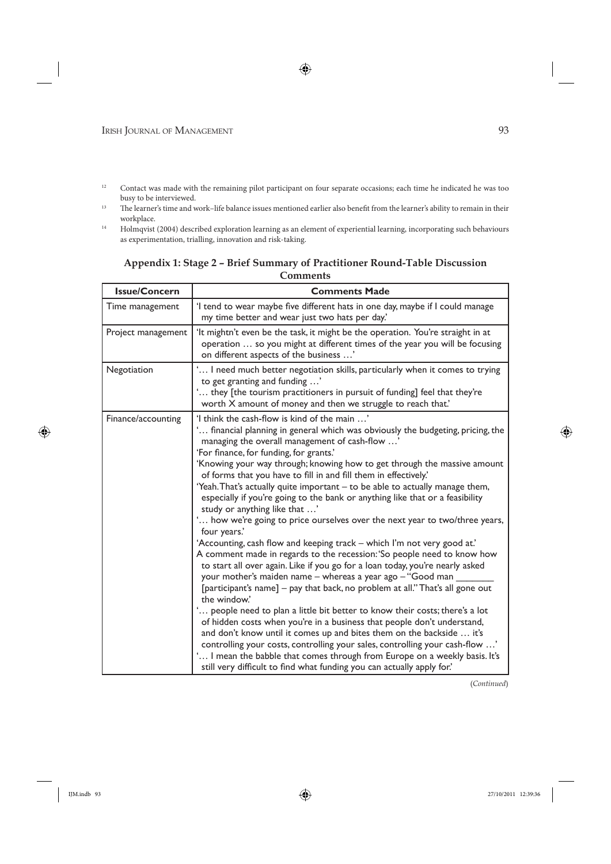- <sup>12</sup> Contact was made with the remaining pilot participant on four separate occasions; each time he indicated he was too busy to be interviewed. 13 Th e learner's time and work–life balance issues mentioned earlier also benefi t from the learner's ability to remain in their
- workplace.
- <sup>14</sup> Holmqvist (2004) described exploration learning as an element of experiential learning, incorporating such behaviours as experimentation, trialling, innovation and risk-taking.

# **Appendix 1: Stage 2 – Brief Summary of Practitioner Round-Table Discussion Comments**

| <b>Issue/Concern</b> | <b>Comments Made</b>                                                                                                                                                                                                                                                                                                                                                                                                                                                                                                                                                                                                                                                                                                                                                                                                                                                                                                                                                                                                                                                                                                                                                                                                                                                                                                                                                                                                                                                                                                                                            |  |
|----------------------|-----------------------------------------------------------------------------------------------------------------------------------------------------------------------------------------------------------------------------------------------------------------------------------------------------------------------------------------------------------------------------------------------------------------------------------------------------------------------------------------------------------------------------------------------------------------------------------------------------------------------------------------------------------------------------------------------------------------------------------------------------------------------------------------------------------------------------------------------------------------------------------------------------------------------------------------------------------------------------------------------------------------------------------------------------------------------------------------------------------------------------------------------------------------------------------------------------------------------------------------------------------------------------------------------------------------------------------------------------------------------------------------------------------------------------------------------------------------------------------------------------------------------------------------------------------------|--|
| Time management      | 'I tend to wear maybe five different hats in one day, maybe if I could manage<br>my time better and wear just two hats per day.'                                                                                                                                                                                                                                                                                                                                                                                                                                                                                                                                                                                                                                                                                                                                                                                                                                                                                                                                                                                                                                                                                                                                                                                                                                                                                                                                                                                                                                |  |
| Project management   | 'It mightn't even be the task, it might be the operation. You're straight in at<br>operation  so you might at different times of the year you will be focusing<br>on different aspects of the business '                                                                                                                                                                                                                                                                                                                                                                                                                                                                                                                                                                                                                                                                                                                                                                                                                                                                                                                                                                                                                                                                                                                                                                                                                                                                                                                                                        |  |
| Negotiation          | ' I need much better negotiation skills, particularly when it comes to trying<br>to get granting and funding '<br>' they [the tourism practitioners in pursuit of funding] feel that they're<br>worth X amount of money and then we struggle to reach that.'                                                                                                                                                                                                                                                                                                                                                                                                                                                                                                                                                                                                                                                                                                                                                                                                                                                                                                                                                                                                                                                                                                                                                                                                                                                                                                    |  |
| Finance/accounting   | 'I think the cash-flow is kind of the main '<br>' financial planning in general which was obviously the budgeting, pricing, the<br>managing the overall management of cash-flow '<br>'For finance, for funding, for grants.'<br>'Knowing your way through; knowing how to get through the massive amount<br>of forms that you have to fill in and fill them in effectively.'<br>'Yeah. That's actually quite important - to be able to actually manage them,<br>especially if you're going to the bank or anything like that or a feasibility<br>study or anything like that '<br>' how we're going to price ourselves over the next year to two/three years,<br>four years.'<br>'Accounting, cash flow and keeping track - which I'm not very good at.'<br>A comment made in regards to the recession: 'So people need to know how<br>to start all over again. Like if you go for a loan today, you're nearly asked<br>your mother's maiden name - whereas a year ago - "Good man<br>[participant's name] – pay that back, no problem at all." That's all gone out<br>the window.'<br>' people need to plan a little bit better to know their costs; there's a lot<br>of hidden costs when you're in a business that people don't understand,<br>and don't know until it comes up and bites them on the backside  it's<br>controlling your costs, controlling your sales, controlling your cash-flow '<br>' I mean the babble that comes through from Europe on a weekly basis. It's<br>still very difficult to find what funding you can actually apply for.' |  |

(*Continued*)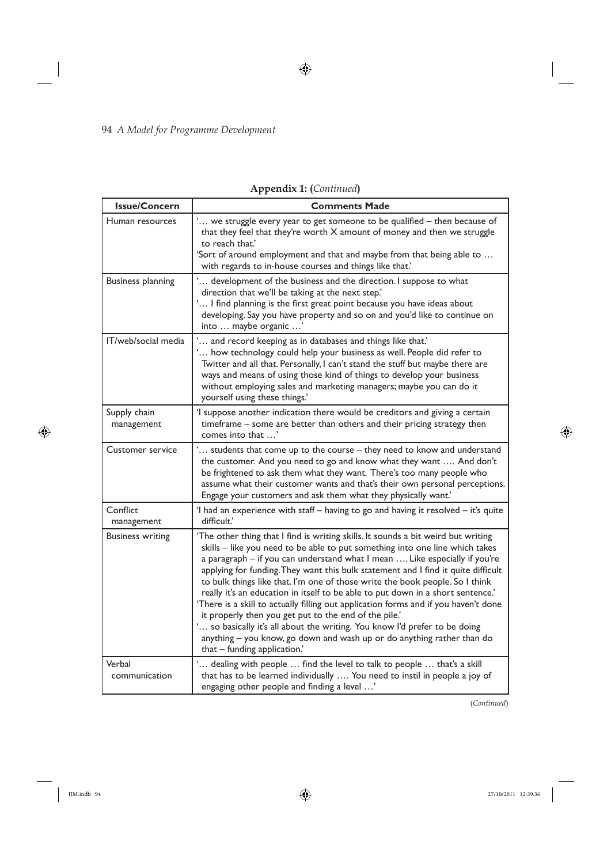| <b>Issue/Concern</b>       | <b>Comments Made</b>                                                                                                                                                                                                                                                                                                                                                                                                                                                                                                                                                                                                                                                                                                                                                                                                                            |  |
|----------------------------|-------------------------------------------------------------------------------------------------------------------------------------------------------------------------------------------------------------------------------------------------------------------------------------------------------------------------------------------------------------------------------------------------------------------------------------------------------------------------------------------------------------------------------------------------------------------------------------------------------------------------------------------------------------------------------------------------------------------------------------------------------------------------------------------------------------------------------------------------|--|
| Human resources            | ' we struggle every year to get someone to be qualified - then because of<br>that they feel that they're worth X amount of money and then we struggle<br>to reach that.'                                                                                                                                                                                                                                                                                                                                                                                                                                                                                                                                                                                                                                                                        |  |
|                            | 'Sort of around employment and that and maybe from that being able to<br>with regards to in-house courses and things like that.'                                                                                                                                                                                                                                                                                                                                                                                                                                                                                                                                                                                                                                                                                                                |  |
| <b>Business planning</b>   | ' development of the business and the direction. I suppose to what<br>direction that we'll be taking at the next step.'<br>' I find planning is the first great point because you have ideas about<br>developing. Say you have property and so on and you'd like to continue on<br>into  maybe organic '                                                                                                                                                                                                                                                                                                                                                                                                                                                                                                                                        |  |
| IT/web/social media        | ' and record keeping as in databases and things like that.'<br>' how technology could help your business as well. People did refer to<br>Twitter and all that. Personally, I can't stand the stuff but maybe there are<br>ways and means of using those kind of things to develop your business<br>without employing sales and marketing managers; maybe you can do it<br>yourself using these things.'                                                                                                                                                                                                                                                                                                                                                                                                                                         |  |
| Supply chain<br>management | 'I suppose another indication there would be creditors and giving a certain<br>timeframe - some are better than others and their pricing strategy then<br>comes into that '                                                                                                                                                                                                                                                                                                                                                                                                                                                                                                                                                                                                                                                                     |  |
| Customer service           | ' students that come up to the course - they need to know and understand<br>the customer. And you need to go and know what they want  And don't<br>be frightened to ask them what they want. There's too many people who<br>assume what their customer wants and that's their own personal perceptions.<br>Engage your customers and ask them what they physically want.'                                                                                                                                                                                                                                                                                                                                                                                                                                                                       |  |
| Conflict<br>management     | 'I had an experience with staff - having to go and having it resolved - it's quite<br>difficult.'                                                                                                                                                                                                                                                                                                                                                                                                                                                                                                                                                                                                                                                                                                                                               |  |
| <b>Business writing</b>    | 'The other thing that I find is writing skills. It sounds a bit weird but writing<br>skills - like you need to be able to put something into one line which takes<br>a paragraph - if you can understand what I mean  Like especially if you're<br>applying for funding. They want this bulk statement and I find it quite difficult<br>to bulk things like that. I'm one of those write the book people. So I think<br>really it's an education in itself to be able to put down in a short sentence.'<br>'There is a skill to actually filling out application forms and if you haven't done<br>it properly then you get put to the end of the pile.'<br>' so basically it's all about the writing. You know I'd prefer to be doing<br>anything - you know, go down and wash up or do anything rather than do<br>that - funding application.' |  |
| Verbal<br>communication    | ' dealing with people  find the level to talk to people  that's a skill<br>that has to be learned individually  You need to instil in people a joy of<br>engaging other people and finding a level '                                                                                                                                                                                                                                                                                                                                                                                                                                                                                                                                                                                                                                            |  |

**Appendix 1: (***Continued***)**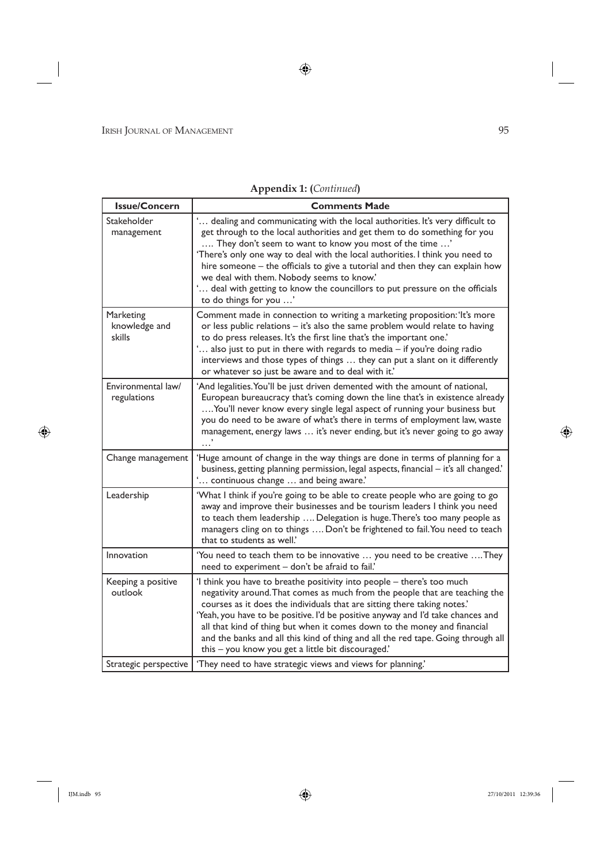| <b>Issue/Concern</b>                 | <b>Comments Made</b>                                                                                                                                                                                                                                                                                                                                                                                                                                                                                                                           |
|--------------------------------------|------------------------------------------------------------------------------------------------------------------------------------------------------------------------------------------------------------------------------------------------------------------------------------------------------------------------------------------------------------------------------------------------------------------------------------------------------------------------------------------------------------------------------------------------|
| Stakeholder<br>management            | ' dealing and communicating with the local authorities. It's very difficult to<br>get through to the local authorities and get them to do something for you<br>They don't seem to want to know you most of the time '<br>'There's only one way to deal with the local authorities. I think you need to<br>hire someone - the officials to give a tutorial and then they can explain how<br>we deal with them. Nobody seems to know.'<br>' deal with getting to know the councillors to put pressure on the officials<br>to do things for you ' |
| Marketing<br>knowledge and<br>skills | Comment made in connection to writing a marketing proposition: 'It's more<br>or less public relations - it's also the same problem would relate to having<br>to do press releases. It's the first line that's the important one.'<br>also just to put in there with regards to media - if you're doing radio<br>interviews and those types of things  they can put a slant on it differently<br>or whatever so just be aware and to deal with it.'                                                                                             |
| Environmental law/<br>regulations    | 'And legalities. You'll be just driven demented with the amount of national,<br>European bureaucracy that's coming down the line that's in existence already<br>You'll never know every single legal aspect of running your business but<br>you do need to be aware of what's there in terms of employment law, waste<br>management, energy laws  it's never ending, but it's never going to go away                                                                                                                                           |
| Change management                    | 'Huge amount of change in the way things are done in terms of planning for a<br>business, getting planning permission, legal aspects, financial - it's all changed.'<br>' continuous change  and being aware.'                                                                                                                                                                                                                                                                                                                                 |
| Leadership                           | 'What I think if you're going to be able to create people who are going to go<br>away and improve their businesses and be tourism leaders I think you need<br>to teach them leadership  Delegation is huge. There's too many people as<br>managers cling on to things  Don't be frightened to fail. You need to teach<br>that to students as well.                                                                                                                                                                                             |
| Innovation                           | 'You need to teach them to be innovative  you need to be creative  They<br>need to experiment - don't be afraid to fail.'                                                                                                                                                                                                                                                                                                                                                                                                                      |
| Keeping a positive<br>outlook        | 'I think you have to breathe positivity into people - there's too much<br>negativity around. That comes as much from the people that are teaching the<br>courses as it does the individuals that are sitting there taking notes.'<br>'Yeah, you have to be positive. I'd be positive anyway and I'd take chances and<br>all that kind of thing but when it comes down to the money and financial<br>and the banks and all this kind of thing and all the red tape. Going through all<br>this - you know you get a little bit discouraged.'     |
| Strategic perspective                | 'They need to have strategic views and views for planning.'                                                                                                                                                                                                                                                                                                                                                                                                                                                                                    |

# **Appendix 1: (***Continued***)**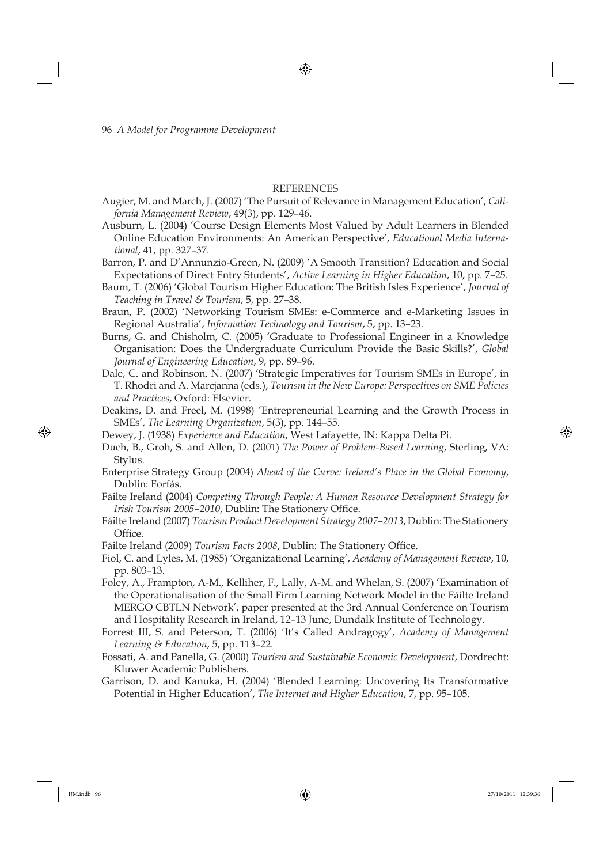#### REFERENCES

- Augier, M. and March, J. (2007) 'The Pursuit of Relevance in Management Education', *California Management Review*, 49(3), pp. 129–46.
- Ausburn, L. (2004) 'Course Design Elements Most Valued by Adult Learners in Blended Online Education Environments: An American Perspective', *Educational Media International*, 41, pp. 327–37.
- Barron, P. and D'Annunzio-Green, N. (2009) 'A Smooth Transition? Education and Social Expectations of Direct Entry Students', *Active Learning in Higher Education*, 10, pp. 7–25.
- Baum, T. (2006) 'Global Tourism Higher Education: The British Isles Experience', *Journal of Teaching in Travel & Tourism*, 5, pp. 27–38.
- Braun, P. (2002) 'Networking Tourism SMEs: e-Commerce and e-Marketing Issues in Regional Australia', *Information Technology and Tourism*, 5, pp. 13–23.
- Burns, G. and Chisholm, C. (2005) 'Graduate to Professional Engineer in a Knowledge Organisation: Does the Undergraduate Curriculum Provide the Basic Skills?', *Global Journal of Engineering Education*, 9, pp. 89–96.
- Dale, C. and Robinson, N. (2007) 'Strategic Imperatives for Tourism SMEs in Europe', in T. Rhodri and A. Marcjanna (eds.), *Tourism in the New Europe: Perspectives on SME Policies and Practices*, Oxford: Elsevier.
- Deakins, D. and Freel, M. (1998) 'Entrepreneurial Learning and the Growth Process in SMEs', *The Learning Organization*, 5(3), pp. 144–55.
- Dewey, J. (1938) *Experience and Education*, West Lafayette, IN: Kappa Delta Pi.
- Duch, B., Groh, S. and Allen, D. (2001) *The Power of Problem-Based Learning*, Sterling, VA: Stylus.
- Enterprise Strategy Group (2004) *Ahead of the Curve: Ireland's Place in the Global Economy*, Dublin: Forfás.
- Fáilte Ireland (2004) *Competing Through People: A Human Resource Development Strategy for Irish Tourism 2005-2010, Dublin: The Stationery Office.*
- Fáilte Ireland (2007) *Tourism Product Development Strategy 2007–2013*, Dublin: The Stationery Office.
- Fáilte Ireland (2009) *Tourism Facts 2008*, Dublin: The Stationery Office.
- Fiol, C. and Lyles, M. (1985) 'Organizational Learning', *Academy of Management Review*, 10, pp. 803–13.
- Foley, A., Frampton, A-M., Kelliher, F., Lally, A-M. and Whelan, S. (2007) 'Examination of the Operationalisation of the Small Firm Learning Network Model in the Fáilte Ireland MERGO CBTLN Network', paper presented at the 3rd Annual Conference on Tourism and Hospitality Research in Ireland, 12–13 June, Dundalk Institute of Technology.
- Forrest III, S. and Peterson, T. (2006) 'It's Called Andragogy', *Academy of Management Learning & Education*, 5, pp. 113–22.
- Fossati, A. and Panella, G. (2000) *Tourism and Sustainable Economic Development*, Dordrecht: Kluwer Academic Publishers.
- Garrison, D. and Kanuka, H. (2004) 'Blended Learning: Uncovering Its Transformative Potential in Higher Education', *The Internet and Higher Education*, 7, pp. 95–105.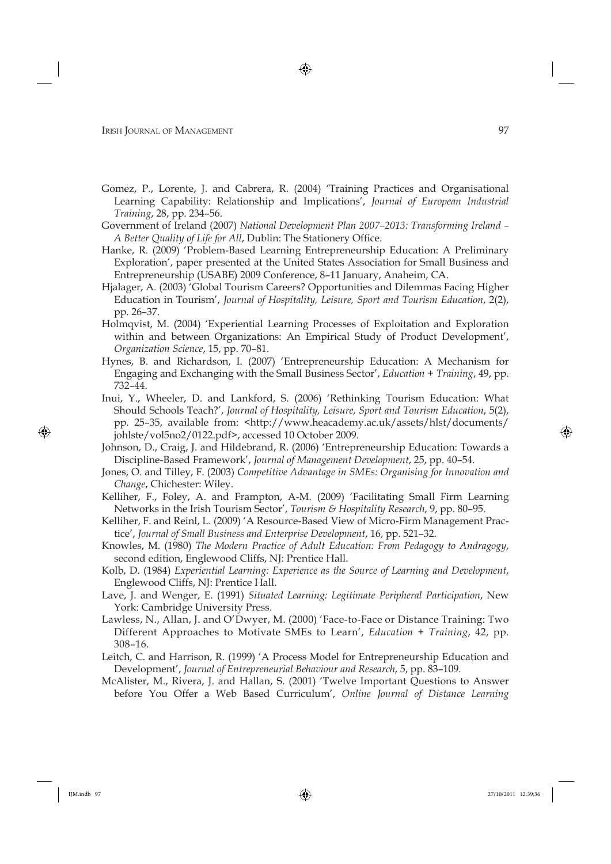- Gomez, P., Lorente, J. and Cabrera, R. (2004) 'Training Practices and Organisational Learning Capability: Relationship and Implications', *Journal of European Industrial Training*, 28, pp. 234–56.
- Government of Ireland (2007) *National Development Plan 2007–2013: Transforming Ireland*  A Better Quality of Life for All, Dublin: The Stationery Office.
- Hanke, R. (2009) 'Problem-Based Learning Entrepreneurship Education: A Preliminary Exploration', paper presented at the United States Association for Small Business and Entrepreneurship (USABE) 2009 Conference, 8–11 January, Anaheim, CA.
- Hjalager, A. (2003) 'Global Tourism Careers? Opportunities and Dilemmas Facing Higher Education in Tourism', *Journal of Hospitality, Leisure, Sport and Tourism Education*, 2(2), pp. 26–37.
- Holmqvist, M. (2004) 'Experiential Learning Processes of Exploitation and Exploration within and between Organizations: An Empirical Study of Product Development', *Organization Science*, 15, pp. 70–81.
- Hynes, B. and Richardson, I. (2007) 'Entrepreneurship Education: A Mechanism for Engaging and Exchanging with the Small Business Sector', *Education + Training*, 49, pp. 732–44.
- Inui, Y., Wheeler, D. and Lankford, S. (2006) 'Rethinking Tourism Education: What Should Schools Teach?', *Journal of Hospitality, Leisure, Sport and Tourism Education*, 5(2), pp. 25–35, available from: <http://www.heacademy.ac.uk/assets/hlst/documents/ johlste/vol5no2/0122.pdf>, accessed 10 October 2009.
- Johnson, D., Craig, J. and Hildebrand, R. (2006) 'Entrepreneurship Education: Towards a Discipline-Based Framework', *Journal of Management Development*, 25, pp. 40–54.
- Jones, O. and Tilley, F. (2003) *Competitive Advantage in SMEs: Organising for Innovation and Change*, Chichester: Wiley.
- Kelliher, F., Foley, A. and Frampton, A-M. (2009) 'Facilitating Small Firm Learning Networks in the Irish Tourism Sector', *Tourism & Hospitality Research*, 9, pp. 80–95.
- Kelliher, F. and Reinl, L. (2009) 'A Resource-Based View of Micro-Firm Management Practice', *Journal of Small Business and Enterprise Development*, 16, pp. 521–32.
- Knowles, M. (1980) *The Modern Practice of Adult Education: From Pedagogy to Andragogy*, second edition, Englewood Cliffs, NJ: Prentice Hall.
- Kolb, D. (1984) *Experiential Learning: Experience as the Source of Learning and Development*, Englewood Cliffs, NJ: Prentice Hall.
- Lave, J. and Wenger, E. (1991) *Situated Learning: Legitimate Peripheral Participation*, New York: Cambridge University Press.
- Lawless, N., Allan, J. and O'Dwyer, M. (2000) 'Face-to-Face or Distance Training: Two Different Approaches to Motivate SMEs to Learn', *Education + Training*, 42, pp. 308–16.
- Leitch, C. and Harrison, R. (1999) 'A Process Model for Entrepreneurship Education and Development', *Journal of Entrepreneurial Behaviour and Research*, 5, pp. 83–109.
- McAlister, M., Rivera, J. and Hallan, S. (2001) 'Twelve Important Questions to Answer before You Offer a Web Based Curriculum', *Online Journal of Distance Learning*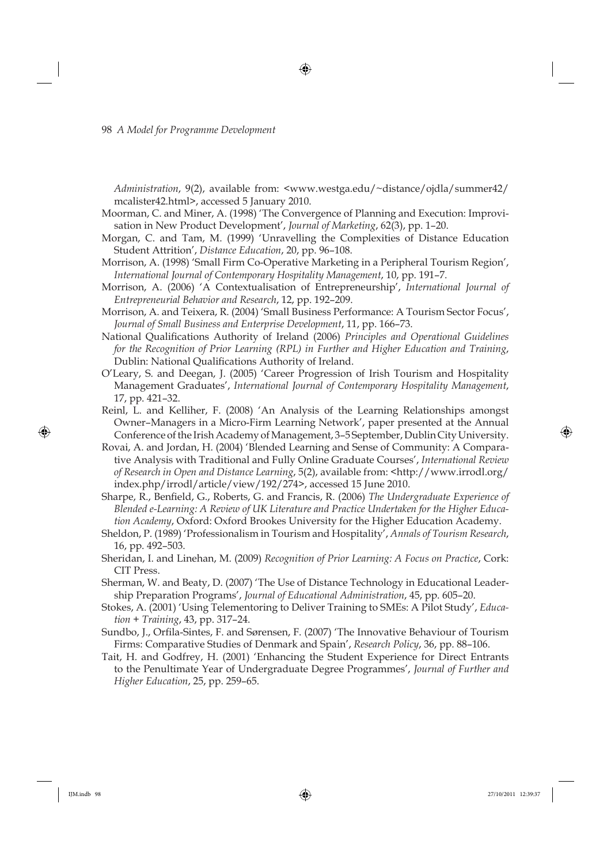*Administration*, 9(2), available from: <www.westga.edu/~distance/ojdla/summer42/ mcalister42.html>, accessed 5 January 2010.

- Moorman, C. and Miner, A. (1998) 'The Convergence of Planning and Execution: Improvisation in New Product Development', *Journal of Marketing*, 62(3), pp. 1–20.
- Morgan, C. and Tam, M. (1999) 'Unravelling the Complexities of Distance Education Student Attrition', *Distance Education*, 20, pp. 96–108.
- Morrison, A. (1998) 'Small Firm Co-Operative Marketing in a Peripheral Tourism Region', *International Journal of Contemporary Hospitality Management*, 10, pp. 191–7.
- Morrison, A. (2006) 'A Contextualisation of Entrepreneurship', *International Journal of Entrepreneurial Behavior and Research*, 12, pp. 192–209.
- Morrison, A. and Teixera, R. (2004) 'Small Business Performance: A Tourism Sector Focus', *Journal of Small Business and Enterprise Development*, 11, pp. 166–73.
- National Qualifications Authority of Ireland (2006) *Principles and Operational Guidelines for the Recognition of Prior Learning (RPL) in Further and Higher Education and Training*, Dublin: National Qualifications Authority of Ireland.
- O'Leary, S. and Deegan, J. (2005) 'Career Progression of Irish Tourism and Hospitality Management Graduates', *International Journal of Contemporary Hospitality Management*, 17, pp. 421–32.
- Reinl, L. and Kelliher, F. (2008) 'An Analysis of the Learning Relationships amongst Owner–Managers in a Micro-Firm Learning Network', paper presented at the Annual Conference of the Irish Academy of Management, 3–5 September, Dublin City University.
- Rovai, A. and Jordan, H. (2004) 'Blended Learning and Sense of Community: A Comparative Analysis with Traditional and Fully Online Graduate Courses', *International Review of Research in Open and Distance Learning*, 5(2), available from: <http://www.irrodl.org/ index.php/irrodl/article/view/192/274>, accessed 15 June 2010.
- Sharpe, R., Benfield, G., Roberts, G. and Francis, R. (2006) *The Undergraduate Experience of Blended e-Learning: A Review of UK Literature and Practice Undertaken for the Higher Education Academy*, Oxford: Oxford Brookes University for the Higher Education Academy.
- Sheldon, P. (1989) 'Professionalism in Tourism and Hospitality', *Annals of Tourism Research*, 16, pp. 492–503.
- Sheridan, I. and Linehan, M. (2009) *Recognition of Prior Learning: A Focus on Practice*, Cork: CIT Press.
- Sherman, W. and Beaty, D. (2007) 'The Use of Distance Technology in Educational Leadership Preparation Programs', *Journal of Educational Administration*, 45, pp. 605–20.
- Stokes, A. (2001) 'Using Telementoring to Deliver Training to SMEs: A Pilot Study', *Education + Training*, 43, pp. 317–24.
- Sundbo, J., Orfila-Sintes, F. and Sørensen, F. (2007) 'The Innovative Behaviour of Tourism Firms: Comparative Studies of Denmark and Spain', *Research Policy*, 36, pp. 88–106.
- Tait, H. and Godfrey, H. (2001) 'Enhancing the Student Experience for Direct Entrants to the Penultimate Year of Undergraduate Degree Programmes', *Journal of Further and Higher Education*, 25, pp. 259–65.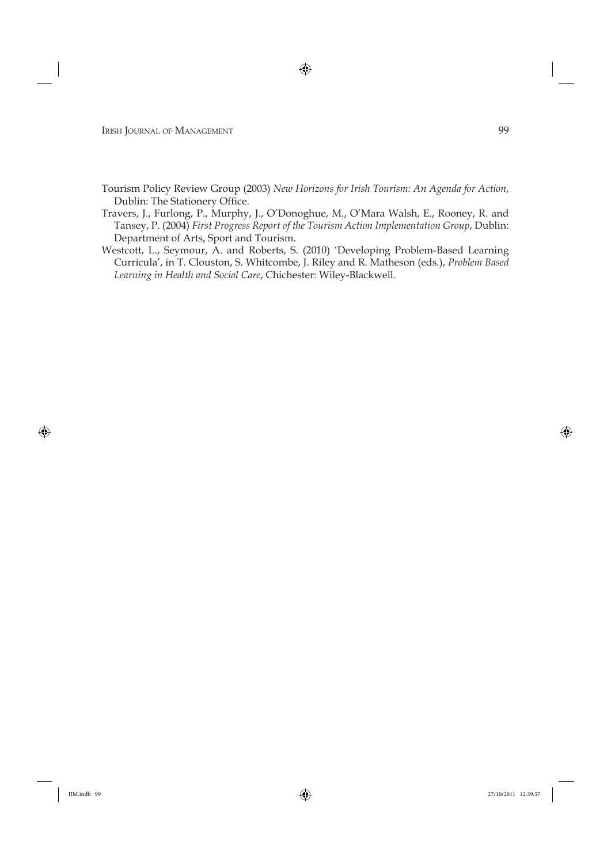- Tourism Policy Review Group (2003) *New Horizons for Irish Tourism: An Agenda for Action*, Dublin: The Stationery Office.
- Travers, J., Furlong, P., Murphy, J., O'Donoghue, M., O'Mara Walsh, E., Rooney, R. and Tansey, P. (2004) *First Progress Report of the Tourism Action Implementation Group*, Dublin: Department of Arts, Sport and Tourism.
- Westcott, L., Seymour, A. and Roberts, S. (2010) 'Developing Problem-Based Learning Curricula', in T. Clouston, S. Whitcombe, J. Riley and R. Matheson (eds.), *Problem Based Learning in Health and Social Care*, Chichester: Wiley-Blackwell.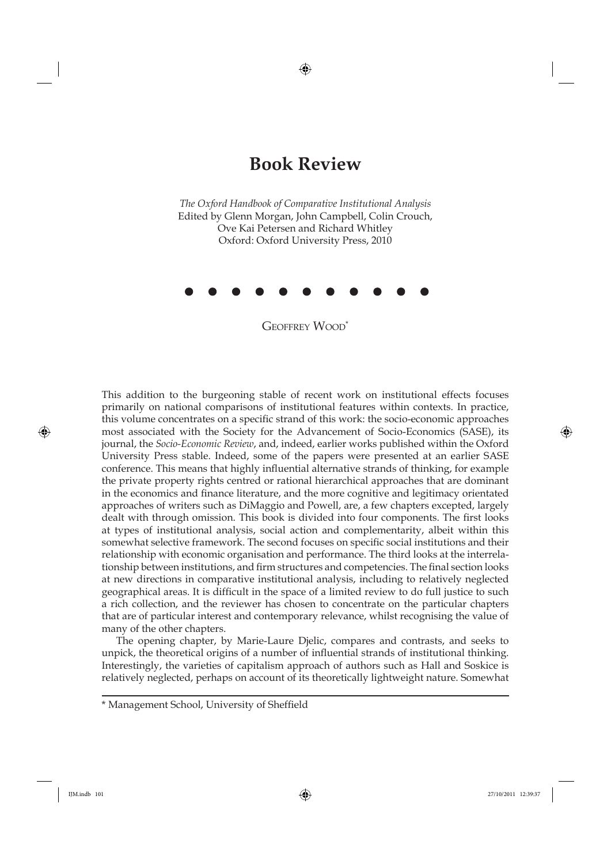## **Book Review**

*The Oxford Handbook of Comparative Institutional Analysis* Edited by Glenn Morgan, John Campbell, Colin Crouch, Ove Kai Petersen and Richard Whitley Oxford: Oxford University Press, 2010



GEOFFREY WOOD<sup>\*</sup>

This addition to the burgeoning stable of recent work on institutional effects focuses primarily on national comparisons of institutional features within contexts. In practice, this volume concentrates on a specific strand of this work: the socio-economic approaches most associated with the Society for the Advancement of Socio-Economics (SASE), its journal, the *Socio-Economic Review*, and, indeed, earlier works published within the Oxford University Press stable. Indeed, some of the papers were presented at an earlier SASE conference. This means that highly influential alternative strands of thinking, for example the private property rights centred or rational hierarchical approaches that are dominant in the economics and finance literature, and the more cognitive and legitimacy orientated approaches of writers such as DiMaggio and Powell, are, a few chapters excepted, largely dealt with through omission. This book is divided into four components. The first looks at types of institutional analysis, social action and complementarity, albeit within this somewhat selective framework. The second focuses on specific social institutions and their relationship with economic organisation and performance. The third looks at the interrelationship between institutions, and firm structures and competencies. The final section looks at new directions in comparative institutional analysis, including to relatively neglected geographical areas. It is difficult in the space of a limited review to do full justice to such a rich collection, and the reviewer has chosen to concentrate on the particular chapters that are of particular interest and contemporary relevance, whilst recognising the value of many of the other chapters.

The opening chapter, by Marie-Laure Djelic, compares and contrasts, and seeks to unpick, the theoretical origins of a number of influential strands of institutional thinking. Interestingly, the varieties of capitalism approach of authors such as Hall and Soskice is relatively neglected, perhaps on account of its theoretically lightweight nature. Somewhat

<sup>\*</sup> Management School, University of Sheffield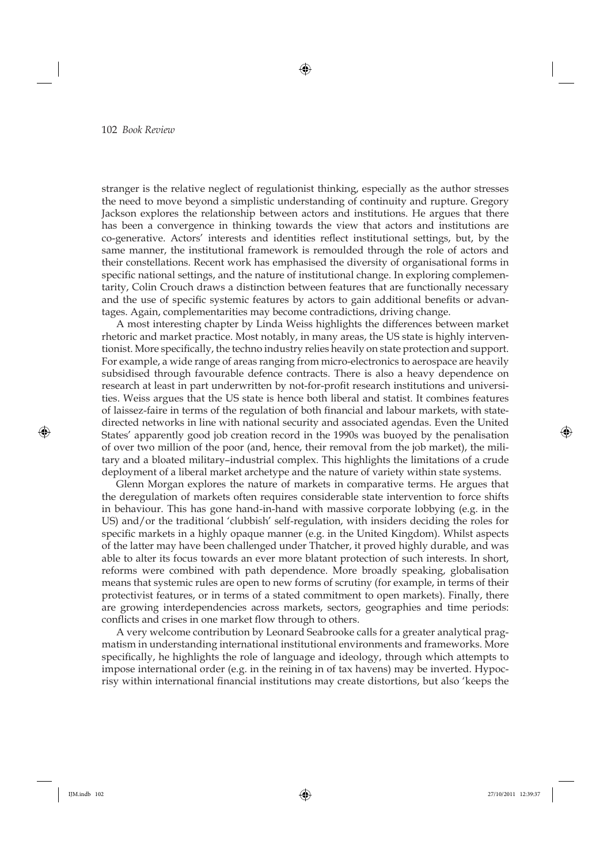stranger is the relative neglect of regulationist thinking, especially as the author stresses the need to move beyond a simplistic understanding of continuity and rupture. Gregory Jackson explores the relationship between actors and institutions. He argues that there has been a convergence in thinking towards the view that actors and institutions are co-generative. Actors' interests and identities reflect institutional settings, but, by the same manner, the institutional framework is remoulded through the role of actors and their constellations. Recent work has emphasised the diversity of organisational forms in specific national settings, and the nature of institutional change. In exploring complementarity, Colin Crouch draws a distinction between features that are functionally necessary and the use of specific systemic features by actors to gain additional benefits or advantages. Again, complementarities may become contradictions, driving change.

A most interesting chapter by Linda Weiss highlights the differences between market rhetoric and market practice. Most notably, in many areas, the US state is highly interventionist. More specifically, the techno industry relies heavily on state protection and support. For example, a wide range of areas ranging from micro-electronics to aerospace are heavily subsidised through favourable defence contracts. There is also a heavy dependence on research at least in part underwritten by not-for-profit research institutions and universities. Weiss argues that the US state is hence both liberal and statist. It combines features of laissez-faire in terms of the regulation of both financial and labour markets, with statedirected networks in line with national security and associated agendas. Even the United States' apparently good job creation record in the 1990s was buoyed by the penalisation of over two million of the poor (and, hence, their removal from the job market), the military and a bloated military–industrial complex. This highlights the limitations of a crude deployment of a liberal market archetype and the nature of variety within state systems.

Glenn Morgan explores the nature of markets in comparative terms. He argues that the deregulation of markets often requires considerable state intervention to force shifts in behaviour. This has gone hand-in-hand with massive corporate lobbying (e.g. in the US) and/or the traditional 'clubbish' self-regulation, with insiders deciding the roles for specific markets in a highly opaque manner (e.g. in the United Kingdom). Whilst aspects of the latter may have been challenged under Thatcher, it proved highly durable, and was able to alter its focus towards an ever more blatant protection of such interests. In short, reforms were combined with path dependence. More broadly speaking, globalisation means that systemic rules are open to new forms of scrutiny (for example, in terms of their protectivist features, or in terms of a stated commitment to open markets). Finally, there are growing interdependencies across markets, sectors, geographies and time periods: conflicts and crises in one market flow through to others.

A very welcome contribution by Leonard Seabrooke calls for a greater analytical pragmatism in understanding international institutional environments and frameworks. More specifically, he highlights the role of language and ideology, through which attempts to impose international order (e.g. in the reining in of tax havens) may be inverted. Hypocrisy within international financial institutions may create distortions, but also 'keeps the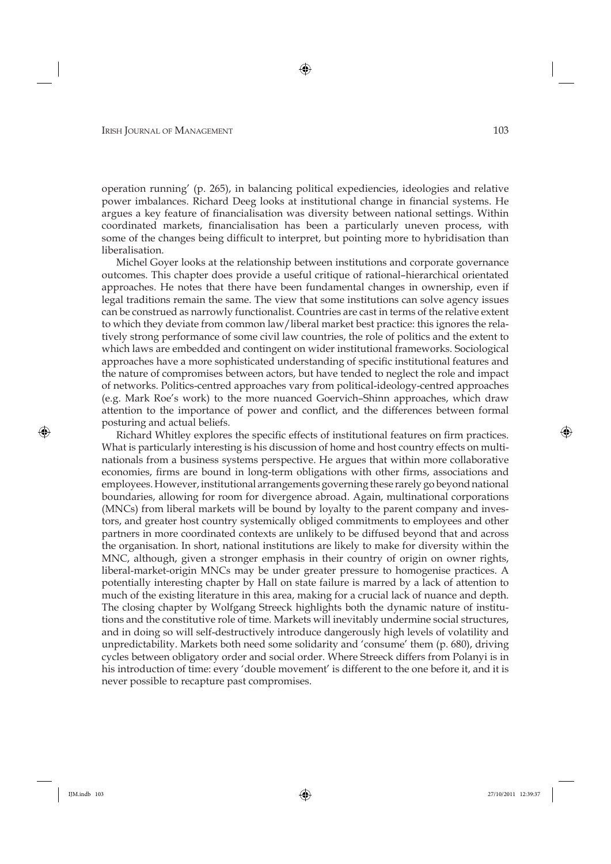operation running' (p. 265), in balancing political expediencies, ideologies and relative power imbalances. Richard Deeg looks at institutional change in financial systems. He argues a key feature of financialisation was diversity between national settings. Within coordinated markets, financialisation has been a particularly uneven process, with some of the changes being difficult to interpret, but pointing more to hybridisation than liberalisation.

Michel Goyer looks at the relationship between institutions and corporate governance outcomes. This chapter does provide a useful critique of rational–hierarchical orientated approaches. He notes that there have been fundamental changes in ownership, even if legal traditions remain the same. The view that some institutions can solve agency issues can be construed as narrowly functionalist. Countries are cast in terms of the relative extent to which they deviate from common law/liberal market best practice: this ignores the relatively strong performance of some civil law countries, the role of politics and the extent to which laws are embedded and contingent on wider institutional frameworks. Sociological approaches have a more sophisticated understanding of specific institutional features and the nature of compromises between actors, but have tended to neglect the role and impact of networks. Politics-centred approaches vary from political-ideology-centred approaches (e.g. Mark Roe's work) to the more nuanced Goervich–Shinn approaches, which draw attention to the importance of power and conflict, and the differences between formal posturing and actual beliefs.

Richard Whitley explores the specific effects of institutional features on firm practices. What is particularly interesting is his discussion of home and host country effects on multinationals from a business systems perspective. He argues that within more collaborative economies, firms are bound in long-term obligations with other firms, associations and employees. However, institutional arrangements governing these rarely go beyond national boundaries, allowing for room for divergence abroad. Again, multinational corporations (MNCs) from liberal markets will be bound by loyalty to the parent company and investors, and greater host country systemically obliged commitments to employees and other partners in more coordinated contexts are unlikely to be diffused beyond that and across the organisation. In short, national institutions are likely to make for diversity within the MNC, although, given a stronger emphasis in their country of origin on owner rights, liberal-market-origin MNCs may be under greater pressure to homogenise practices. A potentially interesting chapter by Hall on state failure is marred by a lack of attention to much of the existing literature in this area, making for a crucial lack of nuance and depth. The closing chapter by Wolfgang Streeck highlights both the dynamic nature of institutions and the constitutive role of time. Markets will inevitably undermine social structures, and in doing so will self-destructively introduce dangerously high levels of volatility and unpredictability. Markets both need some solidarity and 'consume' them (p. 680), driving cycles between obligatory order and social order. Where Streeck differs from Polanyi is in his introduction of time: every 'double movement' is different to the one before it, and it is never possible to recapture past compromises.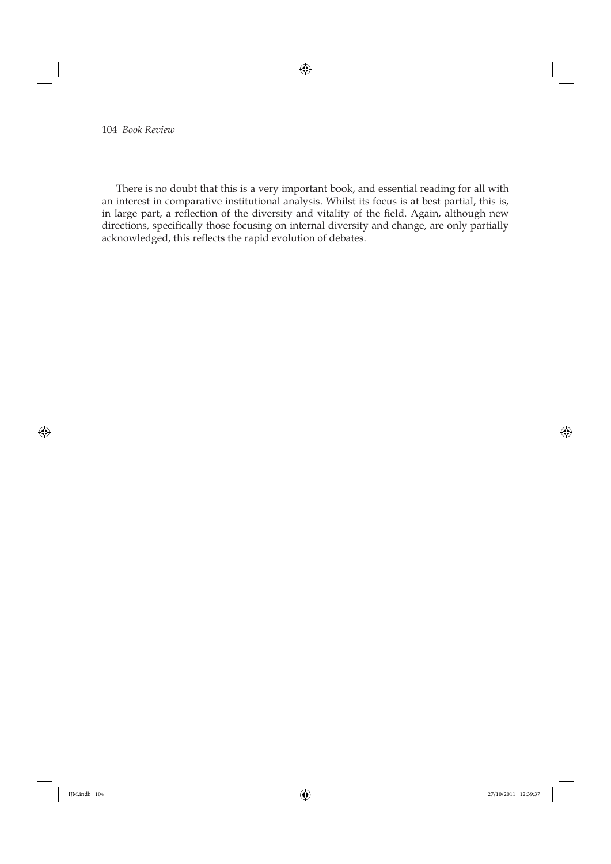There is no doubt that this is a very important book, and essential reading for all with an interest in comparative institutional analysis. Whilst its focus is at best partial, this is, in large part, a reflection of the diversity and vitality of the field. Again, although new directions, specifically those focusing on internal diversity and change, are only partially acknowledged, this reflects the rapid evolution of debates.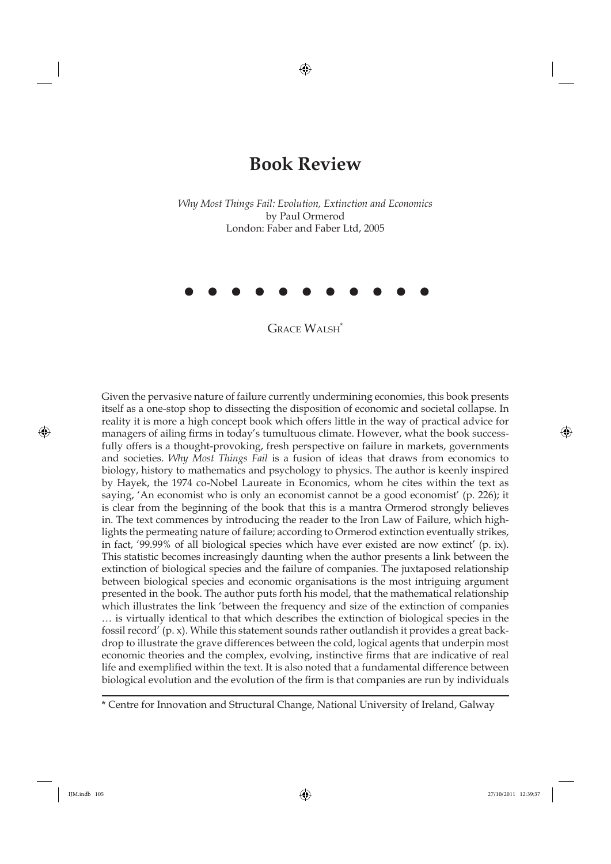## **Book Review**

*Why Most Things Fail: Evolution, Extinction and Economics* by Paul Ormerod London: Faber and Faber Ltd, 2005



**GRACE WALSH**<sup>\*</sup>

Given the pervasive nature of failure currently undermining economies, this book presents itself as a one-stop shop to dissecting the disposition of economic and societal collapse. In reality it is more a high concept book which offers little in the way of practical advice for managers of ailing firms in today's tumultuous climate. However, what the book successfully offers is a thought-provoking, fresh perspective on failure in markets, governments and societies. *Why Most Things Fail* is a fusion of ideas that draws from economics to biology, history to mathematics and psychology to physics. The author is keenly inspired by Hayek, the 1974 co-Nobel Laureate in Economics, whom he cites within the text as saying, 'An economist who is only an economist cannot be a good economist' (p. 226); it is clear from the beginning of the book that this is a mantra Ormerod strongly believes in. The text commences by introducing the reader to the Iron Law of Failure, which highlights the permeating nature of failure; according to Ormerod extinction eventually strikes, in fact, '99.99% of all biological species which have ever existed are now extinct' (p. ix). This statistic becomes increasingly daunting when the author presents a link between the extinction of biological species and the failure of companies. The juxtaposed relationship between biological species and economic organisations is the most intriguing argument presented in the book. The author puts forth his model, that the mathematical relationship which illustrates the link 'between the frequency and size of the extinction of companies … is virtually identical to that which describes the extinction of biological species in the fossil record' (p. x). While this statement sounds rather outlandish it provides a great backdrop to illustrate the grave differences between the cold, logical agents that underpin most economic theories and the complex, evolving, instinctive firms that are indicative of real life and exemplified within the text. It is also noted that a fundamental difference between biological evolution and the evolution of the firm is that companies are run by individuals

\* Centre for Innovation and Structural Change, National University of Ireland, Galway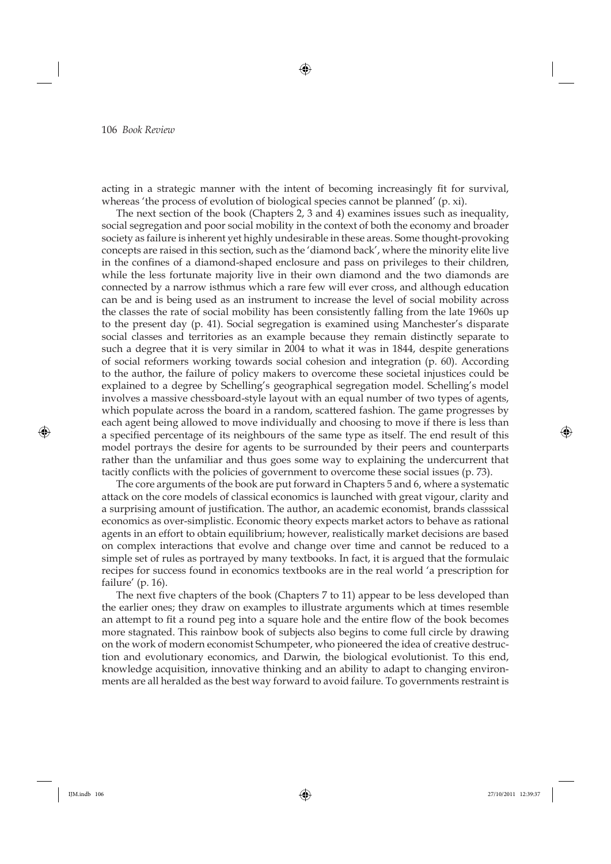acting in a strategic manner with the intent of becoming increasingly fit for survival, whereas 'the process of evolution of biological species cannot be planned' (p. xi).

The next section of the book (Chapters 2, 3 and 4) examines issues such as inequality, social segregation and poor social mobility in the context of both the economy and broader society as failure is inherent yet highly undesirable in these areas. Some thought-provoking concepts are raised in this section, such as the 'diamond back', where the minority elite live in the confines of a diamond-shaped enclosure and pass on privileges to their children, while the less fortunate majority live in their own diamond and the two diamonds are connected by a narrow isthmus which a rare few will ever cross, and although education can be and is being used as an instrument to increase the level of social mobility across the classes the rate of social mobility has been consistently falling from the late 1960s up to the present day (p. 41). Social segregation is examined using Manchester's disparate social classes and territories as an example because they remain distinctly separate to such a degree that it is very similar in 2004 to what it was in 1844, despite generations of social reformers working towards social cohesion and integration (p. 60). According to the author, the failure of policy makers to overcome these societal injustices could be explained to a degree by Schelling's geographical segregation model. Schelling's model involves a massive chessboard-style layout with an equal number of two types of agents, which populate across the board in a random, scattered fashion. The game progresses by each agent being allowed to move individually and choosing to move if there is less than a specified percentage of its neighbours of the same type as itself. The end result of this model portrays the desire for agents to be surrounded by their peers and counterparts rather than the unfamiliar and thus goes some way to explaining the undercurrent that tacitly conflicts with the policies of government to overcome these social issues (p. 73).

The core arguments of the book are put forward in Chapters 5 and 6, where a systematic attack on the core models of classical economics is launched with great vigour, clarity and a surprising amount of justification. The author, an academic economist, brands classsical economics as over-simplistic. Economic theory expects market actors to behave as rational agents in an effort to obtain equilibrium; however, realistically market decisions are based on complex interactions that evolve and change over time and cannot be reduced to a simple set of rules as portrayed by many textbooks. In fact, it is argued that the formulaic recipes for success found in economics textbooks are in the real world 'a prescription for failure' (p. 16).

The next five chapters of the book (Chapters 7 to 11) appear to be less developed than the earlier ones; they draw on examples to illustrate arguments which at times resemble an attempt to fit a round peg into a square hole and the entire flow of the book becomes more stagnated. This rainbow book of subjects also begins to come full circle by drawing on the work of modern economist Schumpeter, who pioneered the idea of creative destruction and evolutionary economics, and Darwin, the biological evolutionist. To this end, knowledge acquisition, innovative thinking and an ability to adapt to changing environments are all heralded as the best way forward to avoid failure. To governments restraint is